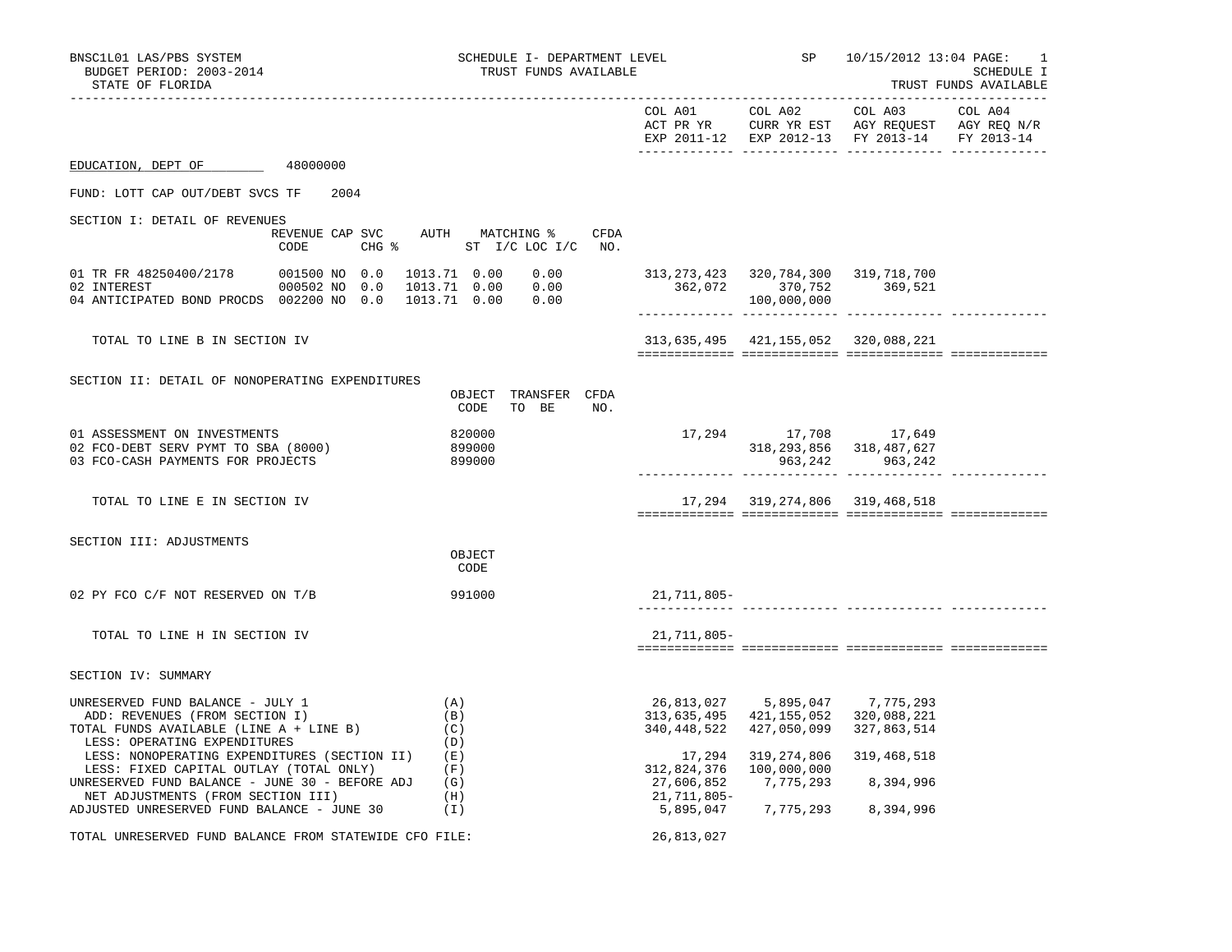| BNSC1L01 LAS/PBS SYSTEM                                                                                                                                                         | SCHEDULE I- DEPARTMENT LEVEL                                       |                                          | SP                                                                                                   | 10/15/2012 13:04 PAGE:                                                                                    | -1                                  |
|---------------------------------------------------------------------------------------------------------------------------------------------------------------------------------|--------------------------------------------------------------------|------------------------------------------|------------------------------------------------------------------------------------------------------|-----------------------------------------------------------------------------------------------------------|-------------------------------------|
| BUDGET PERIOD: 2003-2014<br>STATE OF FLORIDA                                                                                                                                    | TRUST FUNDS AVAILABLE                                              |                                          |                                                                                                      |                                                                                                           | SCHEDULE I<br>TRUST FUNDS AVAILABLE |
|                                                                                                                                                                                 |                                                                    | COL A01                                  | COL A02                                                                                              | COL A03<br>ACT PR YR CURR YR EST AGY REQUEST AGY REQ N/R<br>EXP 2011-12 EXP 2012-13 FY 2013-14 FY 2013-14 | COL A04                             |
| EDUCATION, DEPT OF<br>48000000                                                                                                                                                  |                                                                    |                                          |                                                                                                      |                                                                                                           |                                     |
| FUND: LOTT CAP OUT/DEBT SVCS TF<br>2004                                                                                                                                         |                                                                    |                                          |                                                                                                      |                                                                                                           |                                     |
| SECTION I: DETAIL OF REVENUES<br>REVENUE CAP SVC<br>$CHG$ $\frac{1}{6}$<br>CODE                                                                                                 | AUTH MATCHING %<br>CFDA<br>ST I/C LOC I/C NO.                      |                                          |                                                                                                      |                                                                                                           |                                     |
| 01 TR FR 48250400/2178 001500 NO 0.0<br>02 INTEREST<br>000502 NO 0.0<br>04 ANTICIPATED BOND PROCDS 002200 NO 0.0                                                                | 1013.71  0.00  0.00<br>1013.71  0.00  0.00<br>1013.71 0.00<br>0.00 |                                          | 313, 273, 423 320, 784, 300 319, 718, 700<br>362,072 370,752<br>100,000,000                          | 369,521                                                                                                   |                                     |
| TOTAL TO LINE B IN SECTION IV                                                                                                                                                   |                                                                    |                                          | 313,635,495 421,155,052 320,088,221                                                                  |                                                                                                           |                                     |
| SECTION II: DETAIL OF NONOPERATING EXPENDITURES                                                                                                                                 | OBJECT TRANSFER CFDA<br>CODE TO BE<br>NO.                          |                                          |                                                                                                      |                                                                                                           |                                     |
| 01 ASSESSMENT ON INVESTMENTS<br>02 FCO-DEBT SERV PYMT TO SBA (8000)<br>03 FCO-CASH PAYMENTS FOR PROJECTS                                                                        | 820000<br>899000<br>899000                                         |                                          | 17,294 17,708 17,649                                                                                 | 318, 293, 856 318, 487, 627<br>963, 242 963, 242                                                          |                                     |
| TOTAL TO LINE E IN SECTION IV                                                                                                                                                   |                                                                    |                                          | 17, 294 319, 274, 806 319, 468, 518                                                                  |                                                                                                           |                                     |
| SECTION III: ADJUSTMENTS                                                                                                                                                        | OBJECT<br>CODE                                                     |                                          |                                                                                                      |                                                                                                           |                                     |
| 02 PY FCO C/F NOT RESERVED ON T/B                                                                                                                                               | 991000                                                             | 21,711,805-                              |                                                                                                      |                                                                                                           |                                     |
| TOTAL TO LINE H IN SECTION IV                                                                                                                                                   |                                                                    | 21,711,805-                              |                                                                                                      |                                                                                                           |                                     |
| SECTION IV: SUMMARY                                                                                                                                                             |                                                                    |                                          |                                                                                                      |                                                                                                           |                                     |
| UNRESERVED FUND BALANCE - JULY 1<br>ADD: REVENUES (FROM SECTION I)<br>TOTAL FUNDS AVAILABLE (LINE A + LINE B)<br>LESS: OPERATING EXPENDITURES                                   | (A)<br>(B)<br>(C)<br>(D)                                           |                                          | 26,813,027 5,895,047 7,775,293<br>313,635,495 421,155,052 320,088,221<br>340, 448, 522 427, 050, 099 | 327,863,514                                                                                               |                                     |
| LESS: NONOPERATING EXPENDITURES (SECTION II)<br>LESS: FIXED CAPITAL OUTLAY (TOTAL ONLY)<br>UNRESERVED FUND BALANCE - JUNE 30 - BEFORE ADJ<br>NET ADJUSTMENTS (FROM SECTION III) | (E)<br>(F)<br>(G)<br>(H)                                           | 312,824,376<br>27,606,852<br>21,711,805- | 17,294 319,274,806<br>100,000,000<br>7,775,293                                                       | 319,468,518<br>8,394,996                                                                                  |                                     |
| ADJUSTED UNRESERVED FUND BALANCE - JUNE 30<br>TOTAL UNRESERVED FUND BALANCE FROM STATEWIDE CFO FILE:                                                                            | ( I )                                                              | 5,895,047<br>26,813,027                  |                                                                                                      | 7,775,293 8,394,996                                                                                       |                                     |
|                                                                                                                                                                                 |                                                                    |                                          |                                                                                                      |                                                                                                           |                                     |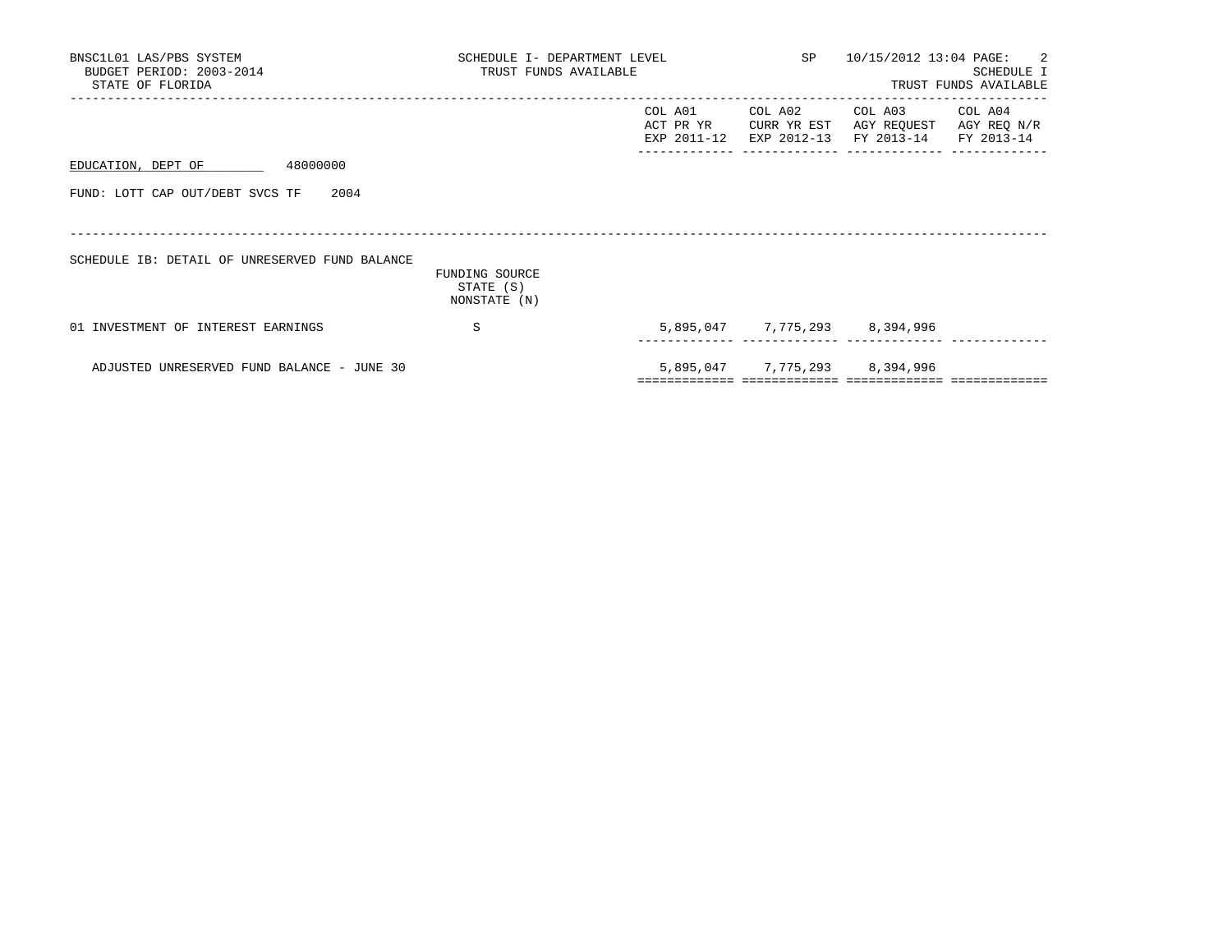| BNSC1L01 LAS/PBS SYSTEM<br>BUDGET PERIOD: 2003-2014<br>STATE OF FLORIDA | SCHEDULE I- DEPARTMENT LEVEL<br>TRUST FUNDS AVAILABLE |                                        | SP 10/15/2012 13:04 PAGE: 2<br>SCHEDULE I<br>TRUST FUNDS AVAILABLE |                                                 |                        |
|-------------------------------------------------------------------------|-------------------------------------------------------|----------------------------------------|--------------------------------------------------------------------|-------------------------------------------------|------------------------|
|                                                                         |                                                       | COL A01<br>ACT PR YR<br>EXP 2011-12    | COL A02<br>CURR YR EST<br>EXP 2012-13                              | COL A03<br>AGY REQUEST<br>FY 2013-14 FY 2013-14 | COL A04<br>AGY REQ N/R |
| EDUCATION, DEPT OF<br>48000000                                          |                                                       |                                        |                                                                    |                                                 |                        |
| FUND: LOTT CAP OUT/DEBT SVCS TF<br>2004                                 |                                                       |                                        |                                                                    |                                                 |                        |
| SCHEDULE IB: DETAIL OF UNRESERVED FUND BALANCE                          | FUNDING SOURCE<br>STATE (S)<br>NONSTATE (N)           |                                        |                                                                    |                                                 |                        |
| 01 INVESTMENT OF INTEREST EARNINGS                                      | S                                                     |                                        |                                                                    | 5,895,047 7,775,293 8,394,996                   |                        |
| ADJUSTED UNRESERVED FUND BALANCE - JUNE 30                              |                                                       | ====================================== |                                                                    | 5,895,047 7,775,293 8,394,996                   |                        |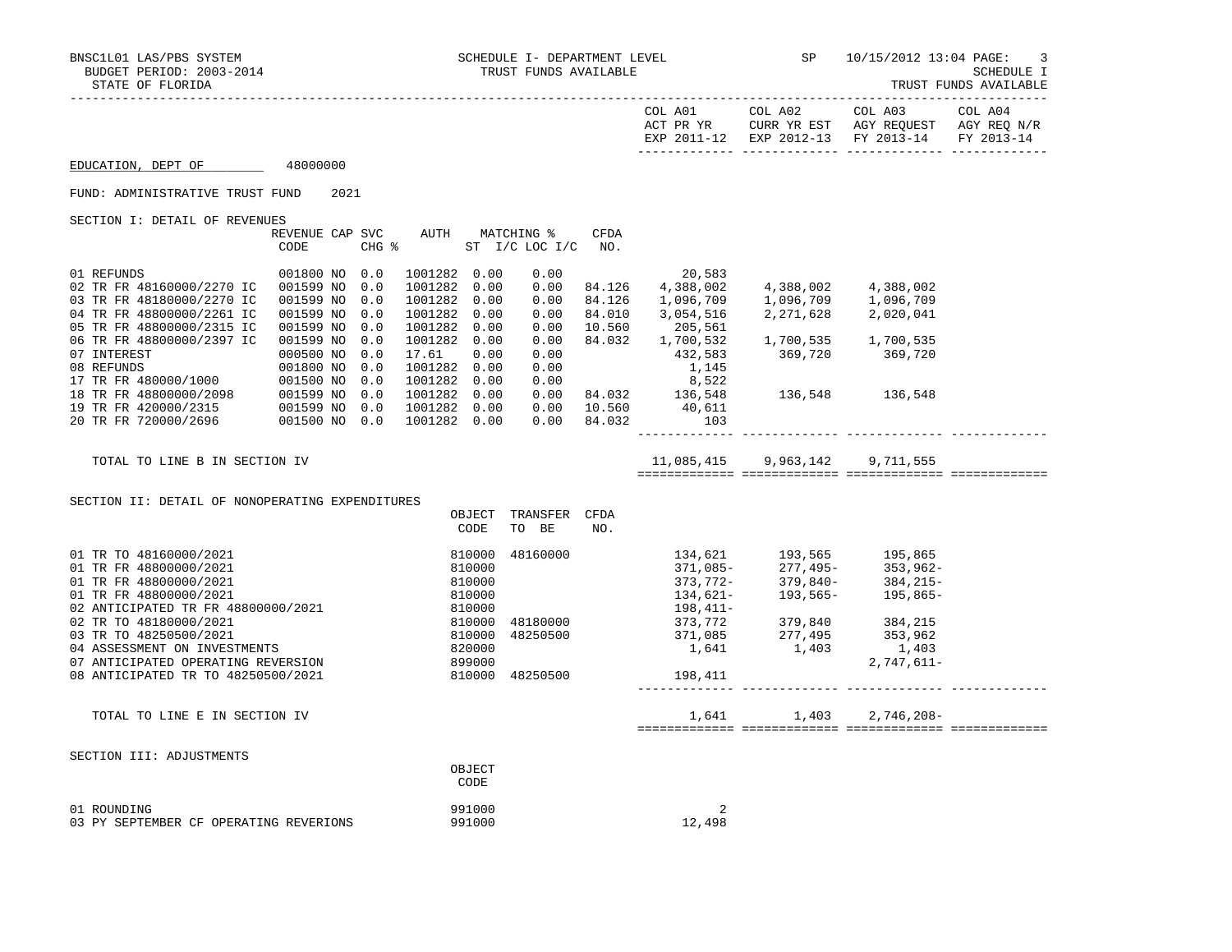TRUST FUNDS AVAILABLE

|                                                                                                                                                                                                                   |                         |      |            |                                  |                |                                                         |                  | COL A01                                                                                                                   | COL A02                                                | COL A03<br>ACT PR YR CURR YR EST AGY REQUEST AGY REQ N/R<br>EXP 2011-12 EXP 2012-13 FY 2013-14                                                                                                          | COL A04<br>FY 2013-14 |
|-------------------------------------------------------------------------------------------------------------------------------------------------------------------------------------------------------------------|-------------------------|------|------------|----------------------------------|----------------|---------------------------------------------------------|------------------|---------------------------------------------------------------------------------------------------------------------------|--------------------------------------------------------|---------------------------------------------------------------------------------------------------------------------------------------------------------------------------------------------------------|-----------------------|
| EDUCATION, DEPT OF 48000000                                                                                                                                                                                       |                         |      |            |                                  |                |                                                         |                  |                                                                                                                           |                                                        |                                                                                                                                                                                                         |                       |
| FUND: ADMINISTRATIVE TRUST FUND                                                                                                                                                                                   |                         | 2021 |            |                                  |                |                                                         |                  |                                                                                                                           |                                                        |                                                                                                                                                                                                         |                       |
| SECTION I: DETAIL OF REVENUES                                                                                                                                                                                     |                         |      |            |                                  |                |                                                         |                  |                                                                                                                           |                                                        |                                                                                                                                                                                                         |                       |
|                                                                                                                                                                                                                   | REVENUE CAP SVC<br>CODE |      |            |                                  |                | AUTH MATCHING %<br>CHG $\frac{1}{2}$ ST I/C LOC I/C NO. | <b>CFDA</b>      |                                                                                                                           |                                                        |                                                                                                                                                                                                         |                       |
| 01 REFUNDS                                                                                                                                                                                                        | 001800 NO 0.0           |      |            | 1001282 0.00                     |                | 0.00                                                    |                  | 20,583                                                                                                                    |                                                        |                                                                                                                                                                                                         |                       |
| 02 TR FR 48160000/2270 IC 001599 NO                                                                                                                                                                               |                         |      | 0.0        | 1001282 0.00                     |                | 0.00                                                    | 84.126           | 4,388,002                                                                                                                 | 4,388,002 4,388,002                                    |                                                                                                                                                                                                         |                       |
| 03 TR FR 48180000/2270 IC                                                                                                                                                                                         | 001599 NO               |      | 0.0        | 1001282 0.00                     |                | 0.00                                                    | 84.126           | 1,096,709                                                                                                                 | 1,096,709       1,096,709<br>2,271,628       2,020,041 |                                                                                                                                                                                                         |                       |
| 04 TR FR 48800000/2261 IC<br>05 TR FR 48800000/2315 IC                                                                                                                                                            | 001599 NO<br>001599 NO  |      | 0.0<br>0.0 | 1001282 0.00<br>1001282 0.00     |                | 0.00<br>0.00                                            | 84.010<br>10.560 | 3,054,516<br>205,561                                                                                                      |                                                        |                                                                                                                                                                                                         |                       |
| 06 TR FR 48800000/2397 IC                                                                                                                                                                                         | 001599 NO               |      | 0.0        | 1001282 0.00                     |                | 0.00                                                    |                  | 84.032 1,700,532                                                                                                          |                                                        |                                                                                                                                                                                                         |                       |
|                                                                                                                                                                                                                   |                         |      |            | 17.61                            | 0.00           | 0.00                                                    |                  | 84.032 1,700,532 1,700,535 1,700,535<br>432,583 369,720 369,720                                                           |                                                        |                                                                                                                                                                                                         |                       |
|                                                                                                                                                                                                                   |                         |      |            | 1001282 0.00                     |                | 0.00                                                    |                  | 1,145                                                                                                                     |                                                        |                                                                                                                                                                                                         |                       |
|                                                                                                                                                                                                                   |                         |      |            | 1001282 0.00                     |                |                                                         |                  |                                                                                                                           | 136,548 136,548                                        |                                                                                                                                                                                                         |                       |
|                                                                                                                                                                                                                   |                         |      |            | 1001282 0.00<br>1001282 0.00     |                |                                                         |                  | $\begin{array}{cccc} & & & & & 8,522 \\ 0.00 & 84.032 & 136,548 \\ 0.00 & 10.560 & 40.611 \\ 0.00 & 0.61,001 \end{array}$ |                                                        |                                                                                                                                                                                                         |                       |
| 00 1 NTEREST 000500 NO 0.0<br>07 INTEREST 001800 NO 0.0<br>17 TR FR 480000/1000 001500 NO 0.0<br>18 TR FR 48800000/2098 001599 NO 0.0<br>19 TR FR 420000/2315 001599 NO 0.0<br>20 TR FR 720000/2696 001500 NO 0.0 |                         |      |            | 1001282 0.00                     |                |                                                         | $0.00$ 84.032    | 103                                                                                                                       |                                                        |                                                                                                                                                                                                         |                       |
|                                                                                                                                                                                                                   |                         |      |            |                                  |                |                                                         |                  |                                                                                                                           |                                                        |                                                                                                                                                                                                         |                       |
| TOTAL TO LINE B IN SECTION IV                                                                                                                                                                                     |                         |      |            |                                  |                |                                                         |                  |                                                                                                                           | 11,085,415 9,963,142 9,711,555                         |                                                                                                                                                                                                         |                       |
|                                                                                                                                                                                                                   |                         |      |            |                                  |                |                                                         |                  |                                                                                                                           |                                                        |                                                                                                                                                                                                         |                       |
| SECTION II: DETAIL OF NONOPERATING EXPENDITURES                                                                                                                                                                   |                         |      |            |                                  |                |                                                         |                  |                                                                                                                           |                                                        |                                                                                                                                                                                                         |                       |
|                                                                                                                                                                                                                   |                         |      |            |                                  | CODE           | OBJECT TRANSFER CFDA<br>TO BE                           | NO.              |                                                                                                                           |                                                        |                                                                                                                                                                                                         |                       |
|                                                                                                                                                                                                                   |                         |      |            |                                  |                |                                                         |                  |                                                                                                                           |                                                        |                                                                                                                                                                                                         |                       |
| 01 TR TO 48160000/2021                                                                                                                                                                                            |                         |      |            |                                  | 810000         | 48160000                                                |                  |                                                                                                                           |                                                        | $\begin{array}{cccc} 134\,, 621 & 193\,, 565 & 195\,, 865 \\ 371\,, 085- & 277\,, 495- & 353\,, 962- \\ 373\,, 772- & 379\,, 840- & 384\,, 215- \\ 134\,, 621- & 193\,, 565- & 195\,, 865- \end{array}$ |                       |
| 01 TR FR 48800000/2021                                                                                                                                                                                            |                         |      |            |                                  | 810000         |                                                         |                  |                                                                                                                           |                                                        |                                                                                                                                                                                                         |                       |
| 01 TR FR 48800000/2021                                                                                                                                                                                            |                         |      |            |                                  | 810000         |                                                         |                  |                                                                                                                           |                                                        |                                                                                                                                                                                                         |                       |
| 01 TR FR 48800000/2021<br>02 ANTICIPATED TR FR 48800000/2021                                                                                                                                                      |                         |      |            |                                  | 810000         |                                                         |                  | 198,411–                                                                                                                  |                                                        |                                                                                                                                                                                                         |                       |
| 02 TR TO 48180000/2021                                                                                                                                                                                            |                         |      |            |                                  |                | 48180000                                                |                  |                                                                                                                           |                                                        |                                                                                                                                                                                                         |                       |
| 03 TR TO 48250500/2021                                                                                                                                                                                            |                         |      |            | $810000$<br>$810000$<br>$810000$ |                | 48250500                                                |                  |                                                                                                                           |                                                        |                                                                                                                                                                                                         |                       |
| 04 ASSESSMENT ON INVESTMENTS                                                                                                                                                                                      |                         |      |            |                                  | 820000         |                                                         |                  | 198, 411-<br>373, 772 379, 840 384, 215<br>371, 085 277, 495 353, 962<br>1, 641 1, 403 2, 747, 611-                       |                                                        |                                                                                                                                                                                                         |                       |
| 07 ANTICIPATED OPERATING REVERSION<br>08 ANTICIPATED TR TO 48250500/2021                                                                                                                                          |                         |      |            |                                  | 899000         | 810000 48250500                                         |                  | 198,411                                                                                                                   |                                                        | $2,747,611-$                                                                                                                                                                                            |                       |
|                                                                                                                                                                                                                   |                         |      |            |                                  |                |                                                         |                  |                                                                                                                           |                                                        |                                                                                                                                                                                                         |                       |
| TOTAL TO LINE E IN SECTION IV                                                                                                                                                                                     |                         |      |            |                                  |                |                                                         |                  |                                                                                                                           | 1,641 1,403 2,746,208-                                 |                                                                                                                                                                                                         |                       |
|                                                                                                                                                                                                                   |                         |      |            |                                  |                |                                                         |                  |                                                                                                                           |                                                        |                                                                                                                                                                                                         |                       |
| SECTION III: ADJUSTMENTS                                                                                                                                                                                          |                         |      |            |                                  |                |                                                         |                  |                                                                                                                           |                                                        |                                                                                                                                                                                                         |                       |
|                                                                                                                                                                                                                   |                         |      |            |                                  | OBJECT<br>CODE |                                                         |                  |                                                                                                                           |                                                        |                                                                                                                                                                                                         |                       |
| 01 ROUNDING                                                                                                                                                                                                       |                         |      |            |                                  | 991000         |                                                         |                  | 2                                                                                                                         |                                                        |                                                                                                                                                                                                         |                       |
| 03 PY SEPTEMBER CF OPERATING REVERIONS                                                                                                                                                                            |                         |      |            |                                  | 991000         |                                                         |                  | 12,498                                                                                                                    |                                                        |                                                                                                                                                                                                         |                       |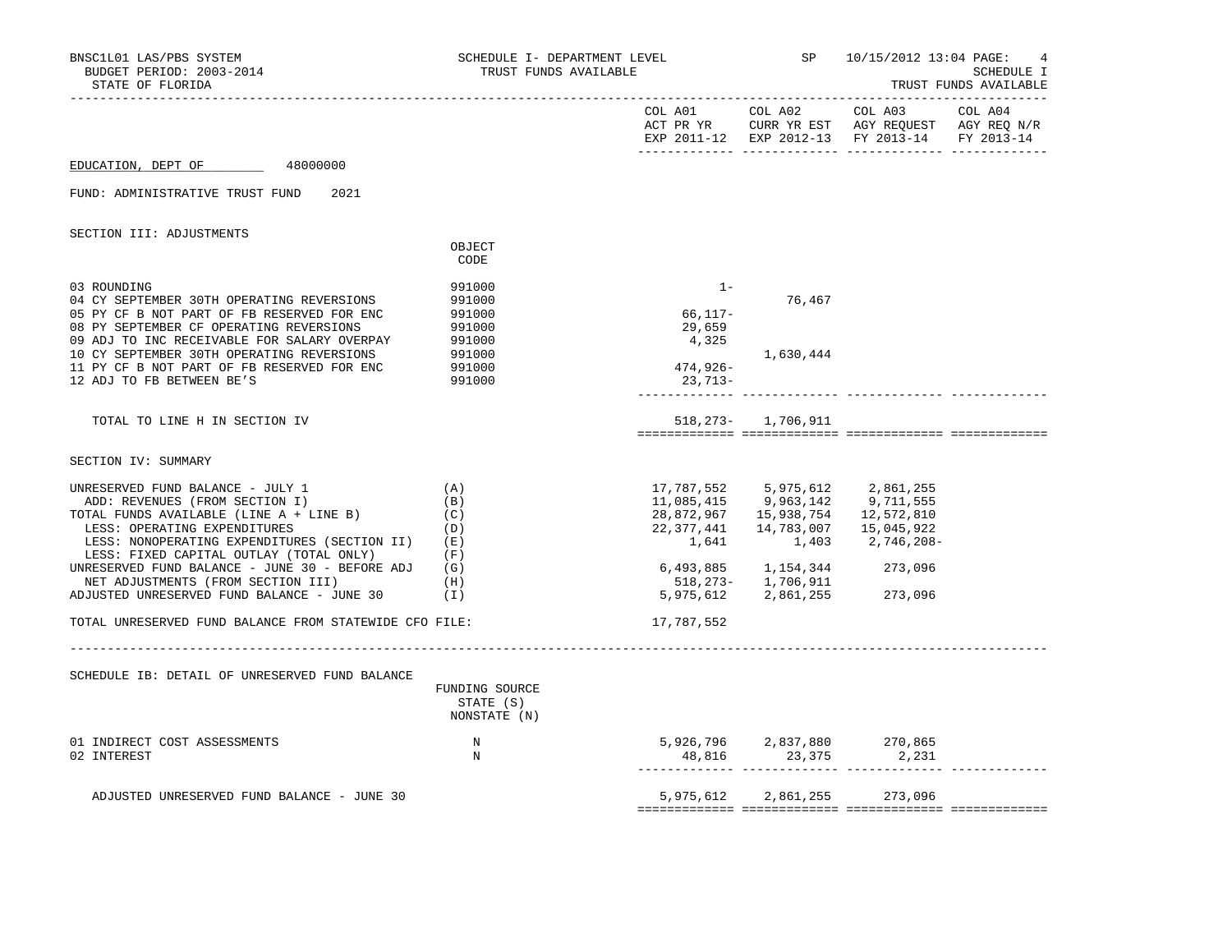| BNSC1L01 LAS/PBS SYSTEM<br>BUDGET PERIOD: 2003-2014<br>STATE OF FLORIDA                                                                                                                                                                                                                                                                                                              | SCHEDULE I- DEPARTMENT LEVEL<br>TRUST FUNDS AVAILABLE              |                                                 | SP 10/15/2012 13:04 PAGE:<br>SCHEDULE I<br>TRUST FUNDS AVAILABLE |                                                                                                                                                                                            |  |
|--------------------------------------------------------------------------------------------------------------------------------------------------------------------------------------------------------------------------------------------------------------------------------------------------------------------------------------------------------------------------------------|--------------------------------------------------------------------|-------------------------------------------------|------------------------------------------------------------------|--------------------------------------------------------------------------------------------------------------------------------------------------------------------------------------------|--|
|                                                                                                                                                                                                                                                                                                                                                                                      |                                                                    |                                                 | COL A02                                                          | EXP 2011-12 EXP 2012-13 FY 2013-14 FY 2013-14                                                                                                                                              |  |
| EDUCATION, DEPT OF<br>48000000                                                                                                                                                                                                                                                                                                                                                       |                                                                    |                                                 |                                                                  |                                                                                                                                                                                            |  |
| FUND: ADMINISTRATIVE TRUST FUND<br>2021                                                                                                                                                                                                                                                                                                                                              |                                                                    |                                                 |                                                                  |                                                                                                                                                                                            |  |
| SECTION III: ADJUSTMENTS                                                                                                                                                                                                                                                                                                                                                             | OBJECT                                                             |                                                 |                                                                  |                                                                                                                                                                                            |  |
|                                                                                                                                                                                                                                                                                                                                                                                      | CODE                                                               |                                                 |                                                                  |                                                                                                                                                                                            |  |
| 03 ROUNDING<br>04 CY SEPTEMBER 30TH OPERATING REVERSIONS<br>05 PY CF B NOT PART OF FB RESERVED FOR ENC<br>08 PY SEPTEMBER CF OPERATING REVERSIONS<br>09 ADJ TO INC RECEIVABLE FOR SALARY OVERPAY<br>10 CY SEPTEMBER 30TH OPERATING REVERSIONS<br>11 PY CF B NOT PART OF FB RESERVED FOR ENC                                                                                          | 991000<br>991000<br>991000<br>991000<br>991000<br>991000<br>991000 | $1 -$<br>66,117-<br>29,659<br>4,325<br>474,926- | 76,467<br>1,630,444                                              |                                                                                                                                                                                            |  |
| 12 ADJ TO FB BETWEEN BE'S                                                                                                                                                                                                                                                                                                                                                            | 991000                                                             | 23,713-                                         |                                                                  |                                                                                                                                                                                            |  |
| TOTAL TO LINE H IN SECTION IV                                                                                                                                                                                                                                                                                                                                                        |                                                                    |                                                 | 518, 273 - 1, 706, 911                                           |                                                                                                                                                                                            |  |
| SECTION IV: SUMMARY                                                                                                                                                                                                                                                                                                                                                                  |                                                                    |                                                 |                                                                  |                                                                                                                                                                                            |  |
| UNRESERVED FUND BALANCE - JULY 1<br>ADD: REVENUES (FROM SECTION I)<br>TOTAL FUNDS AVAILABLE (LINE A + LINE B)<br>LESS: OPERATING EXPENDITURES<br>LESS: NONOPERATING EXPENDITURES (SECTION II)<br>LESS: FIXED CAPITAL OUTLAY (TOTAL ONLY)<br>UNRESERVED FUND BALANCE - JUNE 30 - BEFORE ADJ $(G)$<br>NET ADJUSTMENTS (FROM SECTION III)<br>ADJUSTED UNRESERVED FUND BALANCE - JUNE 30 | (A)<br>(B)<br>(C)<br>(D)<br>( E )<br>(F)<br>(H)<br>(1)             | 1,641<br>6,493,885 1,154,344                    | 1,403<br>518,273- 1,706,911<br>5,975,612 2,861,255               | 17, 787, 552 5, 975, 612 2, 861, 255<br>11,085,415 9,963,142 9,711,555<br>28,872,967  15,938,754  12,572,810<br>22, 377, 441 14, 783, 007 15, 045, 922<br>2,746,208-<br>273,096<br>273,096 |  |
| TOTAL UNRESERVED FUND BALANCE FROM STATEWIDE CFO FILE:                                                                                                                                                                                                                                                                                                                               |                                                                    | 17,787,552                                      |                                                                  |                                                                                                                                                                                            |  |
| SCHEDULE IB: DETAIL OF UNRESERVED FUND BALANCE                                                                                                                                                                                                                                                                                                                                       | FUNDING SOURCE<br>STATE (S)<br>NONSTATE (N)                        |                                                 |                                                                  |                                                                                                                                                                                            |  |
| 01 INDIRECT COST ASSESSMENTS<br>02 INTEREST                                                                                                                                                                                                                                                                                                                                          | N<br>N                                                             | $48,816$ $23,375$ $2,231$                       |                                                                  | 5,926,796 2,837,880 270,865                                                                                                                                                                |  |
| ADJUSTED UNRESERVED FUND BALANCE - JUNE 30                                                                                                                                                                                                                                                                                                                                           |                                                                    |                                                 |                                                                  | 5,975,612 2,861,255 273,096                                                                                                                                                                |  |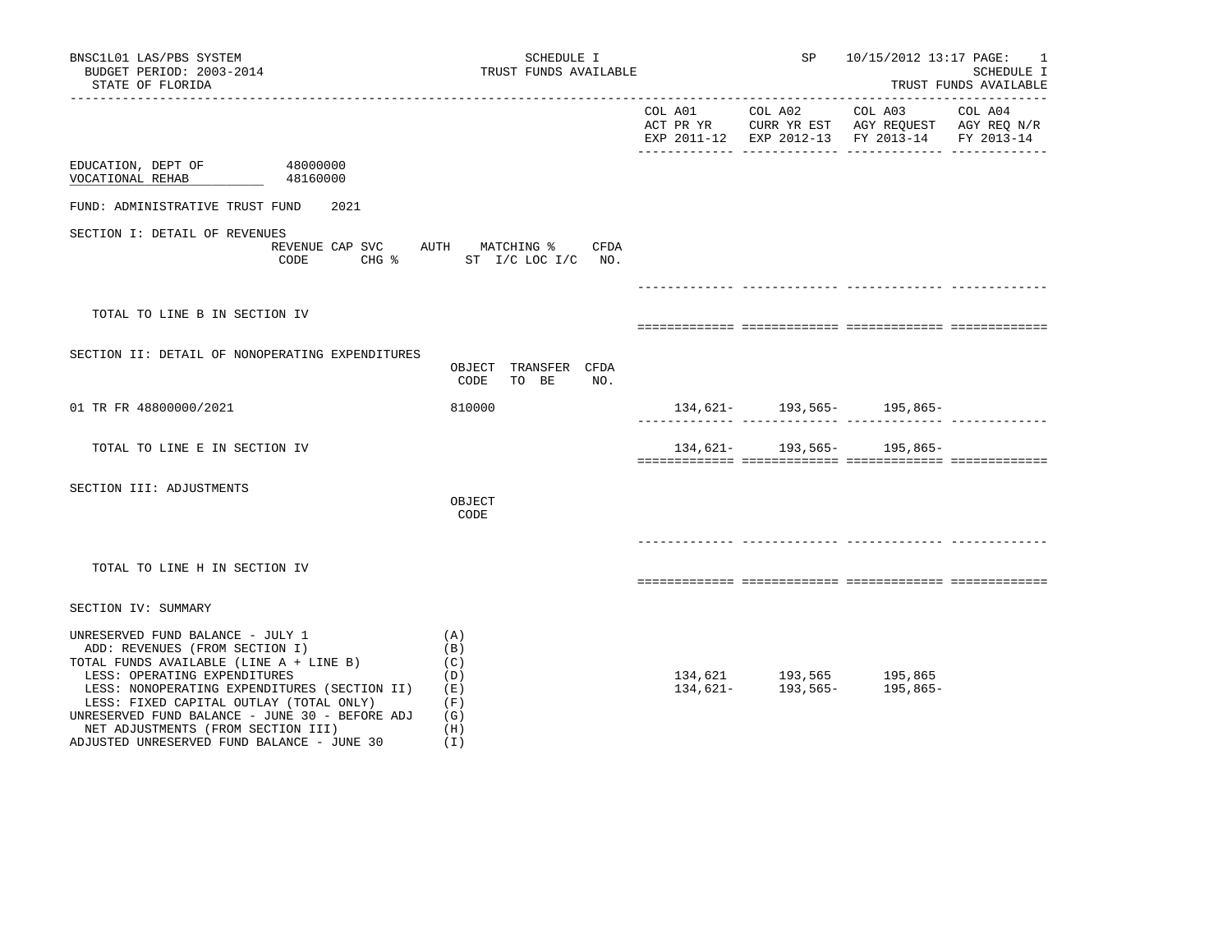| BNSC1L01 LAS/PBS SYSTEM<br>BUDGET PERIOD: 2003-2014<br>STATE OF FLORIDA                                                                                                                                                                                                                                                                                                        | SCHEDULE I<br>TRUST FUNDS AVAILABLE                         |                      | SP                                  | 10/15/2012 13:17 PAGE:                                                               | -1<br><b>SCHEDULE I</b><br>TRUST FUNDS AVAILABLE |
|--------------------------------------------------------------------------------------------------------------------------------------------------------------------------------------------------------------------------------------------------------------------------------------------------------------------------------------------------------------------------------|-------------------------------------------------------------|----------------------|-------------------------------------|--------------------------------------------------------------------------------------|--------------------------------------------------|
|                                                                                                                                                                                                                                                                                                                                                                                |                                                             | COL A01<br>ACT PR YR | COL A02                             | COL A03<br>CURR YR EST AGY REQUEST AGY REQ N/R<br>EXP 2011-12 EXP 2012-13 FY 2013-14 | COL A04<br>FY 2013-14                            |
| EDUCATION, DEPT OF<br>48000000<br>VOCATIONAL REHAB<br>48160000                                                                                                                                                                                                                                                                                                                 |                                                             |                      |                                     |                                                                                      |                                                  |
| FUND: ADMINISTRATIVE TRUST FUND<br>2021                                                                                                                                                                                                                                                                                                                                        |                                                             |                      |                                     |                                                                                      |                                                  |
| SECTION I: DETAIL OF REVENUES<br>REVENUE CAP SVC AUTH MATCHING %<br>CODE<br>$CHG$ $\frac{1}{6}$                                                                                                                                                                                                                                                                                | CFDA<br>ST I/C LOC I/C NO.                                  |                      |                                     |                                                                                      |                                                  |
| TOTAL TO LINE B IN SECTION IV                                                                                                                                                                                                                                                                                                                                                  |                                                             |                      |                                     |                                                                                      |                                                  |
| SECTION II: DETAIL OF NONOPERATING EXPENDITURES                                                                                                                                                                                                                                                                                                                                | OBJECT TRANSFER CFDA<br>CODE<br>TO BE<br>NO.                |                      |                                     |                                                                                      |                                                  |
| 01 TR FR 48800000/2021                                                                                                                                                                                                                                                                                                                                                         | 810000                                                      |                      |                                     | $134,621-193,565-195,865-$                                                           |                                                  |
| TOTAL TO LINE E IN SECTION IV                                                                                                                                                                                                                                                                                                                                                  |                                                             |                      |                                     | $134,621 - 193,565 - 195,865 -$                                                      |                                                  |
| SECTION III: ADJUSTMENTS                                                                                                                                                                                                                                                                                                                                                       | OBJECT<br>CODE                                              |                      |                                     |                                                                                      |                                                  |
| TOTAL TO LINE H IN SECTION IV                                                                                                                                                                                                                                                                                                                                                  |                                                             |                      |                                     |                                                                                      |                                                  |
| SECTION IV: SUMMARY                                                                                                                                                                                                                                                                                                                                                            |                                                             |                      |                                     |                                                                                      |                                                  |
| UNRESERVED FUND BALANCE - JULY 1<br>ADD: REVENUES (FROM SECTION I)<br>TOTAL FUNDS AVAILABLE (LINE A + LINE B)<br>LESS: OPERATING EXPENDITURES<br>LESS: NONOPERATING EXPENDITURES (SECTION II)<br>LESS: FIXED CAPITAL OUTLAY (TOTAL ONLY)<br>UNRESERVED FUND BALANCE - JUNE 30 - BEFORE ADJ<br>NET ADJUSTMENTS (FROM SECTION III)<br>ADJUSTED UNRESERVED FUND BALANCE - JUNE 30 | (A)<br>(B)<br>(C)<br>(D)<br>(E)<br>(F)<br>(G)<br>(H)<br>(I) | 134,621-             | 134,621 193,565 195,865<br>193,565- | 195,865-                                                                             |                                                  |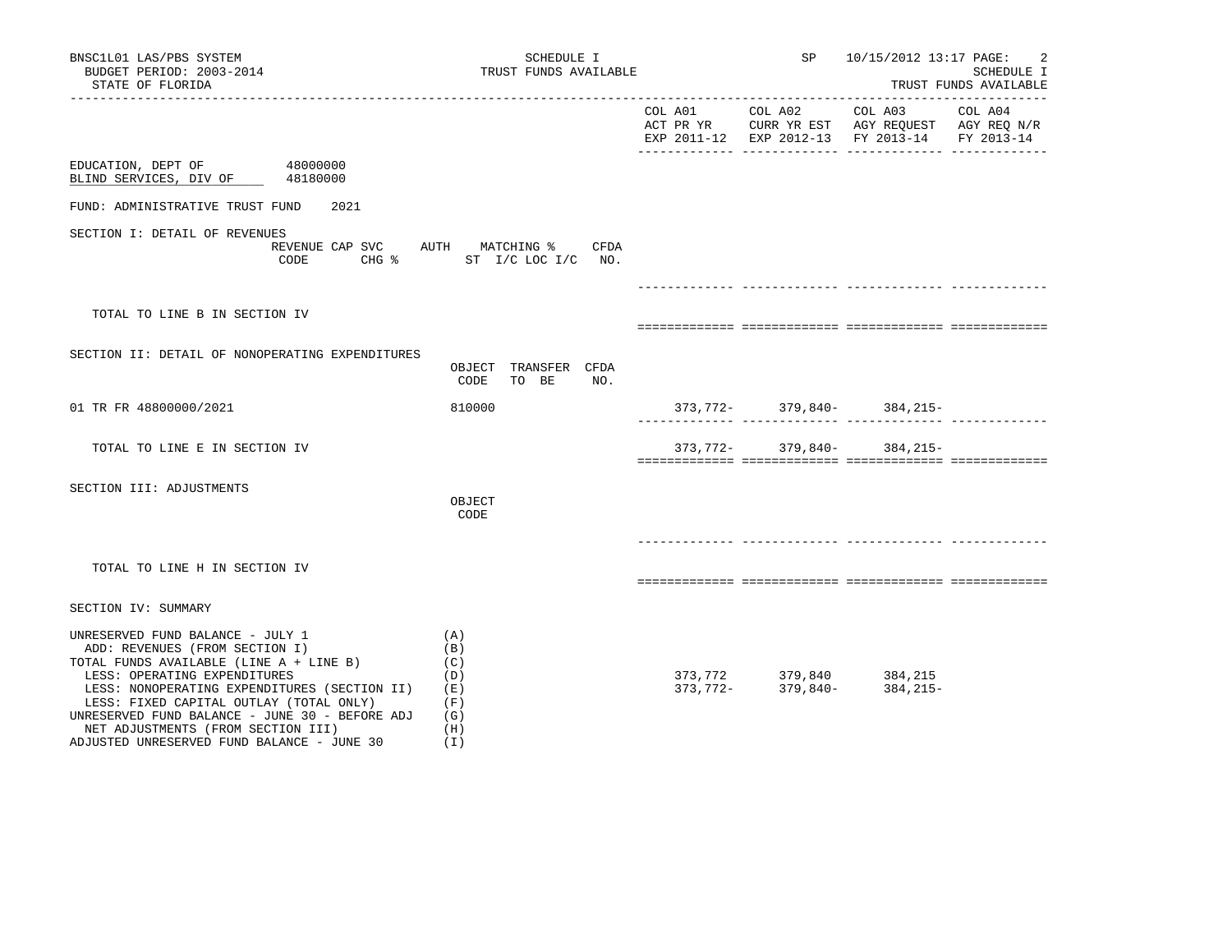| BNSC1L01 LAS/PBS SYSTEM<br>BUDGET PERIOD: 2003-2014<br>STATE OF FLORIDA<br>___________________                                                                                                                                                                                                                                                                                           | SCHEDULE I<br>TRUST FUNDS AVAILABLE                              |                                               | SP 10/15/2012 13:17 PAGE:                                              | $\overline{2}$<br>SCHEDULE I<br>TRUST FUNDS AVAILABLE |
|------------------------------------------------------------------------------------------------------------------------------------------------------------------------------------------------------------------------------------------------------------------------------------------------------------------------------------------------------------------------------------------|------------------------------------------------------------------|-----------------------------------------------|------------------------------------------------------------------------|-------------------------------------------------------|
|                                                                                                                                                                                                                                                                                                                                                                                          |                                                                  | EXP 2011-12 EXP 2012-13 FY 2013-14 FY 2013-14 | ACT PR YR $\,$ CURR YR EST $\,$ AGY REQUEST $\,$ AGY REQ $\,$ N/R $\,$ |                                                       |
| EDUCATION, DEPT OF 48000000<br>BLIND SERVICES, DIV OF 48180000                                                                                                                                                                                                                                                                                                                           |                                                                  |                                               |                                                                        |                                                       |
| 2021<br>FUND: ADMINISTRATIVE TRUST FUND                                                                                                                                                                                                                                                                                                                                                  |                                                                  |                                               |                                                                        |                                                       |
| SECTION I: DETAIL OF REVENUES<br>CODE                                                                                                                                                                                                                                                                                                                                                    | REVENUE CAP SVC AUTH MATCHING % CFDA<br>CHG % ST I/C LOC I/C NO. |                                               |                                                                        |                                                       |
| TOTAL TO LINE B IN SECTION IV                                                                                                                                                                                                                                                                                                                                                            |                                                                  |                                               |                                                                        |                                                       |
| SECTION II: DETAIL OF NONOPERATING EXPENDITURES                                                                                                                                                                                                                                                                                                                                          | OBJECT TRANSFER CFDA<br>CODE<br>TO BE<br>NO.                     |                                               |                                                                        |                                                       |
| 01 TR FR 48800000/2021                                                                                                                                                                                                                                                                                                                                                                   | 810000                                                           |                                               | $373, 772 - 379, 840 - 384, 215 -$                                     |                                                       |
| TOTAL TO LINE E IN SECTION IV                                                                                                                                                                                                                                                                                                                                                            |                                                                  |                                               | $373, 772 - 379, 840 - 384, 215 -$                                     |                                                       |
| SECTION III: ADJUSTMENTS                                                                                                                                                                                                                                                                                                                                                                 | OBJECT<br>CODE                                                   |                                               |                                                                        |                                                       |
| TOTAL TO LINE H IN SECTION IV                                                                                                                                                                                                                                                                                                                                                            |                                                                  |                                               |                                                                        |                                                       |
| SECTION IV: SUMMARY                                                                                                                                                                                                                                                                                                                                                                      |                                                                  |                                               |                                                                        |                                                       |
| UNRESERVED FUND BALANCE - JULY 1<br>ADD: REVENUES (FROM SECTION I)<br>TOTAL FUNDS AVAILABLE (LINE A + LINE B)<br>LESS: OPERATING EXPENDITURES<br>LESS: NONOPERATING EXPENDITURES (SECTION II) (E)<br>LESS: FIXED CAPITAL OUTLAY (TOTAL ONLY)<br>UNRESERVED FUND BALANCE - JUNE 30 - BEFORE ADJ $(G)$<br>NET ADJUSTMENTS (FROM SECTION III)<br>ADJUSTED UNRESERVED FUND BALANCE - JUNE 30 | (A)<br>(B)<br>(C)<br>(D)<br>(F)<br>(H)<br>( I )                  |                                               | 373,772 379,840 384,215<br>373,772- 379,840- 384,215<br>384,215-       |                                                       |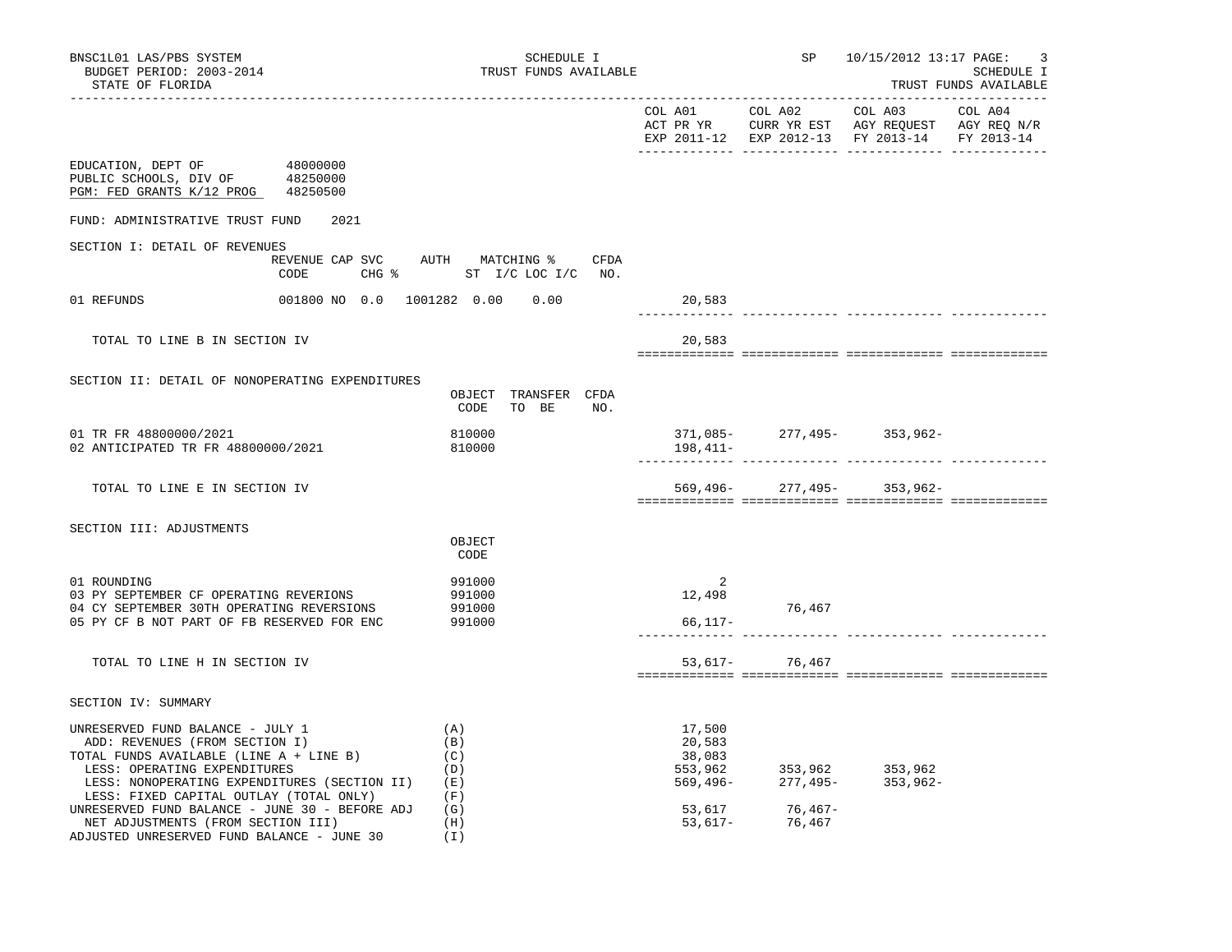| BNSC1L01 LAS/PBS SYSTEM<br>BUDGET PERIOD: 2003-2014<br>STATE OF FLORIDA                                                                                                                                                                  | SCHEDULE I<br>TRUST FUNDS AVAILABLE                              |                            |                   | SP 10/15/2012 13:17 PAGE:<br>3<br>SCHEDULE I<br>TRUST FUNDS AVAILABLE |  |  |
|------------------------------------------------------------------------------------------------------------------------------------------------------------------------------------------------------------------------------------------|------------------------------------------------------------------|----------------------------|-------------------|-----------------------------------------------------------------------|--|--|
|                                                                                                                                                                                                                                          |                                                                  |                            |                   | EXP 2011-12 EXP 2012-13 FY 2013-14 FY 2013-14                         |  |  |
| 48000000<br>EDUCATION, DEPT OF<br>PUBLIC SCHOOLS, DIV OF 48250000<br>PGM: FED GRANTS K/12 PROG 48250500                                                                                                                                  |                                                                  |                            |                   |                                                                       |  |  |
| FUND: ADMINISTRATIVE TRUST FUND<br>2021                                                                                                                                                                                                  |                                                                  |                            |                   |                                                                       |  |  |
| SECTION I: DETAIL OF REVENUES<br>CODE                                                                                                                                                                                                    | REVENUE CAP SVC AUTH MATCHING % CFDA<br>CHG % ST I/C LOC I/C NO. |                            |                   |                                                                       |  |  |
| 01 REFUNDS                                                                                                                                                                                                                               | 001800 NO 0.0 1001282 0.00 0.00                                  | 20,583<br>------------     |                   |                                                                       |  |  |
| TOTAL TO LINE B IN SECTION IV                                                                                                                                                                                                            |                                                                  | 20,583                     |                   |                                                                       |  |  |
| SECTION II: DETAIL OF NONOPERATING EXPENDITURES                                                                                                                                                                                          | OBJECT TRANSFER CFDA<br>TO BE<br>CODE<br>NO.                     |                            |                   |                                                                       |  |  |
| 01 TR FR 48800000/2021<br>02 ANTICIPATED TR FR 48800000/2021                                                                                                                                                                             | 810000<br>810000                                                 | 198,411–                   |                   | $371,085 - 277,495 - 353,962 -$                                       |  |  |
| TOTAL TO LINE E IN SECTION IV                                                                                                                                                                                                            |                                                                  |                            |                   | $569,496 - 277,495 - 353,962 -$                                       |  |  |
| SECTION III: ADJUSTMENTS                                                                                                                                                                                                                 | OBJECT                                                           |                            |                   |                                                                       |  |  |
|                                                                                                                                                                                                                                          | CODE                                                             |                            |                   |                                                                       |  |  |
| 01 ROUNDING<br>03 PY SEPTEMBER CF OPERATING REVERIONS<br>04 CY SEPTEMBER 30TH OPERATING REVERSIONS<br>05 PY CF B NOT PART OF FB RESERVED FOR ENC                                                                                         | 991000<br>991000<br>991000<br>991000                             | 2<br>12,498<br>66,117-     | 76,467            |                                                                       |  |  |
| TOTAL TO LINE H IN SECTION IV                                                                                                                                                                                                            |                                                                  |                            | 53,617- 76,467    |                                                                       |  |  |
| SECTION IV: SUMMARY                                                                                                                                                                                                                      |                                                                  |                            |                   |                                                                       |  |  |
| UNRESERVED FUND BALANCE - JULY 1<br>ADD: REVENUES (FROM SECTION I)<br>TOTAL FUNDS AVAILABLE (LINE A + LINE B)<br>LESS: OPERATING EXPENDITURES<br>LESS: NONOPERATING EXPENDITURES (SECTION II)<br>LESS: FIXED CAPITAL OUTLAY (TOTAL ONLY) | (A)<br>(B)<br>(C)<br>(D)<br>(E)<br>(F)                           | 17,500<br>20,583<br>38,083 |                   | 553,962 353,962 353,962<br>569,496- 277,495- 353,962-                 |  |  |
| UNRESERVED FUND BALANCE - JUNE 30 - BEFORE ADJ<br>NET ADJUSTMENTS (FROM SECTION III)<br>ADJUSTED UNRESERVED FUND BALANCE - JUNE 30                                                                                                       | (G)<br>(H)<br>(I)                                                | 53,617<br>53,617-          | 76,467-<br>76,467 |                                                                       |  |  |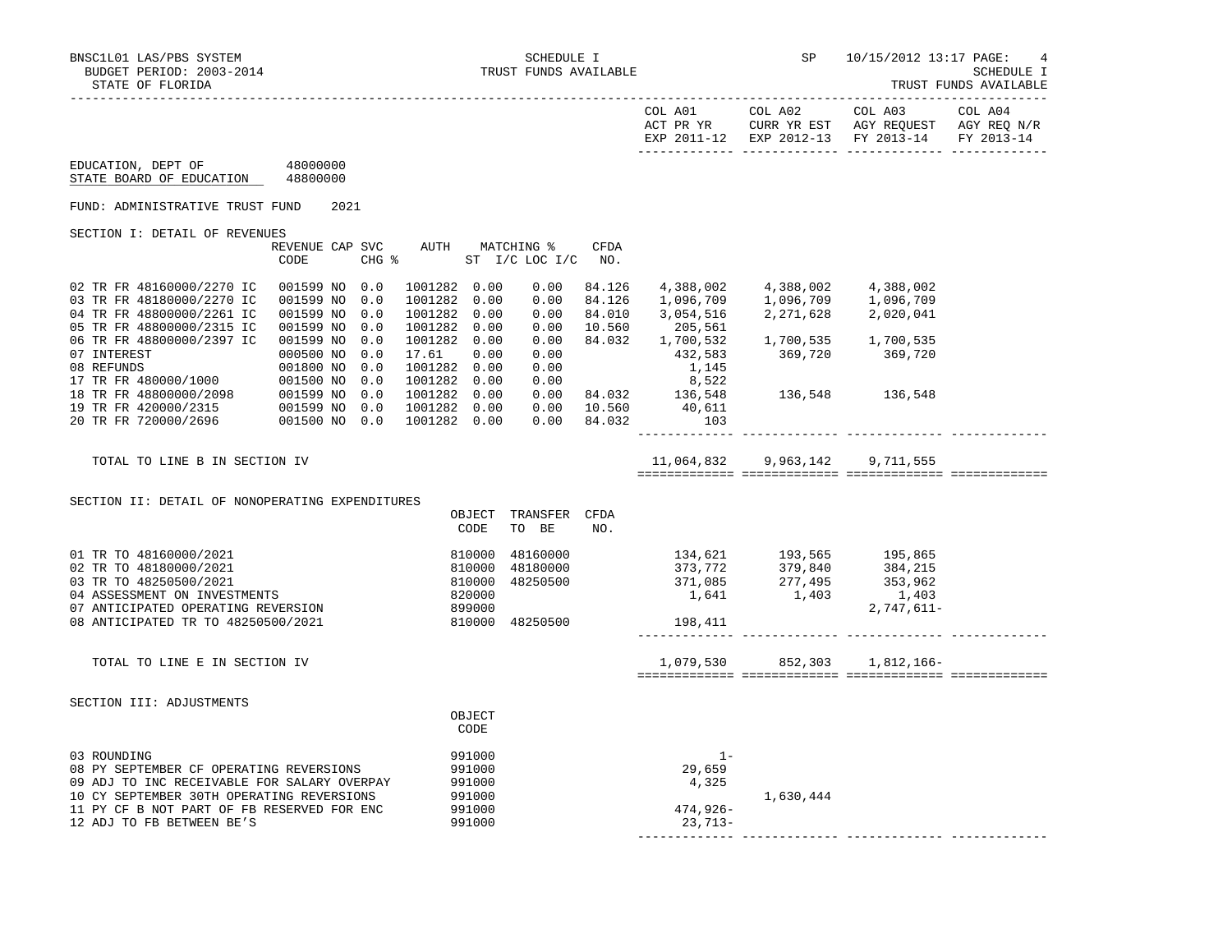| COL A01<br>ACT PR YR<br>17 – 2011 – סציד | COL A02<br>CURR YR EST<br>EXP 2012-13 | COL A03<br>AGY REOUEST<br>FY 2013-14 | COL A04<br>AGY REO N/R<br>FY 2013-14 |
|------------------------------------------|---------------------------------------|--------------------------------------|--------------------------------------|
|                                          |                                       |                                      |                                      |

 EDUCATION, DEPT OF 48000000 STATE BOARD OF EDUCATION 48800000

FUND: ADMINISTRATIVE TRUST FUND 2021

SECTION I: DETAIL OF REVENUES

| TOTAL TO LINE B IN SECTION IV |             |            |         |      |                |        | 11,064,832 | 9,963,142 | 9,711,555 |  |
|-------------------------------|-------------|------------|---------|------|----------------|--------|------------|-----------|-----------|--|
| 20 TR FR 720000/2696          | 001500 NO   | 0.0        | 1001282 | 0.00 | 0.00           | 84.032 | 103        |           |           |  |
| 19 TR FR 420000/2315          | 001599 NO   | 0.0        | 1001282 | 0.00 | 0.00           | 10.560 | 40,611     |           |           |  |
| 18 TR FR 48800000/2098        | 001599 NO   | 0.0        | 1001282 | 0.00 | 0.00           | 84.032 | 136,548    | 136,548   | 136,548   |  |
| 17 TR FR 480000/1000          | 001500 NO   | 0.0        | 1001282 | 0.00 | 0.00           |        | 8,522      |           |           |  |
| 08 REFUNDS                    | 001800 NO   | 0.0        | 1001282 | 0.00 | 0.00           |        | 1,145      |           |           |  |
| 07 INTEREST                   | 000500 NO   | 0.0        | 17.61   | 0.00 | 0.00           |        | 432,583    | 369,720   | 369,720   |  |
| 06 TR FR 48800000/2397 IC     | 001599 NO   | 0.0        | 1001282 | 0.00 | 0.00           | 84.032 | 1,700,532  | 1,700,535 | 1,700,535 |  |
| 05 TR FR 48800000/2315 IC     | 001599 NO   | 0.0        | 1001282 | 0.00 | 0.00           | 10.560 | 205,561    |           |           |  |
| 04 TR FR 48800000/2261 IC     | 001599 NO   | 0.0        | 1001282 | 0.00 | 0.00           | 84.010 | 3,054,516  | 2,271,628 | 2,020,041 |  |
| 03 TR FR 48180000/2270 IC     | 001599 NO   | 0.0        | 1001282 | 0.00 | 0.00           | 84.126 | 1,096,709  | 1,096,709 | 1,096,709 |  |
| 02 TR FR 48160000/2270 IC     | 001599 NO   | 0.0        | 1001282 | 0.00 | 0.00           | 84.126 | 4,388,002  | 4,388,002 | 4,388,002 |  |
|                               |             |            |         |      |                |        |            |           |           |  |
|                               | CODE        | CHG %      |         |      | ST I/C LOC I/C | NO.    |            |           |           |  |
|                               | REVENUE CAP | <b>SVC</b> | AUTH    |      | MATCHING %     | CFDA   |            |           |           |  |

SECTION II: DETAIL OF NONOPERATING EXPENDITURES

|                                                                                              | OBJECT<br>CODE             | TRANSFER<br>TO BE    | <b>CFDA</b><br>NO. |                       |                    |                                  |  |
|----------------------------------------------------------------------------------------------|----------------------------|----------------------|--------------------|-----------------------|--------------------|----------------------------------|--|
| 01 TR TO 48160000/2021<br>02 TR TO 48180000/2021                                             | 810000<br>810000           | 48160000<br>48180000 |                    | 134,621<br>373,772    | 193,565<br>379,840 | 195,865<br>384,215               |  |
| 03 TR TO 48250500/2021<br>04 ASSESSMENT ON INVESTMENTS<br>07 ANTICIPATED OPERATING REVERSION | 810000<br>820000<br>899000 | 48250500             |                    | 371,085<br>1,641      | 277,495<br>1,403   | 353,962<br>1,403<br>$2,747,611-$ |  |
| 08 ANTICIPATED TR TO 48250500/2021                                                           | 810000                     | 48250500             |                    | 198,411               |                    |                                  |  |
| TOTAL TO LINE E IN SECTION IV                                                                |                            |                      |                    | 1,079,530             | 852,303            | 1,812,166-                       |  |
| SECTION III: ADJUSTMENTS                                                                     |                            |                      |                    |                       |                    |                                  |  |
|                                                                                              | OBJECT<br>CODE             |                      |                    |                       |                    |                                  |  |
| 03 ROUNDING<br>08 PY SEPTEMBER CF OPERATING REVERSIONS                                       | 991000<br>991000           |                      |                    | $1 -$<br>29,659       |                    |                                  |  |
| 09 ADJ TO INC RECEIVABLE FOR SALARY OVERPAY<br>10 CY SEPTEMBER 30TH OPERATING REVERSIONS     | 991000<br>991000           |                      |                    | 4,325                 | 1,630,444          |                                  |  |
| 11 PY CF B NOT PART OF FB RESERVED FOR ENC<br>12 ADJ TO FB BETWEEN BE'S                      | 991000<br>991000           |                      |                    | 474,926-<br>$23,713-$ |                    |                                  |  |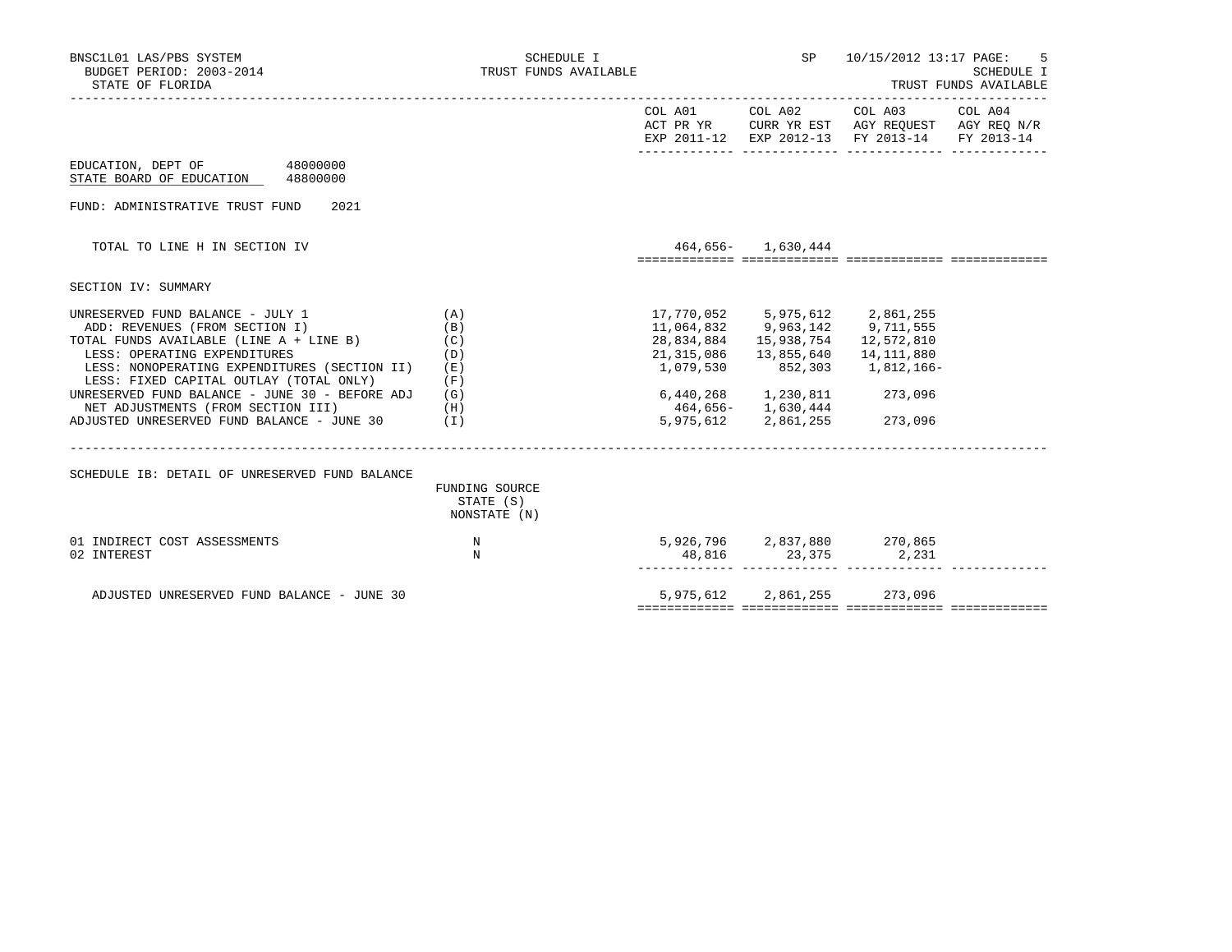| BNSC1L01 LAS/PBS SYSTEM<br>BUDGET PERIOD: 2003-2014<br>STATE OF FLORIDA                                                                                                                                                                                                                                                                                                                                                                                  | SCHEDULE I<br>TRUST FUNDS AVAILABLE               |                         |                                                         | SP 10/15/2012 13:17 PAGE:                                                                                                                                                                                                                                       | 5<br>SCHEDULE I<br>TRUST FUNDS AVAILABLE |
|----------------------------------------------------------------------------------------------------------------------------------------------------------------------------------------------------------------------------------------------------------------------------------------------------------------------------------------------------------------------------------------------------------------------------------------------------------|---------------------------------------------------|-------------------------|---------------------------------------------------------|-----------------------------------------------------------------------------------------------------------------------------------------------------------------------------------------------------------------------------------------------------------------|------------------------------------------|
|                                                                                                                                                                                                                                                                                                                                                                                                                                                          |                                                   |                         |                                                         | $\begin{tabular}{lllllllll} \multicolumn{2}{l}{{\text{COL A02}}} & \multicolumn{2}{l}{{\text{COL A03}}} & \multicolumn{2}{l}{{\text{COL A04}}} \end{tabular}$<br>ACT PR YR CURR YR EST AGY REQUEST AGY REQ N/R<br>EXP 2011-12 EXP 2012-13 FY 2013-14 FY 2013-14 |                                          |
| EDUCATION, DEPT OF 48000000<br>STATE BOARD OF EDUCATION 48800000                                                                                                                                                                                                                                                                                                                                                                                         |                                                   |                         |                                                         |                                                                                                                                                                                                                                                                 |                                          |
| FUND: ADMINISTRATIVE TRUST FUND<br>2021                                                                                                                                                                                                                                                                                                                                                                                                                  |                                                   |                         |                                                         |                                                                                                                                                                                                                                                                 |                                          |
| TOTAL TO LINE H IN SECTION IV                                                                                                                                                                                                                                                                                                                                                                                                                            |                                                   |                         | 464,656- 1,630,444                                      |                                                                                                                                                                                                                                                                 |                                          |
| SECTION IV: SUMMARY                                                                                                                                                                                                                                                                                                                                                                                                                                      |                                                   |                         |                                                         |                                                                                                                                                                                                                                                                 |                                          |
| UNRESERVED FUND BALANCE - JULY 1<br>ADD: REVENUES (FROM SECTION I)<br>TOTAL FUNDS AVAILABLE (LINE A + LINE B)<br>(C)<br>LESS: OPERATING EXPENDITURES<br>LESS: NONOPERATING EXPENDITURES (SECTION II)<br>LESS: FIXED CAPITAL OUTLAY (TOTAL ONLY)<br>UNRESERVED FUND BALANCE - JUNE 30 - BEFORE ADJ (G)<br>NET ADJUSTMENTS (FROM SECTION III)<br>(H)<br>ADJUSTED UNRESERVED FUND BALANCE - JUNE 30 $(1)$<br>SCHEDULE IB: DETAIL OF UNRESERVED FUND BALANCE | (A)<br>(B)<br>(D)<br>(E)<br>(F)<br>FUNDING SOURCE | 21,315,086<br>1,079,530 | 13,855,640<br>464,656- 1,630,444<br>5,975,612 2,861,255 | $17,770,052 \qquad 5,975,612 \qquad 2,861,255$<br>$11,064,832 \qquad 9,963,142 \qquad 9,711,555$<br>28,834,884  15,938,754  12,572,810<br>14,111,880<br>852,303 1,812,166-<br>6,440,268 1,230,811 273,096<br>273,096                                            |                                          |
| 01 INDIRECT COST ASSESSMENTS<br>02 INTEREST                                                                                                                                                                                                                                                                                                                                                                                                              | STATE (S)<br>NONSTATE (N)<br>N<br>N               |                         |                                                         | $5,926,796$ 2,837,880 270,865<br>$48,816$ $23,375$ $2,231$                                                                                                                                                                                                      |                                          |
| ADJUSTED UNRESERVED FUND BALANCE - JUNE 30                                                                                                                                                                                                                                                                                                                                                                                                               |                                                   |                         |                                                         | 5,975,612 2,861,255 273,096                                                                                                                                                                                                                                     |                                          |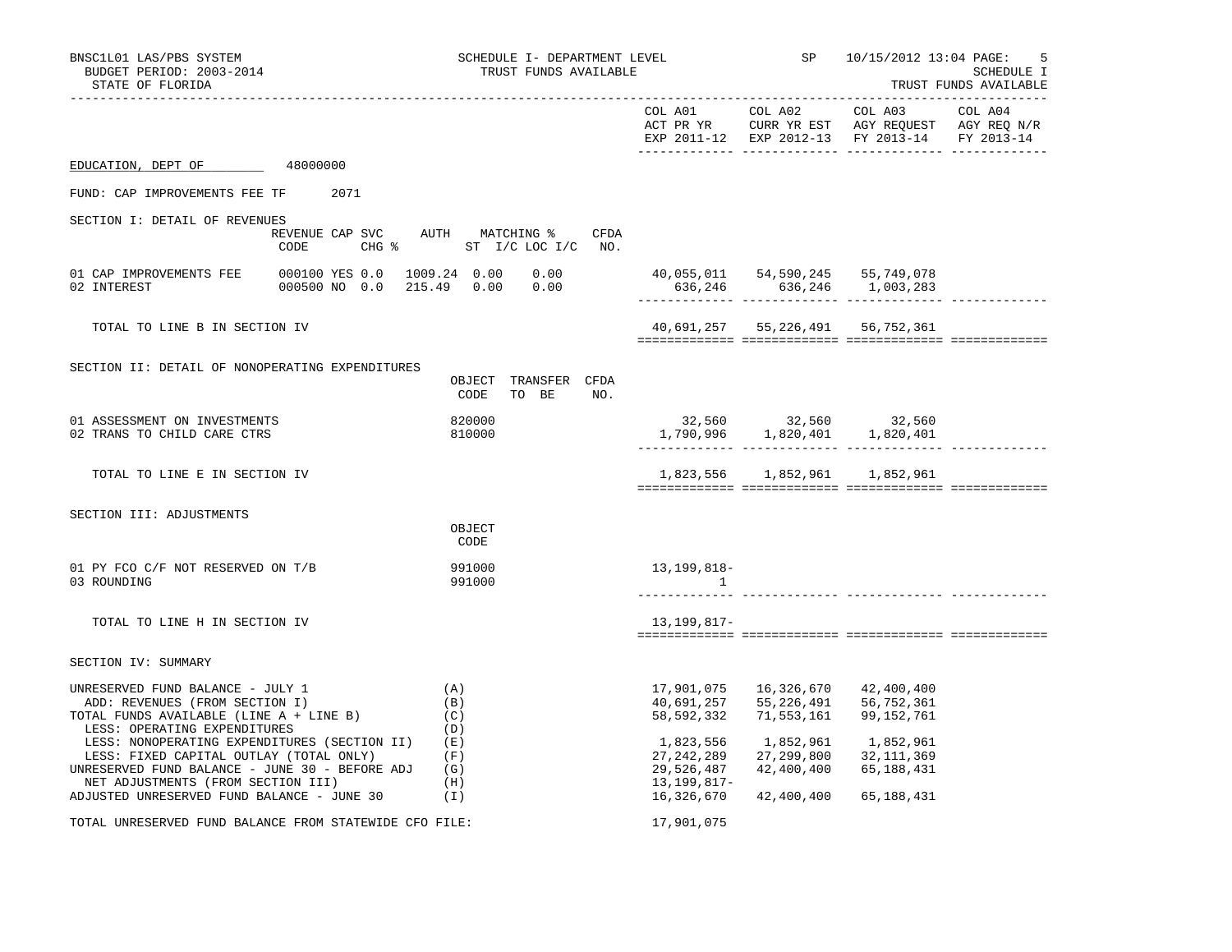| BNSC1L01 LAS/PBS SYSTEM<br>BUDGET PERIOD: 2003-2014<br>STATE OF FLORIDA                                                                                                         | SCHEDULE I- DEPARTMENT LEVEL<br>TRUST FUNDS AVAILABLE |                                                        | SP<br>____________________________________         | 10/15/2012 13:04 PAGE:<br>5<br>SCHEDULE I<br>TRUST FUNDS AVAILABLE<br>_________________                   |         |  |
|---------------------------------------------------------------------------------------------------------------------------------------------------------------------------------|-------------------------------------------------------|--------------------------------------------------------|----------------------------------------------------|-----------------------------------------------------------------------------------------------------------|---------|--|
|                                                                                                                                                                                 |                                                       | COL A01                                                | COL A02                                            | COL A03<br>ACT PR YR CURR YR EST AGY REQUEST AGY REQ N/R<br>EXP 2011-12 EXP 2012-13 FY 2013-14 FY 2013-14 | COL A04 |  |
| EDUCATION, DEPT OF<br>48000000                                                                                                                                                  |                                                       |                                                        |                                                    |                                                                                                           |         |  |
| FUND: CAP IMPROVEMENTS FEE TF<br>2071                                                                                                                                           |                                                       |                                                        |                                                    |                                                                                                           |         |  |
| SECTION I: DETAIL OF REVENUES<br>REVENUE CAP SVC<br>CHG %<br>CODE                                                                                                               | AUTH MATCHING %<br>CFDA<br>ST I/C LOC I/C NO.         |                                                        |                                                    |                                                                                                           |         |  |
| 01 CAP IMPROVEMENTS FEE<br>000100 YES 0.0<br>02 INTEREST<br>000500 NO 0.0                                                                                                       | 1009.24 0.00<br>0.00<br>215.49 0.00<br>0.00           |                                                        | 40,055,011 54,590,245<br>636,246 636,246 1,003,283 | 55,749,078                                                                                                |         |  |
| TOTAL TO LINE B IN SECTION IV                                                                                                                                                   |                                                       |                                                        | 40,691,257 55,226,491 56,752,361                   |                                                                                                           |         |  |
| SECTION II: DETAIL OF NONOPERATING EXPENDITURES                                                                                                                                 | OBJECT TRANSFER CFDA<br>CODE TO BE<br>NO.             |                                                        |                                                    |                                                                                                           |         |  |
| 01 ASSESSMENT ON INVESTMENTS<br>02 TRANS TO CHILD CARE CTRS                                                                                                                     | 820000<br>810000                                      |                                                        | 32,560 32,560 32,560<br>1,790,996 1,820,401        | 1,820,401                                                                                                 |         |  |
| TOTAL TO LINE E IN SECTION IV                                                                                                                                                   |                                                       |                                                        | 1,823,556 1,852,961 1,852,961                      |                                                                                                           |         |  |
| SECTION III: ADJUSTMENTS                                                                                                                                                        | OBJECT<br>CODE                                        |                                                        |                                                    |                                                                                                           |         |  |
| 01 PY FCO C/F NOT RESERVED ON T/B<br>03 ROUNDING                                                                                                                                | 991000<br>991000                                      | 13,199,818-<br>$\sim$ $\sim$ 1                         |                                                    |                                                                                                           |         |  |
| TOTAL TO LINE H IN SECTION IV                                                                                                                                                   |                                                       | 13,199,817-                                            |                                                    |                                                                                                           |         |  |
| SECTION IV: SUMMARY                                                                                                                                                             |                                                       |                                                        |                                                    |                                                                                                           |         |  |
| UNRESERVED FUND BALANCE - JULY 1<br>ADD: REVENUES (FROM SECTION I)<br>TOTAL FUNDS AVAILABLE (LINE A + LINE B)<br>LESS: OPERATING EXPENDITURES                                   | (A)<br>(B)<br>(C)<br>(D)                              | 17,901,075<br>40,691,257<br>58,592,332                 | 16,326,670<br>55,226,491<br>71,553,161             | 42,400,400<br>56,752,361<br>99,152,761                                                                    |         |  |
| LESS: NONOPERATING EXPENDITURES (SECTION II)<br>LESS: FIXED CAPITAL OUTLAY (TOTAL ONLY)<br>UNRESERVED FUND BALANCE - JUNE 30 - BEFORE ADJ<br>NET ADJUSTMENTS (FROM SECTION III) | (E)<br>(F)<br>(G)<br>(H)                              | 1,823,556<br>27, 242, 289<br>29,526,487<br>13,199,817- | 1,852,961<br>27,299,800<br>42,400,400              | 1,852,961<br>32, 111, 369<br>65,188,431                                                                   |         |  |
| ADJUSTED UNRESERVED FUND BALANCE - JUNE 30                                                                                                                                      | (I)                                                   | 16,326,670                                             | 42,400,400                                         | 65,188,431                                                                                                |         |  |
| TOTAL UNRESERVED FUND BALANCE FROM STATEWIDE CFO FILE:                                                                                                                          |                                                       | 17,901,075                                             |                                                    |                                                                                                           |         |  |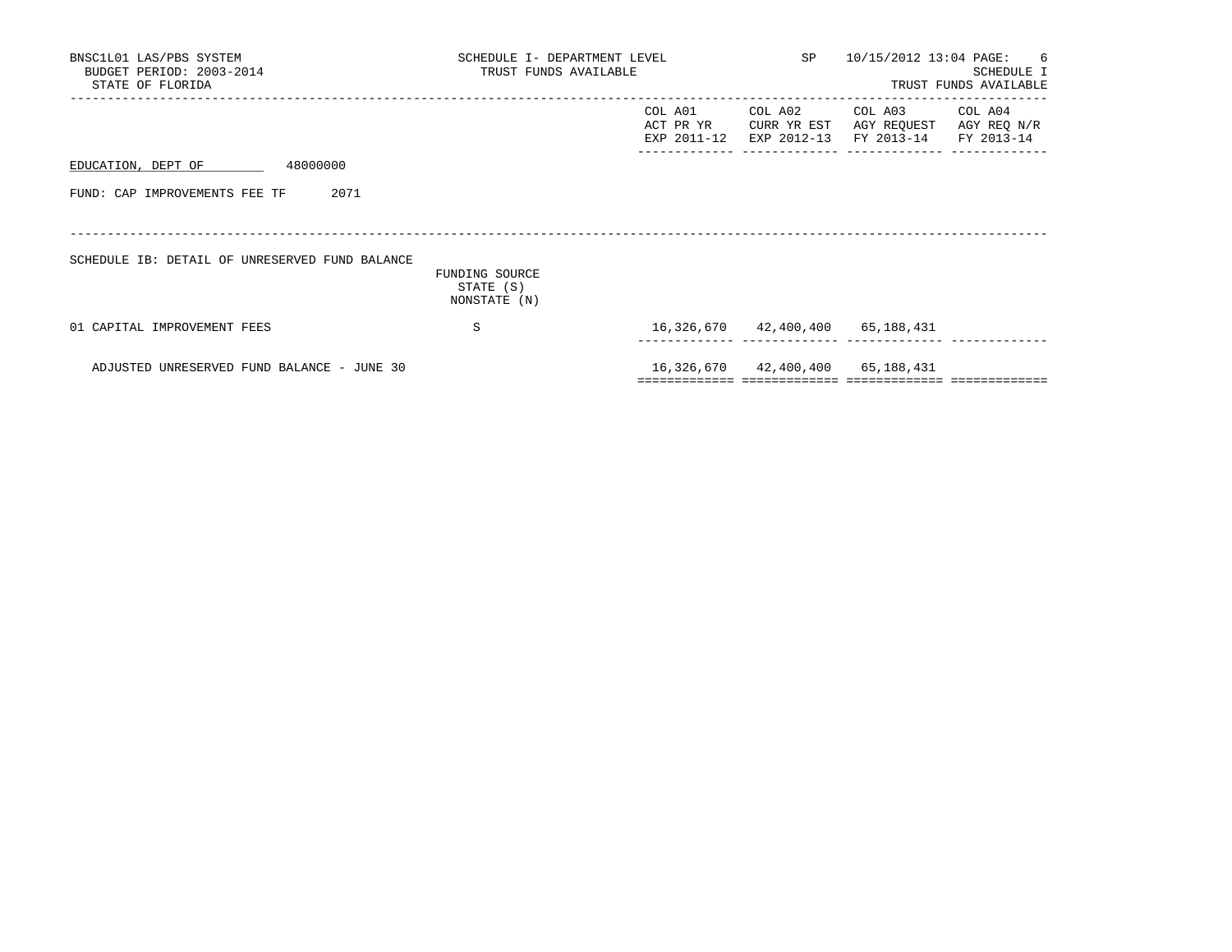| BNSC1L01 LAS/PBS SYSTEM<br>BUDGET PERIOD: 2003-2014<br>STATE OF FLORIDA | SCHEDULE I- DEPARTMENT LEVEL<br>TRUST FUNDS AVAILABLE |                                     |                                       | SP 10/15/2012 13:04 PAGE: 6<br>SCHEDULE I<br>TRUST FUNDS AVAILABLE |                        |  |
|-------------------------------------------------------------------------|-------------------------------------------------------|-------------------------------------|---------------------------------------|--------------------------------------------------------------------|------------------------|--|
|                                                                         |                                                       | COL A01<br>ACT PR YR<br>EXP 2011-12 | COL A02<br>CURR YR EST<br>EXP 2012-13 | COL A03<br>AGY REQUEST<br>FY 2013-14 FY 2013-14                    | COL A04<br>AGY REQ N/R |  |
| EDUCATION, DEPT OF<br>48000000                                          |                                                       |                                     |                                       |                                                                    |                        |  |
| FUND: CAP IMPROVEMENTS FEE TF<br>2071                                   |                                                       |                                     |                                       |                                                                    |                        |  |
| SCHEDULE IB: DETAIL OF UNRESERVED FUND BALANCE                          | FUNDING SOURCE<br>STATE (S)<br>NONSTATE (N)           |                                     |                                       |                                                                    |                        |  |
| 01 CAPITAL IMPROVEMENT FEES                                             | S                                                     |                                     |                                       | 16,326,670 42,400,400 65,188,431                                   |                        |  |
| ADJUSTED UNRESERVED FUND BALANCE - JUNE 30                              |                                                       |                                     |                                       | 16,326,670 42,400,400 65,188,431                                   |                        |  |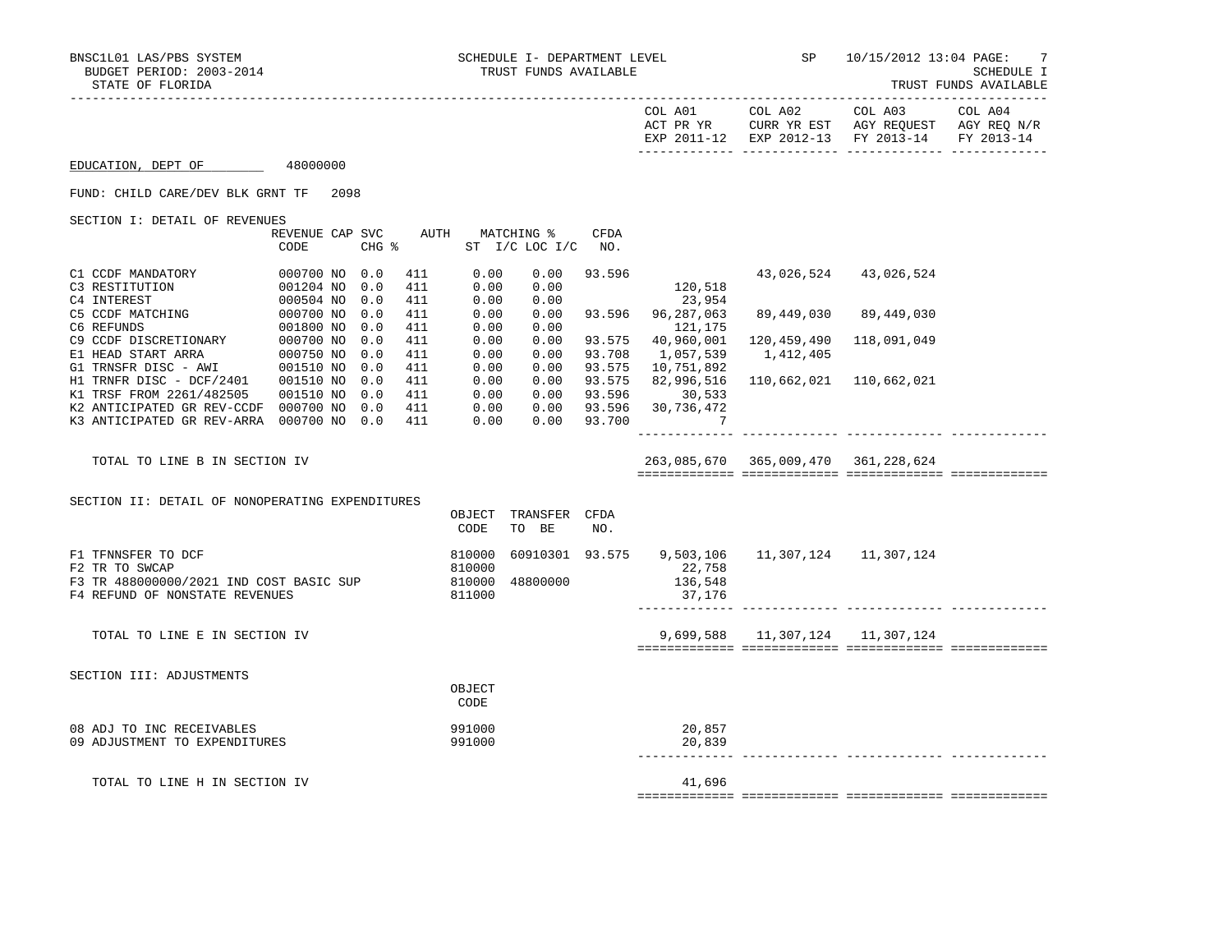|                                                                                                                                                        |                                     |                   |                          |                                      |                                 |                                   | COL A01                                                          | COL A02                                             | COL A03<br>ACT PR YR CURR YR EST AGY REQUEST AGY REQ N/R<br>EXP 2011-12 EXP 2012-13 FY 2013-14 FY 2013-14 | COL A04 |
|--------------------------------------------------------------------------------------------------------------------------------------------------------|-------------------------------------|-------------------|--------------------------|--------------------------------------|---------------------------------|-----------------------------------|------------------------------------------------------------------|-----------------------------------------------------|-----------------------------------------------------------------------------------------------------------|---------|
| EDUCATION, DEPT OF 48000000                                                                                                                            |                                     |                   |                          |                                      |                                 |                                   |                                                                  |                                                     |                                                                                                           |         |
| FUND: CHILD CARE/DEV BLK GRNT TF 2098                                                                                                                  |                                     |                   |                          |                                      |                                 |                                   |                                                                  |                                                     |                                                                                                           |         |
| SECTION I: DETAIL OF REVENUES                                                                                                                          |                                     |                   |                          |                                      | REVENUE CAP SVC AUTH MATCHING % | <b>CFDA</b>                       |                                                                  |                                                     |                                                                                                           |         |
|                                                                                                                                                        | CODE                                | CHG %             |                          |                                      | ST I/C LOC I/C NO.              |                                   |                                                                  |                                                     |                                                                                                           |         |
| C1 CCDF MANDATORY<br>C3 RESTITUTION                                                                                                                    | 000700 NO 0.0<br>001204 NO          | 0.0<br>0.0        | 411<br>411<br>411        | 0.00<br>0.00<br>0.00                 | 0.00<br>0.00<br>0.00            | 93.596                            | 120,518<br>23,954                                                |                                                     | 43,026,524 43,026,524                                                                                     |         |
| C5 CCDF MATCHING<br>C5 CCDF MATCHING<br>C6 REFUNDS<br>C6 REFUNDS                                                                                       | 000504 NO<br>000700 NO<br>001800 NO | 0.0<br>0.0        | 411<br>411               | 0.00<br>0.00                         | 0.00<br>0.00                    | 93.596                            | 96,287,063<br>121,175                                            |                                                     | 89,449,030 89,449,030                                                                                     |         |
| C9 CCDF DISCRETIONARY 000700 NO<br>E1 HEAD START ARRA 000750 NO<br>G1 TRNSFR DISC - AWI 001510 NO                                                      |                                     | 0.0<br>0.0<br>0.0 | 411<br>411<br>411        | 0.00<br>0.00<br>0.00                 | 0.00<br>0.00<br>0.00            | 93.575<br>93.708<br>93.575        | 40,960,001<br>1,057,539<br>10,751,892                            | 120,459,490<br>1,412,405                            | 118,091,049                                                                                               |         |
| H1 TRNFR DISC - DCF/2401 001510 NO<br>K1 TRSF FROM 2261/482505<br>K2 ANTICIPATED GR REV-CCDF 000700 NO 0.0<br>K3 ANTICIPATED GR REV-ARRA 000700 NO 0.0 | 001510 NO                           | 0.0<br>0.0        | 411<br>411<br>411<br>411 | 0.00<br>0.00<br>0.00<br>0.00         | 0.00<br>0.00                    | 93.575<br>93.596<br>$0.00$ 93.700 | 82,996,516<br>30,533<br>0.00 93.596 30,736,472<br>$\overline{7}$ |                                                     | 110,662,021 110,662,021                                                                                   |         |
|                                                                                                                                                        |                                     |                   |                          |                                      |                                 |                                   |                                                                  |                                                     |                                                                                                           |         |
| TOTAL TO LINE B IN SECTION IV                                                                                                                          |                                     |                   |                          |                                      |                                 |                                   |                                                                  | 263,085,670 365,009,470 361,228,624                 |                                                                                                           |         |
| SECTION II: DETAIL OF NONOPERATING EXPENDITURES                                                                                                        |                                     |                   |                          |                                      |                                 |                                   |                                                                  |                                                     |                                                                                                           |         |
|                                                                                                                                                        |                                     |                   |                          | OBJECT<br>CODE                       | TRANSFER CFDA<br>TO BE          | NO.                               |                                                                  |                                                     |                                                                                                           |         |
| F1 TFNNSFER TO DCF<br>F2 TR TO SWCAP<br>F3 TR 488000000/2021 IND COST BASIC SUP<br>F4 REFUND OF NONSTATE REVENUES                                      |                                     |                   |                          | 810000<br>810000<br>810000<br>811000 | 48800000                        |                                   | 22,758<br>136,548<br>37,176                                      | 60910301  93.575  9,503,106  11,307,124  11,307,124 |                                                                                                           |         |
| TOTAL TO LINE E IN SECTION IV                                                                                                                          |                                     |                   |                          |                                      |                                 |                                   |                                                                  | 9,699,588 11,307,124 11,307,124                     |                                                                                                           |         |
| SECTION III: ADJUSTMENTS                                                                                                                               |                                     |                   |                          |                                      |                                 |                                   |                                                                  |                                                     |                                                                                                           |         |
|                                                                                                                                                        |                                     |                   |                          | OBJECT<br>CODE                       |                                 |                                   |                                                                  |                                                     |                                                                                                           |         |
| 08 ADJ TO INC RECEIVABLES<br>09 ADJUSTMENT TO EXPENDITURES                                                                                             |                                     |                   |                          | 991000<br>991000                     |                                 |                                   | 20,857<br>20,839                                                 |                                                     |                                                                                                           |         |
| TOTAL TO LINE H IN SECTION IV                                                                                                                          |                                     |                   |                          |                                      |                                 |                                   | 41,696                                                           |                                                     |                                                                                                           |         |

============= ============= ============= =============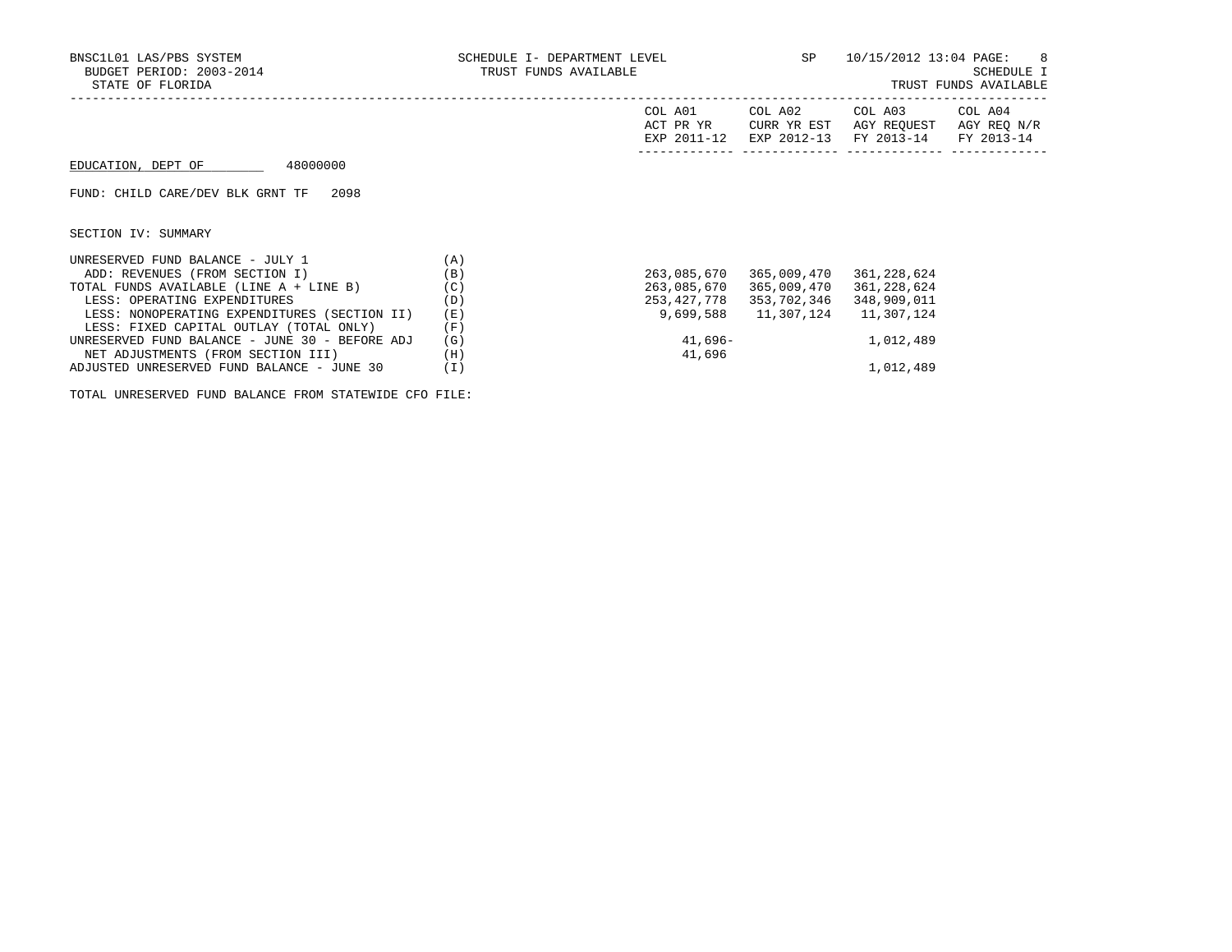| BNSC1L01 LAS/PBS SYSTEM<br>BUDGET PERIOD: 2003-2014<br>STATE OF FLORIDA | SCHEDULE I- DEPARTMENT LEVEL<br>TRUST FUNDS AVAILABLE |                                     | SP 10/15/2012 13:04 PAGE: 8 | SCHEDULE I<br>TRUST FUNDS AVAILABLE                                             |  |
|-------------------------------------------------------------------------|-------------------------------------------------------|-------------------------------------|-----------------------------|---------------------------------------------------------------------------------|--|
|                                                                         |                                                       | COL A01<br>ACT PR YR<br>EXP 2011-12 | COL A02<br>CURR YR EST      | COL A03 COL A04<br>AGY REOUEST AGY REO N/R<br>EXP 2012-13 FY 2013-14 FY 2013-14 |  |
| 48000000<br>EDUCATION, DEPT OF                                          |                                                       |                                     |                             |                                                                                 |  |
| FUND: CHILD CARE/DEV BLK GRNT TF<br>2098                                |                                                       |                                     |                             |                                                                                 |  |
| SECTION IV: SUMMARY                                                     |                                                       |                                     |                             |                                                                                 |  |
| UNRESERVED FUND BALANCE - JULY 1<br>(A)                                 |                                                       |                                     |                             |                                                                                 |  |
| ADD: REVENUES (FROM SECTION I)                                          | (B)                                                   | 263,085,670                         | 365,009,470                 | 361,228,624                                                                     |  |
| TOTAL FUNDS AVAILABLE (LINE A + LINE B)                                 | (C)                                                   | 263,085,670                         | 365,009,470                 | 361,228,624                                                                     |  |
| LESS: OPERATING EXPENDITURES                                            | (D)                                                   | 253,427,778                         | 353,702,346                 | 348,909,011                                                                     |  |
| LESS: NONOPERATING EXPENDITURES (SECTION II)                            | (E)                                                   | 9,699,588                           |                             | 11,307,124   11,307,124                                                         |  |
| LESS: FIXED CAPITAL OUTLAY (TOTAL ONLY)                                 | (F)                                                   |                                     |                             |                                                                                 |  |
| UNRESERVED FUND BALANCE - JUNE 30 - BEFORE ADJ                          | (G)                                                   |                                     | 41,696-                     | 1,012,489                                                                       |  |
| NET ADJUSTMENTS (FROM SECTION III)                                      | (H)                                                   | 41,696                              |                             |                                                                                 |  |
| ADJUSTED UNRESERVED FUND BALANCE - JUNE 30                              | (I)                                                   |                                     |                             | 1,012,489                                                                       |  |

TOTAL UNRESERVED FUND BALANCE FROM STATEWIDE CFO FILE: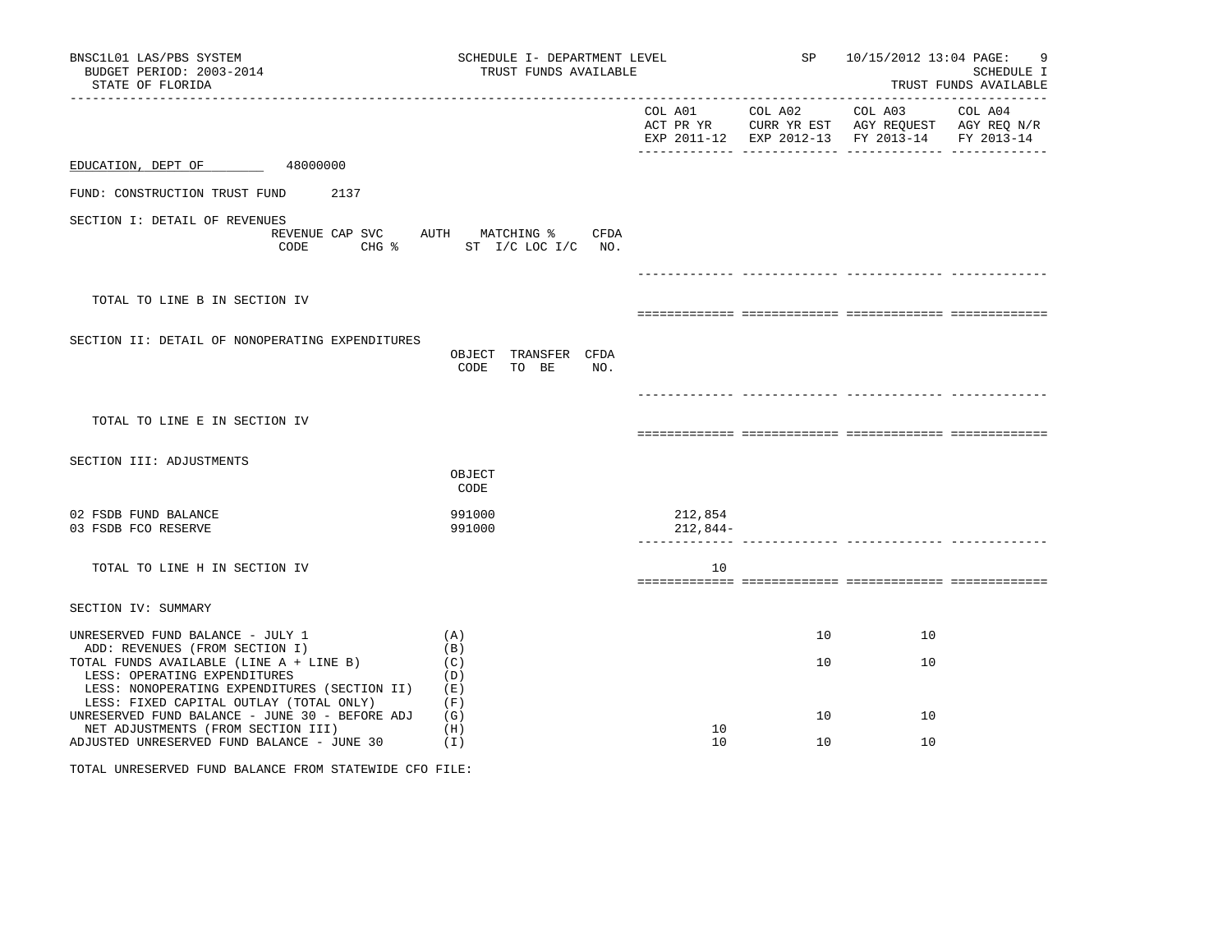| BNSC1L01 LAS/PBS SYSTEM<br>BUDGET PERIOD: 2003-2014<br>STATE OF FLORIDA                                                                                            | SCHEDULE I- DEPARTMENT LEVEL<br>TRUST FUNDS AVAILABLE            |                     |                                 |    | SP 10/15/2012 13:04 PAGE:<br>9<br><b>SCHEDULE I</b><br>TRUST FUNDS AVAILABLE                   |
|--------------------------------------------------------------------------------------------------------------------------------------------------------------------|------------------------------------------------------------------|---------------------|---------------------------------|----|------------------------------------------------------------------------------------------------|
|                                                                                                                                                                    |                                                                  |                     | COL A01 COL A02 COL A03 COL A04 |    | ACT PR YR CURR YR EST AGY REQUEST AGY REQ N/R<br>EXP 2011-12 EXP 2012-13 FY 2013-14 FY 2013-14 |
| EDUCATION, DEPT OF 48000000                                                                                                                                        |                                                                  |                     |                                 |    |                                                                                                |
| FUND: CONSTRUCTION TRUST FUND 2137                                                                                                                                 |                                                                  |                     |                                 |    |                                                                                                |
| SECTION I: DETAIL OF REVENUES<br>CODE                                                                                                                              | REVENUE CAP SVC AUTH MATCHING % CFDA<br>CHG % ST I/C LOC I/C NO. |                     |                                 |    |                                                                                                |
| TOTAL TO LINE B IN SECTION IV                                                                                                                                      |                                                                  |                     |                                 |    |                                                                                                |
| SECTION II: DETAIL OF NONOPERATING EXPENDITURES                                                                                                                    | OBJECT TRANSFER CFDA<br>CODE TO BE<br>NO.                        |                     |                                 |    |                                                                                                |
| TOTAL TO LINE E IN SECTION IV                                                                                                                                      |                                                                  |                     |                                 |    |                                                                                                |
| SECTION III: ADJUSTMENTS                                                                                                                                           | OBJECT<br>CODE                                                   |                     |                                 |    |                                                                                                |
| 02 FSDB FUND BALANCE<br>03 FSDB FCO RESERVE                                                                                                                        | 991000<br>991000                                                 | 212,854<br>212,844- |                                 |    |                                                                                                |
| TOTAL TO LINE H IN SECTION IV                                                                                                                                      |                                                                  | 10                  |                                 |    |                                                                                                |
| SECTION IV: SUMMARY                                                                                                                                                |                                                                  |                     |                                 |    |                                                                                                |
| UNRESERVED FUND BALANCE - JULY 1<br>ADD: REVENUES (FROM SECTION I)                                                                                                 | (A)<br>(B)                                                       |                     | 10                              | 10 |                                                                                                |
| TOTAL FUNDS AVAILABLE (LINE A + LINE B)<br>LESS: OPERATING EXPENDITURES<br>LESS: NONOPERATING EXPENDITURES (SECTION II)<br>LESS: FIXED CAPITAL OUTLAY (TOTAL ONLY) | (C)<br>(D)<br>( E )<br>(F)                                       |                     | 10                              | 10 |                                                                                                |
| UNRESERVED FUND BALANCE - JUNE 30 - BEFORE ADJ                                                                                                                     | (G)                                                              |                     | 10                              | 10 |                                                                                                |
| NET ADJUSTMENTS (FROM SECTION III)<br>ADJUSTED UNRESERVED FUND BALANCE - JUNE 30                                                                                   | (H)<br>(1)                                                       | 10<br>10            | 10                              | 10 |                                                                                                |
| TOTAL UNRESERVED FUND BALANCE FROM STATEWIDE CFO FILE:                                                                                                             |                                                                  |                     |                                 |    |                                                                                                |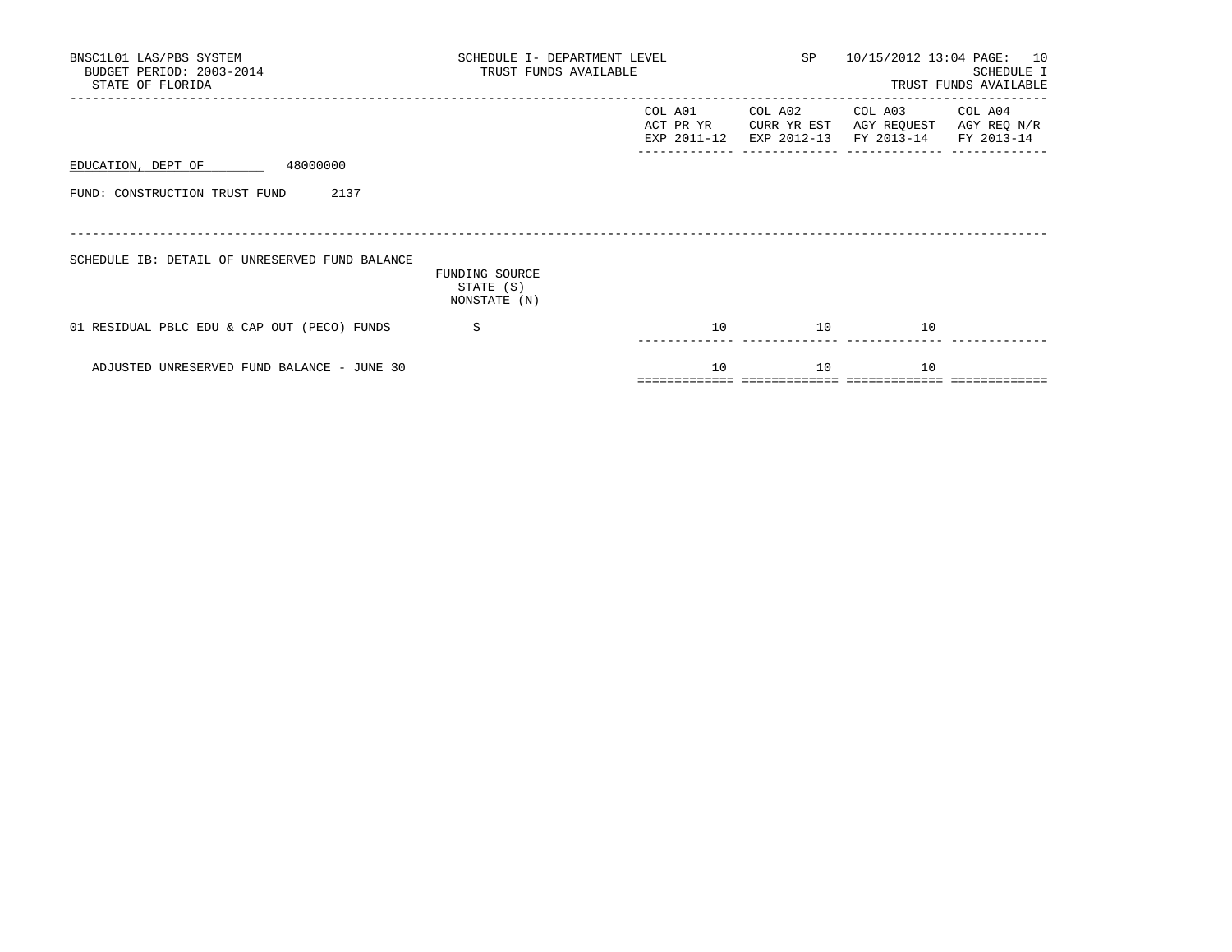| BNSC1L01 LAS/PBS SYSTEM<br>BUDGET PERIOD: 2003-2014<br>STATE OF FLORIDA | SCHEDULE I- DEPARTMENT LEVEL<br>TRUST FUNDS AVAILABLE |                                     |                        | SP 10/15/2012 13:04 PAGE: 10<br>SCHEDULE I<br>TRUST FUNDS AVAILABLE |                        |  |
|-------------------------------------------------------------------------|-------------------------------------------------------|-------------------------------------|------------------------|---------------------------------------------------------------------|------------------------|--|
|                                                                         |                                                       | COL A01<br>ACT PR YR<br>EXP 2011-12 | COL A02<br>CURR YR EST | COL A03<br>AGY REQUEST<br>EXP 2012-13 FY 2013-14 FY 2013-14         | COL A04<br>AGY REQ N/R |  |
| EDUCATION, DEPT OF 48000000                                             |                                                       |                                     |                        |                                                                     |                        |  |
| 2137<br>FUND: CONSTRUCTION TRUST FUND                                   |                                                       |                                     |                        |                                                                     |                        |  |
| SCHEDULE IB: DETAIL OF UNRESERVED FUND BALANCE                          | FUNDING SOURCE<br>STATE (S)<br>NONSTATE (N)           |                                     |                        |                                                                     |                        |  |
| 01 RESIDUAL PBLC EDU & CAP OUT (PECO) FUNDS                             | S                                                     | 10                                  | 10                     | 10                                                                  |                        |  |
| ADJUSTED UNRESERVED FUND BALANCE - JUNE 30                              |                                                       | 10                                  | 10                     | 10                                                                  |                        |  |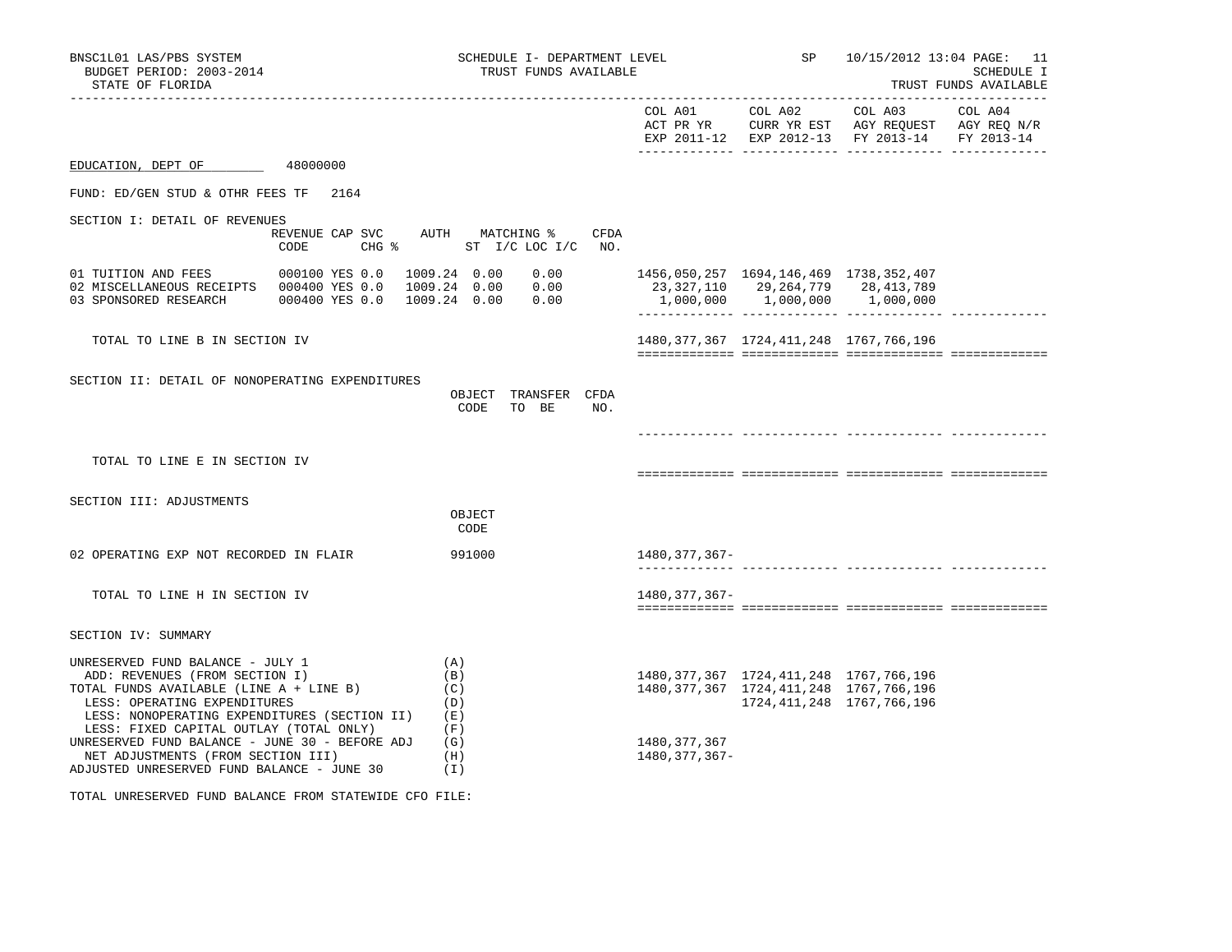| BNSC1L01 LAS/PBS SYSTEM<br>BUDGET PERIOD: 2003-2014<br>STATE OF FLORIDA                                                                                                                                                                  |                                    | SCHEDULE I- DEPARTMENT LEVEL<br>TRUST FUNDS AVAILABLE                |                                   | SP                                                                                                                            |                                                                                                        | 10/15/2012 13:04 PAGE: 11<br><b>SCHEDULE I</b><br>TRUST FUNDS AVAILABLE |
|------------------------------------------------------------------------------------------------------------------------------------------------------------------------------------------------------------------------------------------|------------------------------------|----------------------------------------------------------------------|-----------------------------------|-------------------------------------------------------------------------------------------------------------------------------|--------------------------------------------------------------------------------------------------------|-------------------------------------------------------------------------|
|                                                                                                                                                                                                                                          |                                    |                                                                      |                                   | COL A01 COL A02                                                                                                               | COL A03 COL A04<br>ACT PR YR CURR YR EST AGY REQUEST AGY REQ N/R<br>EXP 2011-12 EXP 2012-13 FY 2013-14 | FY 2013-14                                                              |
| EDUCATION, DEPT OF                                                                                                                                                                                                                       | 48000000                           |                                                                      |                                   |                                                                                                                               |                                                                                                        |                                                                         |
| FUND: ED/GEN STUD & OTHR FEES TF                                                                                                                                                                                                         | 2164                               |                                                                      |                                   |                                                                                                                               |                                                                                                        |                                                                         |
| SECTION I: DETAIL OF REVENUES                                                                                                                                                                                                            | REVENUE CAP SVC<br>$CHG$ %<br>CODE | AUTH MATCHING %<br><b>CFDA</b><br>ST I/C LOC I/C<br>NO <sub>z</sub>  |                                   |                                                                                                                               |                                                                                                        |                                                                         |
| 01 TUITION AND FEES<br>02 MISCELLANEOUS RECEIPTS  000400 YES 0.0<br>03 SPONSORED RESEARCH                                                                                                                                                | 000100 YES 0.0<br>000400 YES 0.0   | 1009.24 0.00<br>0.00<br>1009.24 0.00<br>0.00<br>1009.24 0.00<br>0.00 |                                   | 1456,050,257 1694,146,469 1738,352,407<br>23, 327, 110 29, 264, 779 28, 413, 789<br>$1,000,000$ $1,000,000$ $1,000,000$       |                                                                                                        |                                                                         |
| TOTAL TO LINE B IN SECTION IV                                                                                                                                                                                                            |                                    |                                                                      |                                   | 1480, 377, 367 1724, 411, 248 1767, 766, 196                                                                                  |                                                                                                        |                                                                         |
| SECTION II: DETAIL OF NONOPERATING EXPENDITURES                                                                                                                                                                                          |                                    | OBJECT TRANSFER CFDA<br>TO BE<br>CODE<br>NO.                         |                                   |                                                                                                                               |                                                                                                        |                                                                         |
| TOTAL TO LINE E IN SECTION IV                                                                                                                                                                                                            |                                    |                                                                      |                                   |                                                                                                                               |                                                                                                        |                                                                         |
| SECTION III: ADJUSTMENTS                                                                                                                                                                                                                 |                                    | OBJECT<br>CODE                                                       |                                   |                                                                                                                               |                                                                                                        |                                                                         |
| 02 OPERATING EXP NOT RECORDED IN FLAIR                                                                                                                                                                                                   |                                    | 991000                                                               | 1480, 377, 367-                   |                                                                                                                               |                                                                                                        |                                                                         |
| TOTAL TO LINE H IN SECTION IV                                                                                                                                                                                                            |                                    |                                                                      | 1480, 377, 367-                   |                                                                                                                               |                                                                                                        |                                                                         |
| SECTION IV: SUMMARY                                                                                                                                                                                                                      |                                    |                                                                      |                                   |                                                                                                                               |                                                                                                        |                                                                         |
| UNRESERVED FUND BALANCE - JULY 1<br>ADD: REVENUES (FROM SECTION I)<br>TOTAL FUNDS AVAILABLE (LINE A + LINE B)<br>LESS: OPERATING EXPENDITURES<br>LESS: NONOPERATING EXPENDITURES (SECTION II)<br>LESS: FIXED CAPITAL OUTLAY (TOTAL ONLY) |                                    | (A)<br>(B)<br>(C)<br>(D)<br>(E)<br>(F)                               |                                   | 1480, 377, 367 1724, 411, 248 1767, 766, 196<br>1480, 377, 367 1724, 411, 248 1767, 766, 196<br>1724, 411, 248 1767, 766, 196 |                                                                                                        |                                                                         |
| UNRESERVED FUND BALANCE - JUNE 30 - BEFORE ADJ<br>NET ADJUSTMENTS (FROM SECTION III)<br>ADJUSTED UNRESERVED FUND BALANCE - JUNE 30                                                                                                       |                                    | (G)<br>(H)<br>(I)                                                    | 1480, 377, 367<br>1480, 377, 367- |                                                                                                                               |                                                                                                        |                                                                         |

TOTAL UNRESERVED FUND BALANCE FROM STATEWIDE CFO FILE: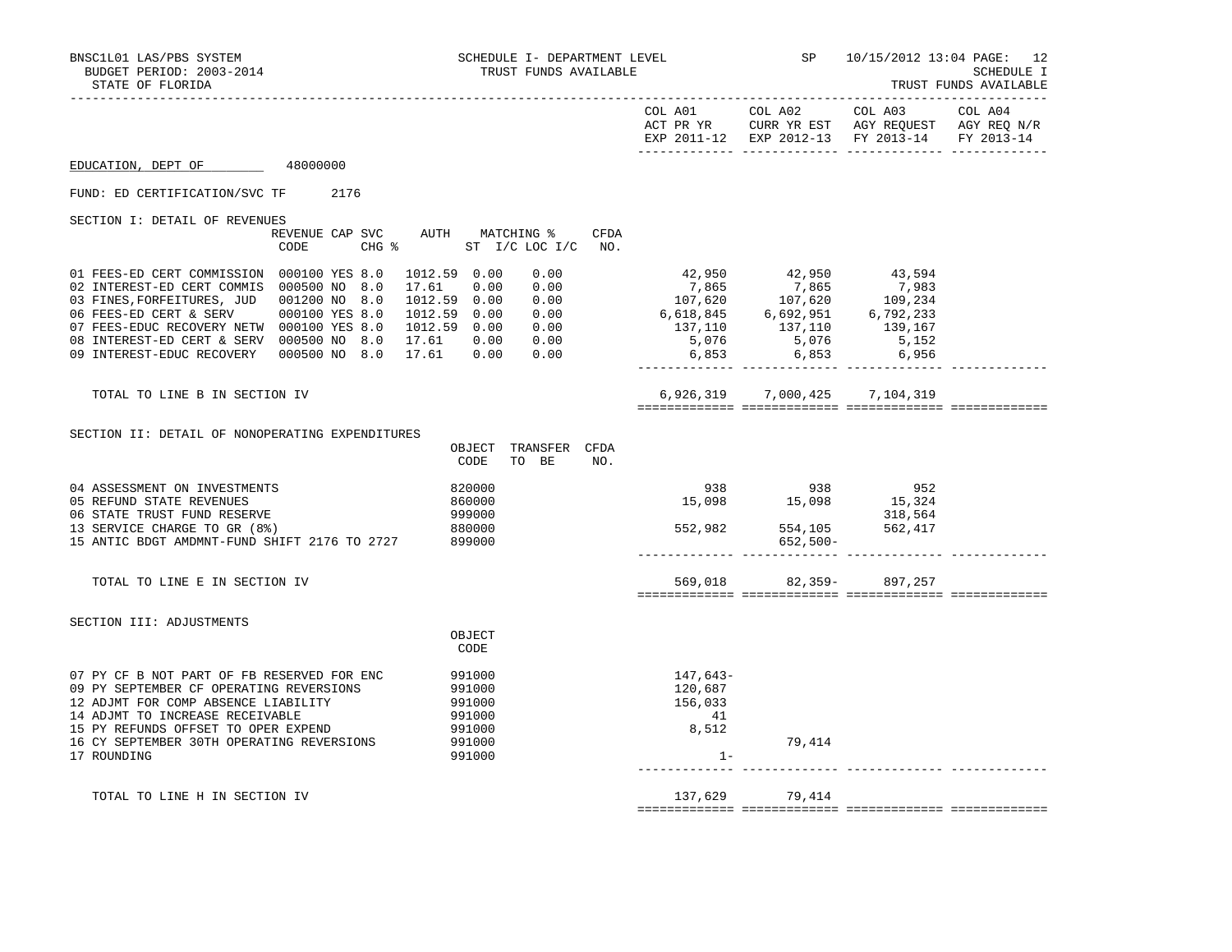| BNSC1L01 LAS/PBS SYSTEM<br>BUDGET PERIOD: 2003-2014<br>STATE OF FLORIDA                                                                                                                                                                                                                                                         |                                                                     |                                                                    | SCHEDULE I- DEPARTMENT LEVEL<br>TRUST FUNDS AVAILABLE |                                               |                                                                                                                                                                                                                                                                  | SP 10/15/2012 13:04 PAGE: 12 | SCHEDULE I<br>TRUST FUNDS AVAILABLE |
|---------------------------------------------------------------------------------------------------------------------------------------------------------------------------------------------------------------------------------------------------------------------------------------------------------------------------------|---------------------------------------------------------------------|--------------------------------------------------------------------|-------------------------------------------------------|-----------------------------------------------|------------------------------------------------------------------------------------------------------------------------------------------------------------------------------------------------------------------------------------------------------------------|------------------------------|-------------------------------------|
|                                                                                                                                                                                                                                                                                                                                 |                                                                     |                                                                    |                                                       |                                               | COL A01 COL A02<br>ACT PR YR CURR YR EST AGY REQUEST AGY REQ N/R<br>EXP 2011-12 EXP 2012-13 FY 2013-14                                                                                                                                                           | COL A03 COL A04              | FY 2013-14                          |
| EDUCATION, DEPT OF                                                                                                                                                                                                                                                                                                              | 48000000                                                            |                                                                    |                                                       |                                               |                                                                                                                                                                                                                                                                  |                              |                                     |
| FUND: ED CERTIFICATION/SVC TF 2176                                                                                                                                                                                                                                                                                              |                                                                     |                                                                    |                                                       |                                               |                                                                                                                                                                                                                                                                  |                              |                                     |
| SECTION I: DETAIL OF REVENUES                                                                                                                                                                                                                                                                                                   | REVENUE CAP SVC AUTH MATCHING %<br>CHG % ST I/C LOC I/C NO.<br>CODE |                                                                    | CFDA                                                  |                                               |                                                                                                                                                                                                                                                                  |                              |                                     |
| 01 FEES-ED CERT COMMISSION 000100 YES 8.0<br>02 INTEREST-ED CERT COMMIS 000500 NO 8.0<br>03 FINES, FORFEITURES, JUD 001200 NO 8.0 1012.59 0.00 0.00<br>06 FEES-ED CERT & SERV 000100 YES 8.0 1012.59 0.00 0.00<br>07 FEES-EDUC RECOVERY NETW 000100 YES 8.0 1012.59 0.00 0.00<br>08 INTEREST-ED CERT & SERV 000500 NO 8.0 17.61 |                                                                     | 1012.59 0.00<br>17.61 0.00                                         | 0.00<br>0.00                                          |                                               | 42,950 42,950 43,594<br>$\begin{array}{cccccc} 12,365 & 7,865 & 7,983 \\ 7,865 & 7,865 & 7,983 \\ 107,620 & 107,620 & 109,234 \\ 6,618,845 & 6,692,951 & 6,792,233 \\ 137,110 & 137,110 & 139,167 \\ 5,076 & 5,076 & 5,152 \\ 6,853 & 6,853 & 6,956 \end{array}$ |                              |                                     |
| TOTAL TO LINE B IN SECTION IV                                                                                                                                                                                                                                                                                                   |                                                                     |                                                                    |                                                       |                                               | 6,926,319 7,000,425 7,104,319                                                                                                                                                                                                                                    |                              |                                     |
| SECTION II: DETAIL OF NONOPERATING EXPENDITURES                                                                                                                                                                                                                                                                                 |                                                                     | CODE                                                               | OBJECT TRANSFER CFDA<br>TO BE<br>NO.                  |                                               |                                                                                                                                                                                                                                                                  |                              |                                     |
| 04 ASSESSMENT ON INVESTMENTS<br>05 REFUND STATE REVENUES<br>06 STATE TRUST FUND RESERVE<br>13 SERVICE CHARGE TO GR (8%)<br>15 ANTIC BDGT AMDMNT-FUND SHIFT 2176 TO 2727                                                                                                                                                         |                                                                     | 820000<br>860000<br>999000<br>880000<br>899000                     |                                                       |                                               | 552,982 554,105 562,417<br>652,500-                                                                                                                                                                                                                              | 318,564                      |                                     |
| TOTAL TO LINE E IN SECTION IV                                                                                                                                                                                                                                                                                                   |                                                                     |                                                                    |                                                       |                                               | 569,018 82,359- 897,257                                                                                                                                                                                                                                          |                              |                                     |
| SECTION III: ADJUSTMENTS                                                                                                                                                                                                                                                                                                        |                                                                     | OBJECT<br>CODE                                                     |                                                       |                                               |                                                                                                                                                                                                                                                                  |                              |                                     |
| 07 PY CF B NOT PART OF FB RESERVED FOR ENC<br>09 PY SEPTEMBER CF OPERATING REVERSIONS<br>12 ADJMT FOR COMP ABSENCE LIABILITY<br>14 ADJMT TO INCREASE RECEIVABLE<br>15 PY REFUNDS OFFSET TO OPER EXPEND<br>16 CY SEPTEMBER 30TH OPERATING REVERSIONS<br>17 ROUNDING                                                              |                                                                     | 991000<br>991000<br>991000<br>991000<br>991000<br>991000<br>991000 |                                                       | 147,643-<br>120,687<br>156,033<br>41<br>8,512 | 79,414<br>$1 -$                                                                                                                                                                                                                                                  |                              |                                     |
| TOTAL TO LINE H IN SECTION IV                                                                                                                                                                                                                                                                                                   |                                                                     |                                                                    |                                                       | 137,629                                       | 79,414                                                                                                                                                                                                                                                           |                              |                                     |

============= ============= ============= =============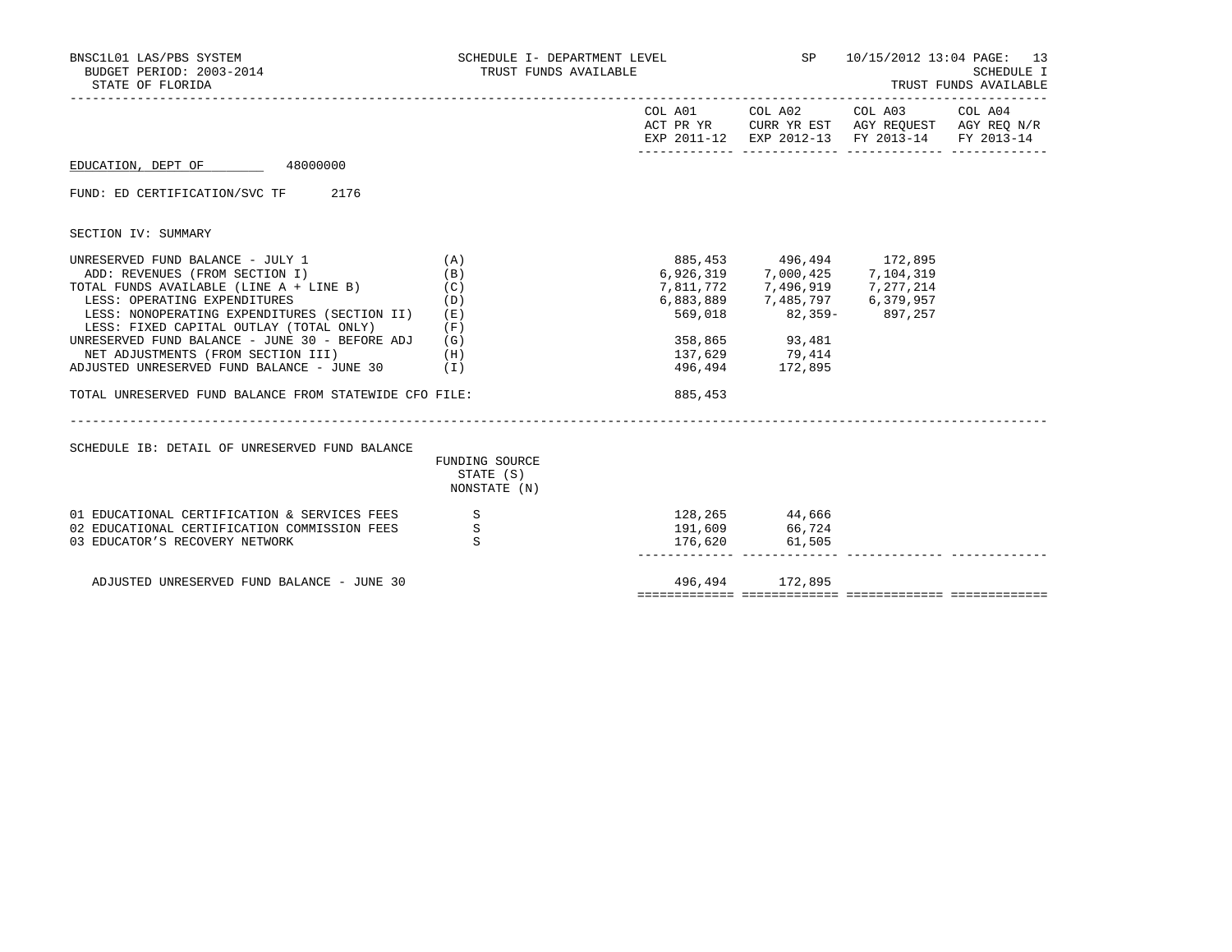| BNSC1L01 LAS/PBS SYSTEM<br>BUDGET PERIOD: 2003-2014<br>STATE OF FLORIDA                                                                                                                                                                                                                                                                                                                                                                                     | SCHEDULE I- DEPARTMENT LEVEL<br>TRUST FUNDS AVAILABLE |         |                                                                                                                                                                                                                 | SP 10/15/2012 13:04 PAGE: 13<br><b>SCHEDULE I</b><br>TRUST FUNDS AVAILABLE |            |  |
|-------------------------------------------------------------------------------------------------------------------------------------------------------------------------------------------------------------------------------------------------------------------------------------------------------------------------------------------------------------------------------------------------------------------------------------------------------------|-------------------------------------------------------|---------|-----------------------------------------------------------------------------------------------------------------------------------------------------------------------------------------------------------------|----------------------------------------------------------------------------|------------|--|
|                                                                                                                                                                                                                                                                                                                                                                                                                                                             |                                                       |         | COL A01 COL A02 COL A03 COL A04<br>ACT PR YR CURR YR EST AGY REQUEST AGY REQ N/R<br>EXP 2011-12 EXP 2012-13 FY 2013-14                                                                                          |                                                                            | FY 2013-14 |  |
| EDUCATION, DEPT OF 48000000                                                                                                                                                                                                                                                                                                                                                                                                                                 |                                                       |         |                                                                                                                                                                                                                 |                                                                            |            |  |
| FUND: ED CERTIFICATION/SVC TF 2176                                                                                                                                                                                                                                                                                                                                                                                                                          |                                                       |         |                                                                                                                                                                                                                 |                                                                            |            |  |
| SECTION IV: SUMMARY                                                                                                                                                                                                                                                                                                                                                                                                                                         |                                                       |         |                                                                                                                                                                                                                 |                                                                            |            |  |
| UNRESERVED FUND BALANCE - JULY 1<br>ADD: REVENUES (FROM SECTION I)<br>TOTAL FUNDS AVAILABLE (LINE A + LINE B) $(C)$<br>LESS: OPERATING EXPENDITURES<br>LESS: NONOPERATING EXPENDITURES (SECTION II)<br>LESS: FIXED CAPITAL OUTLAY (TOTAL ONLY)<br>UNRESERVED FUND BALANCE - JUNE 30 - BEFORE ADJ<br>NET ADJUSTMENTS (FROM SECTION III)<br>(H)<br>ADJUSTED UNRESERVED FUND BALANCE - JUNE $30$ (I)<br>TOTAL UNRESERVED FUND BALANCE FROM STATEWIDE CFO FILE: | (A)<br>(B)<br>(D)<br>(E)<br>(F)<br>(G)                | 885,453 | 885, 453 496, 494 172, 895<br>6,926,319 7,000,425 7,104,319<br>7,811,772 7,496,919 7,277,214<br>6,883,889 7,485,797 6,379,957<br>569,018 82,359- 897,257<br>358,865 93,481<br>137,629 79,414<br>496,494 172,895 |                                                                            |            |  |
| SCHEDULE IB: DETAIL OF UNRESERVED FUND BALANCE                                                                                                                                                                                                                                                                                                                                                                                                              | FUNDING SOURCE<br>STATE (S)<br>NONSTATE (N)           |         |                                                                                                                                                                                                                 |                                                                            |            |  |
| 01 EDUCATIONAL CERTIFICATION & SERVICES FEES<br>02 EDUCATIONAL CERTIFICATION COMMISSION FEES<br>03 EDUCATOR'S RECOVERY NETWORK                                                                                                                                                                                                                                                                                                                              | S<br>$\mathbf S$<br>S                                 |         | 128,265 44,666<br>191,609 66,724<br>176,620 61,505                                                                                                                                                              |                                                                            |            |  |
| ADJUSTED UNRESERVED FUND BALANCE - JUNE 30                                                                                                                                                                                                                                                                                                                                                                                                                  |                                                       |         | 496,494 172,895                                                                                                                                                                                                 |                                                                            |            |  |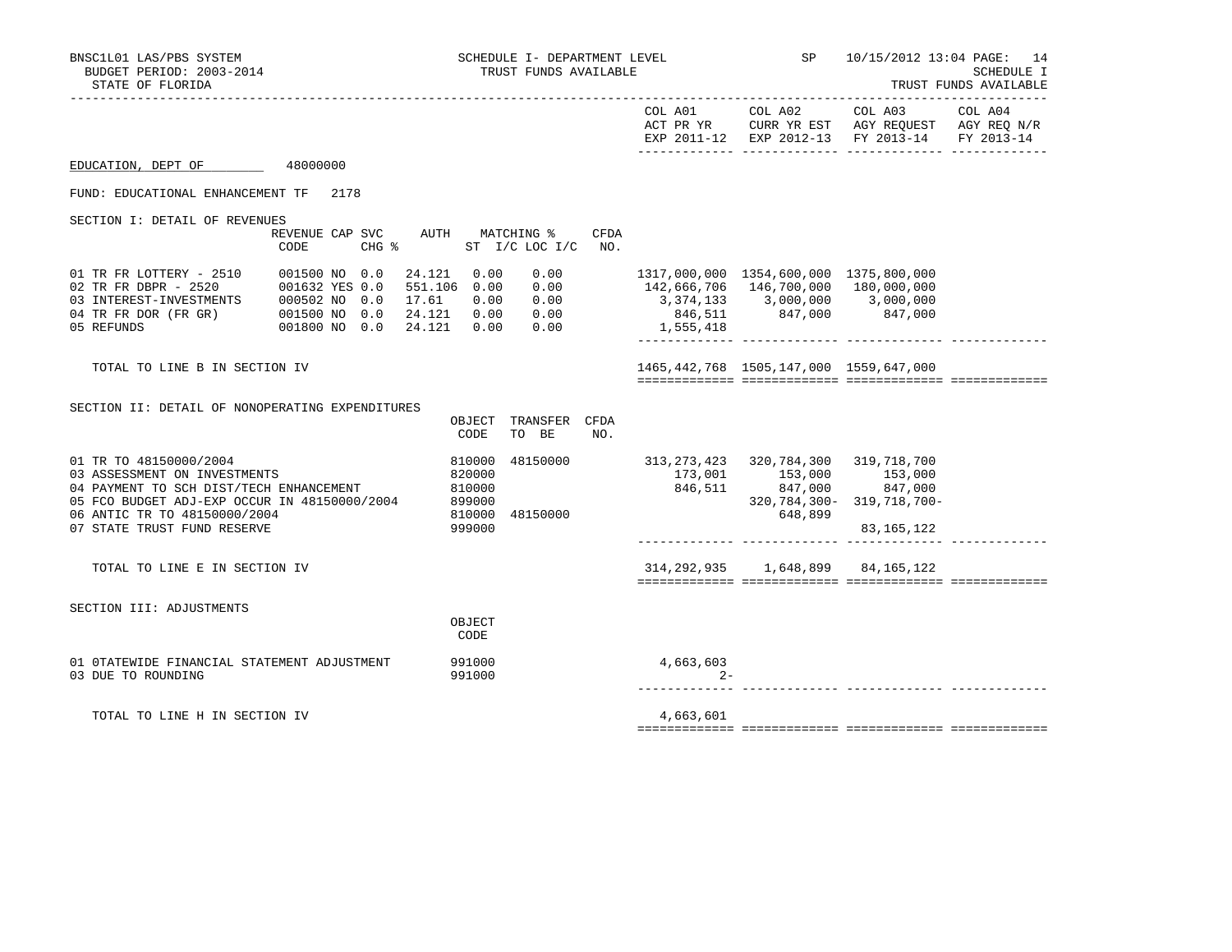|                                                                                                                                                                                                                  |                                                                                                |                                                                                             |             | COL A01            | COL A02                                                                                                                                               | COL A03<br>ACT PR YR CURR YR EST AGY REQUEST AGY REQ N/R<br>EXP 2011-12 EXP 2012-13 FY 2013-14 FY 2013-14 | COL A04 |
|------------------------------------------------------------------------------------------------------------------------------------------------------------------------------------------------------------------|------------------------------------------------------------------------------------------------|---------------------------------------------------------------------------------------------|-------------|--------------------|-------------------------------------------------------------------------------------------------------------------------------------------------------|-----------------------------------------------------------------------------------------------------------|---------|
| EDUCATION, DEPT OF                                                                                                                                                                                               | 48000000                                                                                       |                                                                                             |             |                    |                                                                                                                                                       |                                                                                                           |         |
| FUND: EDUCATIONAL ENHANCEMENT TF                                                                                                                                                                                 | 2178                                                                                           |                                                                                             |             |                    |                                                                                                                                                       |                                                                                                           |         |
| SECTION I: DETAIL OF REVENUES                                                                                                                                                                                    | REVENUE CAP SVC<br>CODE<br>CHG %                                                               | MATCHING %<br>AUTH<br>ST I/C LOC I/C                                                        | CFDA<br>NO. |                    |                                                                                                                                                       |                                                                                                           |         |
| 01 TR FR LOTTERY - 2510<br>02 TR FR DBPR - 2520<br>03 INTEREST-INVESTMENTS<br>04 TR FR DOR (FR GR) 001500 NO 0.0<br>05 REFUNDS                                                                                   | 001500 NO 0.0<br>24.121<br>001632 YES 0.0<br>000502 NO 0.0<br>17.61<br>001800 NO 0.0<br>24.121 | 0.00<br>0.00<br>551.106 0.00<br>0.00<br>0.00<br>0.00<br>24.121 0.00<br>0.00<br>0.00<br>0.00 |             | 1,555,418          | 1317,000,000 1354,600,000 1375,800,000<br>142,666,706 146,700,000 180,000,000<br>$3,374,133$ $3,000,000$ $3,000,000$<br>$846,511$ $847,000$ $847,000$ |                                                                                                           |         |
| TOTAL TO LINE B IN SECTION IV                                                                                                                                                                                    |                                                                                                |                                                                                             |             |                    | 1465, 442, 768 1505, 147, 000 1559, 647, 000                                                                                                          |                                                                                                           |         |
| SECTION II: DETAIL OF NONOPERATING EXPENDITURES                                                                                                                                                                  |                                                                                                | OBJECT<br>TRANSFER CFDA<br>CODE<br>TO BE                                                    | NO.         |                    |                                                                                                                                                       |                                                                                                           |         |
| 01 TR TO 48150000/2004<br>03 ASSESSMENT ON INVESTMENTS<br>04 PAYMENT TO SCH DIST/TECH ENHANCEMENT<br>05 FCO BUDGET ADJ-EXP OCCUR IN 48150000/2004<br>06 ANTIC TR TO 48150000/2004<br>07 STATE TRUST FUND RESERVE |                                                                                                | 810000<br>48150000<br>820000<br>810000<br>899000<br>48150000<br>810000<br>999000            |             |                    | 313, 273, 423 320, 784, 300 319, 718, 700<br>173,001 153,000<br>846,511 847,000 847,000<br>320,784,300-<br>648,899                                    | 153,000<br>319,718,700-<br>83, 165, 122                                                                   |         |
| TOTAL TO LINE E IN SECTION IV                                                                                                                                                                                    |                                                                                                |                                                                                             |             |                    | 314, 292, 935 1, 648, 899 84, 165, 122                                                                                                                |                                                                                                           |         |
| SECTION III: ADJUSTMENTS                                                                                                                                                                                         |                                                                                                | OBJECT<br>CODE                                                                              |             |                    |                                                                                                                                                       |                                                                                                           |         |
| 01 OTATEWIDE FINANCIAL STATEMENT ADJUSTMENT<br>03 DUE TO ROUNDING                                                                                                                                                |                                                                                                | 991000<br>991000                                                                            |             | 4,663,603<br>$2 -$ |                                                                                                                                                       |                                                                                                           |         |
| TOTAL TO LINE H IN SECTION IV                                                                                                                                                                                    |                                                                                                |                                                                                             |             | 4,663,601          |                                                                                                                                                       |                                                                                                           |         |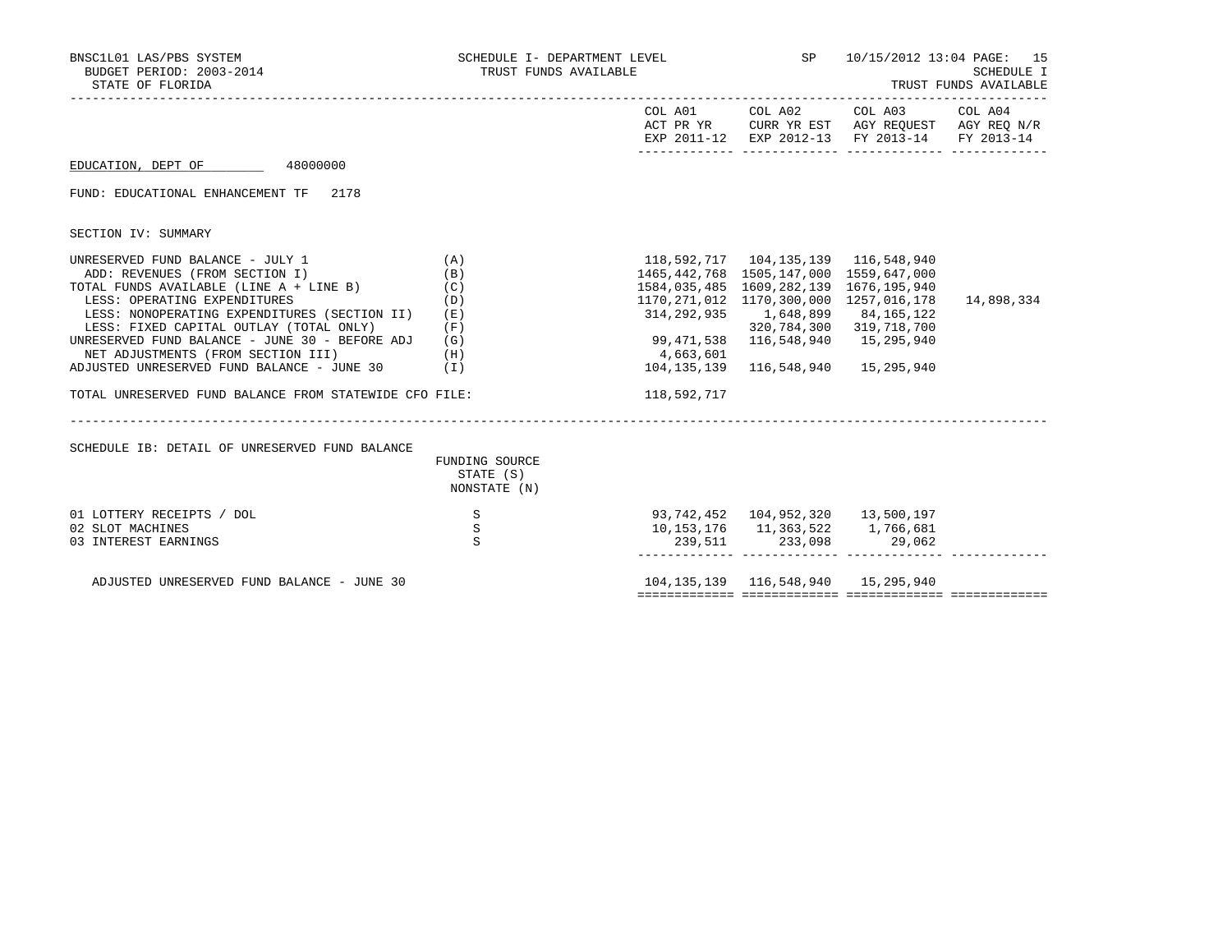| COL A01     | COL A02 COL A03 COL A04 |                                                                                                |                                                                                                                                                                                                                                                                                                                                                                                                                                                            |
|-------------|-------------------------|------------------------------------------------------------------------------------------------|------------------------------------------------------------------------------------------------------------------------------------------------------------------------------------------------------------------------------------------------------------------------------------------------------------------------------------------------------------------------------------------------------------------------------------------------------------|
|             |                         | ACT PR YR CURR YR EST AGY REQUEST AGY REQ N/R<br>EXP 2011-12 EXP 2012-13 FY 2013-14 FY 2013-14 |                                                                                                                                                                                                                                                                                                                                                                                                                                                            |
|             |                         |                                                                                                |                                                                                                                                                                                                                                                                                                                                                                                                                                                            |
|             |                         |                                                                                                |                                                                                                                                                                                                                                                                                                                                                                                                                                                            |
|             |                         |                                                                                                |                                                                                                                                                                                                                                                                                                                                                                                                                                                            |
|             |                         |                                                                                                |                                                                                                                                                                                                                                                                                                                                                                                                                                                            |
|             |                         |                                                                                                |                                                                                                                                                                                                                                                                                                                                                                                                                                                            |
|             |                         |                                                                                                |                                                                                                                                                                                                                                                                                                                                                                                                                                                            |
|             |                         |                                                                                                | 14,898,334                                                                                                                                                                                                                                                                                                                                                                                                                                                 |
|             |                         |                                                                                                |                                                                                                                                                                                                                                                                                                                                                                                                                                                            |
|             |                         |                                                                                                |                                                                                                                                                                                                                                                                                                                                                                                                                                                            |
|             |                         |                                                                                                |                                                                                                                                                                                                                                                                                                                                                                                                                                                            |
|             |                         |                                                                                                |                                                                                                                                                                                                                                                                                                                                                                                                                                                            |
| 118,592,717 |                         |                                                                                                |                                                                                                                                                                                                                                                                                                                                                                                                                                                            |
|             |                         |                                                                                                |                                                                                                                                                                                                                                                                                                                                                                                                                                                            |
|             |                         |                                                                                                |                                                                                                                                                                                                                                                                                                                                                                                                                                                            |
|             |                         |                                                                                                |                                                                                                                                                                                                                                                                                                                                                                                                                                                            |
|             |                         |                                                                                                |                                                                                                                                                                                                                                                                                                                                                                                                                                                            |
|             |                         |                                                                                                |                                                                                                                                                                                                                                                                                                                                                                                                                                                            |
|             |                         |                                                                                                |                                                                                                                                                                                                                                                                                                                                                                                                                                                            |
|             | 4,663,601               |                                                                                                | 1465, 442, 768 1505, 147, 000 1559, 647, 000<br>1584,035,485 1609,282,139 1676,195,940<br>1170,271,012 1170,300,000 1257,016,178<br>314, 292, 935 1, 648, 899 84, 165, 122<br>320, 784, 300 319, 718, 700<br>99,471,538 116,548,940 15,295,940<br>104, 135, 139 116, 548, 940 15, 295, 940<br>93,742,452  104,952,320  13,500,197<br>10, 153, 176   11, 363, 522   1, 766, 681<br>$239,511$ $233,098$ $29,062$<br>104, 135, 139 116, 548, 940 15, 295, 940 |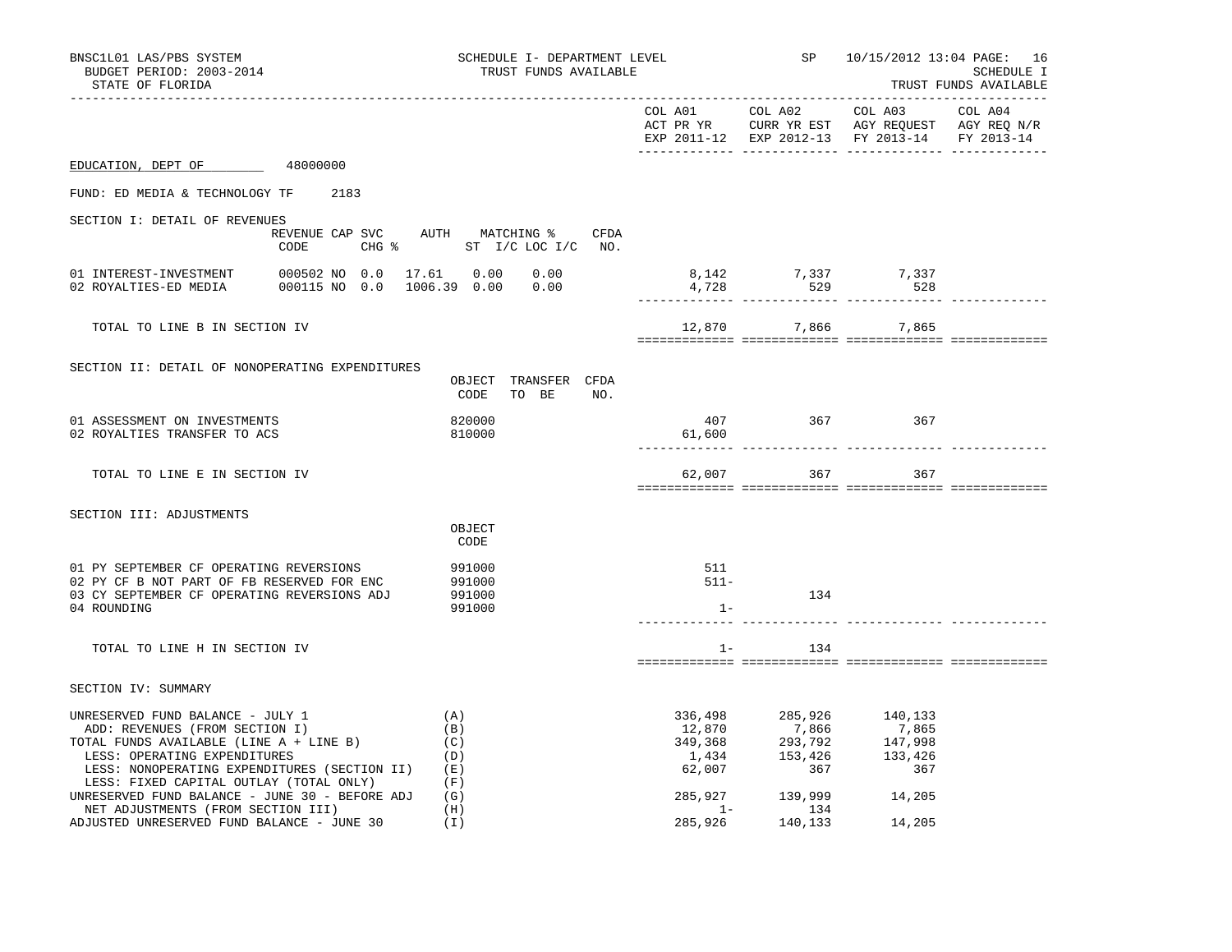| BNSC1L01 LAS/PBS SYSTEM<br>BUDGET PERIOD: 2003-2014<br>STATE OF FLORIDA                                                                                                                                                                                                                    |                                               | SCHEDULE I- DEPARTMENT LEVEL<br>TRUST FUNDS AVAILABLE |                                                                                                                |                                                                                                                           | SP 10/15/2012 13:04 PAGE: 16<br><b>SCHEDULE I</b><br>TRUST FUNDS AVAILABLE |  |  |
|--------------------------------------------------------------------------------------------------------------------------------------------------------------------------------------------------------------------------------------------------------------------------------------------|-----------------------------------------------|-------------------------------------------------------|----------------------------------------------------------------------------------------------------------------|---------------------------------------------------------------------------------------------------------------------------|----------------------------------------------------------------------------|--|--|
|                                                                                                                                                                                                                                                                                            |                                               |                                                       |                                                                                                                | COL A01 COL A02 COL A03<br>ACT PR YR CURR YR EST AGY REQUEST AGY REQ N/R<br>EXP 2011-12 EXP 2012-13 FY 2013-14 FY 2013-14 | COL A04                                                                    |  |  |
| EDUCATION, DEPT OF 48000000                                                                                                                                                                                                                                                                |                                               |                                                       |                                                                                                                |                                                                                                                           |                                                                            |  |  |
| FUND: ED MEDIA & TECHNOLOGY TF 2183                                                                                                                                                                                                                                                        |                                               |                                                       |                                                                                                                |                                                                                                                           |                                                                            |  |  |
| SECTION I: DETAIL OF REVENUES                                                                                                                                                                                                                                                              | REVENUE CAP SVC AUTH MATCHING %<br>CFDA       |                                                       |                                                                                                                |                                                                                                                           |                                                                            |  |  |
| CODE                                                                                                                                                                                                                                                                                       | CHG $\frac{1}{6}$ ST I/C LOC I/C NO.          |                                                       |                                                                                                                |                                                                                                                           |                                                                            |  |  |
| 000115 NO 0.0 1006.39 0.00 0.00<br>02 ROYALTIES-ED MEDIA                                                                                                                                                                                                                                   |                                               | 4,728                                                 | 8, 142 7, 337 7, 337<br>529                                                                                    | 528                                                                                                                       |                                                                            |  |  |
| TOTAL TO LINE B IN SECTION IV                                                                                                                                                                                                                                                              |                                               |                                                       | 12,870 7,866 7,865                                                                                             |                                                                                                                           |                                                                            |  |  |
| SECTION II: DETAIL OF NONOPERATING EXPENDITURES                                                                                                                                                                                                                                            | OBJECT TRANSFER CFDA<br>CODE TO BE NO.        |                                                       |                                                                                                                |                                                                                                                           |                                                                            |  |  |
| 01 ASSESSMENT ON INVESTMENTS<br>02 ROYALTIES TRANSFER TO ACS                                                                                                                                                                                                                               | 820000<br>810000                              | 407<br>61,600                                         | 367                                                                                                            | 367                                                                                                                       |                                                                            |  |  |
| TOTAL TO LINE E IN SECTION IV                                                                                                                                                                                                                                                              |                                               |                                                       | 62,007 367                                                                                                     | 367                                                                                                                       |                                                                            |  |  |
| SECTION III: ADJUSTMENTS                                                                                                                                                                                                                                                                   | OBJECT<br>CODE                                |                                                       |                                                                                                                |                                                                                                                           |                                                                            |  |  |
| 01 PY SEPTEMBER CF OPERATING REVERSIONS<br>02 PY CF B NOT PART OF FB RESERVED FOR ENC<br>03 CY SEPTEMBER CF OPERATING REVERSIONS ADJ                                                                                                                                                       | 991000<br>991000<br>991000                    | 511<br>$511-$                                         | 134                                                                                                            |                                                                                                                           |                                                                            |  |  |
| 04 ROUNDING                                                                                                                                                                                                                                                                                | 991000                                        | $1 -$                                                 |                                                                                                                |                                                                                                                           |                                                                            |  |  |
| TOTAL TO LINE H IN SECTION IV                                                                                                                                                                                                                                                              |                                               | $1 -$                                                 | 134                                                                                                            |                                                                                                                           |                                                                            |  |  |
| SECTION IV: SUMMARY                                                                                                                                                                                                                                                                        |                                               |                                                       |                                                                                                                |                                                                                                                           |                                                                            |  |  |
| UNRESERVED FUND BALANCE - JULY 1<br>ADD: REVENUES (FROM SECTION I)<br>TOTAL FUNDS AVAILABLE (LINE A + LINE B)<br>LESS: OPERATING EXPENDITURES<br>LESS: NONOPERATING EXPENDITURES (SECTION II)<br>LESS: FIXED CAPITAL OUTLAY (TOTAL ONLY)<br>UNRESERVED FUND BALANCE - JUNE 30 - BEFORE ADJ | (A)<br>(B)<br>(C)<br>(D)<br>(E)<br>(F)<br>(G) | 336,498<br>12,870<br>285,927                          | 285,926<br>7,866<br>349,368<br>1,434<br>53,426<br>52,007<br>153,426<br>567<br>567<br>133,426<br>567<br>139,999 | 140,133<br>7,865<br>14,205                                                                                                |                                                                            |  |  |
| NET ADJUSTMENTS (FROM SECTION III)<br>ADJUSTED UNRESERVED FUND BALANCE - JUNE 30                                                                                                                                                                                                           | (H)<br>(I)                                    | $1 -$<br>285,926                                      | 134<br>140,133                                                                                                 | 14,205                                                                                                                    |                                                                            |  |  |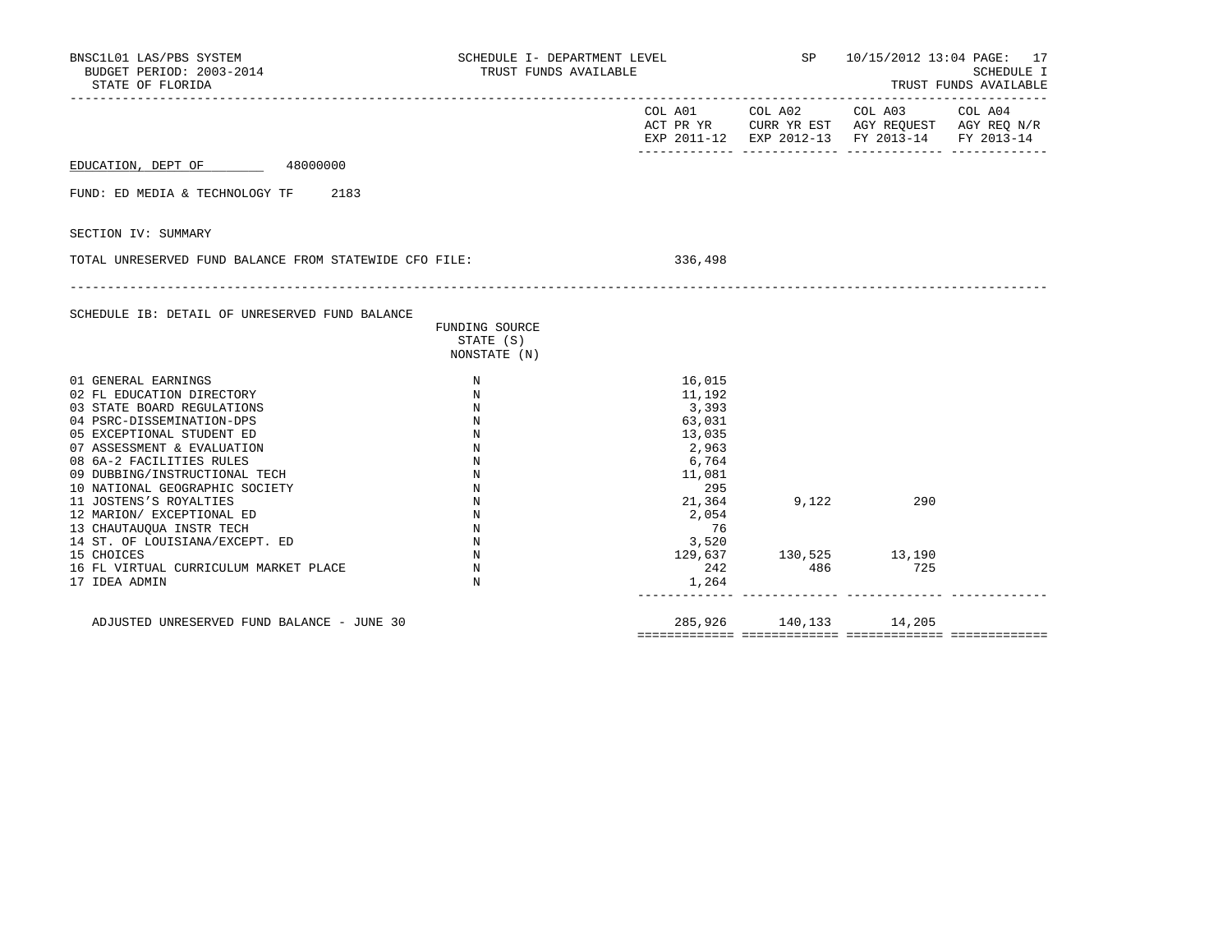| BNSC1L01 LAS/PBS SYSTEM<br>BUDGET PERIOD: 2003-2014<br>STATE OF FLORIDA                                                                                                                                                                                                                                                                                                                                                                                            | SCHEDULE I- DEPARTMENT LEVEL<br>TRUST FUNDS AVAILABLE                                          |                                                                                                                             | SP              | 10/15/2012 13:04 PAGE: 17<br>SCHEDULE I<br>TRUST FUNDS AVAILABLE                                          |         |
|--------------------------------------------------------------------------------------------------------------------------------------------------------------------------------------------------------------------------------------------------------------------------------------------------------------------------------------------------------------------------------------------------------------------------------------------------------------------|------------------------------------------------------------------------------------------------|-----------------------------------------------------------------------------------------------------------------------------|-----------------|-----------------------------------------------------------------------------------------------------------|---------|
|                                                                                                                                                                                                                                                                                                                                                                                                                                                                    |                                                                                                |                                                                                                                             | COL A01 COL A02 | COL A03<br>ACT PR YR CURR YR EST AGY REQUEST AGY REQ N/R<br>EXP 2011-12 EXP 2012-13 FY 2013-14 FY 2013-14 | COL A04 |
| EDUCATION, DEPT OF 48000000                                                                                                                                                                                                                                                                                                                                                                                                                                        |                                                                                                |                                                                                                                             |                 |                                                                                                           |         |
| 2183<br>FUND: ED MEDIA & TECHNOLOGY TF                                                                                                                                                                                                                                                                                                                                                                                                                             |                                                                                                |                                                                                                                             |                 |                                                                                                           |         |
| SECTION IV: SUMMARY                                                                                                                                                                                                                                                                                                                                                                                                                                                |                                                                                                |                                                                                                                             |                 |                                                                                                           |         |
| TOTAL UNRESERVED FUND BALANCE FROM STATEWIDE CFO FILE:                                                                                                                                                                                                                                                                                                                                                                                                             |                                                                                                | 336,498                                                                                                                     |                 |                                                                                                           |         |
| SCHEDULE IB: DETAIL OF UNRESERVED FUND BALANCE                                                                                                                                                                                                                                                                                                                                                                                                                     | FUNDING SOURCE<br>STATE (S)<br>NONSTATE (N)                                                    |                                                                                                                             |                 |                                                                                                           |         |
| 01 GENERAL EARNINGS<br>02 FL EDUCATION DIRECTORY<br>03 STATE BOARD REGULATIONS<br>04 PSRC-DISSEMINATION-DPS<br>05 EXCEPTIONAL STUDENT ED<br>07 ASSESSMENT & EVALUATION<br>08 6A-2 FACILITIES RULES<br>09 DUBBING/INSTRUCTIONAL TECH<br>10 NATIONAL GEOGRAPHIC SOCIETY<br>11 JOSTENS'S ROYALTIES<br>12 MARION/ EXCEPTIONAL ED<br>13 CHAUTAUQUA INSTR TECH<br>14 ST. OF LOUISIANA/EXCEPT. ED<br>15 CHOICES<br>16 FL VIRTUAL CURRICULUM MARKET PLACE<br>17 IDEA ADMIN | N<br>N<br>N<br>N<br>N<br>N<br>N<br>N<br>N<br>N<br>N<br>N<br>N<br>$_{\rm N}$<br>$_{\rm N}$<br>N | 16,015<br>11,192<br>3,393<br>63,031<br>13,035<br>2,963<br>6,764<br>11,081<br>295<br>21,364<br>2,054<br>76<br>3,520<br>1,264 | 9,122           | 290<br>$\begin{array}{cccc} 129,637 & & & 130,525 & & & 13,190 \\ 242 & & & 486 & & & 725 \end{array}$    |         |
| ADJUSTED UNRESERVED FUND BALANCE - JUNE 30                                                                                                                                                                                                                                                                                                                                                                                                                         |                                                                                                |                                                                                                                             |                 | 285,926 140,133 14,205                                                                                    |         |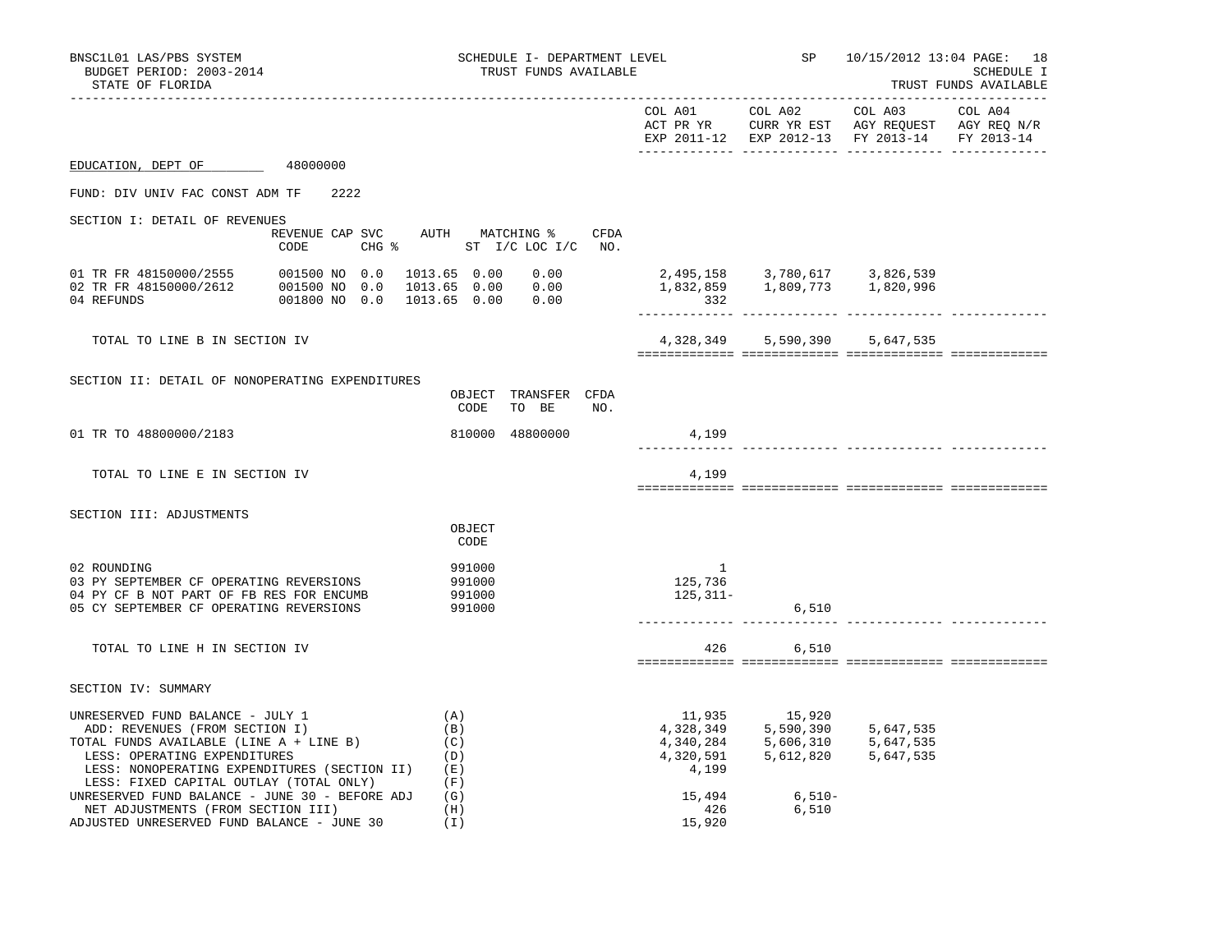| BNSC1L01 LAS/PBS SYSTEM<br>BUDGET PERIOD: 2003-2014<br>STATE OF FLORIDA                                                                                                                                                                                                                    |                                         | SCHEDULE I- DEPARTMENT LEVEL<br>TRUST FUNDS AVAILABLE             |                                                 | SP <sub>3</sub>                                                                      | 10/15/2012 13:04 PAGE: 18<br>SCHEDULE I<br>TRUST FUNDS AVAILABLE                                                  |  |  |
|--------------------------------------------------------------------------------------------------------------------------------------------------------------------------------------------------------------------------------------------------------------------------------------------|-----------------------------------------|-------------------------------------------------------------------|-------------------------------------------------|--------------------------------------------------------------------------------------|-------------------------------------------------------------------------------------------------------------------|--|--|
| --------------------                                                                                                                                                                                                                                                                       |                                         |                                                                   | COL A01                                         | COL A02                                                                              | COL A03 COL A04<br>ACT PR YR CURR YR EST AGY REQUEST AGY REQ N/R<br>EXP 2011-12 EXP 2012-13 FY 2013-14 FY 2013-14 |  |  |
| EDUCATION, DEPT OF 48000000                                                                                                                                                                                                                                                                |                                         |                                                                   |                                                 |                                                                                      |                                                                                                                   |  |  |
| FUND: DIV UNIV FAC CONST ADM TF                                                                                                                                                                                                                                                            | 2.2.2.2                                 |                                                                   |                                                 |                                                                                      |                                                                                                                   |  |  |
| SECTION I: DETAIL OF REVENUES                                                                                                                                                                                                                                                              |                                         |                                                                   |                                                 |                                                                                      |                                                                                                                   |  |  |
|                                                                                                                                                                                                                                                                                            | REVENUE CAP SVC AUTH MATCHING %<br>CODE | CFDA<br>CHG % ST I/C LOC I/C NO.                                  |                                                 |                                                                                      |                                                                                                                   |  |  |
| 04 REFUNDS                                                                                                                                                                                                                                                                                 | 001800 NO 0.0                           | 1013.65  0.00  0.00<br>1013.65  0.00  0.00<br>1013.65  0.00  0.00 | 332                                             | 2,495,158 3,780,617 3,826,539<br>1,832,859 1,809,773 1,820,996                       |                                                                                                                   |  |  |
| TOTAL TO LINE B IN SECTION IV                                                                                                                                                                                                                                                              |                                         |                                                                   |                                                 |                                                                                      | 4,328,349 5,590,390 5,647,535                                                                                     |  |  |
|                                                                                                                                                                                                                                                                                            |                                         |                                                                   |                                                 |                                                                                      |                                                                                                                   |  |  |
| SECTION II: DETAIL OF NONOPERATING EXPENDITURES                                                                                                                                                                                                                                            |                                         | OBJECT TRANSFER CFDA<br>TO BE<br>CODE<br>NO.                      |                                                 |                                                                                      |                                                                                                                   |  |  |
| 01 TR TO 48800000/2183                                                                                                                                                                                                                                                                     |                                         | 810000 48800000                                                   | 4,199                                           |                                                                                      | ___________ _______________ ____                                                                                  |  |  |
| TOTAL TO LINE E IN SECTION IV                                                                                                                                                                                                                                                              |                                         |                                                                   | 4,199                                           |                                                                                      |                                                                                                                   |  |  |
|                                                                                                                                                                                                                                                                                            |                                         |                                                                   |                                                 |                                                                                      |                                                                                                                   |  |  |
| SECTION III: ADJUSTMENTS                                                                                                                                                                                                                                                                   |                                         | OBJECT<br>CODE                                                    |                                                 |                                                                                      |                                                                                                                   |  |  |
| 02 ROUNDING<br>03 PY SEPTEMBER CF OPERATING REVERSIONS<br>04 PY CF B NOT PART OF FB RES FOR ENCUMB<br>05 CY SEPTEMBER CF OPERATING REVERSIONS                                                                                                                                              |                                         | 991000<br>991000<br>991000<br>991000                              | $\overline{\phantom{1}}$<br>125,736<br>125,311- | 6,510                                                                                |                                                                                                                   |  |  |
|                                                                                                                                                                                                                                                                                            |                                         |                                                                   |                                                 |                                                                                      |                                                                                                                   |  |  |
| TOTAL TO LINE H IN SECTION IV                                                                                                                                                                                                                                                              |                                         |                                                                   | 426                                             | 6,510                                                                                |                                                                                                                   |  |  |
| SECTION IV: SUMMARY                                                                                                                                                                                                                                                                        |                                         |                                                                   |                                                 |                                                                                      |                                                                                                                   |  |  |
| UNRESERVED FUND BALANCE - JULY 1<br>ADD: REVENUES (FROM SECTION I)<br>TOTAL FUNDS AVAILABLE (LINE A + LINE B)<br>LESS: OPERATING EXPENDITURES<br>LESS: NONOPERATING EXPENDITURES (SECTION II)<br>LESS: FIXED CAPITAL OUTLAY (TOTAL ONLY)<br>UNRESERVED FUND BALANCE - JUNE 30 - BEFORE ADJ |                                         | (A)<br>(B)<br>(C)<br>(D)<br>(E)<br>(F)<br>(G)                     | 4,320,591<br>4,199<br>15,494                    | 11,935 15,920<br>4,328,349 5,590,390<br>4,340,284 5,606,310<br>5,612,820<br>$6,510-$ | 5,647,535<br>5,647,535<br>5,647,535                                                                               |  |  |
| NET ADJUSTMENTS (FROM SECTION III)<br>ADJUSTED UNRESERVED FUND BALANCE - JUNE 30                                                                                                                                                                                                           |                                         | (H)<br>(I)                                                        | 426<br>15,920                                   | 6,510                                                                                |                                                                                                                   |  |  |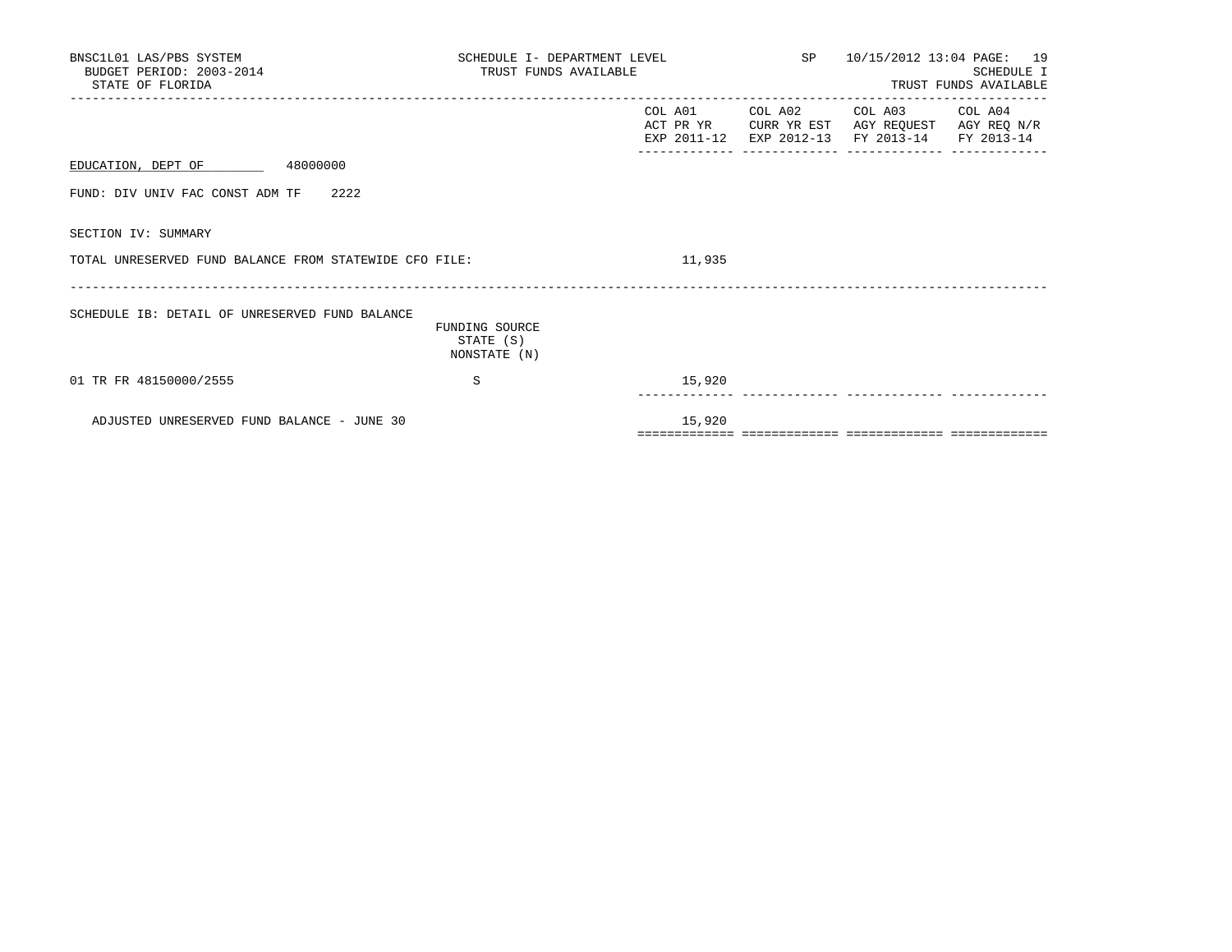| BNSC1L01 LAS/PBS SYSTEM<br>BUDGET PERIOD: 2003-2014<br>STATE OF FLORIDA | SCHEDULE I- DEPARTMENT LEVEL<br>TRUST FUNDS AVAILABLE |                                          | SP 10/15/2012 13:04 PAGE: 19<br><b>SCHEDULE I</b><br>TRUST FUNDS AVAILABLE |                                                                                             |  |  |
|-------------------------------------------------------------------------|-------------------------------------------------------|------------------------------------------|----------------------------------------------------------------------------|---------------------------------------------------------------------------------------------|--|--|
|                                                                         |                                                       | COL A01 COL A02<br>ACT PR YR CURR YR EST |                                                                            | COL A03 COL A04<br>AGY REQUEST AGY REQ N/R<br>EXP 2011-12 EXP 2012-13 FY 2013-14 FY 2013-14 |  |  |
| 48000000<br>EDUCATION, DEPT OF                                          |                                                       |                                          |                                                                            |                                                                                             |  |  |
| FUND: DIV UNIV FAC CONST ADM TF 2222                                    |                                                       |                                          |                                                                            |                                                                                             |  |  |
| SECTION IV: SUMMARY                                                     |                                                       |                                          |                                                                            |                                                                                             |  |  |
| TOTAL UNRESERVED FUND BALANCE FROM STATEWIDE CFO FILE:                  |                                                       | 11,935                                   |                                                                            |                                                                                             |  |  |
| SCHEDULE IB: DETAIL OF UNRESERVED FUND BALANCE                          | FUNDING SOURCE<br>STATE (S)<br>NONSTATE (N)           |                                          |                                                                            |                                                                                             |  |  |
| 01 TR FR 48150000/2555                                                  | S                                                     | 15,920                                   |                                                                            |                                                                                             |  |  |
| ADJUSTED UNRESERVED FUND BALANCE - JUNE 30                              |                                                       | 15,920                                   |                                                                            |                                                                                             |  |  |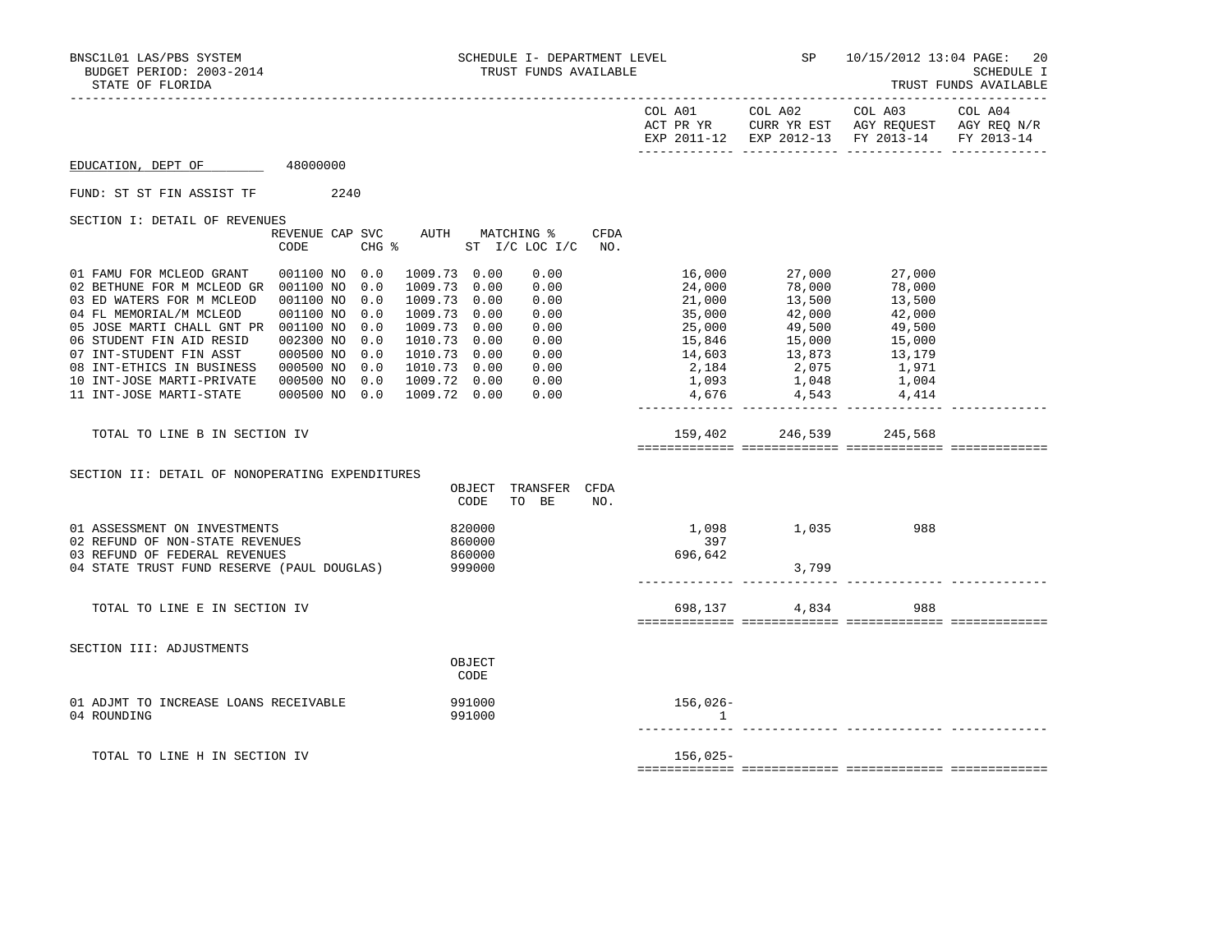|                                                                                                                                                                                                                                                                                                                                                |                                                                                                                                                     |                                                                                                                                                                                                             |                           |                                                                                                                                                                                                                                                                                                                                     | EXP 2011-12 EXP 2012-13 FY 2013-14 | FY 2013-14 |
|------------------------------------------------------------------------------------------------------------------------------------------------------------------------------------------------------------------------------------------------------------------------------------------------------------------------------------------------|-----------------------------------------------------------------------------------------------------------------------------------------------------|-------------------------------------------------------------------------------------------------------------------------------------------------------------------------------------------------------------|---------------------------|-------------------------------------------------------------------------------------------------------------------------------------------------------------------------------------------------------------------------------------------------------------------------------------------------------------------------------------|------------------------------------|------------|
| EDUCATION, DEPT OF                                                                                                                                                                                                                                                                                                                             | 48000000                                                                                                                                            |                                                                                                                                                                                                             |                           |                                                                                                                                                                                                                                                                                                                                     |                                    |            |
| FUND: ST ST FIN ASSIST TF                                                                                                                                                                                                                                                                                                                      | 2240                                                                                                                                                |                                                                                                                                                                                                             |                           |                                                                                                                                                                                                                                                                                                                                     |                                    |            |
| SECTION I: DETAIL OF REVENUES                                                                                                                                                                                                                                                                                                                  | REVENUE CAP SVC<br>CODE                                                                                                                             | AUTH MATCHING %<br>CFDA<br>CHG % ST I/C LOC I/C<br>NO.                                                                                                                                                      |                           |                                                                                                                                                                                                                                                                                                                                     |                                    |            |
| 01 FAMU FOR MCLEOD GRANT<br>02 BETHUNE FOR M MCLEOD GR 001100 NO 0.0<br>03 ED WATERS FOR M MCLEOD<br>04 FL MEMORIAL/M MCLEOD<br>05 JOSE MARTI CHALL GNT PR 001100 NO<br>06 STUDENT FIN AID RESID<br>07 INT-STUDENT FIN ASST<br>08 INT-ETHICS IN BUSINESS<br>10 INT-JOSE MARTI-PRIVATE  000500 NO 0.0  1009.72  0.00<br>11 INT-JOSE MARTI-STATE | 001100 NO 0.0<br>0.0<br>001100 NO<br>001100 NO<br>0.0<br>0.0<br>002300 NO<br>0.0<br>000500 NO<br>0.0<br>000500 NO 0.0<br>000500 NO 0.0 1009.72 0.00 | 1009.73 0.00<br>0.00<br>0.00<br>1009.73 0.00<br>1009.73 0.00<br>0.00<br>1009.73 0.00<br>0.00<br>1009.73 0.00<br>0.00<br>1010.73 0.00<br>0.00<br>1010.73 0.00<br>0.00<br>1010.73  0.00  0.00<br>0.00<br>0.00 | 24,000<br>21,000<br>4,676 | 16,000 27,000 27,000<br>78,000<br>13,500<br>21, 000<br>35, 000<br>25, 000<br>25, 000<br>42, 000<br>42, 000<br>42, 000<br>42, 000<br>42, 000<br>42, 000<br>42, 000<br>49, 500<br>49, 500<br>15, 000<br>15, 000<br>15, 000<br>15, 000<br>15, 000<br>15, 000<br>15, 000<br>15, 000<br>15, 000<br>15, 000<br>15, 000<br>15, 00<br>4,543 | 78,000<br>13,500<br>4,414          |            |
| TOTAL TO LINE B IN SECTION IV                                                                                                                                                                                                                                                                                                                  |                                                                                                                                                     |                                                                                                                                                                                                             |                           | 159,402 246,539 245,568                                                                                                                                                                                                                                                                                                             |                                    |            |
| SECTION II: DETAIL OF NONOPERATING EXPENDITURES                                                                                                                                                                                                                                                                                                |                                                                                                                                                     | OBJECT<br>TRANSFER CFDA<br>CODE<br>TO BE<br>NO.                                                                                                                                                             |                           |                                                                                                                                                                                                                                                                                                                                     |                                    |            |
| 01 ASSESSMENT ON INVESTMENTS<br>02 REFUND OF NON-STATE REVENUES<br>03 REFUND OF FEDERAL REVENUES<br>04 STATE TRUST FUND RESERVE (PAUL DOUGLAS) 999000                                                                                                                                                                                          |                                                                                                                                                     | 820000<br>860000<br>860000                                                                                                                                                                                  | 397<br>696,642            | 1,098 1,035 988<br>3,799                                                                                                                                                                                                                                                                                                            |                                    |            |
| TOTAL TO LINE E IN SECTION IV                                                                                                                                                                                                                                                                                                                  |                                                                                                                                                     |                                                                                                                                                                                                             | 698,137                   | 4,834                                                                                                                                                                                                                                                                                                                               | 988                                |            |
| SECTION III: ADJUSTMENTS                                                                                                                                                                                                                                                                                                                       |                                                                                                                                                     | OBJECT<br>CODE                                                                                                                                                                                              |                           |                                                                                                                                                                                                                                                                                                                                     |                                    |            |
| 01 ADJMT TO INCREASE LOANS RECEIVABLE<br>04 ROUNDING                                                                                                                                                                                                                                                                                           |                                                                                                                                                     | 991000<br>991000                                                                                                                                                                                            | 156,026-<br>1             |                                                                                                                                                                                                                                                                                                                                     |                                    |            |
| TOTAL TO LINE H IN SECTION IV                                                                                                                                                                                                                                                                                                                  |                                                                                                                                                     |                                                                                                                                                                                                             | 156,025-                  |                                                                                                                                                                                                                                                                                                                                     |                                    |            |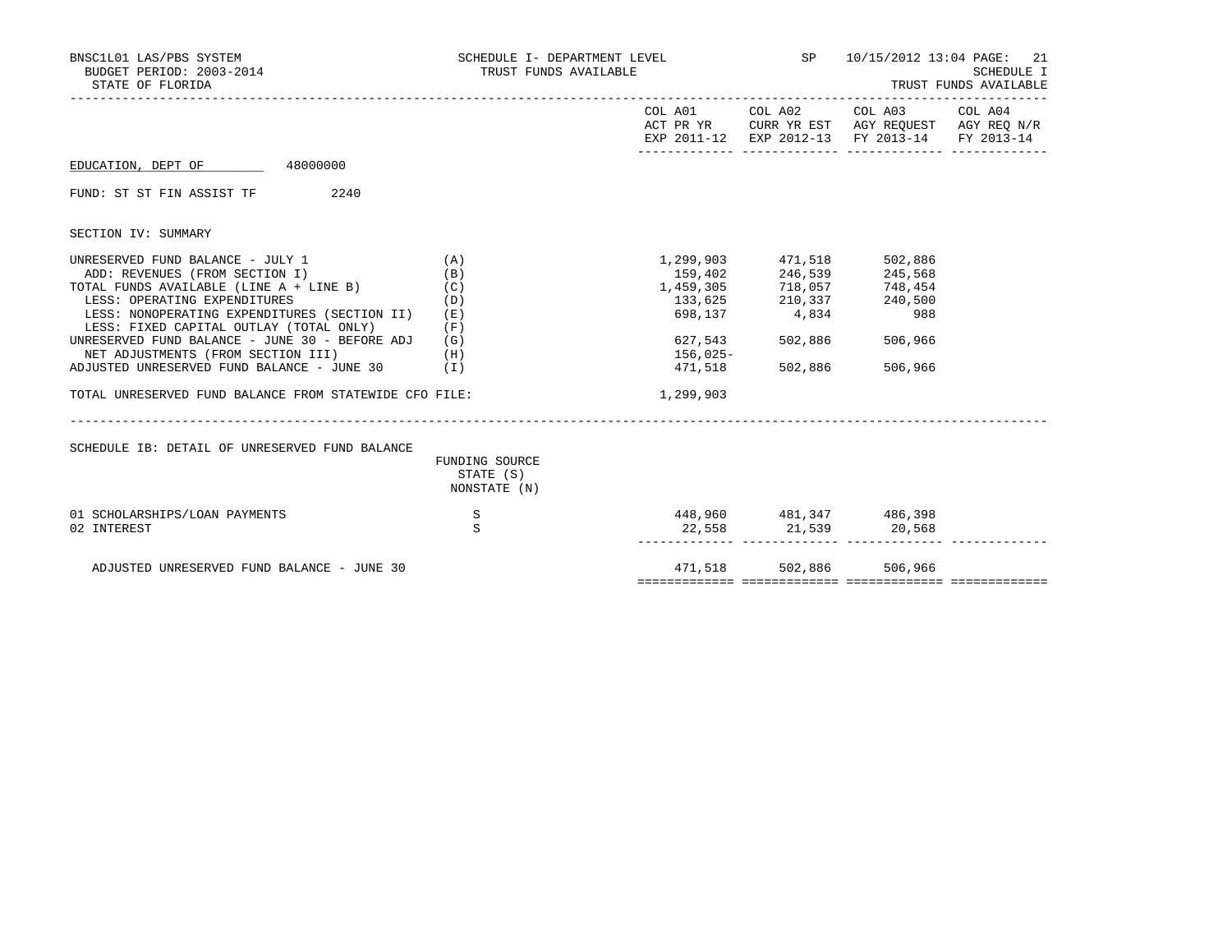| BNSC1L01 LAS/PBS SYSTEM<br>BUDGET PERIOD: 2003-2014<br>STATE OF FLORIDA                 | SCHEDULE I- DEPARTMENT LEVEL<br>TRUST FUNDS AVAILABLE | $SP = 1$  | 10/15/2012 13:04 PAGE: 21<br><b>SCHEDULE I</b><br>TRUST FUNDS AVAILABLE |                                                                                                                                   |  |  |
|-----------------------------------------------------------------------------------------|-------------------------------------------------------|-----------|-------------------------------------------------------------------------|-----------------------------------------------------------------------------------------------------------------------------------|--|--|
|                                                                                         |                                                       |           |                                                                         | COL A01 COL A02 COL A03 COL A04<br>ACT PR YR CURR YR EST AGY REQUEST AGY REQ N/R<br>EXP 2011-12 EXP 2012-13 FY 2013-14 FY 2013-14 |  |  |
| EDUCATION, DEPT OF 48000000                                                             |                                                       |           |                                                                         |                                                                                                                                   |  |  |
| FUND: ST ST FIN ASSIST TF 2240                                                          |                                                       |           |                                                                         |                                                                                                                                   |  |  |
| SECTION IV: SUMMARY                                                                     |                                                       |           |                                                                         |                                                                                                                                   |  |  |
| UNRESERVED FUND BALANCE - JULY 1                                                        | (A)                                                   |           | 1,299,903 471,518                                                       | 502,886                                                                                                                           |  |  |
| ADD: REVENUES (FROM SECTION I)                                                          | (B)                                                   | 159,402   | 246,539                                                                 | 245,568                                                                                                                           |  |  |
| TOTAL FUNDS AVAILABLE (LINE A + LINE B)                                                 | (C)                                                   |           | 1,459,305 718,057 748,454                                               |                                                                                                                                   |  |  |
| LESS: OPERATING EXPENDITURES                                                            | (D)                                                   |           | 133,625 210,337 240,500                                                 |                                                                                                                                   |  |  |
| LESS: NONOPERATING EXPENDITURES (SECTION II)<br>LESS: FIXED CAPITAL OUTLAY (TOTAL ONLY) | (E)<br>(F)                                            |           | 698,137 4,834                                                           | 988                                                                                                                               |  |  |
| UNRESERVED FUND BALANCE - JUNE 30 - BEFORE ADJ                                          | (G)                                                   | 627,543   | 502,886                                                                 | 506,966                                                                                                                           |  |  |
| NET ADJUSTMENTS (FROM SECTION III)                                                      | (H)                                                   | 156,025-  |                                                                         |                                                                                                                                   |  |  |
| ADJUSTED UNRESERVED FUND BALANCE - JUNE 30                                              | ( I )                                                 | 471,518   | 502,886                                                                 | 506,966                                                                                                                           |  |  |
| TOTAL UNRESERVED FUND BALANCE FROM STATEWIDE CFO FILE:                                  |                                                       | 1,299,903 |                                                                         |                                                                                                                                   |  |  |
| SCHEDULE IB: DETAIL OF UNRESERVED FUND BALANCE                                          | FUNDING SOURCE                                        |           |                                                                         |                                                                                                                                   |  |  |
|                                                                                         | STATE (S)                                             |           |                                                                         |                                                                                                                                   |  |  |
|                                                                                         | NONSTATE (N)                                          |           |                                                                         |                                                                                                                                   |  |  |
|                                                                                         | S                                                     |           | 448,960 481,347 486,398                                                 |                                                                                                                                   |  |  |
|                                                                                         |                                                       |           |                                                                         |                                                                                                                                   |  |  |
| 01 SCHOLARSHIPS/LOAN PAYMENTS<br>02 INTEREST                                            | S                                                     |           |                                                                         | 22,558 21,539 20,568                                                                                                              |  |  |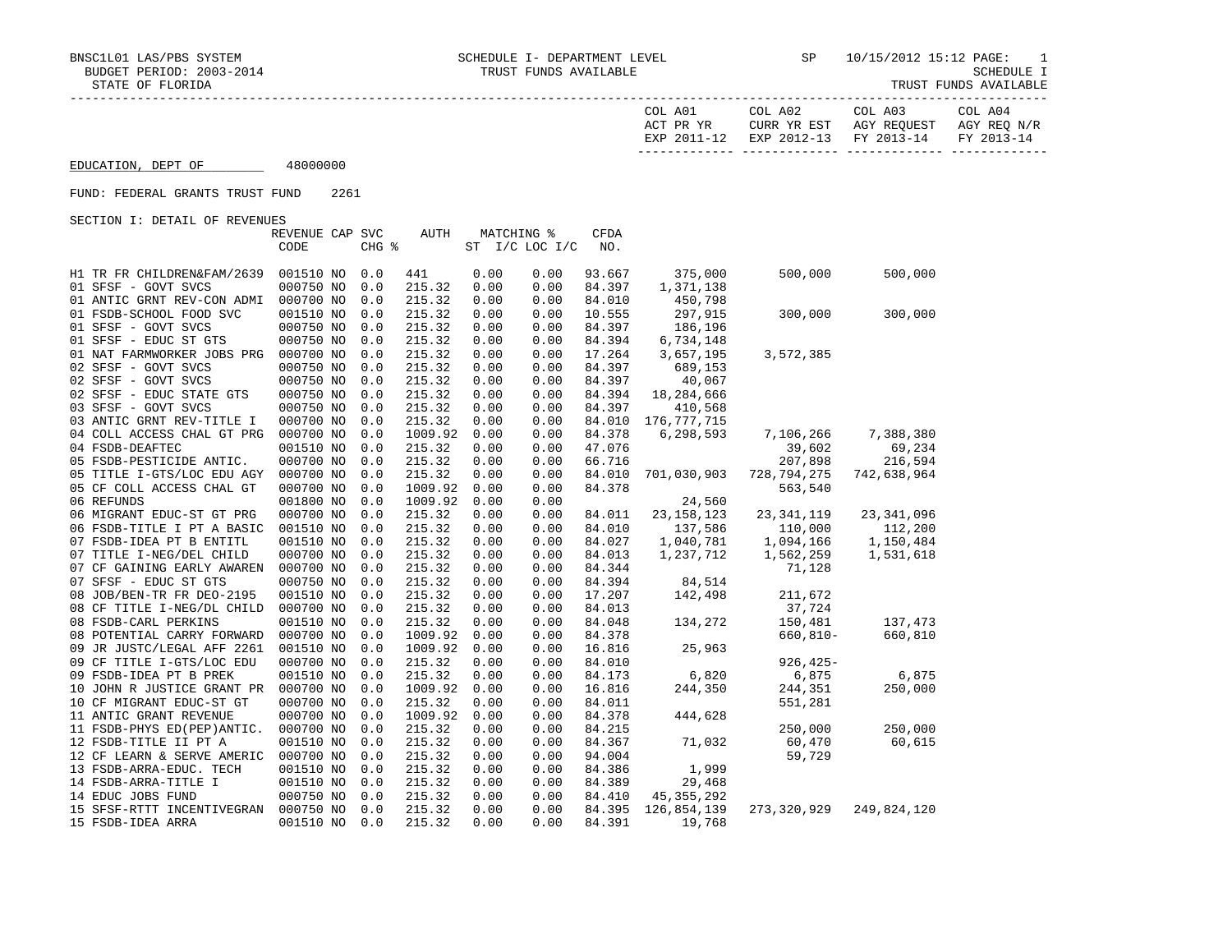|                    |          | COL A01<br>ACT PR YR<br>EXP 2011-12 | COL A02<br>CURR YR EST | COL A03<br>AGY REOUEST<br>EXP 2012-13 FY 2013-14 | COL A04<br>AGY REO N/R<br>FY 2013-14 |
|--------------------|----------|-------------------------------------|------------------------|--------------------------------------------------|--------------------------------------|
| EDUCATION, DEPT OF | 48000000 |                                     |                        |                                                  |                                      |

## FUND: FEDERAL GRANTS TRUST FUND 2261

SECTION I: DETAIL OF REVENUES

|                            | REVENUE CAP SVC |       | AUTH    |      | MATCHING %     | CFDA             |              |               |              |
|----------------------------|-----------------|-------|---------|------|----------------|------------------|--------------|---------------|--------------|
|                            | CODE            | CHG % |         |      | ST I/C LOC I/C | NO.              |              |               |              |
|                            |                 |       |         |      |                |                  |              |               |              |
| H1 TR FR CHILDREN&FAM/2639 | 001510 NO       | 0.0   | 441     | 0.00 | 0.00           | 93.667<br>84.397 | 375,000      | 500,000       | 500,000      |
| 01 SFSF - GOVT SVCS        | 000750 NO       | 0.0   | 215.32  | 0.00 | 0.00           | 84.010           | 1,371,138    |               |              |
| 01 ANTIC GRNT REV-CON ADMI | 000700 NO       | 0.0   | 215.32  | 0.00 | 0.00           | 10.555           | 450,798      |               |              |
| 01 FSDB-SCHOOL FOOD SVC    | 001510 NO       | 0.0   | 215.32  | 0.00 | 0.00           |                  | 297,915      | 300,000       | 300,000      |
| 01 SFSF - GOVT SVCS        | 000750 NO       | 0.0   | 215.32  | 0.00 | 0.00           | 84.397           | 186,196      |               |              |
| 01 SFSF - EDUC ST GTS      | 000750 NO       | 0.0   | 215.32  | 0.00 | 0.00           | 84.394           | 6,734,148    |               |              |
| 01 NAT FARMWORKER JOBS PRG | 000700 NO       | 0.0   | 215.32  | 0.00 | 0.00           | 17.264           | 3,657,195    | 3,572,385     |              |
| 02 SFSF - GOVT SVCS        | 000750 NO       | 0.0   | 215.32  | 0.00 | 0.00           | 84.397           | 689,153      |               |              |
| 02 SFSF - GOVT SVCS        | 000750 NO       | 0.0   | 215.32  | 0.00 | 0.00           | 84.397           | 40,067       |               |              |
| 02 SFSF - EDUC STATE GTS   | 000750 NO       | 0.0   | 215.32  | 0.00 | 0.00           | 84.394           | 18,284,666   |               |              |
| 03 SFSF - GOVT SVCS        | 000750 NO       | 0.0   | 215.32  | 0.00 | 0.00           | 84.397           | 410,568      |               |              |
| 03 ANTIC GRNT REV-TITLE I  | 000700 NO       | 0.0   | 215.32  | 0.00 | 0.00           | 84.010           | 176,777,715  |               |              |
| 04 COLL ACCESS CHAL GT PRG | 000700 NO       | 0.0   | 1009.92 | 0.00 | 0.00           | 84.378           | 6,298,593    | 7,106,266     | 7,388,380    |
| 04 FSDB-DEAFTEC            | 001510 NO       | 0.0   | 215.32  | 0.00 | 0.00           | 47.076           |              | 39,602        | 69,234       |
| 05 FSDB-PESTICIDE ANTIC.   | 000700 NO       | 0.0   | 215.32  | 0.00 | 0.00           | 66.716           |              | 207,898       | 216,594      |
| 05 TITLE I-GTS/LOC EDU AGY | 000700 NO       | 0.0   | 215.32  | 0.00 | 0.00           | 84.010           | 701,030,903  | 728,794,275   | 742,638,964  |
| 05 CF COLL ACCESS CHAL GT  | 000700 NO       | 0.0   | 1009.92 | 0.00 | 0.00           | 84.378           |              | 563,540       |              |
| 06 REFUNDS                 | 001800 NO       | 0.0   | 1009.92 | 0.00 | 0.00           |                  | 24,560       |               |              |
| 06 MIGRANT EDUC-ST GT PRG  | 000700 NO       | 0.0   | 215.32  | 0.00 | 0.00           | 84.011           | 23, 158, 123 | 23, 341, 119  | 23, 341, 096 |
| 06 FSDB-TITLE I PT A BASIC | 001510 NO       | 0.0   | 215.32  | 0.00 | 0.00           | 84.010           | 137,586      | 110,000       | 112,200      |
| 07 FSDB-IDEA PT B ENTITL   | 001510 NO       | 0.0   | 215.32  | 0.00 | 0.00           | 84.027           | 1,040,781    | 1,094,166     | 1,150,484    |
| 07 TITLE I-NEG/DEL CHILD   | 000700 NO       | 0.0   | 215.32  | 0.00 | 0.00           | 84.013           | 1,237,712    | 1,562,259     | 1,531,618    |
| 07 CF GAINING EARLY AWAREN | 000700 NO       | 0.0   | 215.32  | 0.00 | 0.00           | 84.344           |              | 71,128        |              |
| 07 SFSF - EDUC ST GTS      | 000750 NO       | 0.0   | 215.32  | 0.00 | 0.00           | 84.394           | 84,514       |               |              |
| 08 JOB/BEN-TR FR DEO-2195  | 001510 NO       | 0.0   | 215.32  | 0.00 | 0.00           | 17.207           | 142,498      | 211,672       |              |
| 08 CF TITLE I-NEG/DL CHILD | 000700 NO       | 0.0   | 215.32  | 0.00 | 0.00           | 84.013           |              | 37,724        |              |
| 08 FSDB-CARL PERKINS       | 001510 NO       | 0.0   | 215.32  | 0.00 | 0.00           | 84.048           | 134,272      | 150,481       | 137,473      |
| 08 POTENTIAL CARRY FORWARD | 000700 NO       | 0.0   | 1009.92 | 0.00 | 0.00           | 84.378           |              | $660, 810 -$  | 660,810      |
| 09 JR JUSTC/LEGAL AFF 2261 | 001510 NO       | 0.0   | 1009.92 | 0.00 | 0.00           | 16.816           | 25,963       |               |              |
| 09 CF TITLE I-GTS/LOC EDU  | 000700 NO       | 0.0   | 215.32  | 0.00 | 0.00           | 84.010           |              | $926, 425 -$  |              |
| 09 FSDB-IDEA PT B PREK     | 001510 NO       | 0.0   | 215.32  | 0.00 | 0.00           | 84.173           | 6,820        | 6,875         | 6,875        |
| 10 JOHN R JUSTICE GRANT PR | 000700 NO       | 0.0   | 1009.92 | 0.00 | 0.00           | 16.816           | 244,350      | 244,351       | 250,000      |
| 10 CF MIGRANT EDUC-ST GT   | 000700 NO       | 0.0   | 215.32  | 0.00 | 0.00           | 84.011           |              | 551,281       |              |
| 11 ANTIC GRANT REVENUE     | 000700 NO       | 0.0   | 1009.92 | 0.00 | 0.00           | 84.378           | 444,628      |               |              |
| 11 FSDB-PHYS ED(PEP)ANTIC. | 000700 NO       | 0.0   | 215.32  | 0.00 | 0.00           | 84.215           |              | 250,000       | 250,000      |
| 12 FSDB-TITLE II PT A      | 001510 NO       | 0.0   | 215.32  | 0.00 | 0.00           | 84.367           | 71,032       | 60,470        | 60,615       |
| 12 CF LEARN & SERVE AMERIC | 000700 NO       | 0.0   | 215.32  | 0.00 | 0.00           | 94.004           |              | 59,729        |              |
| 13 FSDB-ARRA-EDUC. TECH    | 001510 NO       | 0.0   | 215.32  | 0.00 | 0.00           | 84.386           | 1,999        |               |              |
| 14 FSDB-ARRA-TITLE I       | 001510 NO       | 0.0   | 215.32  | 0.00 | 0.00           | 84.389           | 29,468       |               |              |
| 14 EDUC JOBS FUND          | 000750 NO       | 0.0   | 215.32  | 0.00 | 0.00           | 84.410           | 45, 355, 292 |               |              |
| 15 SFSF-RTTT INCENTIVEGRAN | 000750 NO       | 0.0   | 215.32  | 0.00 | 0.00           | 84.395           | 126,854,139  | 273, 320, 929 | 249,824,120  |
| 15 FSDB-IDEA ARRA          | 001510 NO       | 0.0   | 215.32  | 0.00 | 0.00           | 84.391           | 19,768       |               |              |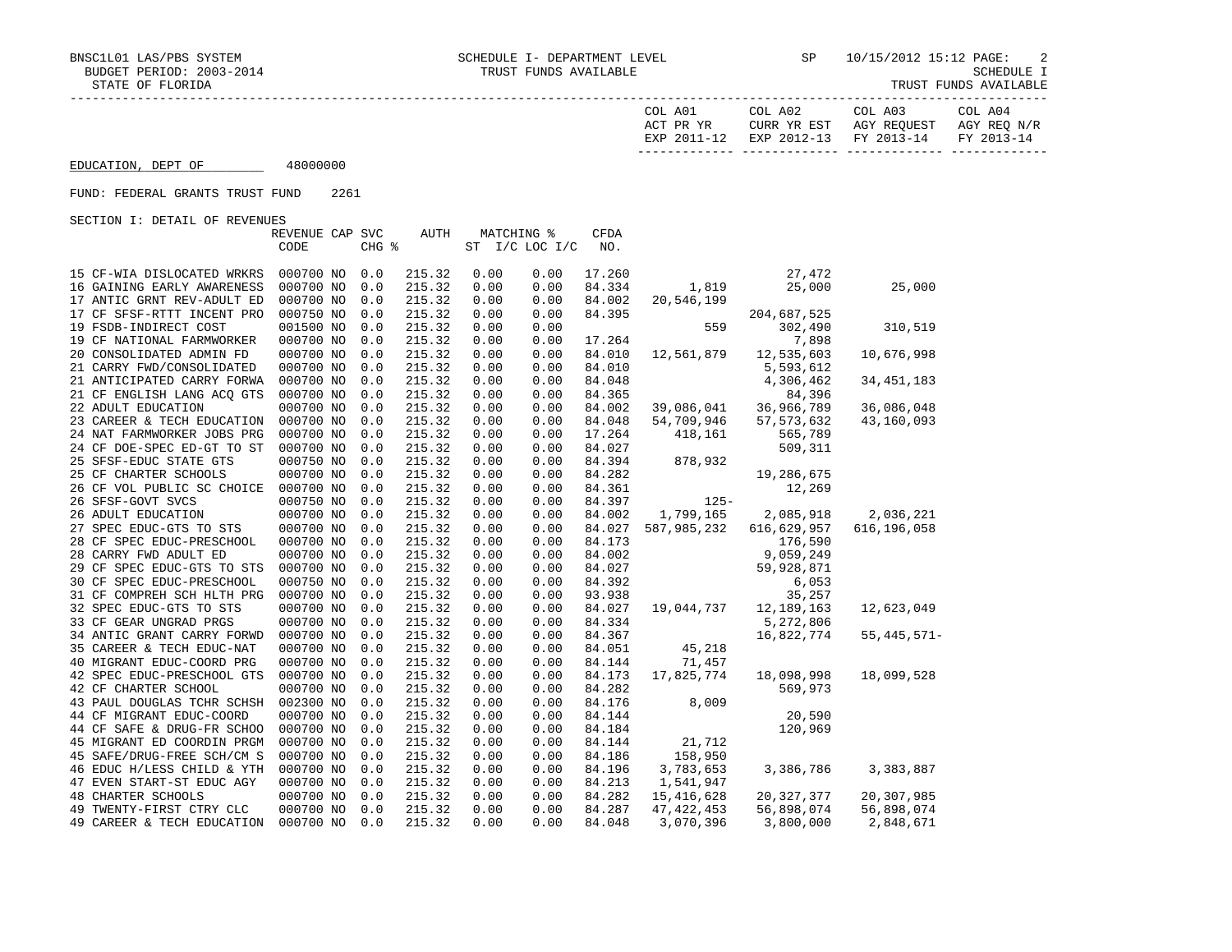| COL A01     | COL A02                | COL A03     | COL A04     |
|-------------|------------------------|-------------|-------------|
| ACT PR YR   | CURR YR EST            | AGY REOUEST | AGY REO N/R |
| EXP 2011-12 | EXP 2012-13 FY 2013-14 |             | FY 2013-14  |
|             |                        |             |             |

EDUCATION, DEPT OF 48000000

## FUND: FEDERAL GRANTS TRUST FUND 2261

SECTION I: DETAIL OF REVENUES

|                            | REVENUE CAP SVC |       | AUTH   |      | <b>MATCHING %</b> | <b>CFDA</b> |              |              |               |
|----------------------------|-----------------|-------|--------|------|-------------------|-------------|--------------|--------------|---------------|
|                            | CODE            | CHG % |        |      | ST I/C LOC I/C    | NO.         |              |              |               |
|                            |                 |       |        |      |                   |             |              |              |               |
| 15 CF-WIA DISLOCATED WRKRS | 000700 NO       | 0.0   | 215.32 | 0.00 | 0.00              | 17.260      |              | 27,472       |               |
| 16 GAINING EARLY AWARENESS | 000700 NO       | 0.0   | 215.32 | 0.00 | 0.00              | 84.334      | 1,819        | 25,000       | 25,000        |
| 17 ANTIC GRNT REV-ADULT ED | 000700 NO       | 0.0   | 215.32 | 0.00 | 0.00              | 84.002      | 20,546,199   |              |               |
| 17 CF SFSF-RTTT INCENT PRO | 000750 NO       | 0.0   | 215.32 | 0.00 | 0.00              | 84.395      |              | 204,687,525  |               |
| 19 FSDB-INDIRECT COST      | 001500 NO       | 0.0   | 215.32 | 0.00 | 0.00              |             | 559          | 302,490      | 310,519       |
| 19 CF NATIONAL FARMWORKER  | 000700 NO       | 0.0   | 215.32 | 0.00 | 0.00              | 17.264      |              | 7,898        |               |
| 20 CONSOLIDATED ADMIN FD   | 000700 NO       | 0.0   | 215.32 | 0.00 | 0.00              | 84.010      | 12,561,879   | 12,535,603   | 10,676,998    |
| 21 CARRY FWD/CONSOLIDATED  | 000700 NO       | 0.0   | 215.32 | 0.00 | 0.00              | 84.010      |              | 5,593,612    |               |
| 21 ANTICIPATED CARRY FORWA | 000700 NO       | 0.0   | 215.32 | 0.00 | 0.00              | 84.048      |              | 4,306,462    | 34, 451, 183  |
| 21 CF ENGLISH LANG ACQ GTS | 000700 NO       | 0.0   | 215.32 | 0.00 | 0.00              | 84.365      |              | 84,396       |               |
| 22 ADULT EDUCATION         | 000700 NO       | 0.0   | 215.32 | 0.00 | 0.00              | 84.002      | 39,086,041   | 36,966,789   | 36,086,048    |
| 23 CAREER & TECH EDUCATION | 000700 NO       | 0.0   | 215.32 | 0.00 | 0.00              | 84.048      | 54,709,946   | 57, 573, 632 | 43,160,093    |
| 24 NAT FARMWORKER JOBS PRG | 000700 NO       | 0.0   | 215.32 | 0.00 | 0.00              | 17.264      | 418,161      | 565,789      |               |
| 24 CF DOE-SPEC ED-GT TO ST | 000700 NO       | 0.0   | 215.32 | 0.00 | 0.00              | 84.027      |              | 509,311      |               |
| 25 SFSF-EDUC STATE GTS     | 000750 NO       | 0.0   | 215.32 | 0.00 | 0.00              | 84.394      | 878,932      |              |               |
| 25 CF CHARTER SCHOOLS      | 000700 NO       | 0.0   | 215.32 | 0.00 | 0.00              | 84.282      |              | 19,286,675   |               |
| 26 CF VOL PUBLIC SC CHOICE | 000700 NO       | 0.0   | 215.32 | 0.00 | 0.00              | 84.361      |              | 12,269       |               |
| 26 SFSF-GOVT SVCS          | 000750 NO       | 0.0   | 215.32 | 0.00 | 0.00              | 84.397      | $125 -$      |              |               |
| 26 ADULT EDUCATION         | 000700 NO       | 0.0   | 215.32 | 0.00 | 0.00              | 84.002      | 1,799,165    | 2,085,918    | 2,036,221     |
| 27 SPEC EDUC-GTS TO STS    | 000700 NO       | 0.0   | 215.32 | 0.00 | 0.00              | 84.027      | 587,985,232  | 616,629,957  | 616, 196, 058 |
| 28 CF SPEC EDUC-PRESCHOOL  | 000700 NO       | 0.0   | 215.32 | 0.00 | 0.00              | 84.173      |              | 176,590      |               |
| 28 CARRY FWD ADULT ED      | 000700 NO       | 0.0   | 215.32 | 0.00 | 0.00              | 84.002      |              | 9,059,249    |               |
| 29 CF SPEC EDUC-GTS TO STS | 000700 NO       | 0.0   | 215.32 | 0.00 | 0.00              | 84.027      |              | 59,928,871   |               |
| 30 CF SPEC EDUC-PRESCHOOL  | 000750 NO       | 0.0   | 215.32 | 0.00 | 0.00              | 84.392      |              | 6,053        |               |
| 31 CF COMPREH SCH HLTH PRG | 000700 NO       | 0.0   | 215.32 | 0.00 | 0.00              | 93.938      |              | 35,257       |               |
| 32 SPEC EDUC-GTS TO STS    | 000700 NO       | 0.0   | 215.32 | 0.00 | 0.00              | 84.027      | 19,044,737   | 12, 189, 163 | 12,623,049    |
| 33 CF GEAR UNGRAD PRGS     | 000700 NO       | 0.0   | 215.32 | 0.00 | 0.00              | 84.334      |              | 5,272,806    |               |
| 34 ANTIC GRANT CARRY FORWD | 000700 NO       | 0.0   | 215.32 | 0.00 | 0.00              | 84.367      |              | 16,822,774   | $55,445,571-$ |
| 35 CAREER & TECH EDUC-NAT  | 000700 NO       | 0.0   | 215.32 | 0.00 | 0.00              | 84.051      | 45,218       |              |               |
| 40 MIGRANT EDUC-COORD PRG  | 000700 NO       | 0.0   | 215.32 | 0.00 | 0.00              | 84.144      | 71,457       |              |               |
| 42 SPEC EDUC-PRESCHOOL GTS | 000700 NO       | 0.0   | 215.32 | 0.00 | 0.00              | 84.173      | 17,825,774   | 18,098,998   | 18,099,528    |
| 42 CF CHARTER SCHOOL       | 000700 NO       | 0.0   | 215.32 | 0.00 | 0.00              | 84.282      |              | 569,973      |               |
| 43 PAUL DOUGLAS TCHR SCHSH | 002300 NO       | 0.0   | 215.32 | 0.00 | 0.00              | 84.176      | 8,009        |              |               |
| 44 CF MIGRANT EDUC-COORD   | 000700 NO       | 0.0   | 215.32 | 0.00 | 0.00              | 84.144      |              | 20,590       |               |
| 44 CF SAFE & DRUG-FR SCHOO | 000700 NO       | 0.0   | 215.32 | 0.00 | 0.00              | 84.184      |              | 120,969      |               |
| 45 MIGRANT ED COORDIN PRGM | 000700 NO       | 0.0   | 215.32 | 0.00 | 0.00              | 84.144      | 21,712       |              |               |
| 45 SAFE/DRUG-FREE SCH/CM S | 000700 NO       | 0.0   | 215.32 | 0.00 | 0.00              | 84.186      | 158,950      |              |               |
| 46 EDUC H/LESS CHILD & YTH | 000700 NO       | 0.0   | 215.32 | 0.00 | 0.00              | 84.196      | 3,783,653    | 3,386,786    | 3,383,887     |
| 47 EVEN START-ST EDUC AGY  | 000700 NO       | 0.0   | 215.32 | 0.00 | 0.00              | 84.213      | 1,541,947    |              |               |
| <b>48 CHARTER SCHOOLS</b>  | 000700 NO       | 0.0   | 215.32 | 0.00 | 0.00              | 84.282      | 15,416,628   | 20, 327, 377 | 20,307,985    |
| 49 TWENTY-FIRST CTRY CLC   | 000700 NO       | 0.0   | 215.32 | 0.00 | 0.00              | 84.287      | 47, 422, 453 | 56,898,074   | 56,898,074    |
| 49 CAREER & TECH EDUCATION | 000700 NO       | 0.0   | 215.32 | 0.00 | 0.00              | 84.048      | 3,070,396    | 3,800,000    | 2,848,671     |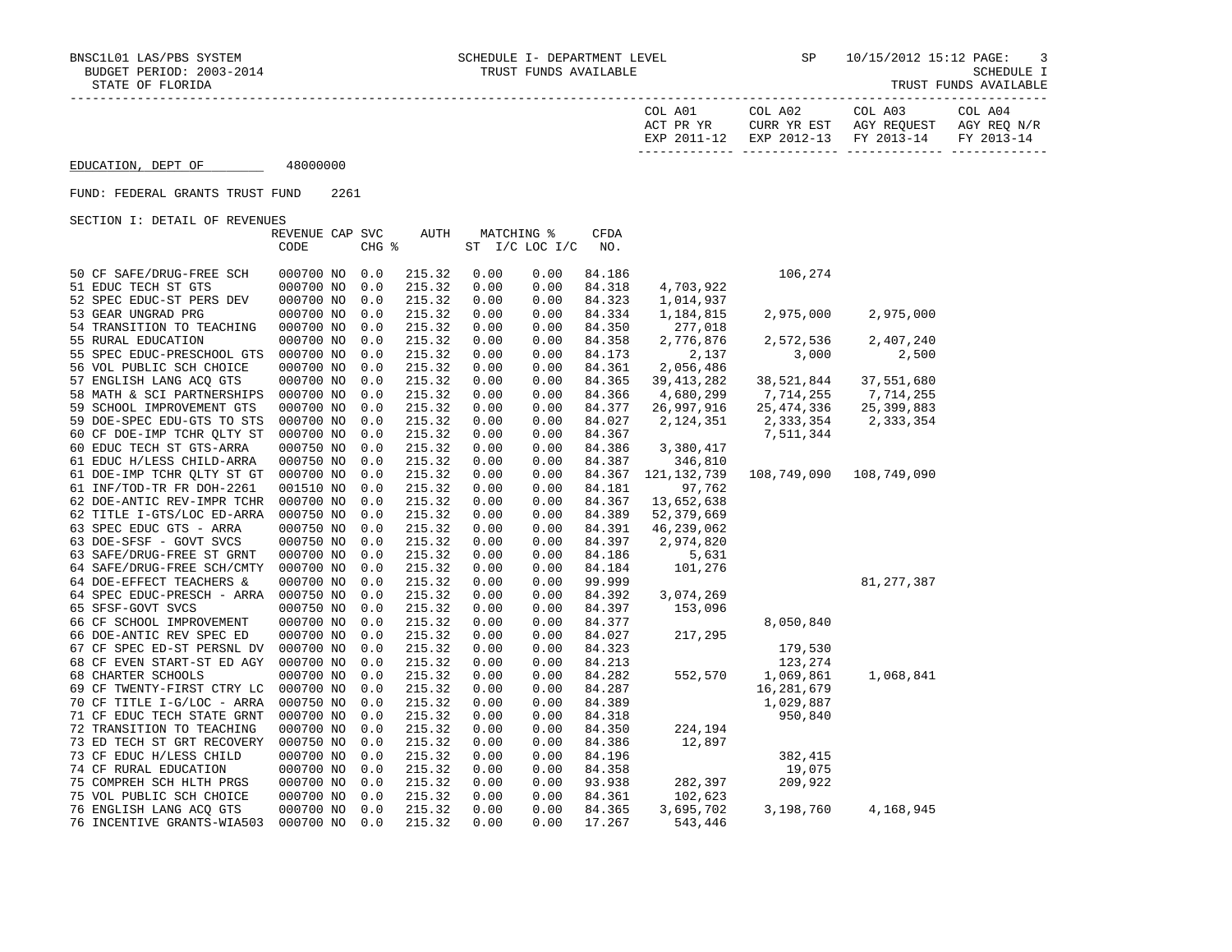| COL A01<br>ACT PR YR | COL A02<br>CURR YR EST | COL A03<br>AGY REOUEST            | COL A04<br>AGY REO N/R |
|----------------------|------------------------|-----------------------------------|------------------------|
| EXP 2011-12          |                        | EXP 2012-13 FY 2013-14 FY 2013-14 |                        |
|                      |                        |                                   |                        |

EDUCATION, DEPT OF 48000000

## FUND: FEDERAL GRANTS TRUST FUND 2261

SECTION I: DETAIL OF REVENUES

|                                                        | REVENUE CAP SVC |            | AUTH   |      | MATCHING %     | CFDA   |                      |              |              |
|--------------------------------------------------------|-----------------|------------|--------|------|----------------|--------|----------------------|--------------|--------------|
|                                                        | CODE            | CHG %      |        |      | ST I/C LOC I/C | NO.    |                      |              |              |
| 50 CF SAFE/DRUG-FREE SCH                               | 000700 NO       | 0.0        | 215.32 | 0.00 | 0.00           | 84.186 |                      | 106,274      |              |
| 51 EDUC TECH ST GTS                                    | 000700 NO       | 0.0        | 215.32 | 0.00 | 0.00           | 84.318 | 4,703,922            |              |              |
| 52 SPEC EDUC-ST PERS DEV                               | 000700 NO       | 0.0        | 215.32 | 0.00 | 0.00           | 84.323 | 1,014,937            |              |              |
| 53 GEAR UNGRAD PRG                                     | 000700 NO       | 0.0        | 215.32 | 0.00 | 0.00           | 84.334 | 1,184,815            | 2,975,000    | 2,975,000    |
| 54 TRANSITION TO TEACHING                              | 000700 NO       | 0.0        | 215.32 | 0.00 | 0.00           | 84.350 | 277,018              |              |              |
| 55 RURAL EDUCATION                                     | 000700 NO       | 0.0        | 215.32 | 0.00 | 0.00           | 84.358 | 2,776,876            | 2,572,536    | 2,407,240    |
| 55 SPEC EDUC-PRESCHOOL GTS                             | 000700 NO       | 0.0        | 215.32 | 0.00 | 0.00           | 84.173 | 2,137                | 3,000        | 2,500        |
| 56 VOL PUBLIC SCH CHOICE                               | 000700 NO       | 0.0        | 215.32 | 0.00 | 0.00           | 84.361 | 2,056,486            |              |              |
| 57 ENGLISH LANG ACQ GTS                                | 000700 NO       | 0.0        | 215.32 | 0.00 | 0.00           | 84.365 | 39, 413, 282         | 38,521,844   | 37,551,680   |
| 58 MATH & SCI PARTNERSHIPS                             | 000700 NO       | 0.0        | 215.32 | 0.00 | 0.00           | 84.366 | 4,680,299            | 7,714,255    | 7,714,255    |
| 59 SCHOOL IMPROVEMENT GTS                              | 000700 NO       |            | 215.32 | 0.00 | 0.00           | 84.377 | 26,997,916           | 25, 474, 336 | 25,399,883   |
| 59 DOE-SPEC EDU-GTS TO STS                             | 000700 NO       | 0.0<br>0.0 | 215.32 | 0.00 | 0.00           | 84.027 | 2,124,351            | 2,333,354    | 2,333,354    |
|                                                        | 000700 NO       |            | 215.32 | 0.00 | 0.00           | 84.367 |                      | 7,511,344    |              |
| 60 CF DOE-IMP TCHR QLTY ST<br>60 EDUC TECH ST GTS-ARRA | 000750 NO       | 0.0        | 215.32 | 0.00 | 0.00           | 84.386 |                      |              |              |
| 61 EDUC H/LESS CHILD-ARRA                              | 000750 NO       | 0.0<br>0.0 | 215.32 | 0.00 | 0.00           | 84.387 | 3,380,417<br>346,810 |              |              |
| 61 DOE-IMP TCHR QLTY ST GT                             | 000700 NO       | 0.0        | 215.32 | 0.00 | 0.00           | 84.367 | 121, 132, 739        | 108,749,090  | 108,749,090  |
| 61 INF/TOD-TR FR DOH-2261                              | 001510 NO       | 0.0        | 215.32 | 0.00 | 0.00           | 84.181 | 97,762               |              |              |
| 62 DOE-ANTIC REV-IMPR TCHR                             | 000700 NO       | 0.0        | 215.32 | 0.00 | 0.00           | 84.367 | 13,652,638           |              |              |
|                                                        | 000750 NO       | 0.0        | 215.32 | 0.00 | 0.00           | 84.389 | 52,379,669           |              |              |
| 62 TITLE I-GTS/LOC ED-ARRA<br>63 SPEC EDUC GTS - ARRA  | 000750 NO       |            | 215.32 | 0.00 |                | 84.391 | 46,239,062           |              |              |
| 63 DOE-SFSF - GOVT SVCS                                | 000750 NO       | 0.0<br>0.0 | 215.32 | 0.00 | 0.00<br>0.00   | 84.397 | 2,974,820            |              |              |
| 63 SAFE/DRUG-FREE ST GRNT                              | 000700 NO       | 0.0        | 215.32 | 0.00 | 0.00           | 84.186 | 5,631                |              |              |
| 64 SAFE/DRUG-FREE SCH/CMTY                             | 000700 NO       | 0.0        | 215.32 | 0.00 | 0.00           | 84.184 | 101,276              |              |              |
| 64 DOE-EFFECT TEACHERS &                               | 000700 NO       | 0.0        | 215.32 | 0.00 | 0.00           | 99.999 |                      |              | 81, 277, 387 |
| 64 SPEC EDUC-PRESCH - ARRA                             | 000750 NO       | 0.0        | 215.32 | 0.00 | 0.00           | 84.392 | 3,074,269            |              |              |
| 65 SFSF-GOVT SVCS                                      | 000750 NO       | 0.0        | 215.32 | 0.00 | 0.00           | 84.397 | 153,096              |              |              |
| 66 CF SCHOOL IMPROVEMENT                               | 000700 NO       | 0.0        | 215.32 | 0.00 | 0.00           | 84.377 |                      | 8,050,840    |              |
| 66 DOE-ANTIC REV SPEC ED                               | 000700 NO       | 0.0        | 215.32 | 0.00 | 0.00           | 84.027 | 217,295              |              |              |
| 67 CF SPEC ED-ST PERSNL DV                             | 000700 NO       | 0.0        | 215.32 | 0.00 | 0.00           | 84.323 |                      | 179,530      |              |
| 68 CF EVEN START-ST ED AGY                             | 000700 NO       | 0.0        | 215.32 | 0.00 | 0.00           | 84.213 |                      | 123,274      |              |
| <b>68 CHARTER SCHOOLS</b>                              | 000700 NO       | 0.0        | 215.32 | 0.00 | 0.00           | 84.282 | 552,570              | 1,069,861    | 1,068,841    |
| 69 CF TWENTY-FIRST CTRY LC                             | 000700 NO       | 0.0        | 215.32 | 0.00 | 0.00           | 84.287 |                      | 16, 281, 679 |              |
| 70 CF TITLE I-G/LOC - ARRA                             | 000750 NO       | 0.0        | 215.32 | 0.00 | 0.00           | 84.389 |                      | 1,029,887    |              |
| 71 CF EDUC TECH STATE GRNT                             | 000700 NO       | 0.0        | 215.32 | 0.00 | 0.00           | 84.318 |                      | 950,840      |              |
| 72 TRANSITION TO TEACHING                              | 000700 NO       | 0.0        | 215.32 | 0.00 | 0.00           | 84.350 | 224,194              |              |              |
| 73 ED TECH ST GRT RECOVERY                             | 000750 NO       | 0.0        | 215.32 | 0.00 | 0.00           | 84.386 | 12,897               |              |              |
| 73 CF EDUC H/LESS CHILD                                | 000700 NO       | 0.0        | 215.32 | 0.00 | 0.00           | 84.196 |                      | 382,415      |              |
| 74 CF RURAL EDUCATION                                  | 000700 NO       | 0.0        | 215.32 | 0.00 | 0.00           | 84.358 |                      | 19,075       |              |
| 75 COMPREH SCH HLTH PRGS                               | 000700 NO       | 0.0        | 215.32 | 0.00 | 0.00           | 93.938 | 282,397              | 209,922      |              |
| 75 VOL PUBLIC SCH CHOICE                               | 000700 NO       | 0.0        | 215.32 | 0.00 | 0.00           | 84.361 | 102,623              |              |              |
| 76 ENGLISH LANG ACQ GTS                                | 000700 NO       | 0.0        | 215.32 | 0.00 | 0.00           | 84.365 | 3,695,702            | 3,198,760    | 4,168,945    |
| 76 INCENTIVE GRANTS-WIA503                             | 000700 NO       | 0.0        | 215.32 | 0.00 | 0.00           | 17.267 | 543,446              |              |              |
|                                                        |                 |            |        |      |                |        |                      |              |              |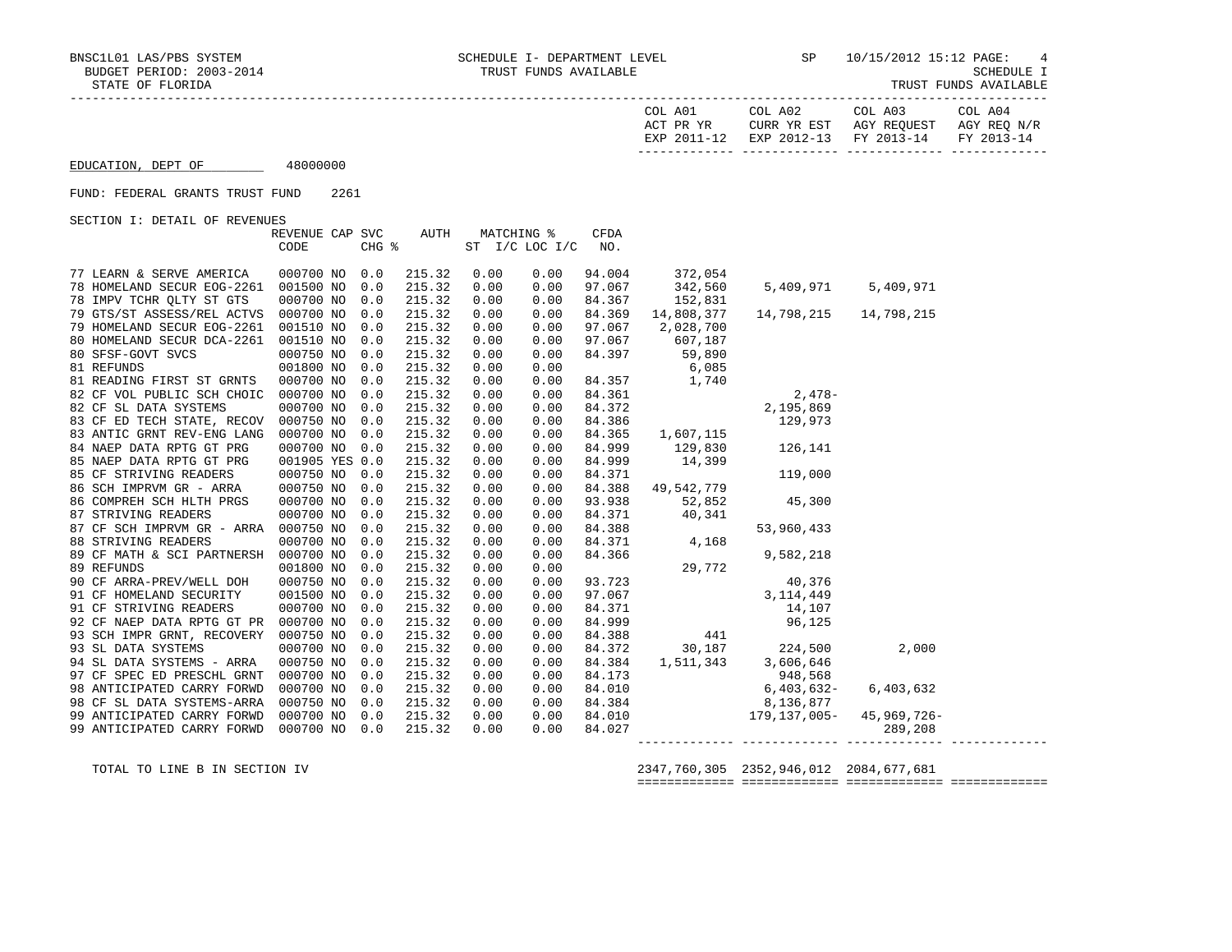| COL A01<br>ACT PR YR | COL A02<br>CURR YR EST            | COL A03<br>AGY REOUEST | COL A04<br>AGY REO N/R |
|----------------------|-----------------------------------|------------------------|------------------------|
| EXP 2011-12          | EXP 2012-13 FY 2013-14 FY 2013-14 |                        |                        |

EDUCATION, DEPT OF 48000000

## FUND: FEDERAL GRANTS TRUST FUND 2261

SECTION I: DETAIL OF REVENUES

|                                      | REVENUE CAP SVC |       | AUTH   |      | MATCHING %     | <b>CFDA</b> |                                                                                                                 |                                                                                               |           |  |
|--------------------------------------|-----------------|-------|--------|------|----------------|-------------|-----------------------------------------------------------------------------------------------------------------|-----------------------------------------------------------------------------------------------|-----------|--|
|                                      | CODE            | CHG % |        |      | ST I/C LOC I/C | NO.         |                                                                                                                 |                                                                                               |           |  |
|                                      |                 |       |        |      |                |             |                                                                                                                 |                                                                                               |           |  |
| 77 LEARN & SERVE AMERICA             | 000700 NO 0.0   |       | 215.32 | 0.00 | 0.00           | 94.004      | 372,054                                                                                                         |                                                                                               |           |  |
| 78 HOMELAND SECUR EOG-2261           | 001500 NO       | 0.0   | 215.32 | 0.00 | 0.00           | 97.067      | 342,560                                                                                                         | 5,409,971                                                                                     | 5,409,971 |  |
| 78 IMPV TCHR OLTY ST GTS             | 000700 NO       | 0.0   | 215.32 | 0.00 | 0.00           | 84.367      | 152,831                                                                                                         |                                                                                               |           |  |
| 79 GTS/ST ASSESS/REL ACTVS           | 000700 NO       | 0.0   | 215.32 | 0.00 | 0.00           | 84.369      | 14,808,377                                                                                                      | 14,798,215 14,798,215                                                                         |           |  |
| 79 HOMELAND SECUR EOG-2261           | 001510 NO       | 0.0   | 215.32 | 0.00 | 0.00           | 97.067      | 2,028,700                                                                                                       |                                                                                               |           |  |
| 80 HOMELAND SECUR DCA-2261           | 001510 NO       | 0.0   | 215.32 | 0.00 | 0.00           | 97.067      | 607,187                                                                                                         |                                                                                               |           |  |
| 80 SFSF-GOVT SVCS                    | 000750 NO       | 0.0   | 215.32 | 0.00 | 0.00           | 84.397      | 59,890                                                                                                          |                                                                                               |           |  |
| 81 REFUNDS                           | 001800 NO       | 0.0   | 215.32 | 0.00 | 0.00           |             |                                                                                                                 |                                                                                               |           |  |
| 81 READING FIRST ST GRNTS            | 000700 NO       | 0.0   | 215.32 | 0.00 | 0.00           |             |                                                                                                                 |                                                                                               |           |  |
| 82 CF VOL PUBLIC SCH CHOIC           | 000700 NO       | 0.0   | 215.32 | 0.00 | 0.00           |             |                                                                                                                 | $2,478-$                                                                                      |           |  |
| 82 CF SL DATA SYSTEMS                | 000700 NO       | 0.0   | 215.32 | 0.00 | 0.00           |             |                                                                                                                 | 2,195,869                                                                                     |           |  |
| 83 CF ED TECH STATE, RECOV           | 000750 NO       | 0.0   | 215.32 | 0.00 | 0.00           |             |                                                                                                                 | 129,973                                                                                       |           |  |
| 83 ANTIC GRNT REV-ENG LANG           | 000700 NO       | 0.0   | 215.32 | 0.00 | 0.00           |             | $\begin{array}{cccc} 6,085 \\ 6,085 \\ 84.357 \\ 84.361 \\ 84.372 \\ 84.386 \\ 84.365 \\ 1,607,115 \end{array}$ |                                                                                               |           |  |
| 84 NAEP DATA RPTG GT PRG             | 000700 NO       | 0.0   | 215.32 | 0.00 | 0.00           | 84.999      | 129,830                                                                                                         | 126,141                                                                                       |           |  |
| 85 NAEP DATA RPTG GT PRG             | 001905 YES 0.0  |       | 215.32 | 0.00 | 0.00           | 84.999      | 14,399                                                                                                          |                                                                                               |           |  |
| 85 CF STRIVING READERS               | 000750 NO       | 0.0   | 215.32 | 0.00 | 0.00           | 84.371      |                                                                                                                 | 119,000                                                                                       |           |  |
| 86 SCH IMPRVM GR - ARRA              | 000750 NO       | 0.0   | 215.32 | 0.00 | 0.00           | 84.388      | 49,542,779                                                                                                      |                                                                                               |           |  |
| 86 COMPREH SCH HLTH PRGS             | 000700 NO       | 0.0   | 215.32 | 0.00 | 0.00           | 93.938      | 52,852                                                                                                          | 45,300                                                                                        |           |  |
| 87 STRIVING READERS                  | 000700 NO       | 0.0   | 215.32 | 0.00 | 0.00           | 84.371      | 40,341                                                                                                          |                                                                                               |           |  |
| 87 CF SCH IMPRVM GR - ARRA           | 000750 NO       | 0.0   | 215.32 | 0.00 | 0.00           |             |                                                                                                                 | 53,960,433                                                                                    |           |  |
| 88 STRIVING READERS                  | 000700 NO       | 0.0   | 215.32 | 0.00 | 0.00           |             | $84.388$<br>$84.371$<br>$4,168$                                                                                 |                                                                                               |           |  |
| 89 CF MATH & SCI PARTNERSH           | 000700 NO       | 0.0   | 215.32 | 0.00 | 0.00           |             |                                                                                                                 | 9,582,218                                                                                     |           |  |
| 89 REFUNDS                           | 001800 NO       | 0.0   | 215.32 | 0.00 | 0.00           |             | $4,1$<br>$506$<br>$93.723$<br>$7.067$<br>$71$                                                                   |                                                                                               |           |  |
| 90 CF ARRA-PREV/WELL DOH             | 000750 NO       | 0.0   | 215.32 | 0.00 | 0.00           |             |                                                                                                                 | 40,376                                                                                        |           |  |
| 91 CF HOMELAND SECURITY              | 001500 NO       | 0.0   | 215.32 | 0.00 | 0.00           |             |                                                                                                                 |                                                                                               |           |  |
| 91 CF STRIVING READERS               | 000700 NO       | 0.0   | 215.32 | 0.00 | 0.00           |             |                                                                                                                 |                                                                                               |           |  |
| 92 CF NAEP DATA RPTG GT PR 000700 NO |                 | 0.0   | 215.32 | 0.00 | 0.00           |             |                                                                                                                 | 97.067<br>84.371<br>84.999<br>84.999<br>96,125                                                |           |  |
| 93 SCH IMPR GRNT, RECOVERY 000750 NO |                 | 0.0   | 215.32 | 0.00 | 0.00           | 84.388      | 441                                                                                                             |                                                                                               |           |  |
| 93 SL DATA SYSTEMS                   | 000700 NO       | 0.0   | 215.32 | 0.00 | 0.00           | 84.372      |                                                                                                                 | 30,187 224,500                                                                                | 2,000     |  |
| 94 SL DATA SYSTEMS - ARRA            | 000750 NO       | 0.0   | 215.32 | 0.00 | 0.00           | 84.384      | 1, 511, 343                                                                                                     | 3,606,646                                                                                     |           |  |
| 97 CF SPEC ED PRESCHL GRNT           | 000700 NO       | 0.0   | 215.32 | 0.00 | 0.00           |             |                                                                                                                 |                                                                                               |           |  |
| 98 ANTICIPATED CARRY FORWD           | 000700 NO       | 0.0   | 215.32 | 0.00 | 0.00           |             |                                                                                                                 | 84.173 948,568<br>84.010 6,403,632-                                                           | 6,403,632 |  |
| 98 CF SL DATA SYSTEMS-ARRA           | 000750 NO       | 0.0   | 215.32 | 0.00 | 0.00           |             |                                                                                                                 | 84.384 8,136,877                                                                              |           |  |
| 99 ANTICIPATED CARRY FORWD           | 000700 NO       | 0.0   | 215.32 | 0.00 | 0.00           |             |                                                                                                                 |                                                                                               |           |  |
| 99 ANTICIPATED CARRY FORWD           | 000700 NO       | 0.0   | 215.32 | 0.00 | 0.00           |             |                                                                                                                 | $\begin{array}{cccc} 84.010 & 179,137,005- & 45,969,726- \\ 84.027 & & & 289,208 \end{array}$ |           |  |
|                                      |                 |       |        |      |                |             |                                                                                                                 |                                                                                               |           |  |

 TOTAL TO LINE B IN SECTION IV 2347,760,305 2352,946,012 2084,677,681 ============= ============= ============= =============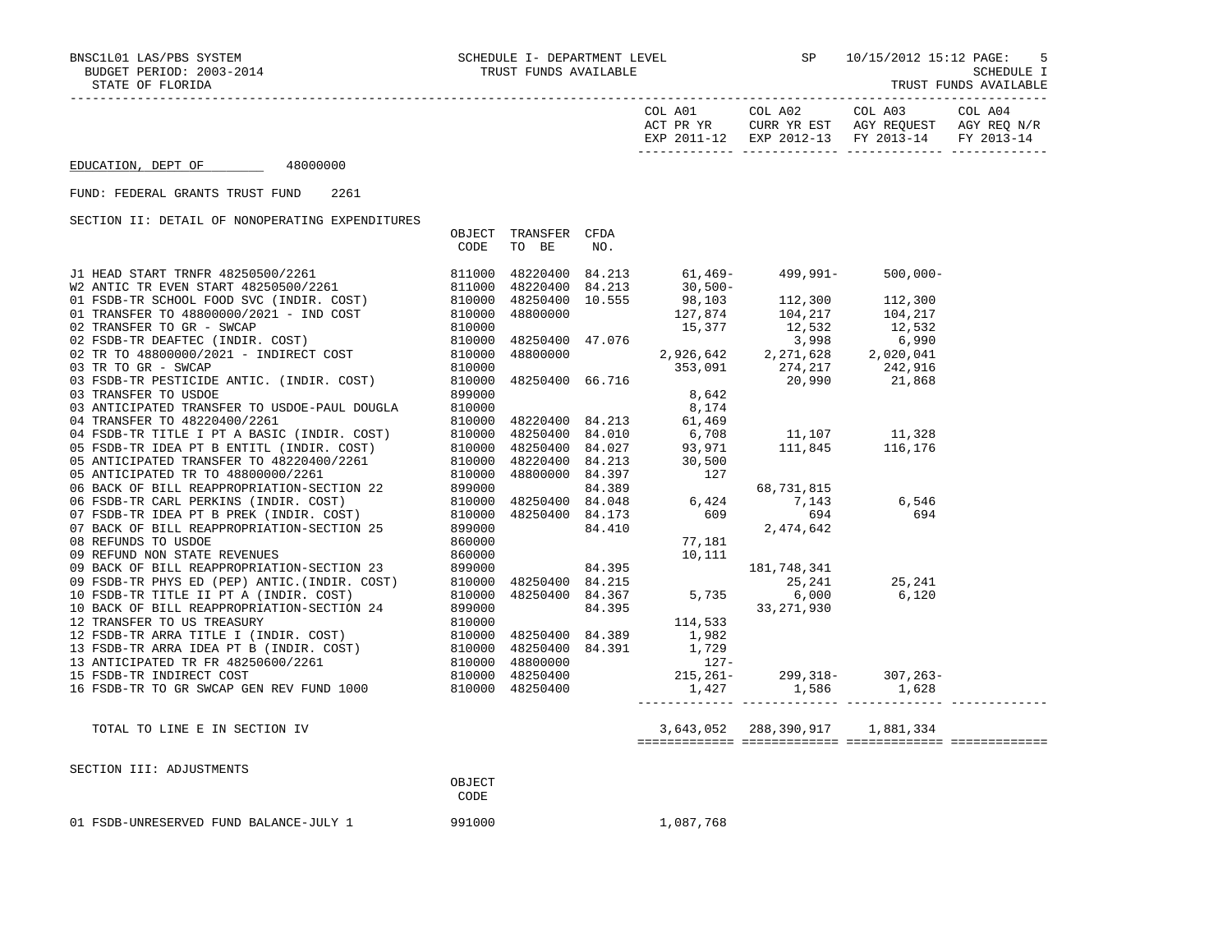BUDGET PERIOD: 2003-2014 TRUST FUNDS AVAILABLE SCHEDULE I STATE OF FLORIDA TRUST FUNDS AVAILABLE

|                                                                                                                                                                                                                                               |      |                               |     | ACT PR YR     CURR YR EST   AGY REQUEST   AGY REQ N/R<br>EXP 2011-12   EXP 2012-13   FY 2013-14    FY 2013-14 |             |  |
|-----------------------------------------------------------------------------------------------------------------------------------------------------------------------------------------------------------------------------------------------|------|-------------------------------|-----|---------------------------------------------------------------------------------------------------------------|-------------|--|
| EDUCATION, DEPT OF 48000000                                                                                                                                                                                                                   |      |                               |     |                                                                                                               |             |  |
| FUND: FEDERAL GRANTS TRUST FUND<br>2261                                                                                                                                                                                                       |      |                               |     |                                                                                                               |             |  |
| SECTION II: DETAIL OF NONOPERATING EXPENDITURES                                                                                                                                                                                               |      |                               |     |                                                                                                               |             |  |
|                                                                                                                                                                                                                                               | CODE | OBJECT TRANSFER CFDA<br>TO BE | NO. |                                                                                                               |             |  |
| 31 HEAD START TRIMPR 48250500/2261<br>W2 ANTIC TR EVEN START 48250500/2261<br>01 FSDB-TR SCHOOL FOOD SVC (INDIR. COST)<br>02 TRANSFER TO 4800000/20201 – IND COST 810000 48250400 10.555 98,103 112,300 112,300<br>02 TRANSFER TO GRE         |      |                               |     |                                                                                                               | $500,000 -$ |  |
|                                                                                                                                                                                                                                               |      |                               |     |                                                                                                               |             |  |
|                                                                                                                                                                                                                                               |      |                               |     |                                                                                                               |             |  |
|                                                                                                                                                                                                                                               |      |                               |     |                                                                                                               |             |  |
|                                                                                                                                                                                                                                               |      |                               |     |                                                                                                               |             |  |
|                                                                                                                                                                                                                                               |      |                               |     |                                                                                                               |             |  |
|                                                                                                                                                                                                                                               |      |                               |     |                                                                                                               |             |  |
|                                                                                                                                                                                                                                               |      |                               |     |                                                                                                               |             |  |
|                                                                                                                                                                                                                                               |      |                               |     |                                                                                                               |             |  |
|                                                                                                                                                                                                                                               |      |                               |     |                                                                                                               |             |  |
|                                                                                                                                                                                                                                               |      |                               |     |                                                                                                               |             |  |
|                                                                                                                                                                                                                                               |      |                               |     |                                                                                                               |             |  |
|                                                                                                                                                                                                                                               |      |                               |     |                                                                                                               |             |  |
|                                                                                                                                                                                                                                               |      |                               |     |                                                                                                               |             |  |
|                                                                                                                                                                                                                                               |      |                               |     |                                                                                                               |             |  |
|                                                                                                                                                                                                                                               |      |                               |     |                                                                                                               |             |  |
|                                                                                                                                                                                                                                               |      |                               |     |                                                                                                               |             |  |
|                                                                                                                                                                                                                                               |      |                               |     |                                                                                                               |             |  |
|                                                                                                                                                                                                                                               |      |                               |     |                                                                                                               |             |  |
|                                                                                                                                                                                                                                               |      |                               |     |                                                                                                               |             |  |
|                                                                                                                                                                                                                                               |      |                               |     |                                                                                                               |             |  |
|                                                                                                                                                                                                                                               |      |                               |     |                                                                                                               |             |  |
|                                                                                                                                                                                                                                               |      |                               |     |                                                                                                               |             |  |
|                                                                                                                                                                                                                                               |      |                               |     |                                                                                                               |             |  |
|                                                                                                                                                                                                                                               |      |                               |     |                                                                                                               |             |  |
|                                                                                                                                                                                                                                               |      |                               |     |                                                                                                               |             |  |
|                                                                                                                                                                                                                                               |      |                               |     |                                                                                                               |             |  |
|                                                                                                                                                                                                                                               |      |                               |     |                                                                                                               |             |  |
|                                                                                                                                                                                                                                               |      |                               |     |                                                                                                               |             |  |
|                                                                                                                                                                                                                                               |      |                               |     |                                                                                                               |             |  |
| 30 TRANSFER TO USDOE<br>03 TRANSFER TO USDOE<br>04 TRANSFER TO USDOE<br>04 TRANSFER TO USDOE<br>04 TRANSFER TO USDOE<br>04 TRANSFER TO USDOE PAUL DOUGLA<br>04 TRANSFER TO 48220400/2261<br>05 RESULT RESULT INDITE. COST)<br>05 RESULT RESUL |      |                               |     |                                                                                                               |             |  |
|                                                                                                                                                                                                                                               |      |                               |     |                                                                                                               |             |  |

TOTAL TO LINE E IN SECTION IV 3,643,052 288,390,917 1,881,334

============= ============= ============= =============

| SECTION III: ADJUSTMENTS               |             |
|----------------------------------------|-------------|
|                                        | OBJECT      |
|                                        | <b>CODE</b> |
| 01 FSDB-UNRESERVED FUND BALANCE-JULY 1 | 991000      |

1,087,768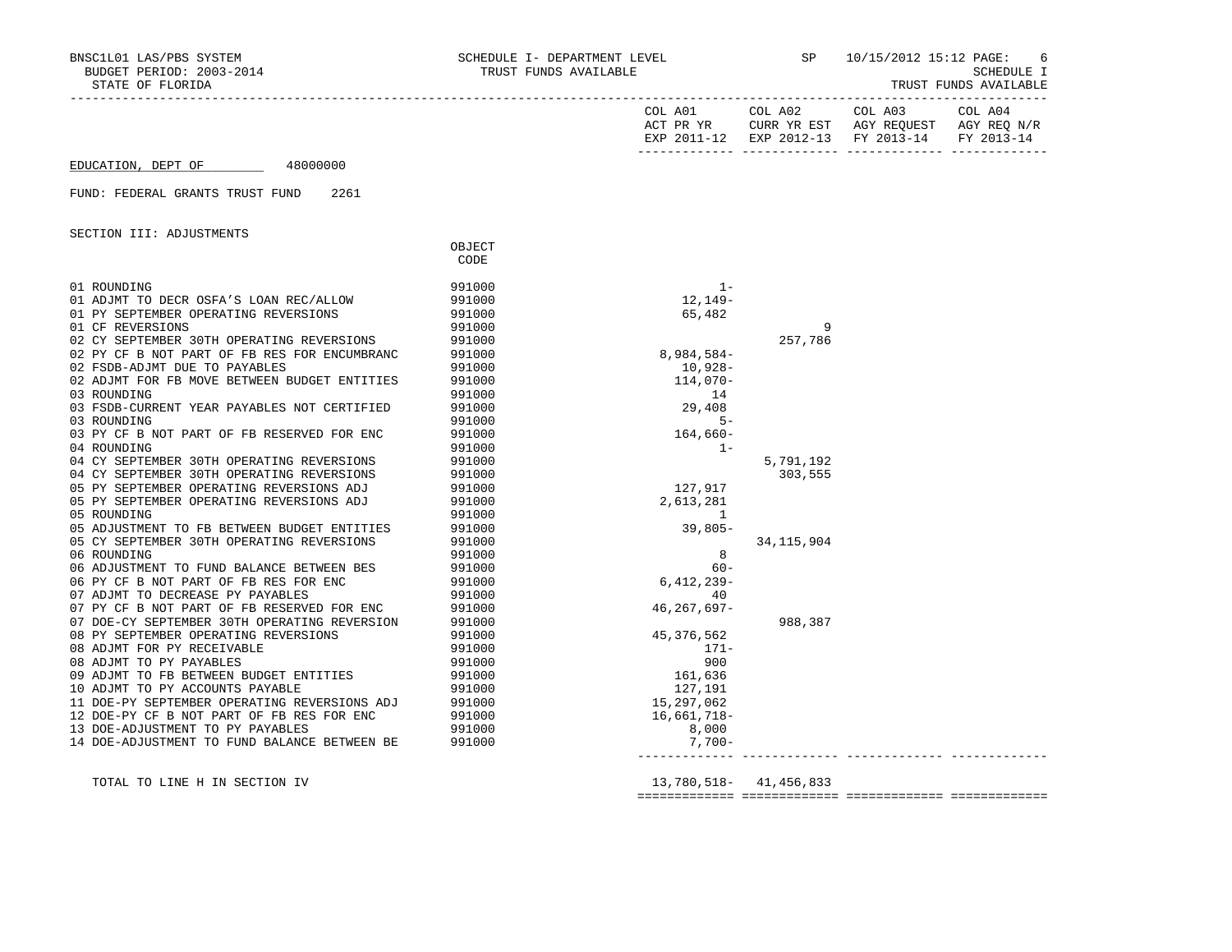| NSCILOI LAS/PBS SYSTEM<br>BUDGET PERIOD: 2003-2014<br>BNSC1L01 LAS/PBS SYSTEM<br>STATE OF FLORIDA                                                                                                                                                      |                                                          | SCHEDULE I- DEPARTMENT LEVEL<br>TRUST FUNDS AVAILABLE |              | SP 10/15/2012 15:12 PAGE:<br>SCHEDU<br>TRUST FUNDS AVAIL | 6<br>SCHEDULE I<br>TRUST FUNDS AVAILABLE |
|--------------------------------------------------------------------------------------------------------------------------------------------------------------------------------------------------------------------------------------------------------|----------------------------------------------------------|-------------------------------------------------------|--------------|----------------------------------------------------------|------------------------------------------|
|                                                                                                                                                                                                                                                        |                                                          |                                                       |              | EXP 2011-12 EXP 2012-13 FY 2013-14 FY 2013-14            |                                          |
| EDUCATION, DEPT OF 48000000                                                                                                                                                                                                                            |                                                          |                                                       |              |                                                          |                                          |
| FUND: FEDERAL GRANTS TRUST FUND<br>2261                                                                                                                                                                                                                |                                                          |                                                       |              |                                                          |                                          |
| SECTION III: ADJUSTMENTS                                                                                                                                                                                                                               |                                                          |                                                       |              |                                                          |                                          |
|                                                                                                                                                                                                                                                        | OBJECT<br>CODE                                           |                                                       |              |                                                          |                                          |
| 01 ROUNDING                                                                                                                                                                                                                                            | 991000                                                   | $1 -$                                                 |              |                                                          |                                          |
| 01 ADJMT TO DECR OSFA'S LOAN REC/ALLOW<br>01 PY SEPTEMBER OPERATING REVERSIONS                                                                                                                                                                         | 991000<br>991000                                         | 12,149-<br>65,482                                     |              |                                                          |                                          |
| 01 CF REVERSIONS                                                                                                                                                                                                                                       |                                                          |                                                       | 9            |                                                          |                                          |
| 02 CY SEPTEMBER 30TH OPERATING REVERSIONS<br>02 CY SEPTEMBER 30TH OPERATING REVERSIONS (201000)<br>02 PY CF B NOT PART OF FB RES FOR ENCUMBRANC 991000<br>02 FSDB-ADJMT DUE TO PAYABLES 991000<br>22 PARTMT FOR FR MOVE BETWEEN BUDGET ENTITIES 991000 | 991000<br>991000                                         | $8,984,584-$                                          | 257,786      |                                                          |                                          |
|                                                                                                                                                                                                                                                        |                                                          |                                                       |              |                                                          |                                          |
|                                                                                                                                                                                                                                                        |                                                          | 10,928-                                               |              |                                                          |                                          |
| 03 ROUNDING                                                                                                                                                                                                                                            | 991000                                                   | $114,070-$<br>14                                      |              |                                                          |                                          |
| 03 FSDB-CURRENT YEAR PAYABLES NOT CERTIFIED                                                                                                                                                                                                            | 991000                                                   | 29,408                                                |              |                                                          |                                          |
| 03 ROUNDING                                                                                                                                                                                                                                            | 991000                                                   | $5 -$                                                 |              |                                                          |                                          |
| 03 PY CF B NOT PART OF FB RESERVED FOR ENC                                                                                                                                                                                                             | 991000                                                   | $164,660-$                                            |              |                                                          |                                          |
| 04 ROUNDING                                                                                                                                                                                                                                            | 991000                                                   | $1 -$                                                 |              |                                                          |                                          |
| 04 CY SEPTEMBER 30TH OPERATING REVERSIONS 991000<br>04 CY SEPTEMBER 30TH OPERATING REVERSIONS 991000                                                                                                                                                   |                                                          |                                                       | 5,791,192    |                                                          |                                          |
|                                                                                                                                                                                                                                                        |                                                          |                                                       | 303,555      |                                                          |                                          |
| 05 PY SEPTEMBER OPERATING REVERSIONS ADJ                                                                                                                                                                                                               | 991000<br>991000<br>991000                               | 127,917                                               |              |                                                          |                                          |
| 05 PY SEPTEMBER OPERATING REVERSIONS ADJ                                                                                                                                                                                                               |                                                          | 2,613,281                                             |              |                                                          |                                          |
| 05 ROUNDING                                                                                                                                                                                                                                            |                                                          | 1                                                     |              |                                                          |                                          |
| 05 ADJUSTMENT TO FB BETWEEN BUDGET ENTITIES 991000<br>05 CY SEPTEMBER 30TH OPERATING REVERSIONS                                                                                                                                                        | 991000                                                   | $39,805-$                                             | 34, 115, 904 |                                                          |                                          |
| 06 ROUNDING                                                                                                                                                                                                                                            | 991000                                                   | 8                                                     |              |                                                          |                                          |
| 06 ADJUSTMENT TO FUND BALANCE BETWEEN BES                                                                                                                                                                                                              | $991000$<br>$991000$<br>$991000$<br>$991000$<br>$991000$ | $60 -$                                                |              |                                                          |                                          |
| 06 PY CF B NOT PART OF FB RES FOR ENC                                                                                                                                                                                                                  |                                                          | $6,412,239-$                                          |              |                                                          |                                          |
| 07 ADJMT TO DECREASE PY PAYABLES<br>07 PY CF B NOT PART OF FB RESERVED FOR ENC                                                                                                                                                                         |                                                          | 40                                                    |              |                                                          |                                          |
|                                                                                                                                                                                                                                                        |                                                          | 46, 267, 697-                                         |              |                                                          |                                          |
|                                                                                                                                                                                                                                                        |                                                          |                                                       | 988,387      |                                                          |                                          |
|                                                                                                                                                                                                                                                        |                                                          | 45,376,562                                            |              |                                                          |                                          |
|                                                                                                                                                                                                                                                        |                                                          | $171-$                                                |              |                                                          |                                          |
|                                                                                                                                                                                                                                                        |                                                          | 900                                                   |              |                                                          |                                          |
|                                                                                                                                                                                                                                                        |                                                          | 161,636                                               |              |                                                          |                                          |
|                                                                                                                                                                                                                                                        |                                                          | 127,191<br>15, 297, 062                               |              |                                                          |                                          |
|                                                                                                                                                                                                                                                        |                                                          | 16,661,718–                                           |              |                                                          |                                          |
|                                                                                                                                                                                                                                                        |                                                          | 8,000                                                 |              |                                                          |                                          |
|                                                                                                                                                                                                                                                        |                                                          | $7,700-$                                              |              |                                                          |                                          |
|                                                                                                                                                                                                                                                        |                                                          |                                                       |              |                                                          |                                          |

TOTAL TO LINE H IN SECTION IV 13,780,518- 41,456,833

============= ============= ============= =============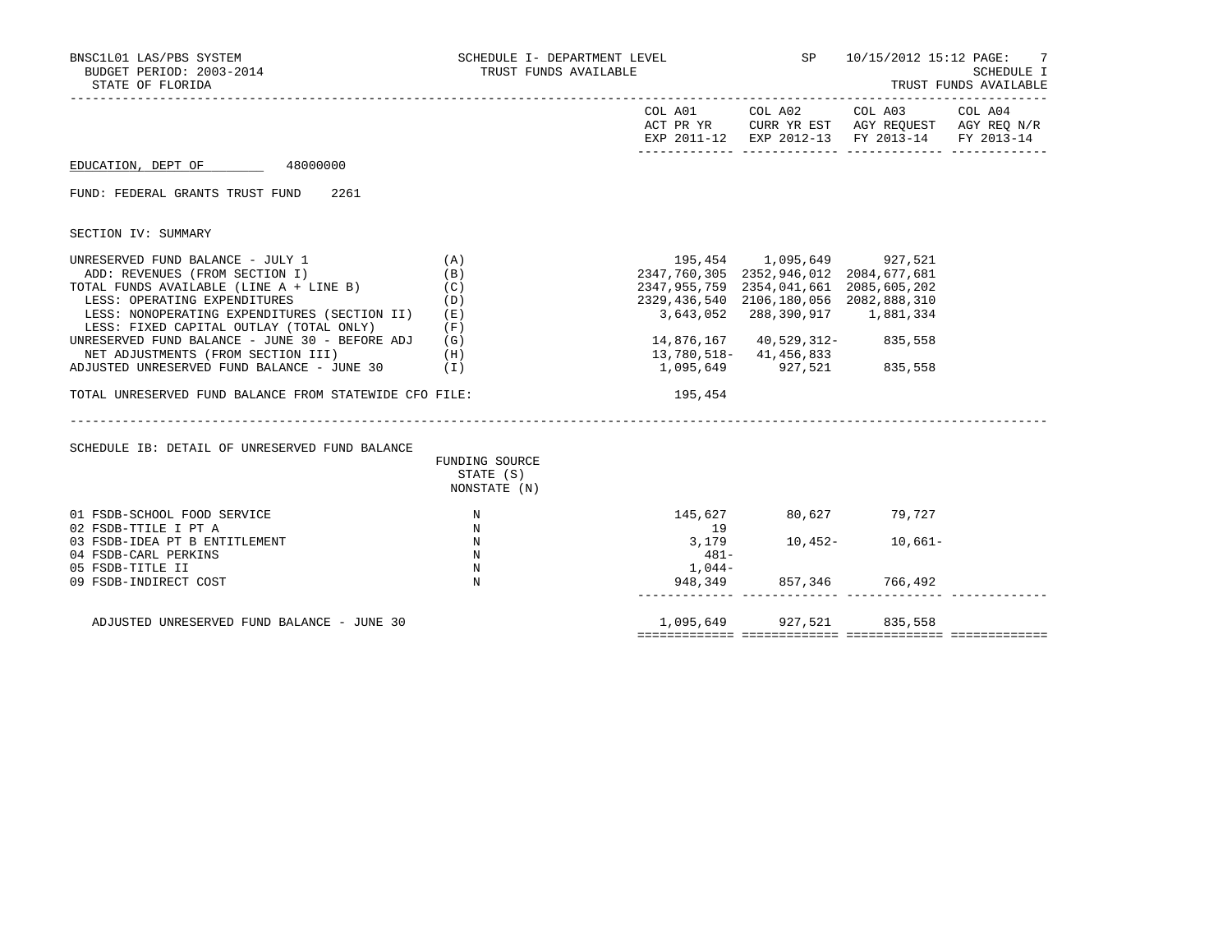| BNSC1L01 LAS/PBS SYSTEM<br>BUDGET PERIOD: 2003-2014<br>STATE OF FLORIDA                                                                                                                                                                                                                                                                                                                                                                                                                                  | SCHEDULE I- DEPARTMENT LEVEL<br>TRUST FUNDS AVAILABLE                        |                                                                                                                                                                                      |                                                                                                                           | SP 10/15/2012 15:12 PAGE: 7                                                                                               | <b>SCHEDULE I</b><br>TRUST FUNDS AVAILABLE |
|----------------------------------------------------------------------------------------------------------------------------------------------------------------------------------------------------------------------------------------------------------------------------------------------------------------------------------------------------------------------------------------------------------------------------------------------------------------------------------------------------------|------------------------------------------------------------------------------|--------------------------------------------------------------------------------------------------------------------------------------------------------------------------------------|---------------------------------------------------------------------------------------------------------------------------|---------------------------------------------------------------------------------------------------------------------------|--------------------------------------------|
|                                                                                                                                                                                                                                                                                                                                                                                                                                                                                                          |                                                                              |                                                                                                                                                                                      |                                                                                                                           | COL A01 COL A02 COL A03<br>ACT PR YR CURR YR EST AGY REQUEST AGY REQ N/R<br>EXP 2011-12 EXP 2012-13 FY 2013-14 FY 2013-14 | COL A04                                    |
| EDUCATION, DEPT OF 48000000                                                                                                                                                                                                                                                                                                                                                                                                                                                                              |                                                                              |                                                                                                                                                                                      |                                                                                                                           |                                                                                                                           |                                            |
| FUND: FEDERAL GRANTS TRUST FUND<br>2261                                                                                                                                                                                                                                                                                                                                                                                                                                                                  |                                                                              |                                                                                                                                                                                      |                                                                                                                           |                                                                                                                           |                                            |
| SECTION IV: SUMMARY                                                                                                                                                                                                                                                                                                                                                                                                                                                                                      |                                                                              |                                                                                                                                                                                      |                                                                                                                           |                                                                                                                           |                                            |
| UNRESERVED FUND BALANCE - JULY 1<br>(A)<br>ADD: REVENUES (FROM SECTION I)<br>TOTAL FUNDS AVAILABLE (LINE A + LINE B)<br>LESS: OPERATING EXPENDITURES<br>LESS: NONOPERATING EXPENDITURES (SECTION II)<br>LESS: FIXED CAPITAL OUTLAY (TOTAL ONLY)<br>UNRESERVED FUND BALANCE - JUNE 30 - BEFORE ADJ<br>NET ADJUSTMENTS (FROM SECTION III)<br>ADJUSTED UNRESERVED FUND BALANCE - JUNE 30<br>(1)<br>TOTAL UNRESERVED FUND BALANCE FROM STATEWIDE CFO FILE:<br>SCHEDULE IB: DETAIL OF UNRESERVED FUND BALANCE | (B)<br>(C)<br>(D)<br>(E)<br>(F)<br>(G)<br>(H)<br>FUNDING SOURCE<br>STATE (S) | 195,454 1,095,649 927,521<br>2347, 760, 305 2352, 946, 012 2084, 677, 681<br>2347, 955, 759 2354, 041, 661 2085, 605, 202<br>2329, 436, 540 2106, 180, 056 2082, 888, 310<br>195,454 | 3,643,052 288,390,917 1,881,334<br>14,876,167 40,529,312- 835,558<br>13,780,518 - 41,456,833<br>1,095,649 927,521 835,558 |                                                                                                                           |                                            |
| 01 FSDB-SCHOOL FOOD SERVICE                                                                                                                                                                                                                                                                                                                                                                                                                                                                              | NONSTATE (N)<br>$\mathbb N$                                                  |                                                                                                                                                                                      | 145,627 80,627 79,727                                                                                                     |                                                                                                                           |                                            |
| 02 FSDB-TTILE I PT A<br>03 FSDB-IDEA PT B ENTITLEMENT<br>04 FSDB-CARL PERKINS<br>05 FSDB-TITLE II                                                                                                                                                                                                                                                                                                                                                                                                        | N<br>$\mathbb N$<br>$\mathbb N$<br>N                                         | 19<br>3,179<br>$481 -$<br>$1,044-$                                                                                                                                                   |                                                                                                                           | $10,452-10,661-$                                                                                                          |                                            |
| 09 FSDB-INDIRECT COST                                                                                                                                                                                                                                                                                                                                                                                                                                                                                    | N                                                                            |                                                                                                                                                                                      |                                                                                                                           | 948,349 857,346 766,492                                                                                                   |                                            |
| ADJUSTED UNRESERVED FUND BALANCE - JUNE 30                                                                                                                                                                                                                                                                                                                                                                                                                                                               |                                                                              |                                                                                                                                                                                      | 1,095,649 927,521 835,558                                                                                                 |                                                                                                                           |                                            |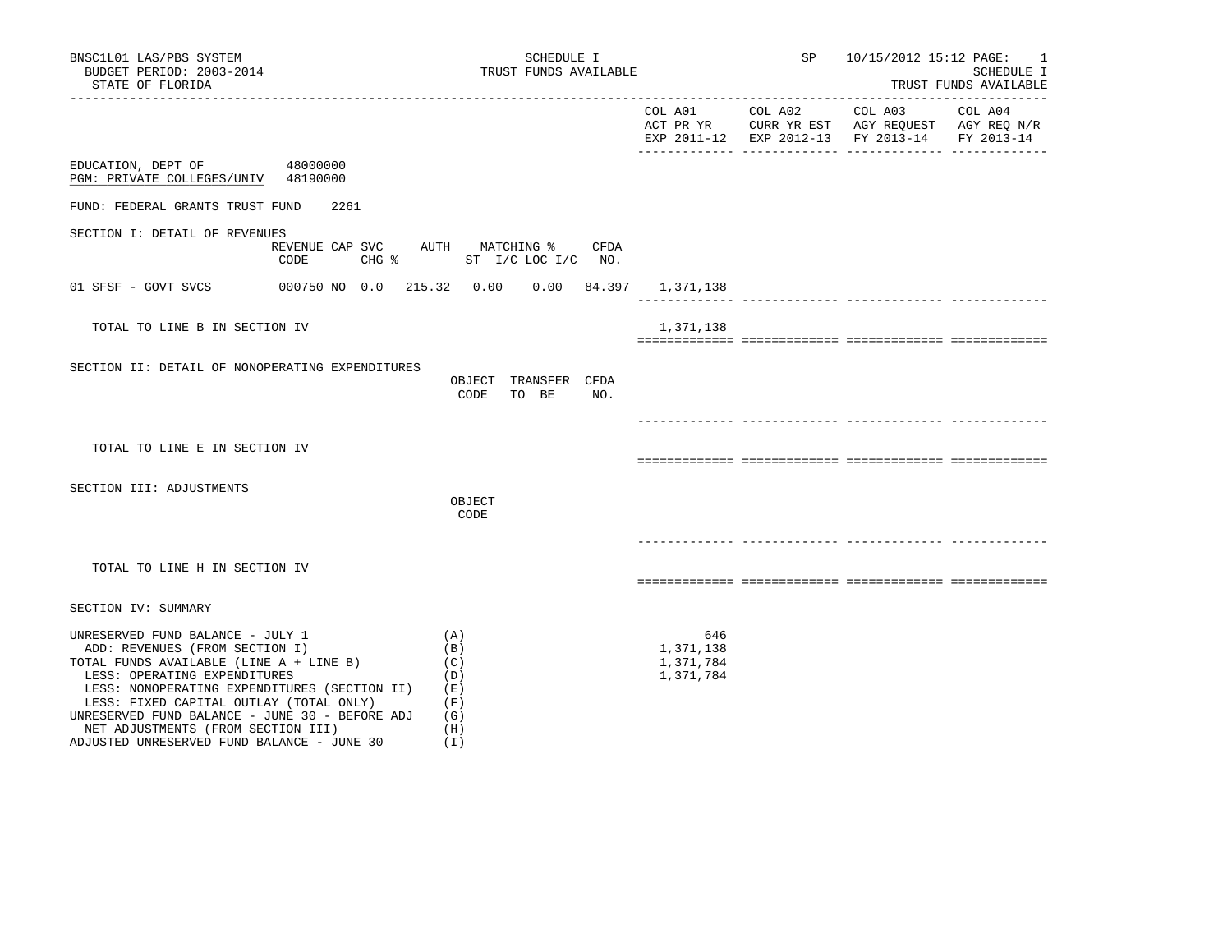| BNSC1L01 LAS/PBS SYSTEM<br>BUDGET PERIOD: 2003-2014<br>STATE OF FLORIDA<br>------------------                                                                                                                                                                                                                                    |                                                             |                                               | SCHEDULE I<br>TRUST FUNDS AVAILABLE |      |                                            | SP 10/15/2012 15:12 PAGE: 1                                                                                                       | SCHEDULE I<br>TRUST FUNDS AVAILABLE |
|----------------------------------------------------------------------------------------------------------------------------------------------------------------------------------------------------------------------------------------------------------------------------------------------------------------------------------|-------------------------------------------------------------|-----------------------------------------------|-------------------------------------|------|--------------------------------------------|-----------------------------------------------------------------------------------------------------------------------------------|-------------------------------------|
|                                                                                                                                                                                                                                                                                                                                  |                                                             |                                               |                                     |      |                                            | COL A01 COL A02 COL A03 COL A04<br>ACT PR YR CURR YR EST AGY REQUEST AGY REQ N/R<br>EXP 2011-12 EXP 2012-13 FY 2013-14 FY 2013-14 |                                     |
| EDUCATION, DEPT OF<br>48000000<br>PGM: PRIVATE COLLEGES/UNIV 48190000                                                                                                                                                                                                                                                            |                                                             |                                               |                                     |      |                                            |                                                                                                                                   |                                     |
| FUND: FEDERAL GRANTS TRUST FUND                                                                                                                                                                                                                                                                                                  | 2261                                                        |                                               |                                     |      |                                            |                                                                                                                                   |                                     |
| SECTION I: DETAIL OF REVENUES<br>CODE                                                                                                                                                                                                                                                                                            | REVENUE CAP SVC AUTH MATCHING %<br>CHG % ST I/C LOC I/C NO. |                                               |                                     | CFDA |                                            |                                                                                                                                   |                                     |
| 01 SFSF - GOVT SVCS                                                                                                                                                                                                                                                                                                              | 000750 NO 0.0 215.32  0.00  0.00  84.397  1,371,138         |                                               |                                     |      |                                            |                                                                                                                                   |                                     |
| TOTAL TO LINE B IN SECTION IV                                                                                                                                                                                                                                                                                                    |                                                             |                                               |                                     |      | 1,371,138                                  |                                                                                                                                   |                                     |
| SECTION II: DETAIL OF NONOPERATING EXPENDITURES                                                                                                                                                                                                                                                                                  |                                                             | OBJECT TRANSFER CFDA<br>CODE                  | TO BE                               | NO.  |                                            |                                                                                                                                   |                                     |
| TOTAL TO LINE E IN SECTION IV                                                                                                                                                                                                                                                                                                    |                                                             |                                               |                                     |      |                                            |                                                                                                                                   |                                     |
| SECTION III: ADJUSTMENTS                                                                                                                                                                                                                                                                                                         |                                                             | OBJECT<br>CODE                                |                                     |      |                                            |                                                                                                                                   |                                     |
| TOTAL TO LINE H IN SECTION IV                                                                                                                                                                                                                                                                                                    |                                                             |                                               |                                     |      |                                            |                                                                                                                                   |                                     |
| SECTION IV: SUMMARY                                                                                                                                                                                                                                                                                                              |                                                             |                                               |                                     |      |                                            |                                                                                                                                   |                                     |
| UNRESERVED FUND BALANCE - JULY 1<br>ADD: REVENUES (FROM SECTION I)<br>TOTAL FUNDS AVAILABLE (LINE A + LINE B)<br>LESS: OPERATING EXPENDITURES<br>LESS: NONOPERATING EXPENDITURES (SECTION II)<br>LESS: FIXED CAPITAL OUTLAY (TOTAL ONLY)<br>UNRESERVED FUND BALANCE - JUNE 30 - BEFORE ADJ<br>NET ADJUSTMENTS (FROM SECTION III) | (E)                                                         | (A)<br>(B)<br>(C)<br>(D)<br>(F)<br>(G)<br>(H) |                                     |      | 646<br>1,371,138<br>1,371,784<br>1,371,784 |                                                                                                                                   |                                     |

ADJUSTED UNRESERVED FUND BALANCE - JUNE 30 (I)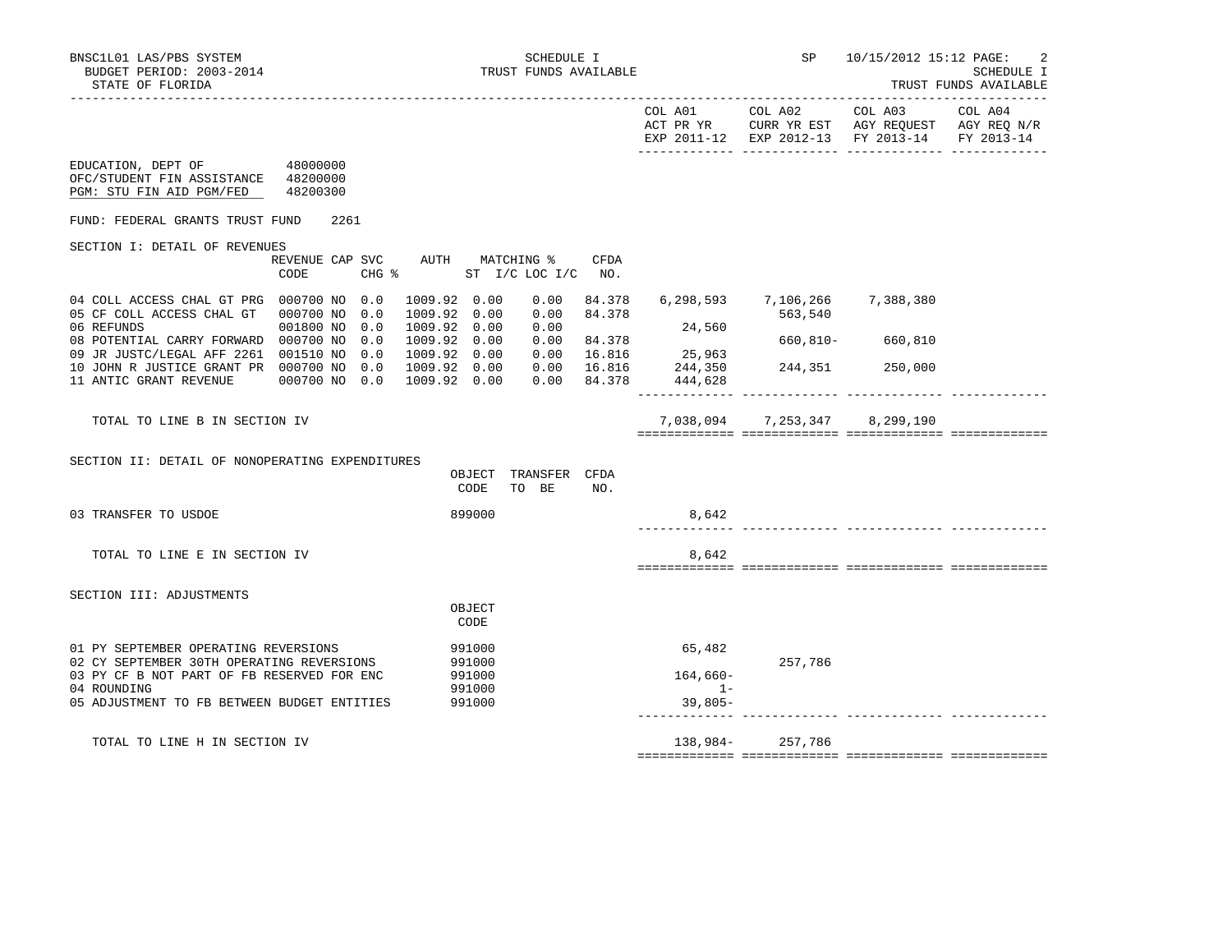|                                                                                                                                                                                                                                                 |                                                                                         |                                            |                                                                                                 |                  | TRUST FUNDS AVAILABLE |
|-------------------------------------------------------------------------------------------------------------------------------------------------------------------------------------------------------------------------------------------------|-----------------------------------------------------------------------------------------|--------------------------------------------|-------------------------------------------------------------------------------------------------|------------------|-----------------------|
|                                                                                                                                                                                                                                                 |                                                                                         | COL A01<br>ACT PR YR                       | COL A02<br>CURR YR EST AGY REQUEST AGY REQ N/R<br>EXP 2011-12 EXP 2012-13 FY 2013-14 FY 2013-14 | COL A03          | COL A04               |
| EDUCATION, DEPT OF 48000000<br>OFC/STUDENT FIN ASSISTANCE 48200000<br>PGM: STU FIN AID PGM/FED 48200300                                                                                                                                         |                                                                                         |                                            |                                                                                                 |                  |                       |
| 2261<br>FUND: FEDERAL GRANTS TRUST FUND                                                                                                                                                                                                         |                                                                                         |                                            |                                                                                                 |                  |                       |
| SECTION I: DETAIL OF REVENUES<br>REVENUE CAP SVC AUTH MATCHING %<br>$CHG$ $\frac{1}{6}$<br>CODE                                                                                                                                                 | CFDA<br>ST I/C LOC I/C NO.                                                              |                                            |                                                                                                 |                  |                       |
| 04 COLL ACCESS CHAL GT PRG 000700 NO 0.0<br>1009.92 0.00<br>1009.92 0.00<br>05 CF COLL ACCESS CHAL GT 000700 NO 0.0<br>1009.92 0.00<br>06 REFUNDS<br>001800 NO 0.0                                                                              | 0.00<br>84.378<br>84.378<br>0.00<br>0.00                                                | 24,560                                     | 6,298,593 7,106,266 7,388,380<br>563,540                                                        |                  |                       |
| 08 POTENTIAL CARRY FORWARD 000700 NO 0.0<br>1009.92 0.00<br>09 JR JUSTC/LEGAL AFF 2261 001510 NO 0.0<br>1009.92 0.00<br>10 JOHN R JUSTICE GRANT PR 000700 NO 0.0<br>1009.92 0.00<br>1009.92 0.00<br>11 ANTIC GRANT REVENUE 000700 NO 0.0        | $0.00$ 84.378<br>$0.00$ $16.816$ $25,963$<br>$0.00$ $16.816$ $244,350$<br>$0.00$ 84.378 | 444,628                                    | 244,351 250,000                                                                                 | 660,810- 660,810 |                       |
| TOTAL TO LINE B IN SECTION IV                                                                                                                                                                                                                   |                                                                                         |                                            | 7,038,094 7,253,347 8,299,190                                                                   |                  |                       |
| SECTION II: DETAIL OF NONOPERATING EXPENDITURES<br>CODE                                                                                                                                                                                         | OBJECT TRANSFER CFDA<br>TO BE<br>NO.                                                    |                                            |                                                                                                 |                  |                       |
| 899000<br>03 TRANSFER TO USDOE                                                                                                                                                                                                                  |                                                                                         | 8,642                                      |                                                                                                 |                  |                       |
| TOTAL TO LINE E IN SECTION IV                                                                                                                                                                                                                   |                                                                                         | 8,642                                      |                                                                                                 |                  |                       |
| SECTION III: ADJUSTMENTS<br>OBJECT<br>CODE                                                                                                                                                                                                      |                                                                                         |                                            |                                                                                                 |                  |                       |
| 01 PY SEPTEMBER OPERATING REVERSIONS<br>991000<br>02 CY SEPTEMBER 30TH OPERATING REVERSIONS<br>991000<br>03 PY CF B NOT PART OF FB RESERVED FOR ENC<br>991000<br>04 ROUNDING<br>991000<br>05 ADJUSTMENT TO FB BETWEEN BUDGET ENTITIES<br>991000 |                                                                                         | 65,482<br>$164,660-$<br>$1 -$<br>$39,805-$ | 257,786                                                                                         |                  |                       |
| TOTAL TO LINE H IN SECTION IV                                                                                                                                                                                                                   |                                                                                         |                                            | 138,984-257,786                                                                                 |                  |                       |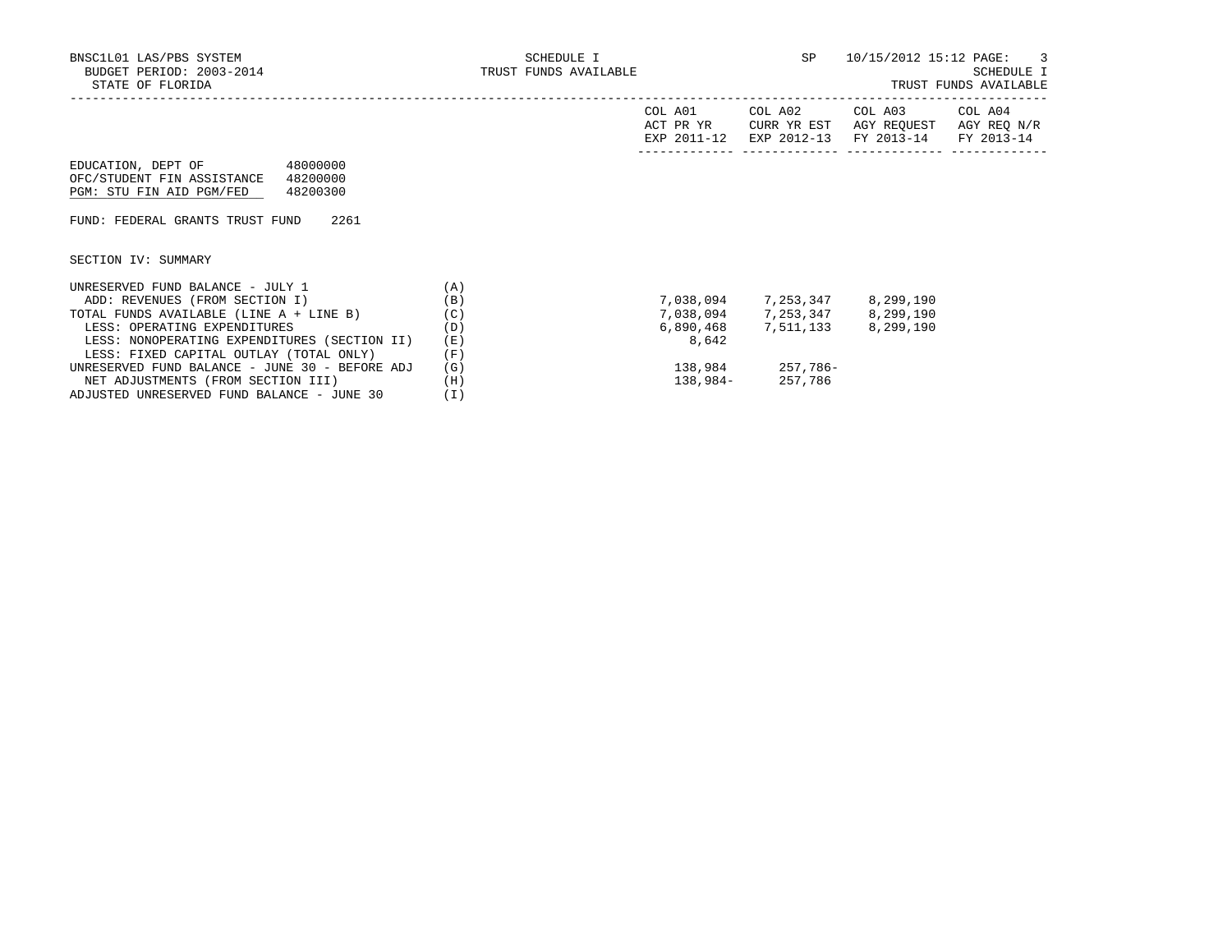|                                                                                                                  |     | COL A01<br>ACT PR YR<br>EXP 2011-12 | COL A02<br>CURR YR EST<br>EXP 2012-13 | COL A03<br>AGY REOUEST<br>FY 2013-14 | COL A04<br>AGY REQ N/R<br>FY 2013-14 |
|------------------------------------------------------------------------------------------------------------------|-----|-------------------------------------|---------------------------------------|--------------------------------------|--------------------------------------|
| 48000000<br>EDUCATION, DEPT OF<br>OFC/STUDENT FIN ASSISTANCE<br>48200000<br>PGM: STU FIN AID PGM/FED<br>48200300 |     |                                     |                                       |                                      |                                      |
| FUND: FEDERAL GRANTS TRUST FUND<br>2261                                                                          |     |                                     |                                       |                                      |                                      |
| SECTION IV: SUMMARY                                                                                              |     |                                     |                                       |                                      |                                      |
| UNRESERVED FUND BALANCE - JULY 1                                                                                 | (A) |                                     |                                       |                                      |                                      |
| ADD: REVENUES (FROM SECTION I)                                                                                   | (B) | 7,038,094                           | 7,253,347                             | 8,299,190                            |                                      |
| TOTAL FUNDS AVAILABLE (LINE A + LINE B)                                                                          | (C) |                                     | 7,038,094 7,253,347 8,299,190         |                                      |                                      |
| LESS: OPERATING EXPENDITURES                                                                                     | (D) | 6,890,468                           | 7,511,133 8,299,190                   |                                      |                                      |
| LESS: NONOPERATING EXPENDITURES (SECTION II)                                                                     | (E) | 8,642                               |                                       |                                      |                                      |
| LESS: FIXED CAPITAL OUTLAY (TOTAL ONLY)                                                                          | (F) |                                     |                                       |                                      |                                      |
| UNRESERVED FUND BALANCE - JUNE 30 - BEFORE ADJ                                                                   | (G) | 138,984                             | 257,786-                              |                                      |                                      |
| NET ADJUSTMENTS (FROM SECTION III)                                                                               | (H) | 138,984-                            | 257,786                               |                                      |                                      |
|                                                                                                                  |     |                                     |                                       |                                      |                                      |

ADJUSTED UNRESERVED FUND BALANCE - JUNE 30 (I)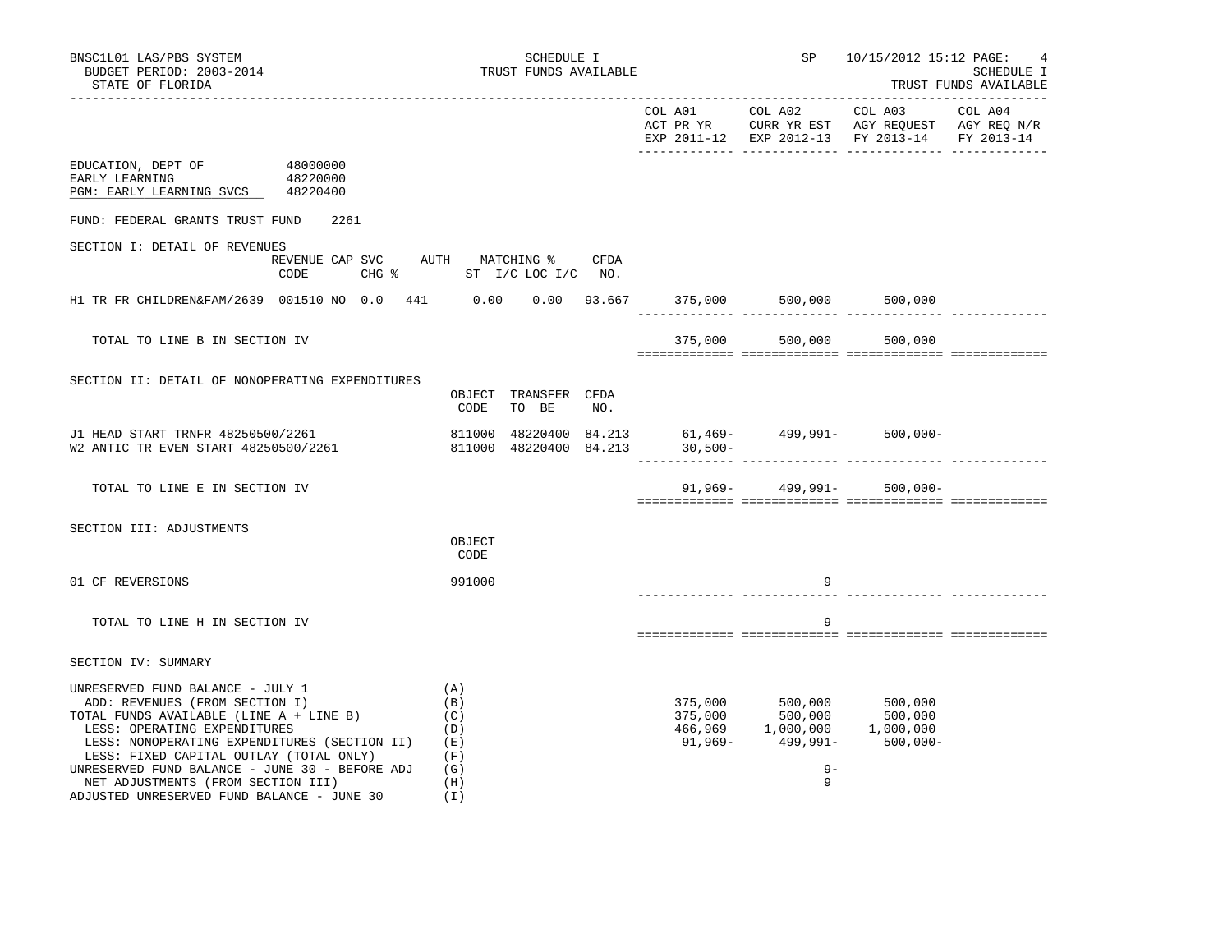|                                                                                                                                                                                                                                                                                                                                                                                    |          |                                                                  |                               |      |                                                                                    |                                                                                                                                                                               | EXP 2011-12 EXP 2012-13 FY 2013-14 FY 2013-14 |  |
|------------------------------------------------------------------------------------------------------------------------------------------------------------------------------------------------------------------------------------------------------------------------------------------------------------------------------------------------------------------------------------|----------|------------------------------------------------------------------|-------------------------------|------|------------------------------------------------------------------------------------|-------------------------------------------------------------------------------------------------------------------------------------------------------------------------------|-----------------------------------------------|--|
| EDUCATION, DEPT OF 48000000<br>EARLY LEARNING<br>PGM: EARLY LEARNING SVCS 48220400                                                                                                                                                                                                                                                                                                 | 48220000 |                                                                  |                               |      |                                                                                    |                                                                                                                                                                               |                                               |  |
| FUND: FEDERAL GRANTS TRUST FUND                                                                                                                                                                                                                                                                                                                                                    | 2261     |                                                                  |                               |      |                                                                                    |                                                                                                                                                                               |                                               |  |
| SECTION I: DETAIL OF REVENUES                                                                                                                                                                                                                                                                                                                                                      | CODE     | REVENUE CAP SVC AUTH MATCHING %<br>CHG % ST I/C LOC I/C NO.      |                               | CFDA |                                                                                    |                                                                                                                                                                               |                                               |  |
| H1 TR FR CHILDREN&FAM/2639 001510 NO 0.0 441 0.00 0.00 93.667 375,000 500,000 500,000 500,000                                                                                                                                                                                                                                                                                      |          |                                                                  |                               |      |                                                                                    |                                                                                                                                                                               |                                               |  |
| TOTAL TO LINE B IN SECTION IV                                                                                                                                                                                                                                                                                                                                                      |          |                                                                  |                               |      |                                                                                    | 375,000 500,000 500,000                                                                                                                                                       |                                               |  |
| SECTION II: DETAIL OF NONOPERATING EXPENDITURES                                                                                                                                                                                                                                                                                                                                    |          | CODE                                                             | OBJECT TRANSFER CFDA<br>TO BE | NO.  |                                                                                    |                                                                                                                                                                               |                                               |  |
| J1 HEAD START TRNFR 48250500/2261<br>W2 ANTIC TR EVEN START 48250500/2261                                                                                                                                                                                                                                                                                                          |          | 811000 48220400 84.213 61,469-<br>811000 48220400 84.213 30,500- |                               |      | 811000 48220400 84.213 61,469- 499,991- 500,000-<br>811000 48220400 84 213 30 500- |                                                                                                                                                                               |                                               |  |
| TOTAL TO LINE E IN SECTION IV                                                                                                                                                                                                                                                                                                                                                      |          |                                                                  |                               |      |                                                                                    | $91,969 - 499,991 - 500,000 -$                                                                                                                                                |                                               |  |
| SECTION III: ADJUSTMENTS                                                                                                                                                                                                                                                                                                                                                           |          | OBJECT<br>CODE                                                   |                               |      |                                                                                    |                                                                                                                                                                               |                                               |  |
| 01 CF REVERSIONS                                                                                                                                                                                                                                                                                                                                                                   |          | 991000                                                           |                               |      |                                                                                    | 9                                                                                                                                                                             |                                               |  |
| TOTAL TO LINE H IN SECTION IV                                                                                                                                                                                                                                                                                                                                                      |          |                                                                  |                               |      |                                                                                    | 9                                                                                                                                                                             |                                               |  |
| SECTION IV: SUMMARY                                                                                                                                                                                                                                                                                                                                                                |          |                                                                  |                               |      |                                                                                    |                                                                                                                                                                               |                                               |  |
| UNRESERVED FUND BALANCE - JULY 1<br>ADD: REVENUES (FROM SECTION I)<br>TOTAL FUNDS AVAILABLE (LINE A + LINE B)<br>LESS: OPERATING EXPENDITURES<br>LESS: NONOPERATING EXPENDITURES (SECTION II) (E)<br>LESS: FIXED CAPITAL OUTLAY (TOTAL ONLY)<br>UNRESERVED FUND BALANCE - JUNE 30 - BEFORE ADJ<br>NET ADJUSTMENTS (FROM SECTION III)<br>ADJUSTED UNRESERVED FUND BALANCE - JUNE 30 |          | (A)<br>(B)<br>(C)<br>(D)<br>(F)<br>(G)<br>(H)<br>(I)             |                               |      |                                                                                    | $\begin{array}{cccc} 375,000 & 500,000 & 500,000 \\ 375,000 & 500,000 & 500,000 \\ 466,969 & 1,000,000 & 1,000,000 \\ 91,969- & 499,991- & 500,000- \end{array}$<br>$9-$<br>9 |                                               |  |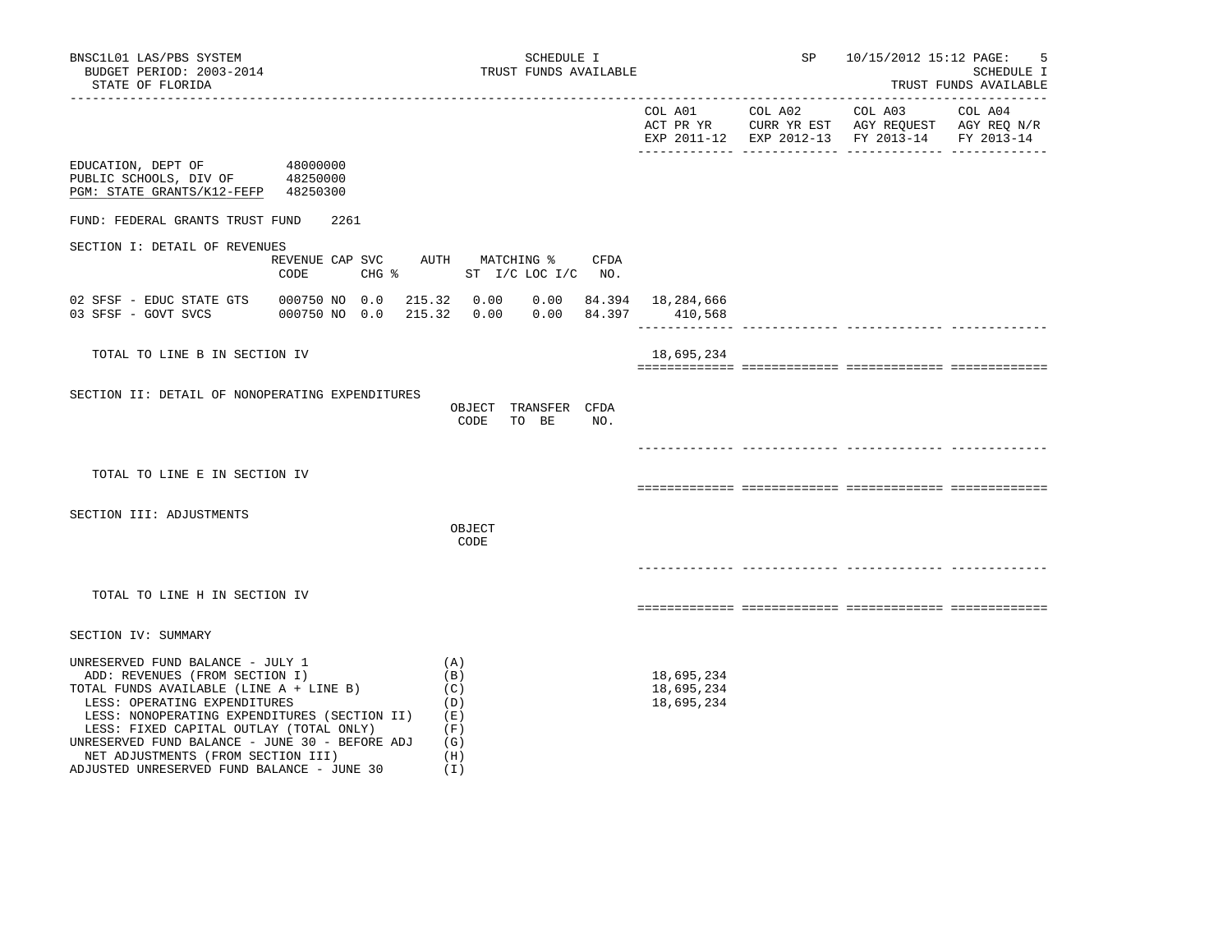ADJUSTED UNRESERVED FUND BALANCE - JUNE 30 (I)

|                                                                                                                                                                                                                                                                                                                                      |                                               |                                               |     |                                        | EXP 2011-12 EXP 2012-13 FY 2013-14 FY 2013-14 |  |
|--------------------------------------------------------------------------------------------------------------------------------------------------------------------------------------------------------------------------------------------------------------------------------------------------------------------------------------|-----------------------------------------------|-----------------------------------------------|-----|----------------------------------------|-----------------------------------------------|--|
| EDUCATION, DEPT OF<br>PUBLIC SCHOOLS, DIV OF 48250000<br>PGM: STATE GRANTS/K12-FEFP 48250300                                                                                                                                                                                                                                         | 48000000                                      |                                               |     |                                        |                                               |  |
| FUND: FEDERAL GRANTS TRUST FUND                                                                                                                                                                                                                                                                                                      | 2261                                          |                                               |     |                                        |                                               |  |
| SECTION I: DETAIL OF REVENUES                                                                                                                                                                                                                                                                                                        | REVENUE CAP SVC AUTH MATCHING % CFDA<br>CODE  | CHG $\frac{1}{2}$ ST I/C LOC I/C NO.          |     |                                        |                                               |  |
| 03 SFSF - GOVT SVCS                                                                                                                                                                                                                                                                                                                  | 000750 NO 0.0 215.32 0.00 0.00 84.397 410,568 |                                               |     |                                        |                                               |  |
| TOTAL TO LINE B IN SECTION IV                                                                                                                                                                                                                                                                                                        |                                               |                                               |     | 18,695,234                             |                                               |  |
| SECTION II: DETAIL OF NONOPERATING EXPENDITURES                                                                                                                                                                                                                                                                                      |                                               | OBJECT TRANSFER CFDA<br>CODE<br>TO BE         | NO. |                                        |                                               |  |
| TOTAL TO LINE E IN SECTION IV                                                                                                                                                                                                                                                                                                        |                                               |                                               |     |                                        |                                               |  |
| SECTION III: ADJUSTMENTS                                                                                                                                                                                                                                                                                                             |                                               | OBJECT<br>CODE                                |     |                                        |                                               |  |
|                                                                                                                                                                                                                                                                                                                                      |                                               |                                               |     |                                        |                                               |  |
| TOTAL TO LINE H IN SECTION IV                                                                                                                                                                                                                                                                                                        |                                               |                                               |     |                                        |                                               |  |
| SECTION IV: SUMMARY                                                                                                                                                                                                                                                                                                                  |                                               |                                               |     |                                        |                                               |  |
| UNRESERVED FUND BALANCE - JULY 1<br>ADD: REVENUES (FROM SECTION I)<br>TOTAL FUNDS AVAILABLE (LINE A + LINE B)<br>LESS: OPERATING EXPENDITURES<br>LESS: NONOPERATING EXPENDITURES (SECTION II) (E)<br>LESS: FIXED CAPITAL OUTLAY (TOTAL ONLY)<br>UNRESERVED FUND BALANCE - JUNE 30 - BEFORE ADJ<br>NET ADJUSTMENTS (FROM SECTION III) |                                               | (A)<br>(B)<br>(C)<br>(D)<br>(F)<br>(G)<br>(H) |     | 18,695,234<br>18,695,234<br>18,695,234 |                                               |  |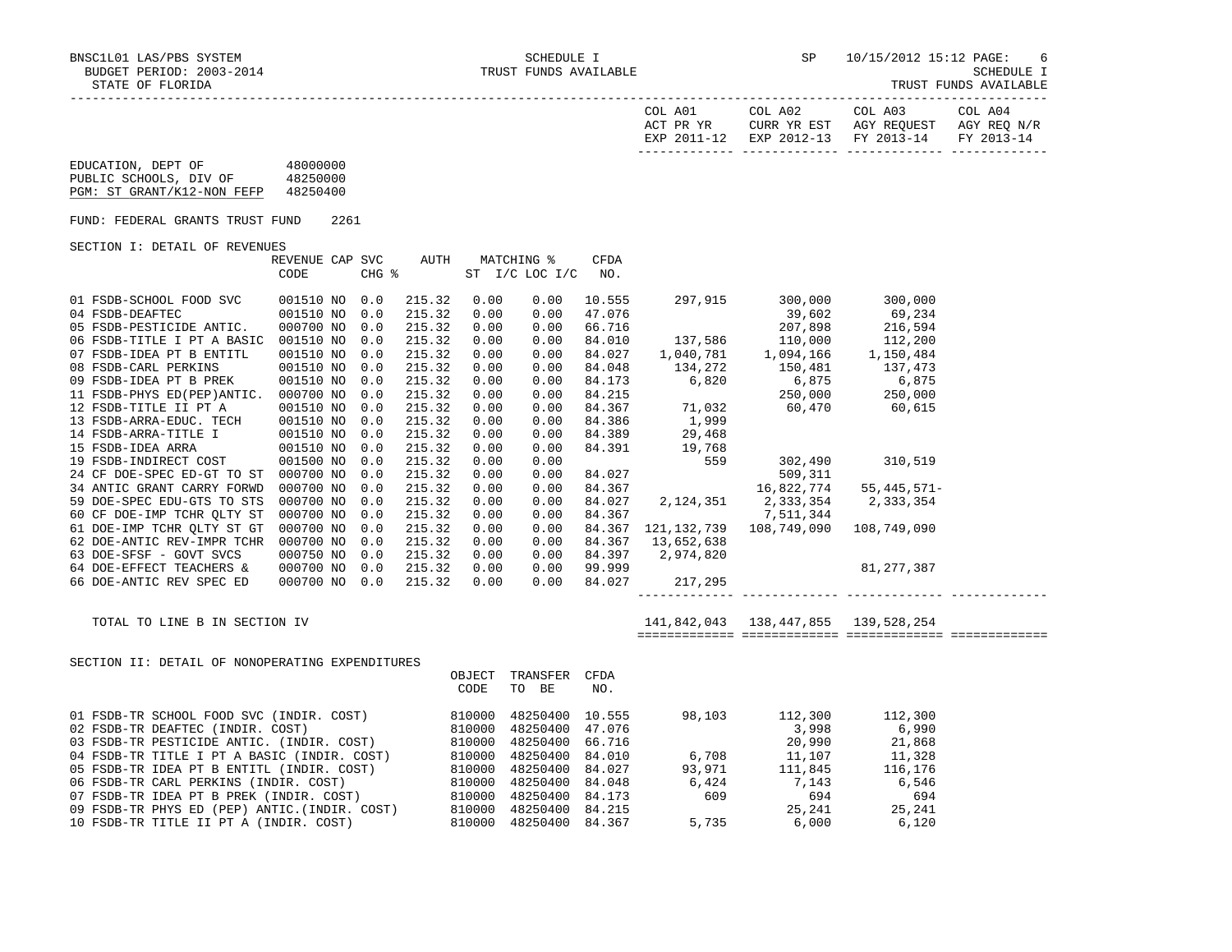| COL A01<br>ACT PR YR | COL A02 | COL A03<br>CURR YR EST AGY REOUEST AGY REO N/R | COL A04 |
|----------------------|---------|------------------------------------------------|---------|
|                      |         | EXP 2011-12 EXP 2012-13 FY 2013-14 FY 2013-14  |         |
|                      |         |                                                |         |

## EDUCATION, DEPT OF 48000000 PUBLIC SCHOOLS, DIV OF 48250000 PGM: ST GRANT/K12-NON FEFP 48250400

FUND: FEDERAL GRANTS TRUST FUND 2261

SECTION I: DETAIL OF REVENUES

|                            | REVENUE CAP | SVC   | AUTH   |      | MATCHING %     | CFDA   |             |                         |               |  |
|----------------------------|-------------|-------|--------|------|----------------|--------|-------------|-------------------------|---------------|--|
|                            | CODE        | CHG % |        |      | ST I/C LOC I/C | NO.    |             |                         |               |  |
|                            |             |       |        |      |                |        |             |                         |               |  |
| 01 FSDB-SCHOOL FOOD SVC    | 001510 NO   | 0.0   | 215.32 | 0.00 | 0.00           | 10.555 | 297,915     | 300,000                 | 300,000       |  |
| 04 FSDB-DEAFTEC            | 001510 NO   | 0.0   | 215.32 | 0.00 | 0.00           | 47.076 |             | 39,602                  | 69,234        |  |
| 05 FSDB-PESTICIDE ANTIC.   | 000700 NO   | 0.0   | 215.32 | 0.00 | 0.00           | 66.716 |             | 207,898                 | 216,594       |  |
| 06 FSDB-TITLE I PT A BASIC | 001510 NO   | 0.0   | 215.32 | 0.00 | 0.00           | 84.010 | 137,586     | 110,000                 | 112,200       |  |
| 07 FSDB-IDEA PT B ENTITL   | 001510 NO   | 0.0   | 215.32 | 0.00 | 0.00           | 84.027 | 1,040,781   | 1,094,166               | 1,150,484     |  |
| 08 FSDB-CARL PERKINS       | 001510 NO   | 0.0   | 215.32 | 0.00 | 0.00           | 84.048 | 134,272     | 150,481                 | 137,473       |  |
| 09 FSDB-IDEA PT B PREK     | 001510 NO   | 0.0   | 215.32 | 0.00 | 0.00           | 84.173 | 6,820       | 6,875                   | 6,875         |  |
| 11 FSDB-PHYS ED(PEP)ANTIC. | 000700 NO   | 0.0   | 215.32 | 0.00 | 0.00           | 84.215 |             | 250,000                 | 250,000       |  |
| 12 FSDB-TITLE II PT A      | 001510 NO   | 0.0   | 215.32 | 0.00 | 0.00           | 84.367 |             | 71,032 60,470 60,615    |               |  |
| 13 FSDB-ARRA-EDUC. TECH    | 001510 NO   | 0.0   | 215.32 | 0.00 | 0.00           | 84.386 | 1,999       |                         |               |  |
| 14 FSDB-ARRA-TITLE I       | 001510 NO   | 0.0   | 215.32 | 0.00 | 0.00           | 84.389 | 29,468      |                         |               |  |
| 15 FSDB-IDEA ARRA          | 001510 NO   | 0.0   | 215.32 | 0.00 | 0.00           | 84.391 | 19,768      |                         |               |  |
| 19 FSDB-INDIRECT COST      | 001500 NO   | 0.0   | 215.32 | 0.00 | 0.00           |        | 559         | 302,490                 | 310,519       |  |
| 24 CF DOE-SPEC ED-GT TO ST | 000700 NO   | 0.0   | 215.32 | 0.00 | 0.00           | 84.027 |             | 509,311                 |               |  |
| 34 ANTIC GRANT CARRY FORWD | 000700 NO   | 0.0   | 215.32 | 0.00 | 0.00           | 84.367 |             | 16,822,774              | $55,445,571-$ |  |
| 59 DOE-SPEC EDU-GTS TO STS | 000700 NO   | 0.0   | 215.32 | 0.00 | 0.00           | 84.027 |             | 2, 124, 351 2, 333, 354 | 2,333,354     |  |
| 60 CF DOE-IMP TCHR OLTY ST | 000700 NO   | 0.0   | 215.32 | 0.00 | 0.00           | 84.367 |             | 7,511,344               |               |  |
| 61 DOE-IMP TCHR QLTY ST GT | 000700 NO   | 0.0   | 215.32 | 0.00 | 0.00           | 84.367 | 121,132,739 | 108,749,090             | 108,749,090   |  |
| 62 DOE-ANTIC REV-IMPR TCHR | 000700 NO   | 0.0   | 215.32 | 0.00 | 0.00           | 84.367 | 13,652,638  |                         |               |  |
| 63 DOE-SFSF - GOVT SVCS    | 000750 NO   | 0.0   | 215.32 | 0.00 | 0.00           | 84.397 | 2,974,820   |                         |               |  |
| 64 DOE-EFFECT TEACHERS &   | 000700 NO   | 0.0   | 215.32 | 0.00 | 0.00           | 99.999 |             |                         | 81,277,387    |  |
| 66 DOE-ANTIC REV SPEC ED   | 000700 NO   | 0.0   | 215.32 | 0.00 | 0.00           | 84.027 | 217,295     |                         |               |  |
|                            |             |       |        |      |                |        |             |                         |               |  |

 TOTAL TO LINE B IN SECTION IV 141,842,043 138,447,855 139,528,254 ============= ============= ============= =============

SECTION II: DETAIL OF NONOPERATING EXPENDITURES

|                                              | OBJECT | TRANSFER        | CFDA   |        |         |         |
|----------------------------------------------|--------|-----------------|--------|--------|---------|---------|
|                                              | CODE   | TO BE           | NO.    |        |         |         |
| 01 FSDB-TR SCHOOL FOOD SVC (INDIR. COST)     | 810000 | 48250400        | 10.555 | 98,103 | 112,300 | 112,300 |
| 02 FSDB-TR DEAFTEC (INDIR. COST)             | 810000 | 48250400 47.076 |        |        | 3,998   | 6,990   |
| 03 FSDB-TR PESTICIDE ANTIC. (INDIR. COST)    | 810000 | 48250400 66.716 |        |        | 20,990  | 21,868  |
| 04 FSDB-TR TITLE I PT A BASIC (INDIR. COST)  | 810000 | 48250400 84.010 |        | 6,708  | 11,107  | 11,328  |
| 05 FSDB-TR IDEA PT B ENTITL (INDIR. COST)    | 810000 | 48250400 84.027 |        | 93,971 | 111,845 | 116,176 |
| 06 FSDB-TR CARL PERKINS (INDIR. COST)        | 810000 | 48250400 84.048 |        | 6,424  | 7,143   | 6,546   |
| 07 FSDB-TR IDEA PT B PREK (INDIR. COST)      | 810000 | 48250400        | 84.173 | 609    | 694     | 694     |
| 09 FSDB-TR PHYS ED (PEP) ANTIC.(INDIR. COST) | 810000 | 48250400        | 84.215 |        | 25,241  | 25,241  |
| 10 FSDB-TR TITLE II PT A (INDIR. COST)       | 810000 | 48250400 84.367 |        | 5,735  | 6.000   | 6.120   |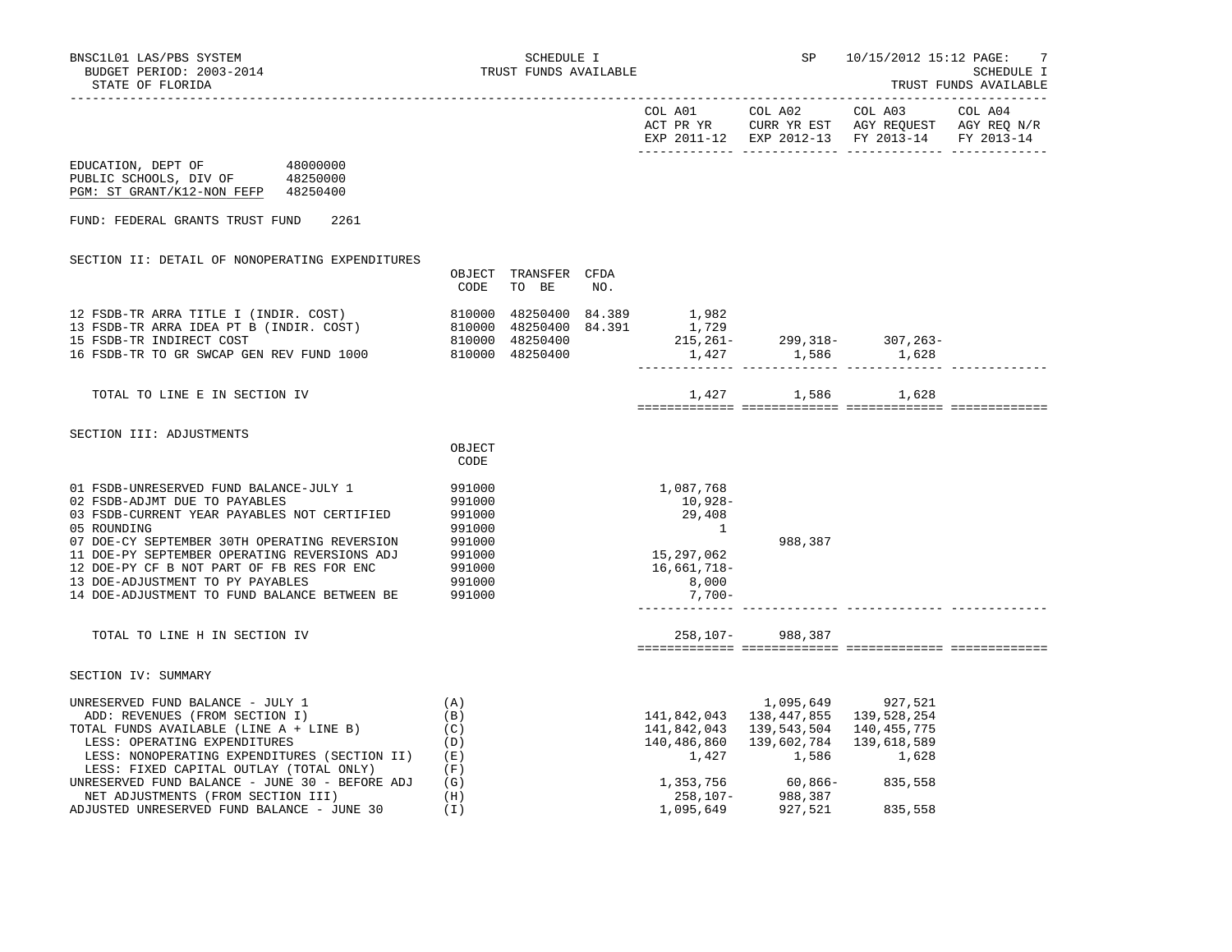|                                                                                                                                                                                                 |        |                               |     | COL A01       | COL A02                                                                    | COL A03     | COL A04 |
|-------------------------------------------------------------------------------------------------------------------------------------------------------------------------------------------------|--------|-------------------------------|-----|---------------|----------------------------------------------------------------------------|-------------|---------|
|                                                                                                                                                                                                 |        |                               |     |               | ACT PR YR CURR YR EST AGY REQUEST AGY REQ N/R                              |             |         |
|                                                                                                                                                                                                 |        |                               |     |               | EXP 2011-12 EXP 2012-13 FY 2013-14 FY 2013-14                              |             |         |
| EDUCATION, DEPT OF 48000000                                                                                                                                                                     |        |                               |     |               |                                                                            |             |         |
| PUBLIC SCHOOLS, DIV OF 48250000                                                                                                                                                                 |        |                               |     |               |                                                                            |             |         |
| PGM: ST GRANT/K12-NON FEFP 48250400                                                                                                                                                             |        |                               |     |               |                                                                            |             |         |
|                                                                                                                                                                                                 |        |                               |     |               |                                                                            |             |         |
| FUND: FEDERAL GRANTS TRUST FUND<br>2261                                                                                                                                                         |        |                               |     |               |                                                                            |             |         |
|                                                                                                                                                                                                 |        |                               |     |               |                                                                            |             |         |
|                                                                                                                                                                                                 |        |                               |     |               |                                                                            |             |         |
| SECTION II: DETAIL OF NONOPERATING EXPENDITURES                                                                                                                                                 |        |                               |     |               |                                                                            |             |         |
|                                                                                                                                                                                                 | CODE   | OBJECT TRANSFER CFDA<br>TO BE | NO. |               |                                                                            |             |         |
|                                                                                                                                                                                                 |        |                               |     |               |                                                                            |             |         |
| 12 FSDB-TR ARRA TITLE I (INDIR. COST)<br>13 FSDB-TR ARRA IDEA PT B (INDIR. COST)<br>15 FSDB-TR INDIRECT COST 610000 48250400 84.391<br>15 FSDB-TR INDIRECT COST 610000 48250400 48250400 15.261 |        |                               |     |               |                                                                            |             |         |
|                                                                                                                                                                                                 |        |                               |     |               |                                                                            |             |         |
|                                                                                                                                                                                                 |        |                               |     |               |                                                                            |             |         |
| 16 FSDB-TR TO GR SWCAP GEN REV FUND 1000                                                                                                                                                        |        | 810000 48250400               |     |               |                                                                            |             |         |
|                                                                                                                                                                                                 |        |                               |     |               |                                                                            |             |         |
|                                                                                                                                                                                                 |        |                               |     |               |                                                                            |             |         |
| TOTAL TO LINE E IN SECTION IV                                                                                                                                                                   |        |                               |     |               | 1,427 1,586 1,628                                                          |             |         |
|                                                                                                                                                                                                 |        |                               |     |               |                                                                            |             |         |
| SECTION III: ADJUSTMENTS                                                                                                                                                                        |        |                               |     |               |                                                                            |             |         |
|                                                                                                                                                                                                 | OBJECT |                               |     |               |                                                                            |             |         |
|                                                                                                                                                                                                 | CODE   |                               |     |               |                                                                            |             |         |
|                                                                                                                                                                                                 |        |                               |     |               |                                                                            |             |         |
| 01 FSDB-UNRESERVED FUND BALANCE-JULY 1                                                                                                                                                          | 991000 |                               |     | 1,087,768     |                                                                            |             |         |
| 02 FSDB-ADJMT DUE TO PAYABLES                                                                                                                                                                   | 991000 |                               |     | 10,928-       |                                                                            |             |         |
| 03 FSDB-CURRENT YEAR PAYABLES NOT CERTIFIED                                                                                                                                                     | 991000 |                               |     | 29,408        |                                                                            |             |         |
| 05 ROUNDING                                                                                                                                                                                     | 991000 |                               |     | $\frac{1}{2}$ |                                                                            |             |         |
| 07 DOE-CY SEPTEMBER 30TH OPERATING REVERSION                                                                                                                                                    | 991000 |                               |     |               | 988,387                                                                    |             |         |
| 11 DOE-PY SEPTEMBER OPERATING REVERSIONS ADJ                                                                                                                                                    | 991000 |                               |     | 15, 297, 062  |                                                                            |             |         |
| 12 DOE-PY CF B NOT PART OF FB RES FOR ENC                                                                                                                                                       | 991000 |                               |     | 16,661,718-   |                                                                            |             |         |
| 13 DOE-ADJUSTMENT TO PY PAYABLES                                                                                                                                                                | 991000 |                               |     | 8,000         |                                                                            |             |         |
| 14 DOE-ADJUSTMENT TO FUND BALANCE BETWEEN BE                                                                                                                                                    | 991000 |                               |     | 7,700-        |                                                                            |             |         |
|                                                                                                                                                                                                 |        |                               |     |               |                                                                            |             |         |
|                                                                                                                                                                                                 |        |                               |     |               |                                                                            |             |         |
| TOTAL TO LINE H IN SECTION IV                                                                                                                                                                   |        |                               |     |               | 258, 107- 988, 387                                                         |             |         |
|                                                                                                                                                                                                 |        |                               |     |               |                                                                            |             |         |
| SECTION IV: SUMMARY                                                                                                                                                                             |        |                               |     |               |                                                                            |             |         |
|                                                                                                                                                                                                 |        |                               |     |               |                                                                            |             |         |
| UNRESERVED FUND BALANCE - JULY 1                                                                                                                                                                | (A)    |                               |     |               | 1,095,649 927,521                                                          |             |         |
| ADD: REVENUES (FROM SECTION I)                                                                                                                                                                  | (B)    |                               |     |               | 141,842,043  138,447,855  139,528,254                                      |             |         |
| TOTAL FUNDS AVAILABLE (LINE A + LINE B)                                                                                                                                                         | (C)    |                               |     | 141,842,043   | 139,543,504                                                                | 140,455,775 |         |
| LESS: OPERATING EXPENDITURES                                                                                                                                                                    | (D)    |                               |     | 140,486,860   | 139,602,784                                                                | 139,618,589 |         |
| LESS: NONOPERATING EXPENDITURES (SECTION II)                                                                                                                                                    | (E)    |                               |     |               | 1,427 1,586                                                                | 1,628       |         |
| LESS: FIXED CAPITAL OUTLAY (TOTAL ONLY)                                                                                                                                                         | (F)    |                               |     |               |                                                                            |             |         |
| UNRESERVED FUND BALANCE - JUNE 30 - BEFORE ADJ                                                                                                                                                  | (G)    |                               |     |               |                                                                            |             |         |
| NET ADJUSTMENTS (FROM SECTION III)                                                                                                                                                              | (H)    |                               |     |               | 1,353,756 60,866- 835,558<br>258,107- 988,387<br>1,095,649 927,521 835,558 |             |         |
| ADJUSTED UNRESERVED FUND BALANCE - JUNE 30                                                                                                                                                      | (I)    |                               |     | 1,095,649     | 927,521                                                                    | 835,558     |         |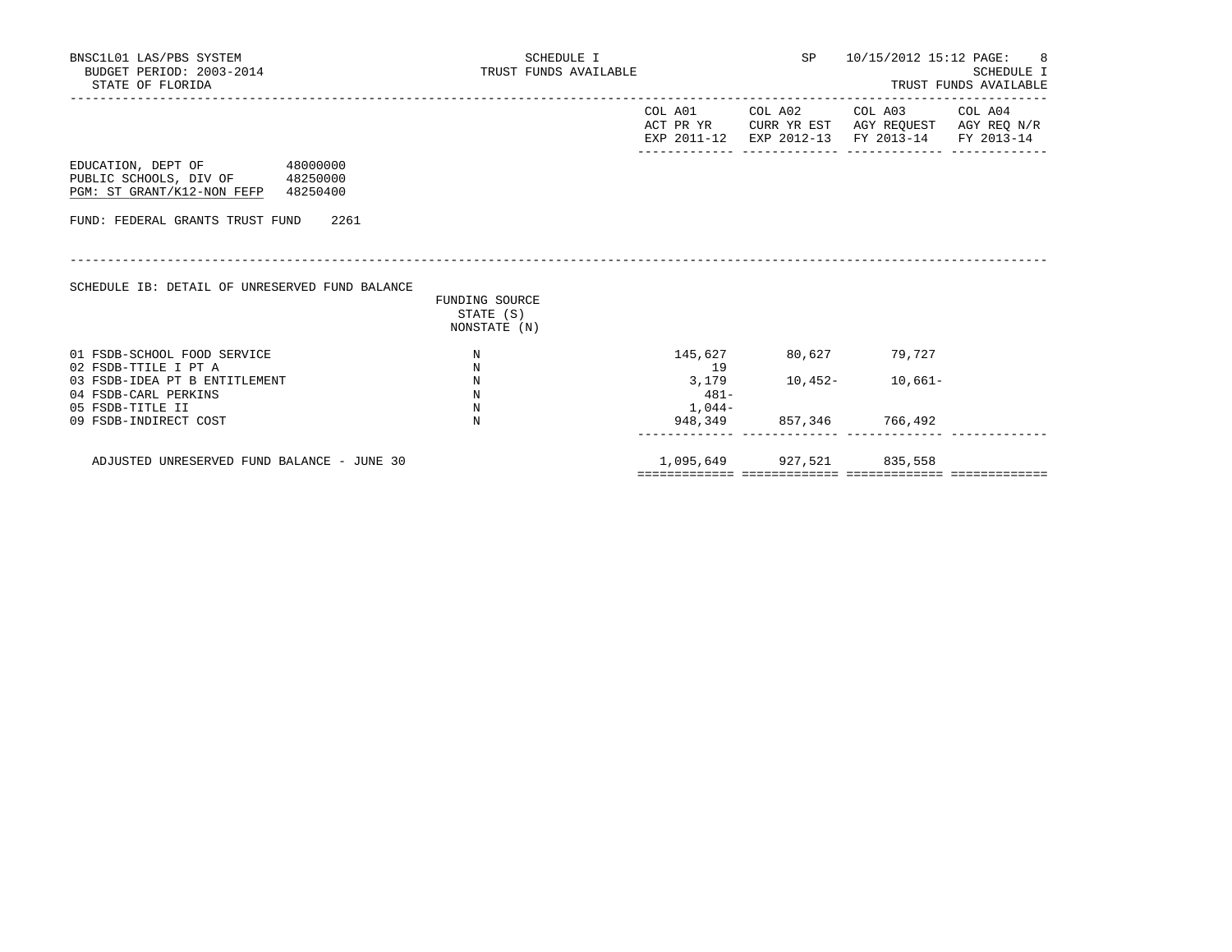| BNSC1L01 LAS/PBS SYSTEM<br>BUDGET PERIOD: 2003-2014<br>STATE OF FLORIDA                                                    | SCHEDULE I<br>TRUST FUNDS AVAILABLE         |                                   | SP                                                          | 10/15/2012 15:12 PAGE: 8                                          | SCHEDULE I<br>TRUST FUNDS AVAILABLE |
|----------------------------------------------------------------------------------------------------------------------------|---------------------------------------------|-----------------------------------|-------------------------------------------------------------|-------------------------------------------------------------------|-------------------------------------|
|                                                                                                                            |                                             | COL A01                           | COL A02<br>ACT PR YR CURR YR EST<br>EXP 2011-12 EXP 2012-13 | -------------<br>COL A03<br>AGY REQUEST AGY REQ N/R<br>FY 2013-14 | COL A04<br>FY 2013-14               |
| EDUCATION, DEPT OF 48000000<br>PUBLIC SCHOOLS, DIV OF 48250000<br>PGM: ST GRANT/K12-NON FEFP 48250400                      |                                             |                                   |                                                             |                                                                   |                                     |
| FUND: FEDERAL GRANTS TRUST FUND 2261                                                                                       |                                             |                                   |                                                             |                                                                   |                                     |
| SCHEDULE IB: DETAIL OF UNRESERVED FUND BALANCE                                                                             | FUNDING SOURCE<br>STATE (S)<br>NONSTATE (N) |                                   |                                                             |                                                                   |                                     |
| 01 FSDB-SCHOOL FOOD SERVICE                                                                                                | N                                           | 145,627                           |                                                             | 80,627 79,727                                                     |                                     |
| 02 FSDB-TTILE I PT A<br>03 FSDB-IDEA PT B ENTITLEMENT<br>04 FSDB-CARL PERKINS<br>05 FSDB-TITLE II<br>09 FSDB-INDIRECT COST | N<br>N<br>N<br>N<br>N                       | 19<br>3,179<br>$481-$<br>$1,044-$ | 10,452-<br>948,349 857,346 766,492                          | $10,661-$                                                         |                                     |
| ADJUSTED UNRESERVED FUND BALANCE - JUNE 30                                                                                 |                                             | 1,095,649                         | 927,521                                                     | 835,558                                                           |                                     |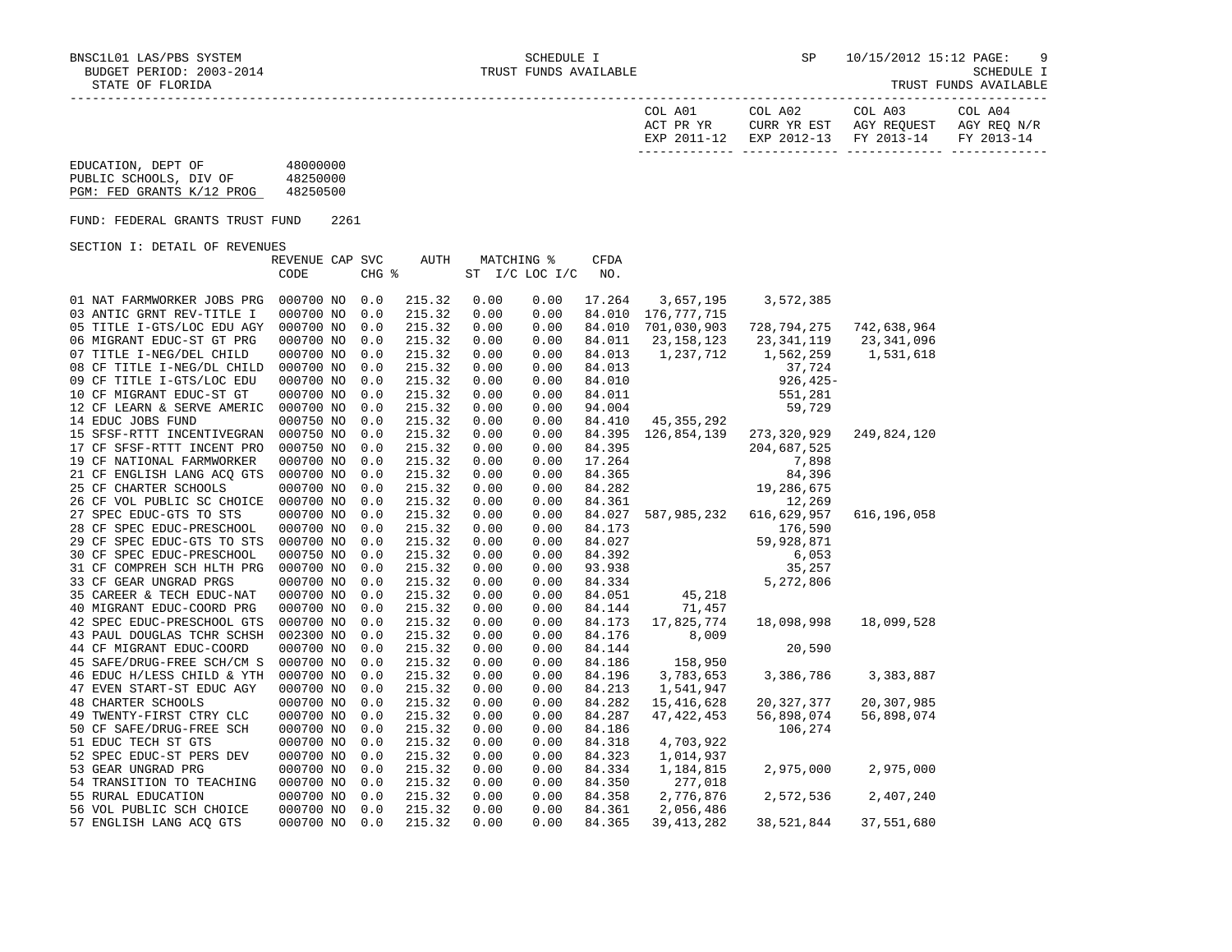| COL A01<br>ACT PR YR | COL A02<br>CURR YR EST            | COL A03<br>AGY REOUEST | COL A04<br>AGY REO N/R |
|----------------------|-----------------------------------|------------------------|------------------------|
| EXP 2011-12          | EXP 2012-13 FY 2013-14 FY 2013-14 |                        |                        |

## EDUCATION, DEPT OF 48000000 PUBLIC SCHOOLS, DIV OF 48250000 PGM: FED GRANTS K/12 PROG 48250500

FUND: FEDERAL GRANTS TRUST FUND 2261

SECTION I: DETAIL OF REVENUES

|                            | REVENUE CAP SVC |       | AUTH   | MATCHING % |                | CFDA   |              |              |               |
|----------------------------|-----------------|-------|--------|------------|----------------|--------|--------------|--------------|---------------|
|                            | CODE            | CHG % |        |            | ST I/C LOC I/C | NO.    |              |              |               |
|                            |                 |       |        |            |                |        |              |              |               |
| 01 NAT FARMWORKER JOBS PRG | 000700 NO       | 0.0   | 215.32 | 0.00       | 0.00           | 17.264 | 3,657,195    | 3,572,385    |               |
| 03 ANTIC GRNT REV-TITLE I  | 000700 NO       | 0.0   | 215.32 | 0.00       | 0.00           | 84.010 | 176,777,715  |              |               |
| 05 TITLE I-GTS/LOC EDU AGY | 000700 NO       | 0.0   | 215.32 | 0.00       | 0.00           | 84.010 | 701,030,903  | 728,794,275  | 742,638,964   |
| 06 MIGRANT EDUC-ST GT PRG  | 000700 NO       | 0.0   | 215.32 | 0.00       | 0.00           | 84.011 | 23, 158, 123 | 23,341,119   | 23,341,096    |
| 07 TITLE I-NEG/DEL CHILD   | 000700 NO       | 0.0   | 215.32 | 0.00       | 0.00           | 84.013 | 1,237,712    | 1,562,259    | 1,531,618     |
| 08 CF TITLE I-NEG/DL CHILD | 000700 NO       | 0.0   | 215.32 | 0.00       | 0.00           | 84.013 |              | 37,724       |               |
| 09 CF TITLE I-GTS/LOC EDU  | 000700 NO       | 0.0   | 215.32 | 0.00       | 0.00           | 84.010 |              | $926, 425 -$ |               |
| 10 CF MIGRANT EDUC-ST GT   | 000700 NO       | 0.0   | 215.32 | 0.00       | 0.00           | 84.011 |              | 551,281      |               |
| 12 CF LEARN & SERVE AMERIC | 000700 NO       | 0.0   | 215.32 | 0.00       | 0.00           | 94.004 |              | 59,729       |               |
| 14 EDUC JOBS FUND          | 000750 NO       | 0.0   | 215.32 | 0.00       | 0.00           | 84.410 | 45,355,292   |              |               |
| 15 SFSF-RTTT INCENTIVEGRAN | 000750 NO       | 0.0   | 215.32 | 0.00       | 0.00           | 84.395 | 126,854,139  | 273,320,929  | 249,824,120   |
| 17 CF SFSF-RTTT INCENT PRO | 000750 NO       | 0.0   | 215.32 | 0.00       | 0.00           | 84.395 |              | 204,687,525  |               |
| 19 CF NATIONAL FARMWORKER  | 000700 NO       | 0.0   | 215.32 | 0.00       | 0.00           | 17.264 |              | 7,898        |               |
| 21 CF ENGLISH LANG ACQ GTS | 000700 NO       | 0.0   | 215.32 | 0.00       | 0.00           | 84.365 |              | 84,396       |               |
| 25 CF CHARTER SCHOOLS      | 000700 NO       | 0.0   | 215.32 | 0.00       | 0.00           | 84.282 |              | 19,286,675   |               |
| 26 CF VOL PUBLIC SC CHOICE | 000700 NO       | 0.0   | 215.32 | 0.00       | 0.00           | 84.361 |              | 12,269       |               |
| 27 SPEC EDUC-GTS TO STS    | 000700 NO       | 0.0   | 215.32 | 0.00       | 0.00           | 84.027 | 587,985,232  | 616,629,957  | 616, 196, 058 |
| 28 CF SPEC EDUC-PRESCHOOL  | 000700 NO       | 0.0   | 215.32 | 0.00       | 0.00           | 84.173 |              | 176,590      |               |
| 29 CF SPEC EDUC-GTS TO STS | 000700 NO       | 0.0   | 215.32 | 0.00       | 0.00           | 84.027 |              | 59,928,871   |               |
| 30 CF SPEC EDUC-PRESCHOOL  | 000750 NO       | 0.0   | 215.32 | 0.00       | 0.00           | 84.392 |              | 6,053        |               |
| 31 CF COMPREH SCH HLTH PRG | 000700 NO       | 0.0   | 215.32 | 0.00       | 0.00           | 93.938 |              | 35,257       |               |
| 33 CF GEAR UNGRAD PRGS     | 000700 NO       | 0.0   | 215.32 | 0.00       | 0.00           | 84.334 |              | 5,272,806    |               |
| 35 CAREER & TECH EDUC-NAT  | 000700 NO       | 0.0   | 215.32 | 0.00       | 0.00           | 84.051 | 45,218       |              |               |
| 40 MIGRANT EDUC-COORD PRG  | 000700 NO       | 0.0   | 215.32 | 0.00       | 0.00           | 84.144 | 71,457       |              |               |
| 42 SPEC EDUC-PRESCHOOL GTS | 000700 NO       | 0.0   | 215.32 | 0.00       | 0.00           | 84.173 | 17,825,774   | 18,098,998   | 18,099,528    |
| 43 PAUL DOUGLAS TCHR SCHSH | 002300 NO       | 0.0   | 215.32 | 0.00       | 0.00           | 84.176 | 8,009        |              |               |
| 44 CF MIGRANT EDUC-COORD   | 000700 NO       | 0.0   | 215.32 | 0.00       | 0.00           | 84.144 |              | 20,590       |               |
| 45 SAFE/DRUG-FREE SCH/CM S | 000700 NO       | 0.0   | 215.32 | 0.00       | 0.00           | 84.186 | 158,950      |              |               |
| 46 EDUC H/LESS CHILD & YTH | 000700 NO       | 0.0   | 215.32 | 0.00       | 0.00           | 84.196 | 3,783,653    | 3,386,786    | 3,383,887     |
| 47 EVEN START-ST EDUC AGY  | 000700 NO       | 0.0   | 215.32 | 0.00       | 0.00           | 84.213 | 1,541,947    |              |               |
| <b>48 CHARTER SCHOOLS</b>  | 000700 NO       | 0.0   | 215.32 | 0.00       | 0.00           | 84.282 | 15,416,628   | 20, 327, 377 | 20,307,985    |
| 49 TWENTY-FIRST CTRY CLC   | 000700 NO       | 0.0   | 215.32 | 0.00       | 0.00           | 84.287 | 47, 422, 453 | 56,898,074   | 56,898,074    |
| 50 CF SAFE/DRUG-FREE SCH   | 000700 NO       | 0.0   | 215.32 | 0.00       | 0.00           | 84.186 |              | 106,274      |               |
| 51 EDUC TECH ST GTS        | 000700 NO       | 0.0   | 215.32 | 0.00       | 0.00           | 84.318 | 4,703,922    |              |               |
| 52 SPEC EDUC-ST PERS DEV   | 000700 NO       | 0.0   | 215.32 | 0.00       | 0.00           | 84.323 | 1,014,937    |              |               |
| 53 GEAR UNGRAD PRG         | 000700 NO       | 0.0   | 215.32 | 0.00       | 0.00           | 84.334 | 1,184,815    | 2,975,000    | 2,975,000     |
| 54 TRANSITION TO TEACHING  | 000700 NO       | 0.0   | 215.32 | 0.00       | 0.00           | 84.350 | 277,018      |              |               |
| 55 RURAL EDUCATION         | 000700 NO       | 0.0   | 215.32 | 0.00       | 0.00           | 84.358 | 2,776,876    | 2,572,536    | 2,407,240     |
| 56 VOL PUBLIC SCH CHOICE   | 000700 NO       | 0.0   | 215.32 | 0.00       | 0.00           | 84.361 | 2,056,486    |              |               |
| 57 ENGLISH LANG ACQ GTS    | 000700 NO       | 0.0   | 215.32 | 0.00       | 0.00           | 84.365 | 39, 413, 282 | 38,521,844   | 37,551,680    |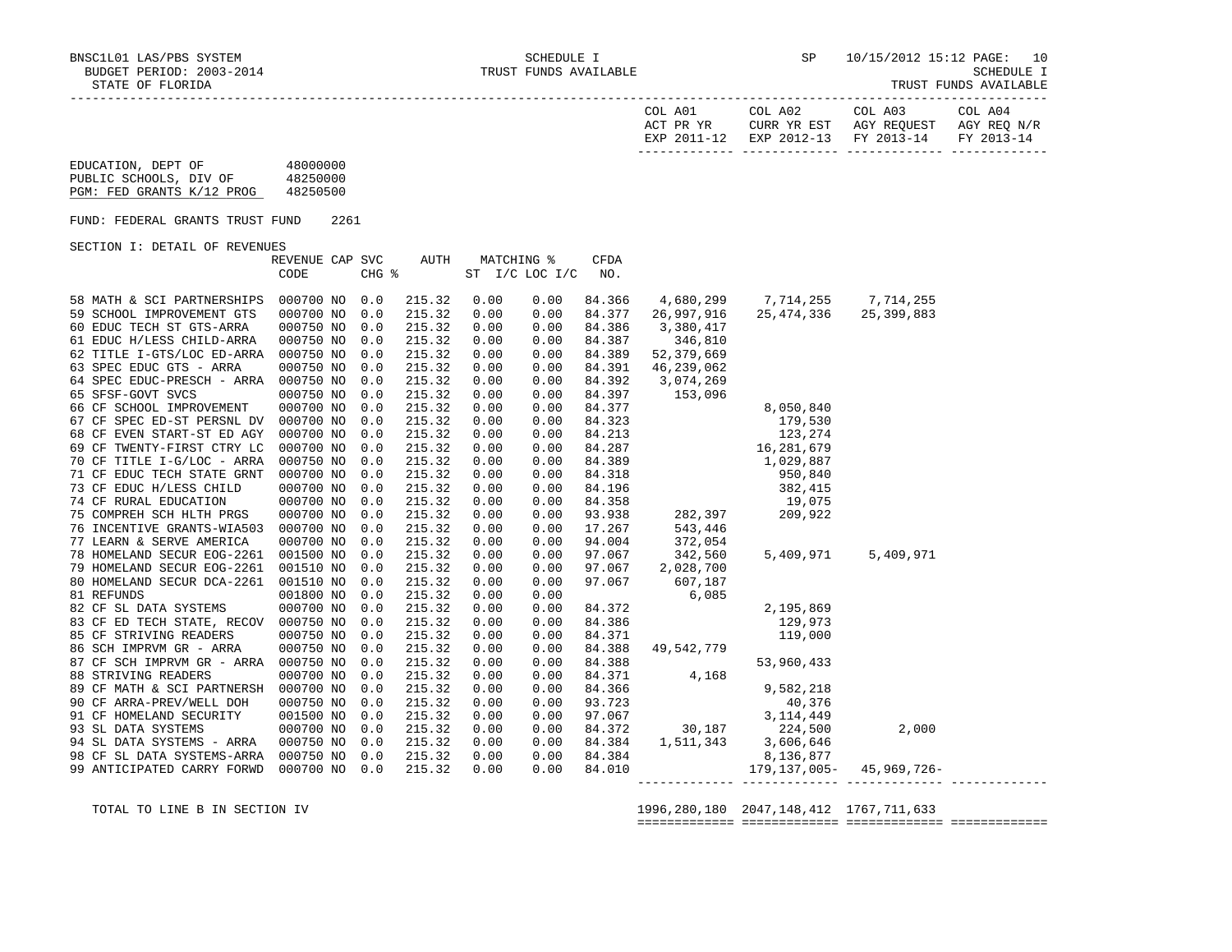| TRUST FUNDS AVAILABLE |  |
|-----------------------|--|
|-----------------------|--|

| COL A01<br>ACT PR YR | COL A02 | COL A03<br>CURR YR EST AGY REOUEST AGY REO N/R | COL A04 |
|----------------------|---------|------------------------------------------------|---------|
|                      |         | EXP 2011-12 EXP 2012-13 FY 2013-14 FY 2013-14  |         |
|                      |         |                                                |         |

| EDUCATION, DEPT OF        | 48000000 |
|---------------------------|----------|
| PUBLIC SCHOOLS, DIV OF    | 48250000 |
| PGM: FED GRANTS K/12 PROG | 48250500 |

FUND: FEDERAL GRANTS TRUST FUND 2261

SECTION I: DETAIL OF REVENUES

|                                      | REVENUE CAP SVC |       | AUTH   |      | MATCHING %     | CFDA   |                                                                                                                     |                                                                                   |            |  |
|--------------------------------------|-----------------|-------|--------|------|----------------|--------|---------------------------------------------------------------------------------------------------------------------|-----------------------------------------------------------------------------------|------------|--|
|                                      | CODE            | CHG % |        |      | ST I/C LOC I/C | NO.    |                                                                                                                     |                                                                                   |            |  |
|                                      |                 |       |        |      |                |        |                                                                                                                     |                                                                                   |            |  |
| 58 MATH & SCI PARTNERSHIPS           | 000700 NO       | 0.0   | 215.32 | 0.00 | 0.00           | 84.366 | 4,680,299                                                                                                           | 7,714,255                                                                         | 7,714,255  |  |
| 59 SCHOOL IMPROVEMENT GTS            | 000700 NO       | 0.0   | 215.32 | 0.00 | 0.00           | 84.377 | 26,997,916                                                                                                          | 25,474,336                                                                        | 25,399,883 |  |
| 60 EDUC TECH ST GTS-ARRA             | 000750 NO       | 0.0   | 215.32 | 0.00 | 0.00           | 84.386 | 3,380,417                                                                                                           |                                                                                   |            |  |
| 61 EDUC H/LESS CHILD-ARRA            | 000750 NO       | 0.0   | 215.32 | 0.00 | 0.00           | 84.387 | 346,810                                                                                                             |                                                                                   |            |  |
| 62 TITLE I-GTS/LOC ED-ARRA           | 000750 NO       | 0.0   | 215.32 | 0.00 | 0.00           | 84.389 | 52,379,669                                                                                                          |                                                                                   |            |  |
| 63 SPEC EDUC GTS - ARRA              | 000750 NO       | 0.0   | 215.32 | 0.00 | 0.00           | 84.391 | 46,239,062                                                                                                          |                                                                                   |            |  |
| 64 SPEC EDUC-PRESCH - ARRA           | 000750 NO       | 0.0   | 215.32 | 0.00 | 0.00           | 84.392 | 3,074,269                                                                                                           |                                                                                   |            |  |
| 65 SFSF-GOVT SVCS                    | 000750 NO       | 0.0   | 215.32 | 0.00 | 0.00           | 84.397 | 153,096                                                                                                             |                                                                                   |            |  |
| 66 CF SCHOOL IMPROVEMENT             | 000700 NO       | 0.0   | 215.32 | 0.00 | 0.00           |        |                                                                                                                     |                                                                                   |            |  |
| 67 CF SPEC ED-ST PERSNL DV           | 000700 NO       | 0.0   | 215.32 | 0.00 | 0.00           |        |                                                                                                                     |                                                                                   |            |  |
| 68 CF EVEN START-ST ED AGY           | 000700 NO       | 0.0   | 215.32 | 0.00 | 0.00           |        |                                                                                                                     |                                                                                   |            |  |
| 69 CF TWENTY-FIRST CTRY LC           | 000700 NO       | 0.0   | 215.32 | 0.00 | 0.00           |        | $\begin{array}{llll} 84.377 & 8,050,840 \\ 84.323 & 179,530 \\ 84.213 & 123,274 \\ 84.287 & 16,281,679 \end{array}$ |                                                                                   |            |  |
| 70 CF TITLE I-G/LOC - ARRA           | 000750 NO       | 0.0   | 215.32 | 0.00 | 0.00           |        | 84.389 1,029,887                                                                                                    |                                                                                   |            |  |
| 71 CF EDUC TECH STATE GRNT           | 000700 NO       | 0.0   | 215.32 | 0.00 | 0.00           | 84.318 | 950,840                                                                                                             |                                                                                   |            |  |
| 73 CF EDUC H/LESS CHILD              | 000700 NO       | 0.0   | 215.32 | 0.00 | 0.00           | 84.196 |                                                                                                                     | $\begin{array}{r} 382,415 \\ 382,415 \\ 19,075 \\ 282,397 \\ 209,922 \end{array}$ |            |  |
| 74 CF RURAL EDUCATION                | 000700 NO       | 0.0   | 215.32 | 0.00 | 0.00           | 84.358 |                                                                                                                     |                                                                                   |            |  |
| 75 COMPREH SCH HLTH PRGS             | 000700 NO       | 0.0   | 215.32 | 0.00 | 0.00           | 93.938 |                                                                                                                     |                                                                                   |            |  |
| 76 INCENTIVE GRANTS-WIA503           | 000700 NO       | 0.0   | 215.32 | 0.00 | 0.00           | 17.267 | 543,446                                                                                                             |                                                                                   |            |  |
| 77 LEARN & SERVE AMERICA             | 000700 NO       | 0.0   | 215.32 | 0.00 | 0.00           | 94.004 | 372,054                                                                                                             |                                                                                   |            |  |
| 78 HOMELAND SECUR EOG-2261           | 001500 NO       | 0.0   | 215.32 | 0.00 | 0.00           | 97.067 | 342,560                                                                                                             | 5,409,971                                                                         | 5,409,971  |  |
| 79 HOMELAND SECUR EOG-2261           | 001510 NO       | 0.0   | 215.32 | 0.00 | 0.00           | 97.067 | 2,028,700                                                                                                           |                                                                                   |            |  |
| 80 HOMELAND SECUR DCA-2261           | 001510 NO       | 0.0   | 215.32 | 0.00 | 0.00           | 97.067 | 607,187                                                                                                             |                                                                                   |            |  |
| 81 REFUNDS                           | 001800 NO       | 0.0   | 215.32 | 0.00 | 0.00           |        | 6,085                                                                                                               |                                                                                   |            |  |
| 82 CF SL DATA SYSTEMS                | 000700 NO       | 0.0   | 215.32 | 0.00 | 0.00           |        | 84.372<br>84.386<br>84.371                                                                                          | 2,195,869                                                                         |            |  |
| 83 CF ED TECH STATE, RECOV           | 000750 NO       | 0.0   | 215.32 | 0.00 | 0.00           |        |                                                                                                                     | 129,973                                                                           |            |  |
| 85 CF STRIVING READERS               | 000750 NO       | 0.0   | 215.32 | 0.00 | 0.00           |        |                                                                                                                     | 119,000                                                                           |            |  |
| 86 SCH IMPRVM GR - ARRA              | 000750 NO       | 0.0   | 215.32 | 0.00 | 0.00           | 84.388 | 49,542,779                                                                                                          |                                                                                   |            |  |
| 87 CF SCH IMPRVM GR - ARRA 000750 NO |                 | 0.0   | 215.32 | 0.00 | 0.00           | 84.388 |                                                                                                                     | 53,960,433                                                                        |            |  |
| 88 STRIVING READERS                  | 000700 NO       | 0.0   | 215.32 | 0.00 | 0.00           | 84.371 | 4,168                                                                                                               |                                                                                   |            |  |
| 89 CF MATH & SCI PARTNERSH 000700 NO |                 | 0.0   | 215.32 | 0.00 | 0.00           | 84.366 |                                                                                                                     | 9,582,218                                                                         |            |  |
| 90 CF ARRA-PREV/WELL DOH             | 000750 NO       | 0.0   | 215.32 | 0.00 | 0.00           | 93.723 |                                                                                                                     | 40,376                                                                            |            |  |
| 91 CF HOMELAND SECURITY              | 001500 NO       | 0.0   | 215.32 | 0.00 | 0.00           | 97.067 |                                                                                                                     |                                                                                   |            |  |
| 93 SL DATA SYSTEMS                   | 000700 NO       | 0.0   | 215.32 | 0.00 | 0.00           | 84.372 |                                                                                                                     | 3, 114, 449<br>30, 187<br>224, 500<br>1, 511, 343<br>3, 606, 646                  | 2,000      |  |
| 94 SL DATA SYSTEMS - ARRA            | 000750 NO       | 0.0   | 215.32 | 0.00 | 0.00           | 84.384 |                                                                                                                     |                                                                                   |            |  |
| 98 CF SL DATA SYSTEMS-ARRA           | 000750 NO       | 0.0   | 215.32 | 0.00 | 0.00           | 84.384 |                                                                                                                     | 8,136,877                                                                         |            |  |
| 99 ANTICIPATED CARRY FORWD           | 000700 NO       | 0.0   | 215.32 | 0.00 | 0.00           | 84.010 |                                                                                                                     | 179, 137, 005 - 45, 969, 726 -                                                    |            |  |
|                                      |                 |       |        |      |                |        |                                                                                                                     |                                                                                   |            |  |

TOTAL TO LINE B IN SECTION IV 1996,280,180 2047,148,412 1767,711,633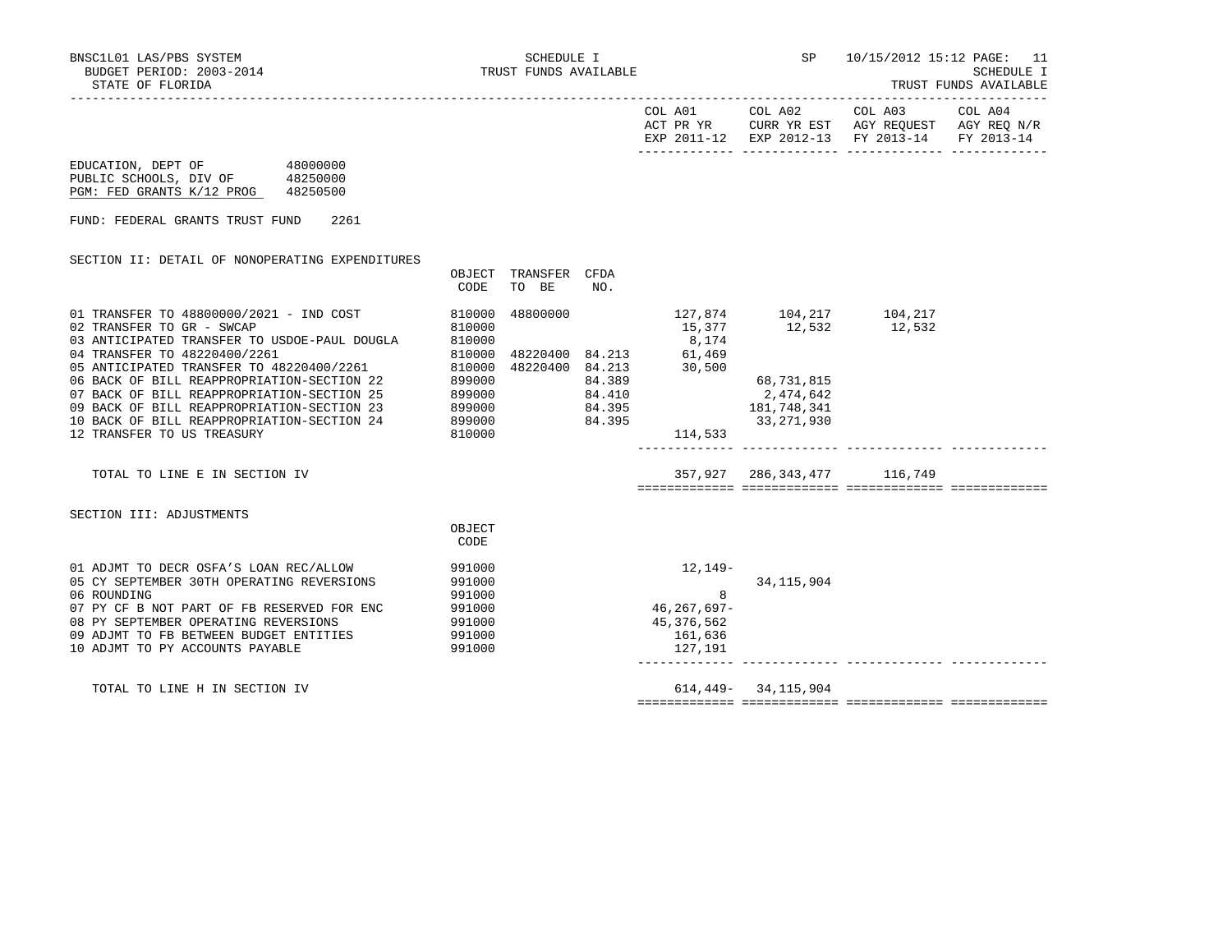|                                                                                                                                                                                                                                                                                                |                                                          |                                  |                  |                                                                                 |                             | COL A01 COL A02 COL A03 COL A04<br>ACT PR YR CURR YR EST AGY REQUEST AGY REQ N/R<br>EXP 2011-12 EXP 2012-13 FY 2013-14 FY 2013-14 |  |
|------------------------------------------------------------------------------------------------------------------------------------------------------------------------------------------------------------------------------------------------------------------------------------------------|----------------------------------------------------------|----------------------------------|------------------|---------------------------------------------------------------------------------|-----------------------------|-----------------------------------------------------------------------------------------------------------------------------------|--|
| EDUCATION, DEPT OF 48000000<br>PUBLIC SCHOOLS, DIV OF 48250000<br>PGM: FED GRANTS K/12 PROG 48250500                                                                                                                                                                                           |                                                          |                                  |                  |                                                                                 |                             |                                                                                                                                   |  |
| FUND: FEDERAL GRANTS TRUST FUND<br>2261                                                                                                                                                                                                                                                        |                                                          |                                  |                  |                                                                                 |                             |                                                                                                                                   |  |
| SECTION II: DETAIL OF NONOPERATING EXPENDITURES                                                                                                                                                                                                                                                | OBJECT<br>CODE                                           | TRANSFER<br>TO BE                | CFDA<br>NO.      |                                                                                 |                             |                                                                                                                                   |  |
| 01 TRANSFER TO 48800000/2021 - IND COST<br>810000<br>02 TRANSFER TO GR - SWCAP<br>03 ANTICIPATED TRANSFER TO USDOE-PAUL DOUGLA                                                                                                                                                                 | 810000<br>810000                                         | 48800000                         |                  | 127,874 104,217 104,217<br>8,174                                                | 15,377 12,532 12,532        |                                                                                                                                   |  |
| 04 TRANSFER TO 48220400/2261<br>05 ANTICIPATED TRANSFER TO 48220400/2261<br>06 BACK OF BILL REAPPROPRIATION-SECTION 22<br>07 BACK OF BILL REAPPROPRIATION-SECTION 25<br>09 BACK OF BILL REAPPROPRIATION-SECTION 23<br>10 BACK OF BILL REAPPROPRIATION-SECTION 24<br>12 TRANSFER TO US TREASURY | 810000<br>810000<br>899000<br>899000<br>899000<br>810000 | 48220400 84.213<br>899000 84.395 | 84.389<br>84.410 | 48220400 84.213 61,469<br>30,500<br>84.395 181,748,341<br>33,271,930<br>114,533 | 68,731,815<br>2,474,642     |                                                                                                                                   |  |
| TOTAL TO LINE E IN SECTION IV                                                                                                                                                                                                                                                                  |                                                          |                                  |                  |                                                                                 | 357,927 286,343,477 116,749 |                                                                                                                                   |  |
| SECTION III: ADJUSTMENTS                                                                                                                                                                                                                                                                       | OBJECT<br>CODE                                           |                                  |                  |                                                                                 |                             |                                                                                                                                   |  |
| 01 ADJMT TO DECR OSFA'S LOAN REC/ALLOW<br>05 CY SEPTEMBER 30TH OPERATING REVERSIONS<br>06 ROUNDING<br>07 PY CF B NOT PART OF FB RESERVED FOR ENC<br>08 PY SEPTEMBER OPERATING REVERSIONS<br>09 ADJMT TO FB BETWEEN BUDGET ENTITIES 991000<br>10 ADJMT TO PY ACCOUNTS PAYABLE                   | 991000<br>991000<br>991000<br>991000<br>991000<br>991000 |                                  |                  | 12,149-<br>8<br>46,267,697-<br>45,376,562<br>161,636<br>127,191                 | 34, 115, 904                |                                                                                                                                   |  |

TOTAL TO LINE H IN SECTION IV 614,449- 34,115,904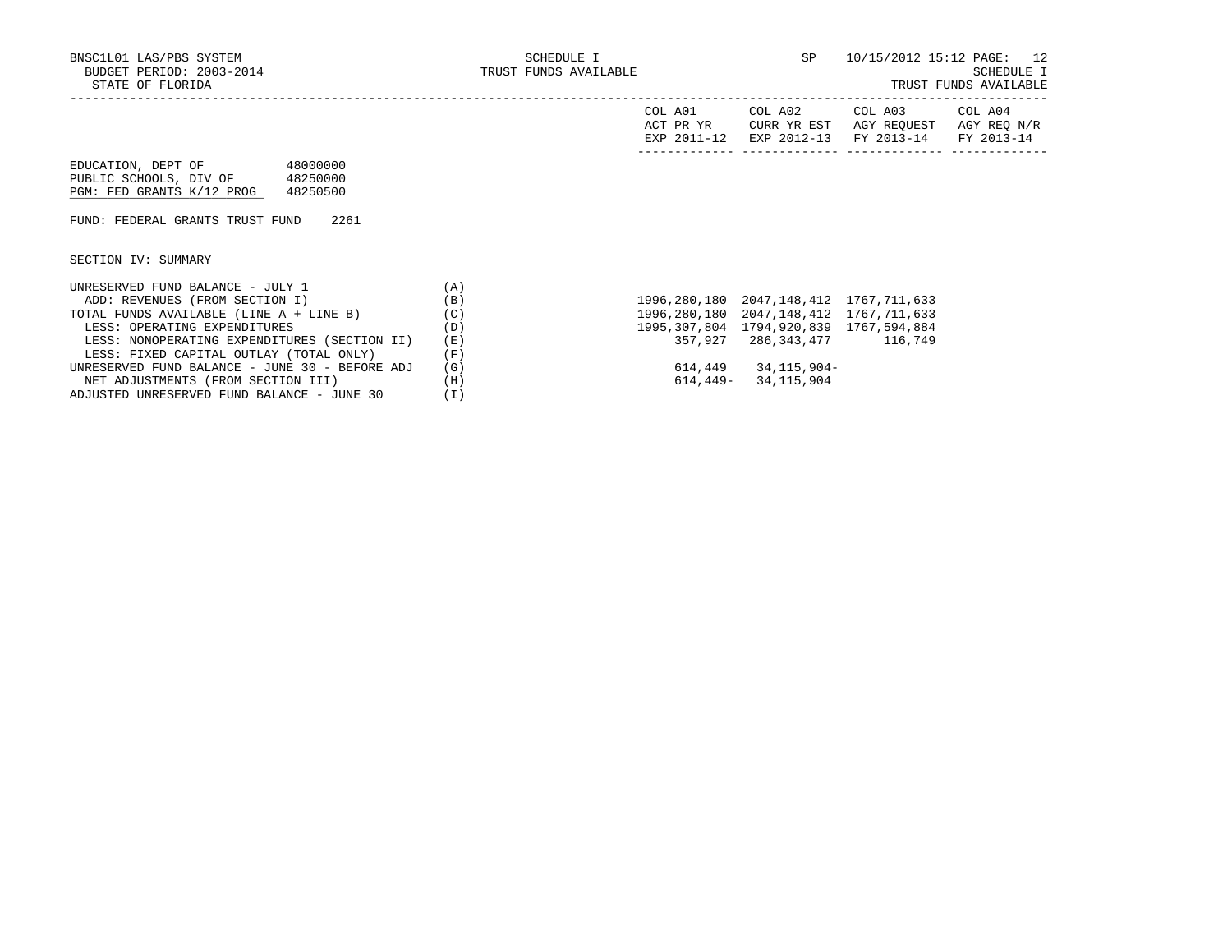| COL A01<br>ACT PR YR | COL A02<br>CURR YR EST | COL A03<br>AGY REOUEST            | COL A04<br>AGY REO N/R |
|----------------------|------------------------|-----------------------------------|------------------------|
| EXP 2011-12          |                        | EXP 2012-13 FY 2013-14 FY 2013-14 |                        |
|                      |                        |                                   |                        |

| EDUCATION, DEPT OF        | 48000000 |
|---------------------------|----------|
| PUBLIC SCHOOLS, DIV OF    | 48250000 |
| PGM: FED GRANTS K/12 PROG | 48250500 |

FUND: FEDERAL GRANTS TRUST FUND 2261

SECTION IV: SUMMARY

| UNRESERVED FUND BALANCE - JULY 1               | A   |                                              |              |         |
|------------------------------------------------|-----|----------------------------------------------|--------------|---------|
| ADD: REVENUES (FROM SECTION I)                 | (B) | 1996, 280, 180 2047, 148, 412 1767, 711, 633 |              |         |
| TOTAL FUNDS AVAILABLE (LINE A + LINE B)        | (C) | 1996, 280, 180 2047, 148, 412 1767, 711, 633 |              |         |
| LESS: OPERATING EXPENDITURES                   | (D) | 1995, 307, 804 1794, 920, 839 1767, 594, 884 |              |         |
| LESS: NONOPERATING EXPENDITURES (SECTION II)   | (E) | 357,927 286,343,477                          |              | 116,749 |
| LESS: FIXED CAPITAL OUTLAY (TOTAL ONLY)        | 'F) |                                              |              |         |
| UNRESERVED FUND BALANCE - JUNE 30 - BEFORE ADJ | (G) | 614,449                                      | 34,115,904-  |         |
| NET ADJUSTMENTS (FROM SECTION III)             | (H) | 614,449–                                     | 34, 115, 904 |         |
| ADJUSTED UNRESERVED FUND BALANCE - JUNE 30     |     |                                              |              |         |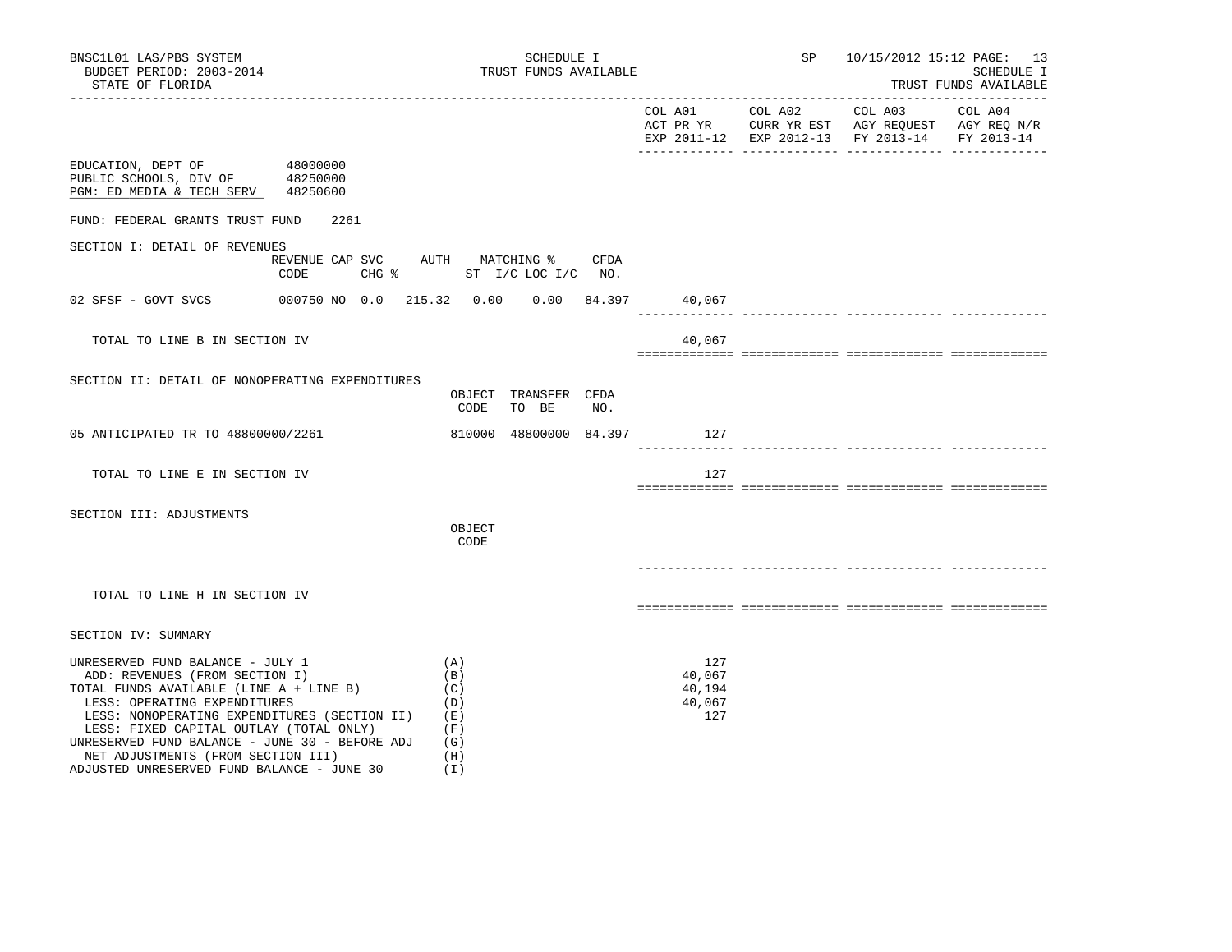| BNSC1L01 LAS/PBS SYSTEM<br>BUDGET PERIOD: 2003-2014<br>STATE OF FLORIDA                                                                                                                                                                                                                                                          | ____________________________                 | SCHEDULE I<br>TRUST FUNDS AVAILABLE                  |      |                                          | SP 10/15/2012 15:12 PAGE: 13                                                                   | SCHEDULE I<br>TRUST FUNDS AVAILABLE |
|----------------------------------------------------------------------------------------------------------------------------------------------------------------------------------------------------------------------------------------------------------------------------------------------------------------------------------|----------------------------------------------|------------------------------------------------------|------|------------------------------------------|------------------------------------------------------------------------------------------------|-------------------------------------|
|                                                                                                                                                                                                                                                                                                                                  |                                              |                                                      |      |                                          | ACT PR YR CURR YR EST AGY REQUEST AGY REQ N/R<br>EXP 2011-12 EXP 2012-13 FY 2013-14 FY 2013-14 |                                     |
| EDUCATION, DEPT OF<br>PUBLIC SCHOOLS, DIV OF 48250000<br>PGM: ED MEDIA & TECH SERV 48250600                                                                                                                                                                                                                                      | 48000000                                     |                                                      |      |                                          |                                                                                                |                                     |
| FUND: FEDERAL GRANTS TRUST FUND                                                                                                                                                                                                                                                                                                  | 2261                                         |                                                      |      |                                          |                                                                                                |                                     |
| SECTION I: DETAIL OF REVENUES                                                                                                                                                                                                                                                                                                    | REVENUE CAP SVC AUTH MATCHING %<br>CODE      | CHG $\frac{1}{2}$ ST I/C LOC I/C NO.                 | CFDA |                                          |                                                                                                |                                     |
| 02 SFSF - GOVT SVCS                                                                                                                                                                                                                                                                                                              | 000750 NO 0.0 215.32 0.00 0.00 84.397 40,067 |                                                      |      |                                          |                                                                                                |                                     |
| TOTAL TO LINE B IN SECTION IV                                                                                                                                                                                                                                                                                                    |                                              |                                                      |      | 40,067                                   |                                                                                                |                                     |
| SECTION II: DETAIL OF NONOPERATING EXPENDITURES                                                                                                                                                                                                                                                                                  |                                              | OBJECT TRANSFER CFDA<br>CODE<br>TO BE                | NO.  |                                          |                                                                                                |                                     |
| 05 ANTICIPATED TR TO 48800000/2261                                                                                                                                                                                                                                                                                               |                                              | 810000 48800000 84.397 127                           |      |                                          |                                                                                                |                                     |
| TOTAL TO LINE E IN SECTION IV                                                                                                                                                                                                                                                                                                    |                                              |                                                      |      | 127                                      |                                                                                                |                                     |
| SECTION III: ADJUSTMENTS                                                                                                                                                                                                                                                                                                         |                                              | OBJECT<br>CODE                                       |      |                                          |                                                                                                |                                     |
| TOTAL TO LINE H IN SECTION IV                                                                                                                                                                                                                                                                                                    |                                              |                                                      |      |                                          |                                                                                                |                                     |
| SECTION IV: SUMMARY                                                                                                                                                                                                                                                                                                              |                                              |                                                      |      |                                          |                                                                                                |                                     |
| UNRESERVED FUND BALANCE - JULY 1<br>ADD: REVENUES (FROM SECTION I)<br>TOTAL FUNDS AVAILABLE (LINE A + LINE B)<br>LESS: OPERATING EXPENDITURES<br>LESS: NONOPERATING EXPENDITURES (SECTION II)<br>LESS: FIXED CAPITAL OUTLAY (TOTAL ONLY)<br>UNRESERVED FUND BALANCE - JUNE 30 - BEFORE ADJ<br>NET ADJUSTMENTS (FROM SECTION III) |                                              | (A)<br>(B)<br>(C)<br>(D)<br>(E)<br>(F)<br>(G)<br>(H) |      | 127<br>40,067<br>40,194<br>40,067<br>127 |                                                                                                |                                     |

NET ADJUSTMENTS (FROM SECTION III) (H)<br>DJUSTED UNRESERVED FUND BALANCE - JUNE 30 (I)

ADJUSTED UNRESERVED FUND BALANCE - JUNE 30 (I)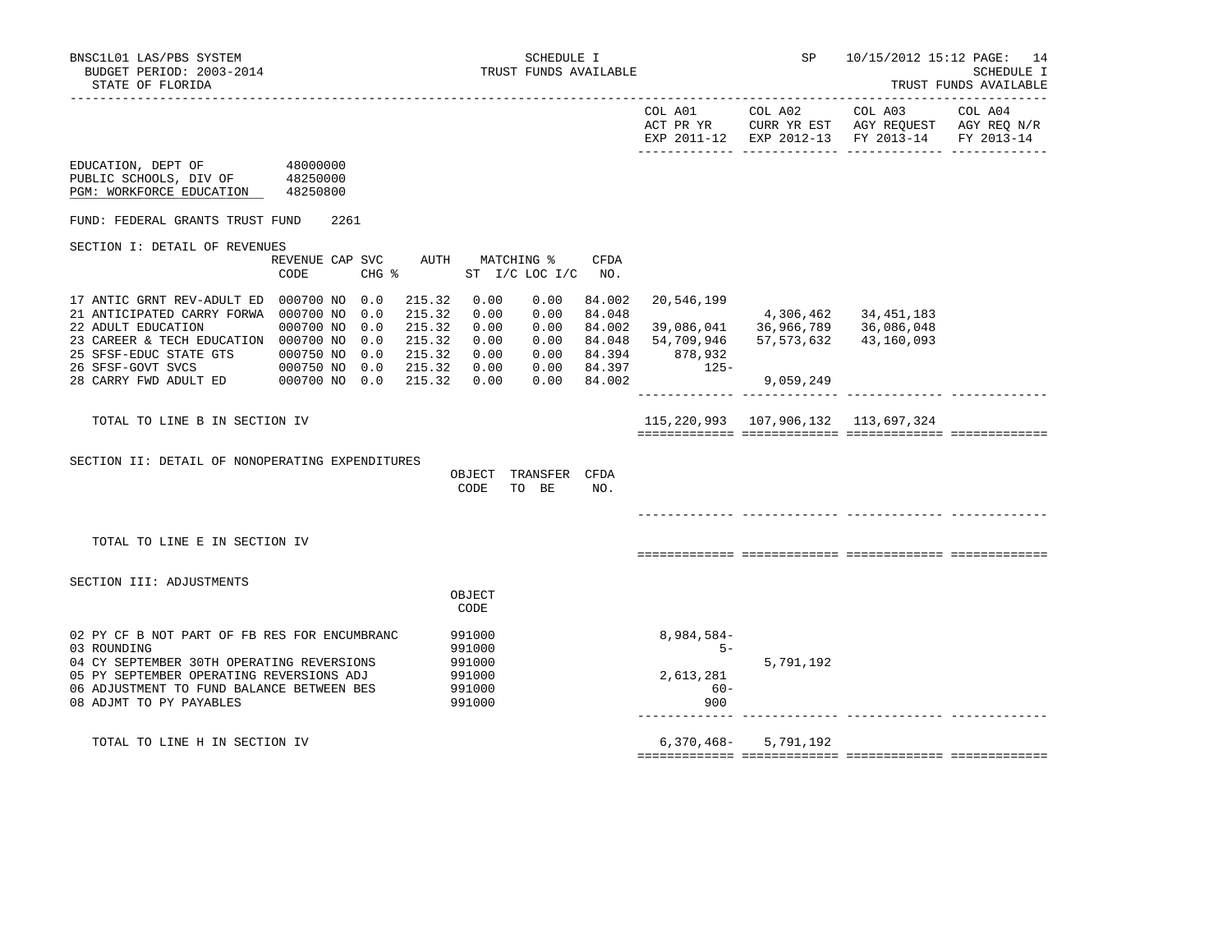EDUCATION, DEPT OF 48000000

|  | TRUST | <b>FUNDS</b> | AVAILABLE |  |
|--|-------|--------------|-----------|--|
|--|-------|--------------|-----------|--|

|                           | COL A01     | COL A02     | COL A03                           | COL A04     |
|---------------------------|-------------|-------------|-----------------------------------|-------------|
|                           | ACT PR YR   | CURR YR EST | AGY REOUEST                       | AGY REO N/R |
|                           | EXP 2011-12 |             | EXP 2012-13 FY 2013-14 FY 2013-14 |             |
|                           |             |             |                                   |             |
| 10000000<br>$\overline{}$ |             |             |                                   |             |

| PUBLIC SCHOOLS, DIV OF<br>PGM: WORKFORCE EDUCATION                                                                                                                                                                           | 48250000<br>48250800                                                       |                                               |                                                                    |                                                          |                                                      |                                                                    |                                                             |                                                    |                                        |  |
|------------------------------------------------------------------------------------------------------------------------------------------------------------------------------------------------------------------------------|----------------------------------------------------------------------------|-----------------------------------------------|--------------------------------------------------------------------|----------------------------------------------------------|------------------------------------------------------|--------------------------------------------------------------------|-------------------------------------------------------------|----------------------------------------------------|----------------------------------------|--|
| FUND: FEDERAL GRANTS TRUST FUND                                                                                                                                                                                              |                                                                            | 2261                                          |                                                                    |                                                          |                                                      |                                                                    |                                                             |                                                    |                                        |  |
| SECTION I: DETAIL OF REVENUES                                                                                                                                                                                                | REVENUE CAP SVC                                                            |                                               | AUTH                                                               |                                                          | MATCHING %                                           | <b>CFDA</b>                                                        |                                                             |                                                    |                                        |  |
|                                                                                                                                                                                                                              | CODE                                                                       |                                               | CHG %                                                              |                                                          | ST I/C LOC I/C                                       | NO.                                                                |                                                             |                                                    |                                        |  |
| 17 ANTIC GRNT REV-ADULT ED<br>21 ANTICIPATED CARRY FORWA<br>22 ADULT EDUCATION<br>23 CAREER & TECH EDUCATION 000700 NO<br>25 SFSF-EDUC STATE GTS<br>26 SFSF-GOVT SVCS<br>28 CARRY FWD ADULT ED                               | 000700 NO<br>000700 NO<br>000700 NO<br>000750 NO<br>000750 NO<br>000700 NO | 0.0<br>0.0<br>0.0<br>0.0<br>0.0<br>0.0<br>0.0 | 215.32<br>215.32<br>215.32<br>215.32<br>215.32<br>215.32<br>215.32 | 0.00<br>0.00<br>0.00<br>0.00<br>0.00<br>0.00<br>0.00     | 0.00<br>0.00<br>0.00<br>0.00<br>0.00<br>0.00<br>0.00 | 84.002<br>84.048<br>84.002<br>84.048<br>84.394<br>84.397<br>84.002 | 20,546,199<br>39,086,041<br>54,709,946<br>878,932<br>$125-$ | 4,306,462<br>36,966,789<br>57,573,632<br>9,059,249 | 34,451,183<br>36,086,048<br>43,160,093 |  |
| TOTAL TO LINE B IN SECTION IV                                                                                                                                                                                                |                                                                            |                                               |                                                                    |                                                          |                                                      |                                                                    |                                                             | 115, 220, 993 107, 906, 132 113, 697, 324          |                                        |  |
| SECTION II: DETAIL OF NONOPERATING EXPENDITURES                                                                                                                                                                              |                                                                            |                                               |                                                                    | OBJECT<br>CODE                                           | TRANSFER<br>TO BE                                    | <b>CFDA</b><br>NO.                                                 |                                                             |                                                    |                                        |  |
| TOTAL TO LINE E IN SECTION IV                                                                                                                                                                                                |                                                                            |                                               |                                                                    |                                                          |                                                      |                                                                    |                                                             |                                                    |                                        |  |
| SECTION III: ADJUSTMENTS                                                                                                                                                                                                     |                                                                            |                                               |                                                                    |                                                          |                                                      |                                                                    |                                                             |                                                    |                                        |  |
|                                                                                                                                                                                                                              |                                                                            |                                               |                                                                    | OBJECT<br>CODE                                           |                                                      |                                                                    |                                                             |                                                    |                                        |  |
| 02 PY CF B NOT PART OF FB RES FOR ENCUMBRANC<br>03 ROUNDING<br>04 CY SEPTEMBER 30TH OPERATING REVERSIONS<br>05 PY SEPTEMBER OPERATING REVERSIONS ADJ<br>06 ADJUSTMENT TO FUND BALANCE BETWEEN BES<br>08 ADJMT TO PY PAYABLES |                                                                            |                                               |                                                                    | 991000<br>991000<br>991000<br>991000<br>991000<br>991000 |                                                      |                                                                    | 8,984,584-<br>$5 -$<br>2,613,281<br>$60 -$<br>900           | 5,791,192                                          |                                        |  |
| TOTAL TO LINE H IN SECTION IV                                                                                                                                                                                                |                                                                            |                                               |                                                                    |                                                          |                                                      |                                                                    | 6,370,468-                                                  | 5,791,192                                          |                                        |  |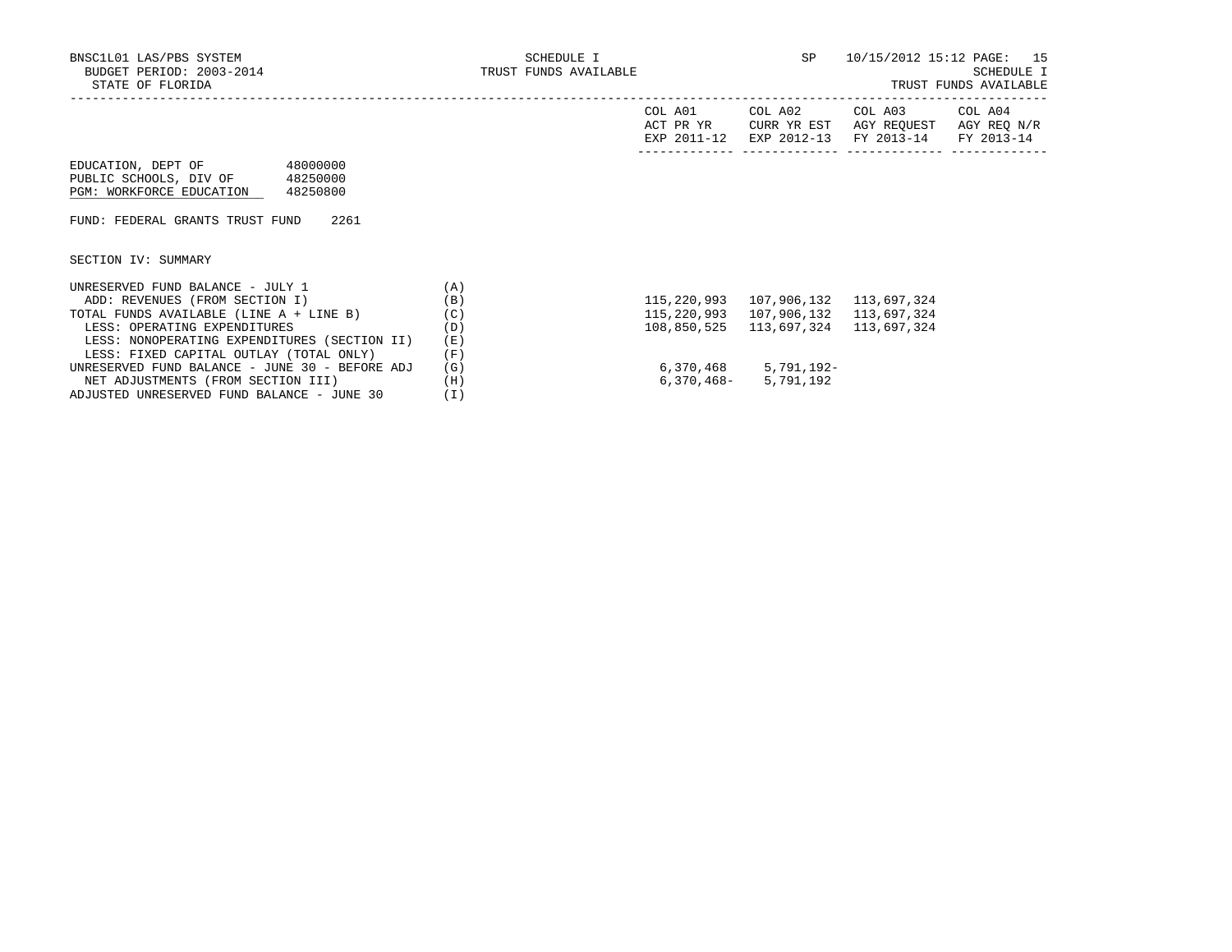| COL A01<br>COL A02<br>COL A03<br>COL A04<br>ACT PR YR<br>CURR YR EST<br>AGY REQ N/R<br>AGY REOUEST<br>EXP 2011-12<br>EXP 2012-13<br>FY 2013-14<br>FY 2013-14<br>48000000<br>EDUCATION, DEPT OF |
|------------------------------------------------------------------------------------------------------------------------------------------------------------------------------------------------|
|                                                                                                                                                                                                |
|                                                                                                                                                                                                |
| PUBLIC SCHOOLS, DIV OF<br>48250000                                                                                                                                                             |
| PGM: WORKFORCE EDUCATION<br>48250800                                                                                                                                                           |
|                                                                                                                                                                                                |
| FUND: FEDERAL GRANTS TRUST FUND<br>2261                                                                                                                                                        |
|                                                                                                                                                                                                |
|                                                                                                                                                                                                |
| SECTION IV: SUMMARY                                                                                                                                                                            |
|                                                                                                                                                                                                |
| UNRESERVED FUND BALANCE - JULY 1<br>(A)                                                                                                                                                        |
| 107,906,132<br>ADD: REVENUES (FROM SECTION I)<br>(B)<br>115,220,993<br>113,697,324                                                                                                             |
| TOTAL FUNDS AVAILABLE (LINE A + LINE B)<br>(C)<br>115,220,993<br>107,906,132<br>113,697,324                                                                                                    |
| 113,697,324<br>(D)<br>108,850,525<br>113,697,324<br>LESS: OPERATING EXPENDITURES                                                                                                               |
| LESS: NONOPERATING EXPENDITURES (SECTION II)<br>(E)                                                                                                                                            |
| LESS: FIXED CAPITAL OUTLAY (TOTAL ONLY)<br>(F)                                                                                                                                                 |
| 5,791,192-<br>UNRESERVED FUND BALANCE - JUNE 30 - BEFORE ADJ<br>6,370,468<br>(G)                                                                                                               |
| NET ADJUSTMENTS (FROM SECTION III)<br>(H)<br>5,791,192<br>6,370,468-                                                                                                                           |
| ADJUSTED UNRESERVED FUND BALANCE - JUNE 30<br>(I)                                                                                                                                              |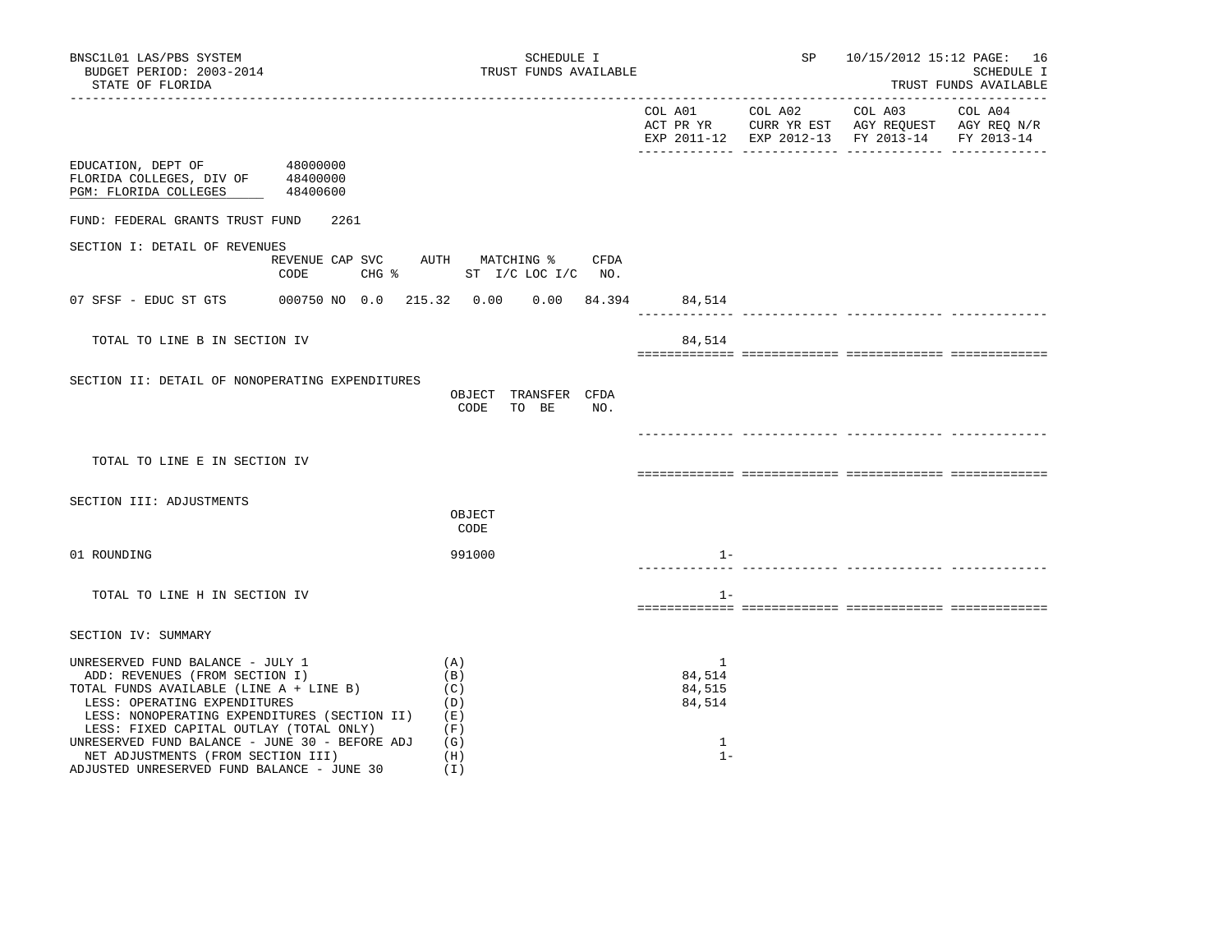| BNSC1L01 LAS/PBS SYSTEM<br>BUDGET PERIOD: 2003-2014<br>STATE OF FLORIDA                                                                                                                                                                                                                                                                                                        | SCHEDULE I<br>TRUST FUNDS AVAILABLE                           |                                                          | SP 10/15/2012 15:12 PAGE: 16                  | SCHEDULE I<br>TRUST FUNDS AVAILABLE |
|--------------------------------------------------------------------------------------------------------------------------------------------------------------------------------------------------------------------------------------------------------------------------------------------------------------------------------------------------------------------------------|---------------------------------------------------------------|----------------------------------------------------------|-----------------------------------------------|-------------------------------------|
|                                                                                                                                                                                                                                                                                                                                                                                |                                                               |                                                          | EXP 2011-12 EXP 2012-13 FY 2013-14 FY 2013-14 |                                     |
| EDUCATION, DEPT OF 48000000<br>FLORIDA COLLEGES, DIV OF 48400000<br>PGM: FLORIDA COLLEGES 48400600                                                                                                                                                                                                                                                                             |                                                               |                                                          |                                               |                                     |
| FUND: FEDERAL GRANTS TRUST FUND<br>2261                                                                                                                                                                                                                                                                                                                                        |                                                               |                                                          |                                               |                                     |
| SECTION I: DETAIL OF REVENUES<br>REVENUE CAP SVC AUTH MATCHING %<br>CODE                                                                                                                                                                                                                                                                                                       | CFDA<br>CHG $\frac{1}{2}$ ST I/C LOC I/C NO.                  |                                                          |                                               |                                     |
| 07 SFSF - EDUC ST GTS                                                                                                                                                                                                                                                                                                                                                          | 000750 NO 0.0 215.32 0.00 0.00 84.394                         | 84,514                                                   |                                               |                                     |
| TOTAL TO LINE B IN SECTION IV                                                                                                                                                                                                                                                                                                                                                  |                                                               | 84,514                                                   |                                               |                                     |
| SECTION II: DETAIL OF NONOPERATING EXPENDITURES                                                                                                                                                                                                                                                                                                                                | OBJECT TRANSFER CFDA<br>CODE<br>TO BE<br>NO.                  |                                                          |                                               |                                     |
| TOTAL TO LINE E IN SECTION IV                                                                                                                                                                                                                                                                                                                                                  |                                                               |                                                          |                                               |                                     |
| SECTION III: ADJUSTMENTS                                                                                                                                                                                                                                                                                                                                                       | OBJECT<br>CODE                                                |                                                          |                                               |                                     |
| 01 ROUNDING                                                                                                                                                                                                                                                                                                                                                                    | 991000                                                        | $1 -$                                                    |                                               |                                     |
| TOTAL TO LINE H IN SECTION IV                                                                                                                                                                                                                                                                                                                                                  |                                                               | $1 -$                                                    |                                               |                                     |
| SECTION IV: SUMMARY                                                                                                                                                                                                                                                                                                                                                            |                                                               |                                                          |                                               |                                     |
| UNRESERVED FUND BALANCE - JULY 1<br>ADD: REVENUES (FROM SECTION I)<br>TOTAL FUNDS AVAILABLE (LINE A + LINE B)<br>LESS: OPERATING EXPENDITURES<br>LESS: NONOPERATING EXPENDITURES (SECTION II)<br>LESS: FIXED CAPITAL OUTLAY (TOTAL ONLY)<br>UNRESERVED FUND BALANCE - JUNE 30 - BEFORE ADJ<br>NET ADJUSTMENTS (FROM SECTION III)<br>ADJUSTED UNRESERVED FUND BALANCE - JUNE 30 | (A)<br>(B)<br>(C)<br>(D)<br>( E )<br>(F)<br>(G)<br>(H)<br>(1) | $\mathbf{1}$<br>84,514<br>84,515<br>84,514<br>1<br>$1 -$ |                                               |                                     |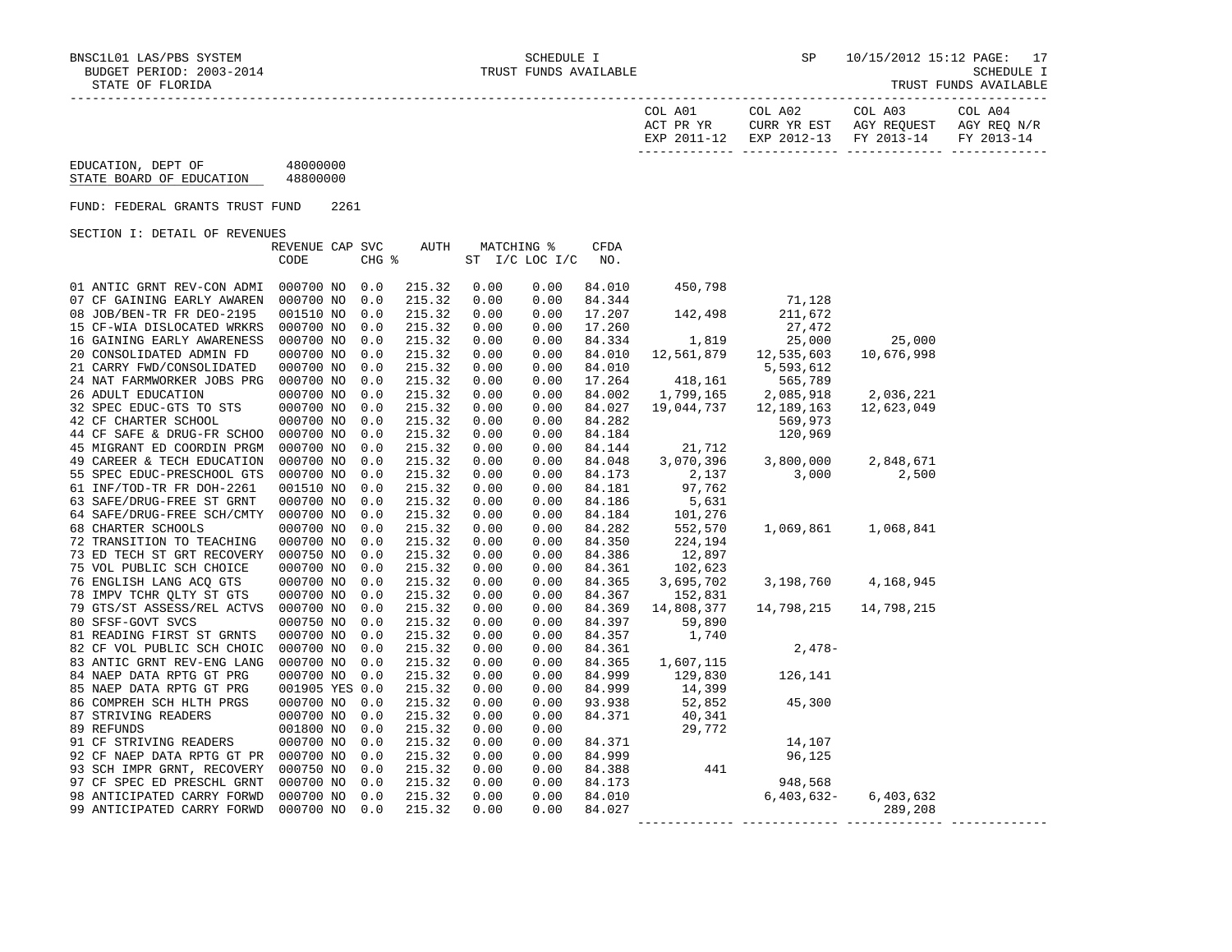| TRUST FUNDS AVAILABLE |
|-----------------------|
|-----------------------|

| COL A01<br>ACT PR YR | COL A02<br>CURR YR EST            | COL A03<br>AGY REOUEST | COL A04<br>AGY REO N/R |
|----------------------|-----------------------------------|------------------------|------------------------|
| EXP 2011-12          | EXP 2012-13 FY 2013-14 FY 2013-14 |                        |                        |

 EDUCATION, DEPT OF 48000000 STATE BOARD OF EDUCATION 48800000

FUND: FEDERAL GRANTS TRUST FUND 2261

SECTION I: DETAIL OF REVENUES

|                            | REVENUE CAP SVC |       | AUTH   | MATCHING % |                | <b>CFDA</b> |                                   |              |            |  |
|----------------------------|-----------------|-------|--------|------------|----------------|-------------|-----------------------------------|--------------|------------|--|
|                            | CODE            | CHG % |        |            | ST I/C LOC I/C | NO.         |                                   |              |            |  |
|                            |                 |       |        |            |                |             |                                   |              |            |  |
| 01 ANTIC GRNT REV-CON ADMI | 000700 NO       | 0.0   | 215.32 | 0.00       | 0.00           | 84.010      | 450,798                           |              |            |  |
| 07 CF GAINING EARLY AWAREN | 000700 NO       | 0.0   | 215.32 | 0.00       | 0.00           | 84.344      |                                   | 71,128       |            |  |
| 08 JOB/BEN-TR FR DEO-2195  | 001510 NO       | 0.0   | 215.32 | 0.00       | 0.00           | 17.207      | 142,498                           | 211,672      |            |  |
| 15 CF-WIA DISLOCATED WRKRS | 000700 NO       | 0.0   | 215.32 | 0.00       | 0.00           | 17.260      |                                   | 27,472       |            |  |
| 16 GAINING EARLY AWARENESS | 000700 NO       | 0.0   | 215.32 | 0.00       | 0.00           | 84.334      | 1,819                             | 25,000       | 25,000     |  |
| 20 CONSOLIDATED ADMIN FD   | 000700 NO       | 0.0   | 215.32 | 0.00       | 0.00           | 84.010      | 12,561,879                        | 12,535,603   | 10,676,998 |  |
| 21 CARRY FWD/CONSOLIDATED  | 000700 NO       | 0.0   | 215.32 | 0.00       | 0.00           | 84.010      |                                   | 5,593,612    |            |  |
| 24 NAT FARMWORKER JOBS PRG | 000700 NO       | 0.0   | 215.32 | 0.00       | 0.00           | 17.264      | 418,161                           | 565,789      |            |  |
| 26 ADULT EDUCATION         | 000700 NO       | 0.0   | 215.32 | 0.00       | 0.00           | 84.002      | 1,799,165                         | 2,085,918    | 2,036,221  |  |
| 32 SPEC EDUC-GTS TO STS    | 000700 NO       | 0.0   | 215.32 | 0.00       | 0.00           | 84.027      | 19,044,737                        | 12,189,163   | 12,623,049 |  |
| 42 CF CHARTER SCHOOL       | 000700 NO       | 0.0   | 215.32 | 0.00       | 0.00           | 84.282      |                                   | 569,973      |            |  |
| 44 CF SAFE & DRUG-FR SCHOO | 000700 NO       | 0.0   | 215.32 | 0.00       | 0.00           | 84.184      |                                   | 120,969      |            |  |
| 45 MIGRANT ED COORDIN PRGM | 000700 NO       | 0.0   | 215.32 | 0.00       | 0.00           | 84.144      | 21,712                            |              |            |  |
| 49 CAREER & TECH EDUCATION | 000700 NO       | 0.0   | 215.32 | 0.00       | 0.00           | 84.048      | 3,070,396                         | 3,800,000    | 2,848,671  |  |
| 55 SPEC EDUC-PRESCHOOL GTS | 000700 NO       | 0.0   | 215.32 | 0.00       | 0.00           | 84.173      | 2,137                             | 3,000        | 2,500      |  |
| 61 INF/TOD-TR FR DOH-2261  | 001510 NO       | 0.0   | 215.32 | 0.00       | 0.00           | 84.181      | 97,762                            |              |            |  |
| 63 SAFE/DRUG-FREE ST GRNT  | 000700 NO       | 0.0   | 215.32 | 0.00       | 0.00           | 84.186      | 5,631                             |              |            |  |
| 64 SAFE/DRUG-FREE SCH/CMTY | 000700 NO       | 0.0   | 215.32 | 0.00       | 0.00           | 84.184      | 101,276                           |              |            |  |
| 68 CHARTER SCHOOLS         | 000700 NO       | 0.0   | 215.32 | 0.00       | 0.00           | 84.282      | 552,570                           | 1,069,861    | 1,068,841  |  |
| 72 TRANSITION TO TEACHING  | 000700 NO       | 0.0   | 215.32 | 0.00       | 0.00           | 84.350      | 224,194                           |              |            |  |
| 73 ED TECH ST GRT RECOVERY | 000750 NO       | 0.0   | 215.32 | 0.00       | 0.00           | 84.386      | 12,897                            |              |            |  |
| 75 VOL PUBLIC SCH CHOICE   | 000700 NO       | 0.0   | 215.32 | 0.00       | 0.00           | 84.361      | 102,623                           |              |            |  |
| 76 ENGLISH LANG ACQ GTS    | 000700 NO       | 0.0   | 215.32 | 0.00       | 0.00           | 84.365      | 3,695,702                         | 3,198,760    | 4,168,945  |  |
| 78 IMPV TCHR QLTY ST GTS   | 000700 NO       | 0.0   | 215.32 | 0.00       | 0.00           | 84.367      | 152,831                           |              |            |  |
| 79 GTS/ST ASSESS/REL ACTVS | 000700 NO       | 0.0   | 215.32 | 0.00       | 0.00           | 84.369      | 14,808,377                        | 14,798,215   | 14,798,215 |  |
| 80 SFSF-GOVT SVCS          | 000750 NO       | 0.0   | 215.32 | 0.00       | 0.00           | 84.397      | 59,890                            |              |            |  |
| 81 READING FIRST ST GRNTS  | 000700 NO       | 0.0   | 215.32 | 0.00       | 0.00           | 84.357      | 1,740                             |              |            |  |
| 82 CF VOL PUBLIC SCH CHOIC | 000700 NO       | 0.0   | 215.32 | 0.00       | 0.00           | 84.361      |                                   | $2,478-$     |            |  |
| 83 ANTIC GRNT REV-ENG LANG | 000700 NO       | 0.0   | 215.32 | 0.00       | 0.00           | 84.365      | 1,607,115                         |              |            |  |
| 84 NAEP DATA RPTG GT PRG   | 000700 NO       | 0.0   | 215.32 | 0.00       | 0.00           | 84.999      | 129,830                           | 126,141      |            |  |
| 85 NAEP DATA RPTG GT PRG   | 001905 YES 0.0  |       | 215.32 | 0.00       | 0.00           | 84.999      | 14,399                            |              |            |  |
| 86 COMPREH SCH HLTH PRGS   | 000700 NO       | 0.0   | 215.32 | 0.00       | 0.00           | 93.938      | 52,852                            | 45,300       |            |  |
| 87 STRIVING READERS        | 000700 NO       | 0.0   | 215.32 | 0.00       | 0.00           | 84.371      | 40,341                            |              |            |  |
| 89 REFUNDS                 | 001800 NO       | 0.0   | 215.32 | 0.00       | 0.00           |             | 29,772                            |              |            |  |
| 91 CF STRIVING READERS     | 000700 NO       | 0.0   | 215.32 | 0.00       | 0.00           | 84.371      |                                   | 14,107       |            |  |
| 92 CF NAEP DATA RPTG GT PR | 000700 NO       | 0.0   | 215.32 | 0.00       | 0.00           | 84.999      |                                   | 96,125       |            |  |
| 93 SCH IMPR GRNT, RECOVERY | 000750 NO       | 0.0   | 215.32 | 0.00       | 0.00           | 84.388      | 441                               |              |            |  |
| 97 CF SPEC ED PRESCHL GRNT | 000700 NO       | 0.0   | 215.32 | 0.00       | 0.00           | 84.173      |                                   | 948,568      |            |  |
| 98 ANTICIPATED CARRY FORWD | 000700 NO       | 0.0   | 215.32 | 0.00       | 0.00           | 84.010      |                                   | $6,403,632-$ | 6,403,632  |  |
| 99 ANTICIPATED CARRY FORWD | 000700 NO       | 0.0   | 215.32 | 0.00       | 0.00           | 84.027      |                                   |              | 289,208    |  |
|                            |                 |       |        |            |                |             | _________________________________ |              |            |  |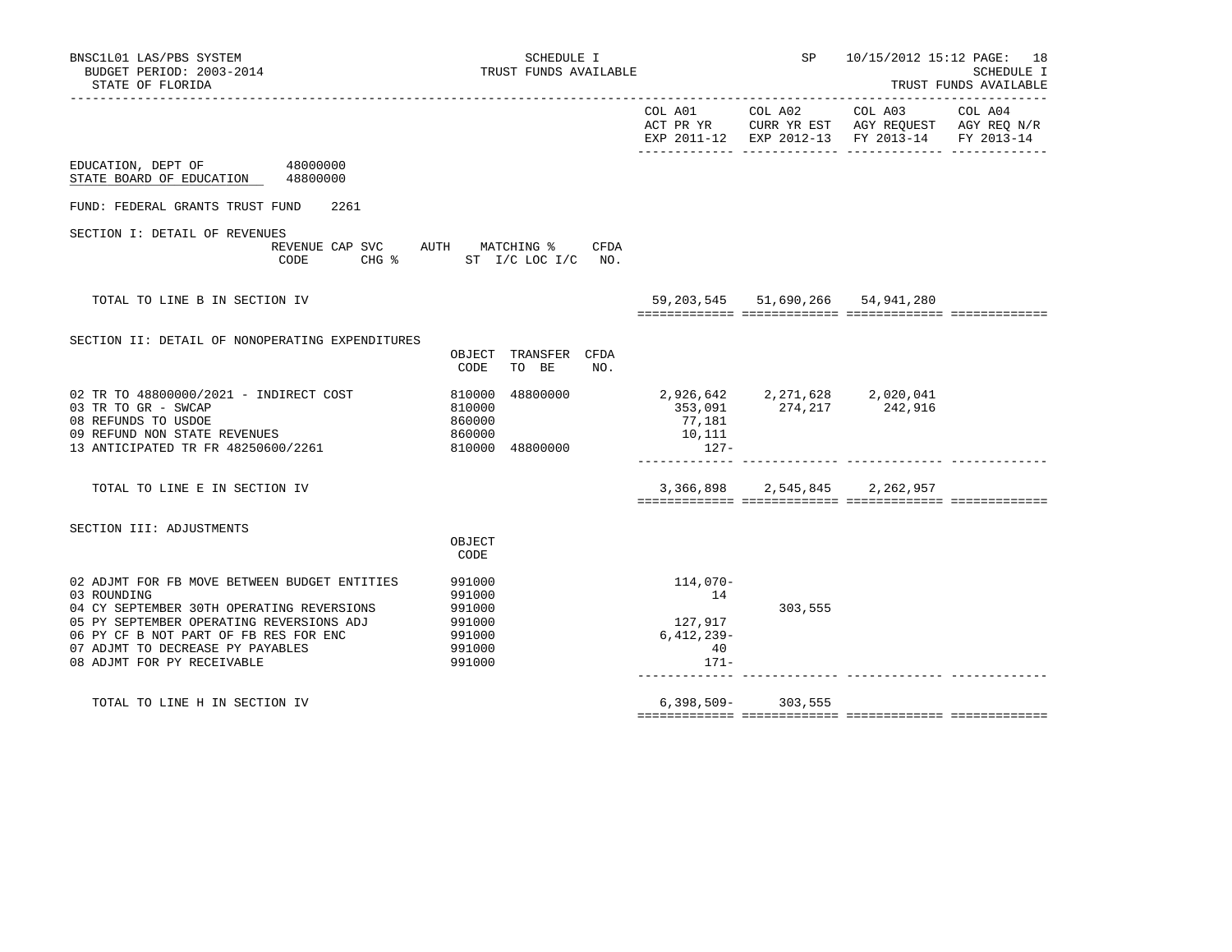| BNSC1L01 LAS/PBS SYSTEM<br>BUDGET PERIOD: 2003-2014<br>STATE OF FLORIDA<br>-----------------                                                                                                                                                                    | SCHEDULE I<br>TRUST FUNDS AVAILABLE                                 |                                                                                                                                                                                    | SP                    |                                        | 10/15/2012 15:12 PAGE: 18<br>SCHEDULE I<br>TRUST FUNDS AVAILABLE |
|-----------------------------------------------------------------------------------------------------------------------------------------------------------------------------------------------------------------------------------------------------------------|---------------------------------------------------------------------|------------------------------------------------------------------------------------------------------------------------------------------------------------------------------------|-----------------------|----------------------------------------|------------------------------------------------------------------|
|                                                                                                                                                                                                                                                                 |                                                                     |                                                                                                                                                                                    |                       |                                        |                                                                  |
| EDUCATION, DEPT OF 48000000<br>STATE BOARD OF EDUCATION 48800000                                                                                                                                                                                                |                                                                     |                                                                                                                                                                                    |                       |                                        |                                                                  |
| FUND: FEDERAL GRANTS TRUST FUND<br>2261                                                                                                                                                                                                                         |                                                                     |                                                                                                                                                                                    |                       |                                        |                                                                  |
| SECTION I: DETAIL OF REVENUES<br>CODE                                                                                                                                                                                                                           | REVENUE CAP SVC AUTH MATCHING %<br>CFDA<br>CHG % ST I/C LOC I/C NO. |                                                                                                                                                                                    |                       |                                        |                                                                  |
| TOTAL TO LINE B IN SECTION IV                                                                                                                                                                                                                                   |                                                                     |                                                                                                                                                                                    |                       | 59, 203, 545 51, 690, 266 54, 941, 280 |                                                                  |
| SECTION II: DETAIL OF NONOPERATING EXPENDITURES                                                                                                                                                                                                                 | OBJECT TRANSFER CFDA<br>TO BE<br>CODE<br>NO.                        |                                                                                                                                                                                    |                       |                                        |                                                                  |
| 02 TR TO 48800000/2021 - INDIRECT COST<br>03 TR TO GR - SWCAP<br>08 REFUNDS TO USDOE<br>09 REFUND NON STATE REVENUES<br>13 ANTICIPATED TR FR 48250600/2261                                                                                                      | 810000<br>810000<br>860000<br>860000<br>810000 48800000             | $\begin{array}{cccccc} 488000000 & & & & 2,926\,,642 & & 2,271\,,628 & & 2,020\,,041 \\ & & & & & 353\,,091 & & 274\,,217 & & 242\,,916 \end{array}$<br>77,181<br>10,111<br>$127-$ |                       |                                        |                                                                  |
| TOTAL TO LINE E IN SECTION IV                                                                                                                                                                                                                                   |                                                                     |                                                                                                                                                                                    |                       | 3,366,898 2,545,845 2,262,957          |                                                                  |
| SECTION III: ADJUSTMENTS                                                                                                                                                                                                                                        |                                                                     |                                                                                                                                                                                    |                       |                                        |                                                                  |
|                                                                                                                                                                                                                                                                 | OBJECT<br>CODE                                                      |                                                                                                                                                                                    |                       |                                        |                                                                  |
| 02 ADJMT FOR FB MOVE BETWEEN BUDGET ENTITIES<br>03 ROUNDING<br>04 CY SEPTEMBER 30TH OPERATING REVERSIONS<br>05 PY SEPTEMBER OPERATING REVERSIONS ADJ<br>06 PY CF B NOT PART OF FB RES FOR ENC<br>07 ADJMT TO DECREASE PY PAYABLES<br>08 ADJMT FOR PY RECEIVABLE | 991000<br>991000<br>991000<br>991000<br>991000<br>991000<br>991000  | 114,070-<br>14<br>127,917<br>$6,412,239-$<br>40<br>$171 -$                                                                                                                         | 303,555               |                                        |                                                                  |
| TOTAL TO LINE H IN SECTION IV                                                                                                                                                                                                                                   |                                                                     |                                                                                                                                                                                    | $6,398,509 - 303,555$ |                                        |                                                                  |
|                                                                                                                                                                                                                                                                 |                                                                     |                                                                                                                                                                                    |                       |                                        |                                                                  |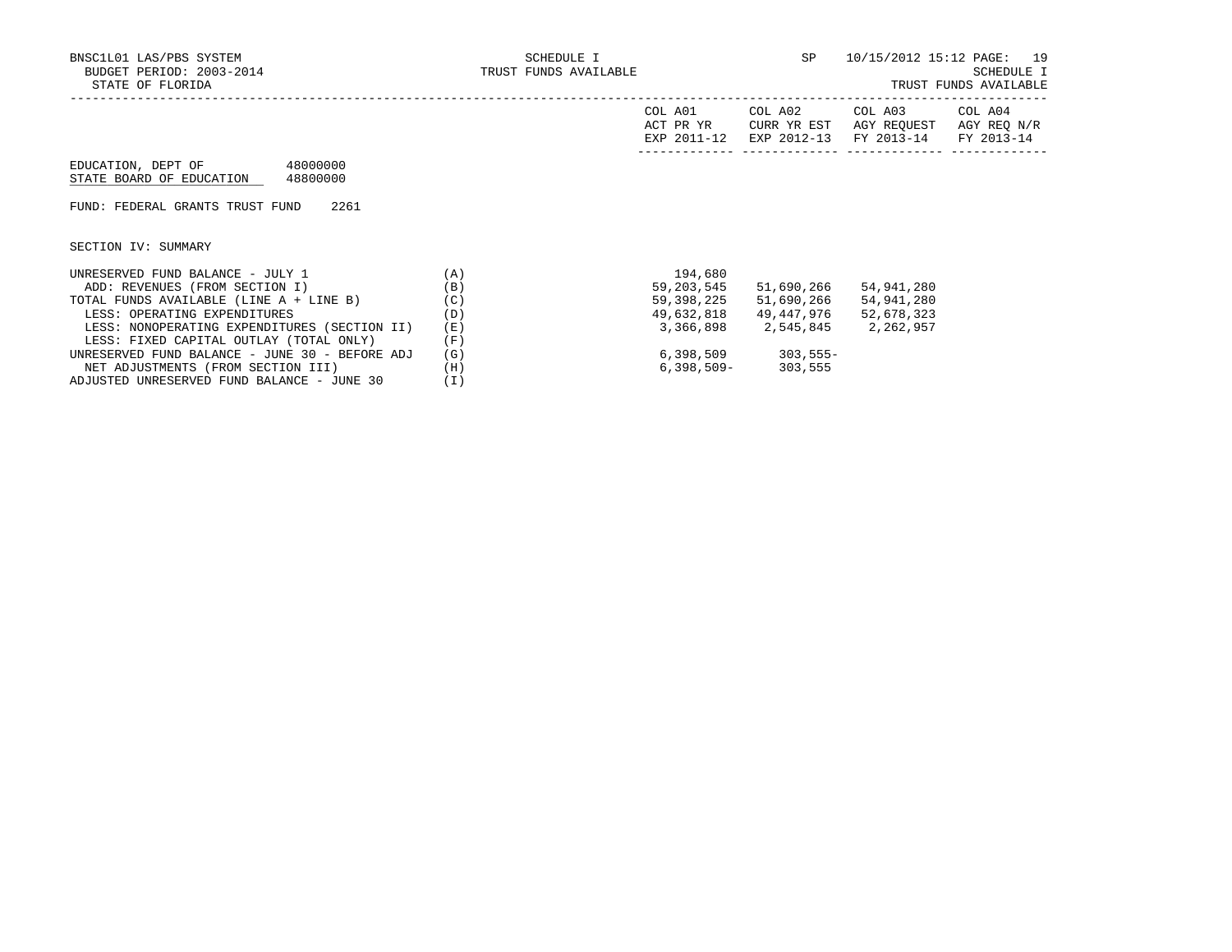|                                                                        |     | COL A01<br>ACT PR YR<br>EXP 2011-12 | COL A02<br>CURR YR EST<br>EXP 2012-13 | COL A03<br>AGY REOUEST<br>FY 2013-14 | COL A04<br>AGY REQ N/R<br>FY 2013-14 |
|------------------------------------------------------------------------|-----|-------------------------------------|---------------------------------------|--------------------------------------|--------------------------------------|
| 48000000<br>EDUCATION, DEPT OF<br>48800000<br>STATE BOARD OF EDUCATION |     |                                     |                                       |                                      |                                      |
| 2261<br>FUND: FEDERAL GRANTS TRUST FUND                                |     |                                     |                                       |                                      |                                      |
| SECTION IV: SUMMARY                                                    |     |                                     |                                       |                                      |                                      |
| UNRESERVED FUND BALANCE - JULY 1                                       | (A) | 194,680                             |                                       |                                      |                                      |
| ADD: REVENUES (FROM SECTION I)                                         | (B) | 59,203,545                          | 51,690,266                            | 54,941,280                           |                                      |
| TOTAL FUNDS AVAILABLE (LINE A + LINE B)                                | (C) | 59,398,225                          | 51,690,266                            | 54,941,280                           |                                      |
| LESS: OPERATING EXPENDITURES                                           | (D) | 49,632,818                          | 49,447,976                            | 52,678,323                           |                                      |
| LESS: NONOPERATING EXPENDITURES (SECTION II)                           | (E) | 3,366,898                           | 2,545,845                             | 2,262,957                            |                                      |

- LESS: FIXED CAPITAL OUTLAY (TOTAL ONLY) (F)<br>NRESERVED FUND BALANCE JUNE 30 BEFORE ADJ (G) UNRESERVED FUND BALANCE – JUNE 30 – BEFORE ADJ (G) 6,398,509 303,555–<br>NET ADJUSTMENTS (FROM SECTION III) (H) 6,398,509– 303,555 NET ADJUSTMENTS (FROM SECTION III) (H)<br>DJUSTED UNRESERVED FUND BALANCE - JUNE 30 (I)
- ADJUSTED UNRESERVED FUND BALANCE JUNE 30 (I)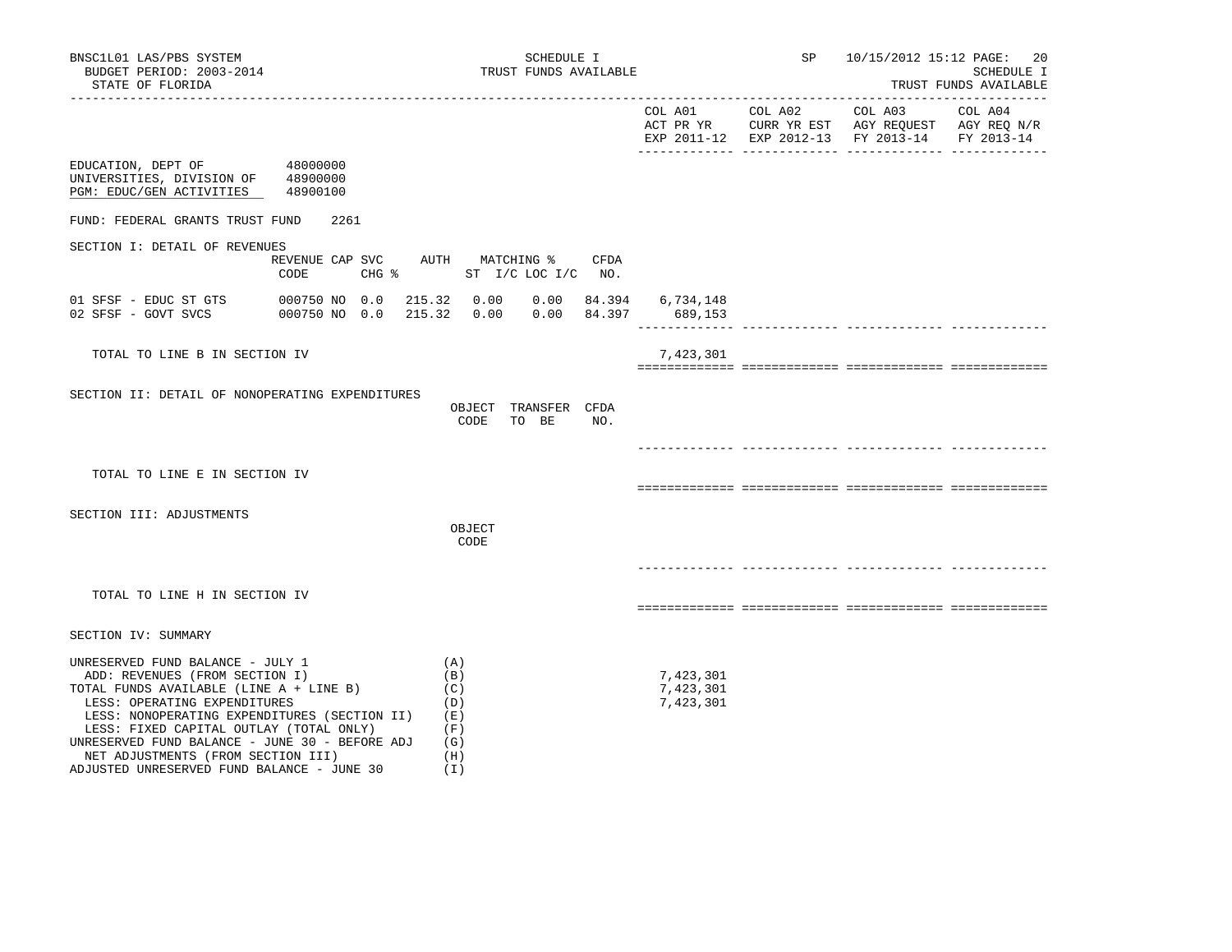|                                                                                                                                                                                                                                                                                                                                                                                |                                              |                                                             |     | ---------- -----                    | ______ ____ | EXP 2011-12 EXP 2012-13 FY 2013-14 FY 2013-14 |  |
|--------------------------------------------------------------------------------------------------------------------------------------------------------------------------------------------------------------------------------------------------------------------------------------------------------------------------------------------------------------------------------|----------------------------------------------|-------------------------------------------------------------|-----|-------------------------------------|-------------|-----------------------------------------------|--|
| EDUCATION, DEPT OF<br>UNIVERSITIES, DIVISION OF 48900000<br>PGM: EDUC/GEN ACTIVITIES                                                                                                                                                                                                                                                                                           | 48000000<br>48900100                         |                                                             |     |                                     |             |                                               |  |
| FUND: FEDERAL GRANTS TRUST FUND                                                                                                                                                                                                                                                                                                                                                | 2261                                         |                                                             |     |                                     |             |                                               |  |
| SECTION I: DETAIL OF REVENUES                                                                                                                                                                                                                                                                                                                                                  | REVENUE CAP SVC AUTH MATCHING % CFDA<br>CODE | CHG % ST I/C LOC I/C NO.                                    |     |                                     |             |                                               |  |
| 01 SFSF - EDUC ST GTS<br>02 SFSF - GOVT SVCS 000750 NO 0.0                                                                                                                                                                                                                                                                                                                     | 000750 NO 0.0 215.32 0.00                    | 215.32  0.00  0.00  84.397  689,153                         |     | $0.00$ $84.394$ $6,734,148$         |             |                                               |  |
| TOTAL TO LINE B IN SECTION IV                                                                                                                                                                                                                                                                                                                                                  |                                              |                                                             |     | 7,423,301                           |             |                                               |  |
| SECTION II: DETAIL OF NONOPERATING EXPENDITURES                                                                                                                                                                                                                                                                                                                                |                                              | OBJECT TRANSFER CFDA<br>TO BE<br>CODE                       | NO. |                                     |             |                                               |  |
| TOTAL TO LINE E IN SECTION IV                                                                                                                                                                                                                                                                                                                                                  |                                              |                                                             |     |                                     |             |                                               |  |
| SECTION III: ADJUSTMENTS                                                                                                                                                                                                                                                                                                                                                       |                                              | OBJECT<br>CODE                                              |     |                                     |             |                                               |  |
|                                                                                                                                                                                                                                                                                                                                                                                |                                              |                                                             |     |                                     |             |                                               |  |
| TOTAL TO LINE H IN SECTION IV                                                                                                                                                                                                                                                                                                                                                  |                                              |                                                             |     |                                     |             |                                               |  |
| SECTION IV: SUMMARY                                                                                                                                                                                                                                                                                                                                                            |                                              |                                                             |     |                                     |             |                                               |  |
| UNRESERVED FUND BALANCE - JULY 1<br>ADD: REVENUES (FROM SECTION I)<br>TOTAL FUNDS AVAILABLE (LINE A + LINE B)<br>LESS: OPERATING EXPENDITURES<br>LESS: NONOPERATING EXPENDITURES (SECTION II)<br>LESS: FIXED CAPITAL OUTLAY (TOTAL ONLY)<br>UNRESERVED FUND BALANCE - JUNE 30 - BEFORE ADJ<br>NET ADJUSTMENTS (FROM SECTION III)<br>ADJUSTED UNRESERVED FUND BALANCE - JUNE 30 |                                              | (A)<br>(B)<br>(C)<br>(D)<br>(E)<br>(F)<br>(G)<br>(H)<br>(I) |     | 7,423,301<br>7,423,301<br>7,423,301 |             |                                               |  |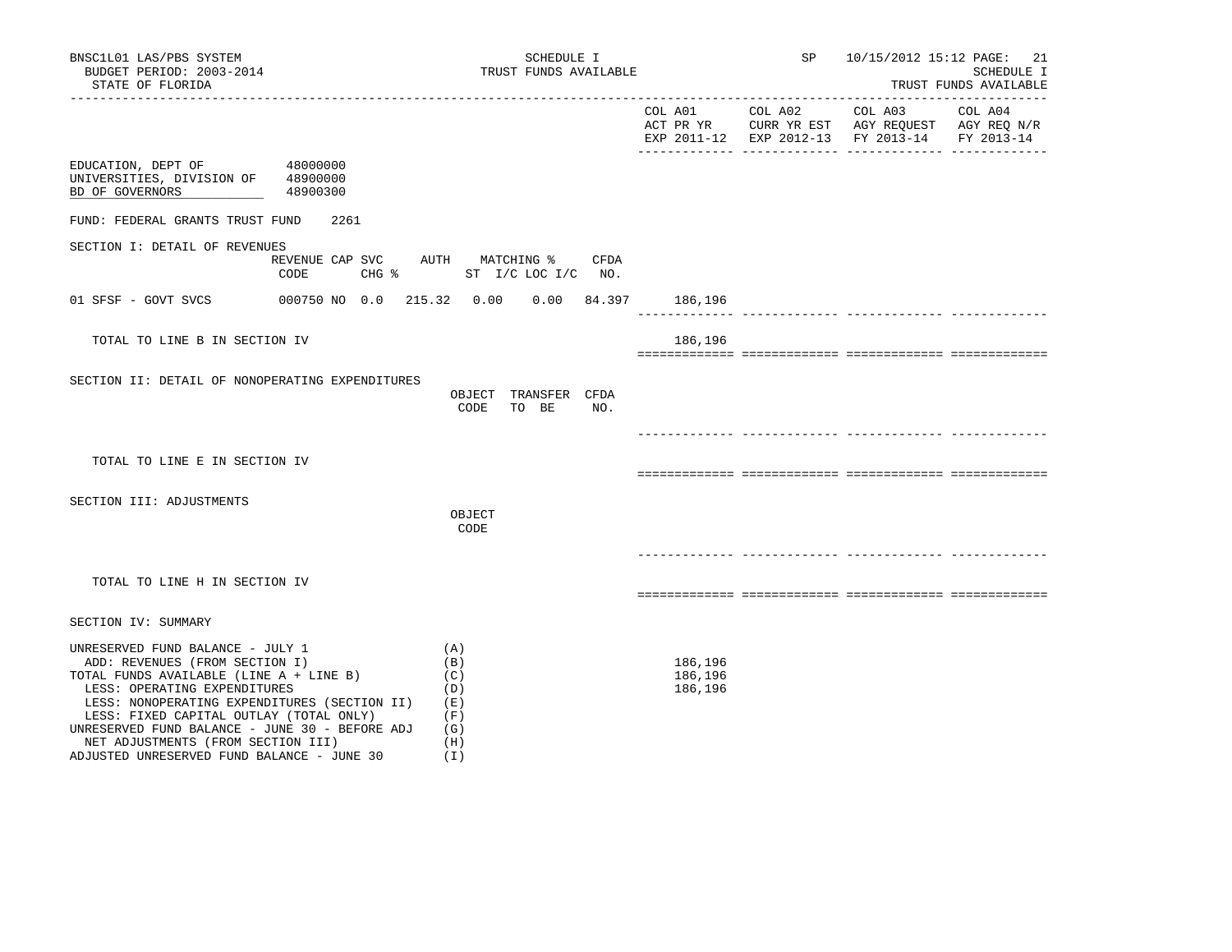ADJUSTED UNRESERVED FUND BALANCE - JUNE 30 (I)

|                                                                                      |          |                                                                     | -------------- ---- | EXP 2011-12 EXP 2012-13 FY 2013-14 FY 2013-14<br>_______ ______________ ____ |  |
|--------------------------------------------------------------------------------------|----------|---------------------------------------------------------------------|---------------------|------------------------------------------------------------------------------|--|
| EDUCATION, DEPT OF 48000000<br>UNIVERSITIES, DIVISION OF 48900000<br>BD OF GOVERNORS | 48900300 |                                                                     |                     |                                                                              |  |
| FUND: FEDERAL GRANTS TRUST FUND                                                      | 2261     |                                                                     |                     |                                                                              |  |
| SECTION I: DETAIL OF REVENUES                                                        |          |                                                                     |                     |                                                                              |  |
|                                                                                      | CODE     | REVENUE CAP SVC AUTH MATCHING %<br>CFDA<br>CHG % ST I/C LOC I/C NO. |                     |                                                                              |  |
| 01 SFSF - GOVT SVCS                                                                  |          | 000750 NO 0.0 215.32  0.00  0.00  84.397  186,196                   |                     |                                                                              |  |
| TOTAL TO LINE B IN SECTION IV                                                        |          |                                                                     | 186,196             |                                                                              |  |
|                                                                                      |          |                                                                     |                     |                                                                              |  |
| SECTION II: DETAIL OF NONOPERATING EXPENDITURES                                      |          | OBJECT TRANSFER CFDA<br>CODE<br>TO BE<br>NO.                        |                     |                                                                              |  |
| TOTAL TO LINE E IN SECTION IV                                                        |          |                                                                     |                     |                                                                              |  |
| SECTION III: ADJUSTMENTS                                                             |          |                                                                     |                     |                                                                              |  |
|                                                                                      |          | OBJECT<br>CODE                                                      |                     |                                                                              |  |
|                                                                                      |          |                                                                     |                     |                                                                              |  |
| TOTAL TO LINE H IN SECTION IV                                                        |          |                                                                     |                     |                                                                              |  |
|                                                                                      |          |                                                                     |                     |                                                                              |  |
| SECTION IV: SUMMARY                                                                  |          |                                                                     |                     |                                                                              |  |
| UNRESERVED FUND BALANCE - JULY 1<br>ADD: REVENUES (FROM SECTION I)                   |          | (A)<br>(B)                                                          | 186,196             |                                                                              |  |
| TOTAL FUNDS AVAILABLE (LINE A + LINE B)                                              |          | (C)                                                                 | 186,196             |                                                                              |  |
| LESS: OPERATING EXPENDITURES<br>LESS: NONOPERATING EXPENDITURES (SECTION II)         |          | (D)<br>(E)                                                          | 186,196             |                                                                              |  |
| LESS: FIXED CAPITAL OUTLAY (TOTAL ONLY)                                              |          | (F)                                                                 |                     |                                                                              |  |
| UNRESERVED FUND BALANCE - JUNE 30 - BEFORE ADJ<br>NET ADJUSTMENTS (FROM SECTION III) |          | (G)<br>(H)                                                          |                     |                                                                              |  |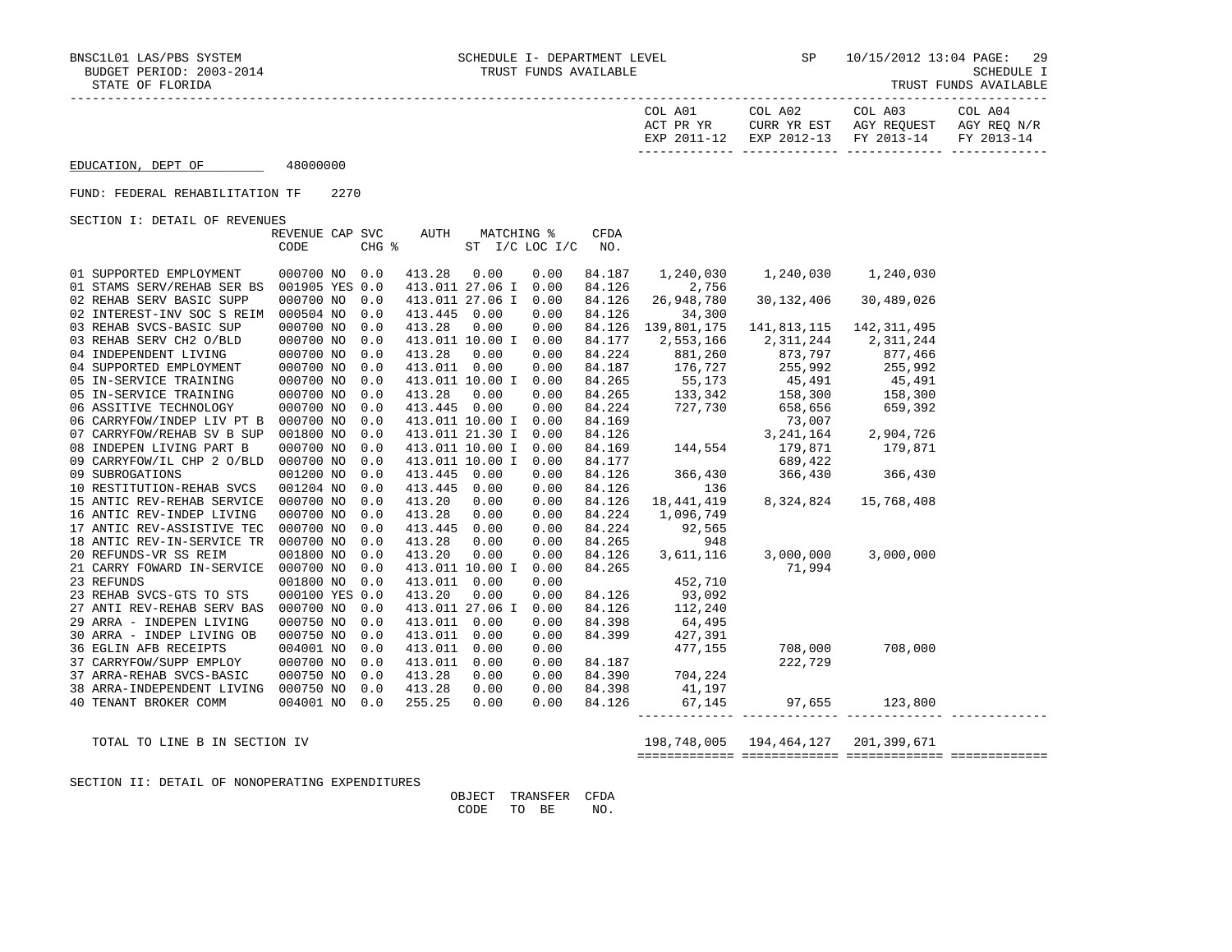-----------------------------------------------------------------------------------------------------------------------------------

| TRUST FUNDS AVAILABLE |
|-----------------------|
|-----------------------|

|                                                        |                         |      |            |                                 |                 |                              |                    | COL A01<br>ACT PR YR<br>EXP 2011-12 | COL A02<br>CURR YR EST<br>EXP 2012-13 | COL A03<br>AGY REQUEST<br>FY 2013-14 | COL A04<br>AGY REQ N/R<br>FY 2013-14 |
|--------------------------------------------------------|-------------------------|------|------------|---------------------------------|-----------------|------------------------------|--------------------|-------------------------------------|---------------------------------------|--------------------------------------|--------------------------------------|
| EDUCATION, DEPT OF                                     | 48000000                |      |            |                                 |                 |                              |                    |                                     |                                       |                                      |                                      |
| FUND: FEDERAL REHABILITATION TF                        |                         | 2270 |            |                                 |                 |                              |                    |                                     |                                       |                                      |                                      |
| SECTION I: DETAIL OF REVENUES                          |                         |      |            |                                 |                 |                              |                    |                                     |                                       |                                      |                                      |
|                                                        | REVENUE CAP SVC<br>CODE |      | CHG %      | AUTH                            |                 | MATCHING %<br>ST I/C LOC I/C | <b>CFDA</b><br>NO. |                                     |                                       |                                      |                                      |
|                                                        |                         |      |            |                                 |                 |                              |                    |                                     |                                       |                                      |                                      |
| 01 SUPPORTED EMPLOYMENT                                | 000700 NO               |      | 0.0        | 413.28                          | 0.00            | 0.00                         | 84.187             | 1,240,030                           | 1,240,030                             | 1,240,030                            |                                      |
| 01 STAMS SERV/REHAB SER BS                             | 001905 YES 0.0          |      |            | 413.011 27.06 I                 |                 | 0.00                         | 84.126             | 2,756                               |                                       |                                      |                                      |
| 02 REHAB SERV BASIC SUPP<br>02 INTEREST-INV SOC S REIM | 000700 NO<br>000504 NO  |      | 0.0<br>0.0 | 413.011 27.06 I<br>413.445 0.00 |                 | 0.00<br>0.00                 | 84.126<br>84.126   | 26,948,780<br>34,300                | 30,132,406                            | 30,489,026                           |                                      |
| 03 REHAB SVCS-BASIC SUP                                | 000700 NO               |      | 0.0        | 413.28                          | 0.00            | 0.00                         | 84.126             | 139,801,175                         | 141,813,115                           | 142, 311, 495                        |                                      |
| 03 REHAB SERV CH2 O/BLD                                | 000700 NO               |      | 0.0        |                                 | 413.011 10.00 I | 0.00                         | 84.177             | 2,553,166                           | 2,311,244                             | 2,311,244                            |                                      |
| 04 INDEPENDENT LIVING                                  | 000700 NO               |      | 0.0        | 413.28                          | 0.00            | 0.00                         | 84.224             | 881,260                             |                                       | 877,466                              |                                      |
| 04 SUPPORTED EMPLOYMENT                                | 000700 NO               |      | 0.0        | 413.011 0.00                    |                 | 0.00                         | 84.187             | 176,727                             | $873,797$<br>255.992                  | 255,992                              |                                      |
| 05 IN-SERVICE TRAINING                                 | 000700 NO               |      | 0.0        |                                 | 413.011 10.00 I | 0.00                         | 84.265             | 55,173                              | 45,491                                | 45,491                               |                                      |
| 05 IN-SERVICE TRAINING                                 | 000700 NO               |      | 0.0        | 413.28                          | 0.00            | 0.00                         | 84.265             | 133,342                             | 158,300                               | 158,300                              |                                      |
| 06 ASSITIVE TECHNOLOGY                                 | 000700 NO               |      | 0.0        | 413.445 0.00                    |                 | 0.00                         | 84.224             | 727,730                             | 658,656                               | 659,392                              |                                      |
| 06 CARRYFOW/INDEP LIV PT B                             | 000700 NO               |      | 0.0        |                                 | 413.011 10.00 I | 0.00                         | 84.169             |                                     | 73,007                                |                                      |                                      |
| 07 CARRYFOW/REHAB SV B SUP                             | 001800 NO               |      | 0.0        | 413.011 21.30 I                 |                 | 0.00                         | 84.126             |                                     | 3, 241, 164                           | 2,904,726                            |                                      |
| 08 INDEPEN LIVING PART B                               | 000700 NO               |      | 0.0        | 413.011 10.00 I                 |                 | 0.00                         | 84.169             | 144,554                             | 179,871                               | 179,871                              |                                      |
| 09 CARRYFOW/IL CHP 2 O/BLD                             | 000700 NO               |      | 0.0        |                                 | 413.011 10.00 I | 0.00                         | 84.177             |                                     | 689,422                               |                                      |                                      |
| 09 SUBROGATIONS                                        | 001200 NO               |      | 0.0        | 413.445 0.00                    |                 | 0.00                         | 84.126             | 366,430                             | 366,430                               | 366,430                              |                                      |
| 10 RESTITUTION-REHAB SVCS                              | 001204 NO               |      | 0.0        | 413.445 0.00                    |                 | 0.00                         | 84.126             | 136                                 |                                       |                                      |                                      |
| 15 ANTIC REV-REHAB SERVICE                             | 000700 NO               |      | 0.0        | 413.20                          | 0.00            | 0.00                         | 84.126             | 18,441,419                          | 8,324,824                             | 15,768,408                           |                                      |
| 16 ANTIC REV-INDEP LIVING                              | 000700 NO               |      | 0.0        | 413.28                          | 0.00            | 0.00                         | 84.224             | 1,096,749                           |                                       |                                      |                                      |
| 17 ANTIC REV-ASSISTIVE TEC                             | 000700 NO               |      | 0.0        | 413.445                         | 0.00            | 0.00                         | 84.224             | 92,565                              |                                       |                                      |                                      |
| 18 ANTIC REV-IN-SERVICE TR                             | 000700 NO               |      | 0.0        | 413.28                          | 0.00            | 0.00                         | 84.265             | 948                                 |                                       |                                      |                                      |
| 20 REFUNDS-VR SS REIM                                  | 001800 NO               |      | 0.0        | 413.20                          | 0.00            | 0.00                         | 84.126             | 3,611,116                           | 3,000,000                             | 3,000,000                            |                                      |
| 21 CARRY FOWARD IN-SERVICE                             | 000700 NO               |      | 0.0        | 413.011 10.00 I                 |                 | 0.00                         | 84.265             |                                     | 71,994                                |                                      |                                      |
| 23 REFUNDS                                             | 001800 NO               |      | 0.0        | 413.011 0.00                    |                 | 0.00                         |                    | 452,710                             |                                       |                                      |                                      |
| 23 REHAB SVCS-GTS TO STS                               | 000100 YES 0.0          |      |            | 413.20                          | 0.00            | 0.00                         | 84.126             | 93,092                              |                                       |                                      |                                      |
| 27 ANTI REV-REHAB SERV BAS                             | 000700 NO               |      | 0.0        | 413.011 27.06 I                 |                 | 0.00                         | 84.126             | 112,240                             |                                       |                                      |                                      |
| 29 ARRA - INDEPEN LIVING                               | 000750 NO               |      | 0.0        | 413.011 0.00                    |                 | 0.00                         | 84.398             | 64,495                              |                                       |                                      |                                      |
| 30 ARRA - INDEP LIVING OB                              | 000750 NO               |      | 0.0        | 413.011                         | 0.00            | 0.00                         | 84.399             | 427,391                             |                                       |                                      |                                      |
| 36 EGLIN AFB RECEIPTS                                  | 004001 NO               |      | 0.0        | 413.011                         | 0.00            | 0.00                         |                    | 477,155                             | 708,000                               | 708,000                              |                                      |
| 37 CARRYFOW/SUPP EMPLOY                                | 000700 NO               |      | 0.0        | 413.011                         | 0.00            | 0.00                         | 84.187             |                                     | 222,729                               |                                      |                                      |
| 37 ARRA-REHAB SVCS-BASIC                               | 000750 NO               |      | 0.0        | 413.28                          | 0.00            | 0.00                         | 84.390             | 704,224                             |                                       |                                      |                                      |
| 38 ARRA-INDEPENDENT LIVING                             | 000750 NO               |      | 0.0        | 413.28                          | 0.00            | 0.00                         | 84.398             | 41,197                              |                                       |                                      |                                      |
| 40 TENANT BROKER COMM                                  | 004001 NO               |      | 0.0        | 255.25                          | 0.00            | 0.00                         | 84.126             | 67,145                              | 97,655                                | 123,800                              |                                      |

TOTAL TO LINE B IN SECTION IV 198,748,005 194,464,127 201,399,671

============= ============= ============= =============

------------- ------------- ------------- -------------

SECTION II: DETAIL OF NONOPERATING EXPENDITURES

 OBJECT TRANSFER CFDA CODE TO BE NO.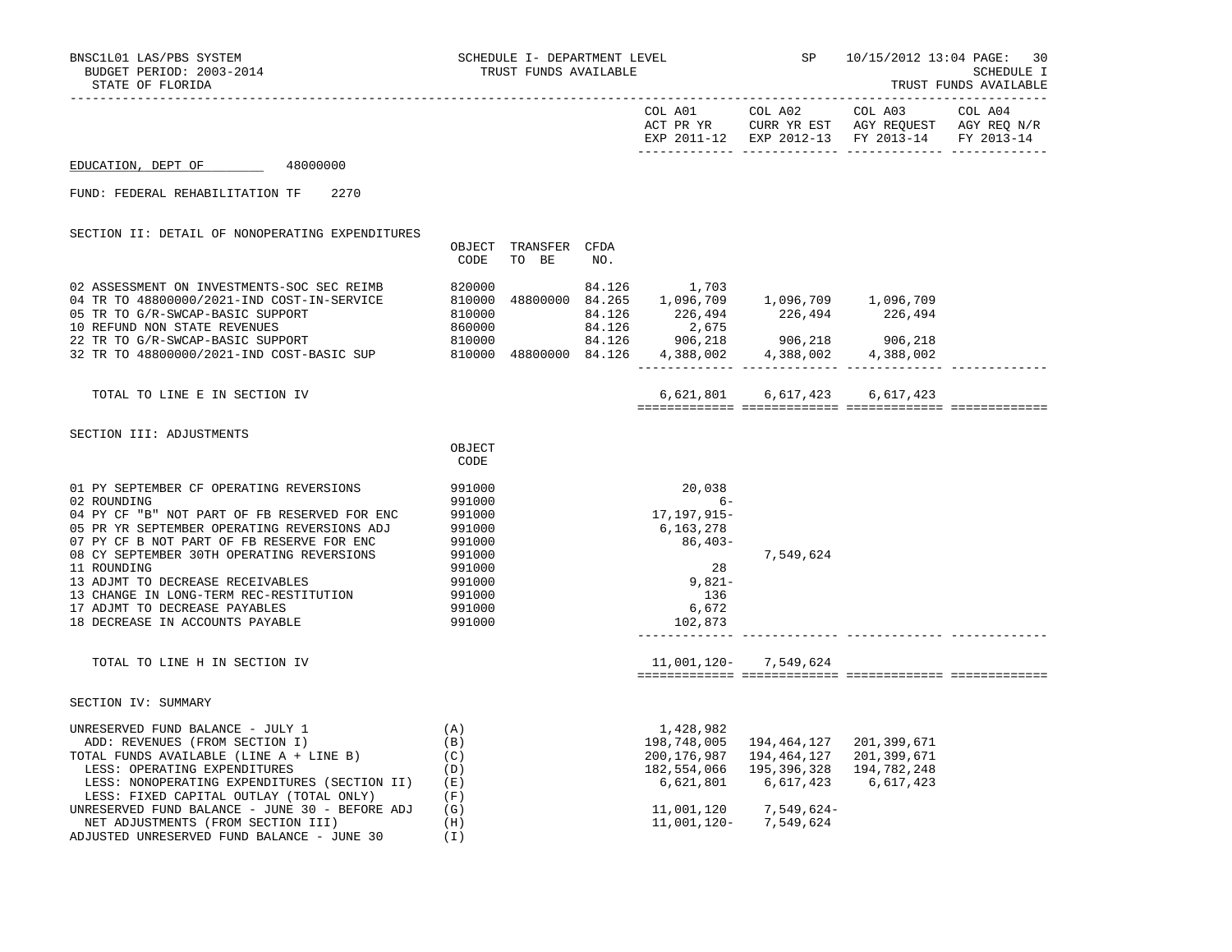|                                                                                                                                                                                                                                                                                                                                                                                                                  |                                                                                                            |                               |        |                                                                                                                                                                                         | EXP 2011-12 EXP 2012-13 FY 2013-14 FY 2013-14                                                                | COL A02 COL A03                         |  |
|------------------------------------------------------------------------------------------------------------------------------------------------------------------------------------------------------------------------------------------------------------------------------------------------------------------------------------------------------------------------------------------------------------------|------------------------------------------------------------------------------------------------------------|-------------------------------|--------|-----------------------------------------------------------------------------------------------------------------------------------------------------------------------------------------|--------------------------------------------------------------------------------------------------------------|-----------------------------------------|--|
| EDUCATION, DEPT OF 48000000                                                                                                                                                                                                                                                                                                                                                                                      |                                                                                                            |                               |        |                                                                                                                                                                                         |                                                                                                              |                                         |  |
| FUND: FEDERAL REHABILITATION TF<br>2270                                                                                                                                                                                                                                                                                                                                                                          |                                                                                                            |                               |        |                                                                                                                                                                                         |                                                                                                              |                                         |  |
| SECTION II: DETAIL OF NONOPERATING EXPENDITURES                                                                                                                                                                                                                                                                                                                                                                  | CODE                                                                                                       | OBJECT TRANSFER CFDA<br>TO BE | NO.    |                                                                                                                                                                                         |                                                                                                              |                                         |  |
| 02 ASSESSMENT ON INVESTMENTS-SOC SEC REIMB<br>04 TR TO 48800000/2021-IND COST-IN-SERVICE<br>05 TR TO G/R-SWCAP-BASIC SUPPORT<br>10 REFUND NON STATE REVENUES<br>22 TR TO G/R-SWCAP-BASIC SUPPORT<br>32 TR TO 48800000/2021-IND COST-BASIC SUP                                                                                                                                                                    | 820000<br>$810000\n810000\n860000$<br>810000<br>810000                                                     | 810000 48800000 84.126        | 84.126 | 1,703<br>$\begin{array}{cccc} 48800000 & 84.265 & 1,096,709 & 1,096,709 & 1,096,709 \\ 84.126 & 226,494 & 226,494 & 226,494 \\ 84.126 & 2,675 & 84.126 & 906,218 & 906,218 \end{array}$ | $906, 218$<br>$906, 218$<br>$906, 218$<br>$906, 218$<br>$906, 218$<br>$906, 218$<br>$906, 218$<br>$906, 218$ |                                         |  |
| TOTAL TO LINE E IN SECTION IV                                                                                                                                                                                                                                                                                                                                                                                    |                                                                                                            |                               |        |                                                                                                                                                                                         | 6,621,801 6,617,423 6,617,423                                                                                |                                         |  |
| SECTION III: ADJUSTMENTS                                                                                                                                                                                                                                                                                                                                                                                         | OBJECT<br>CODE                                                                                             |                               |        |                                                                                                                                                                                         |                                                                                                              |                                         |  |
| 01 PY SEPTEMBER CF OPERATING REVERSIONS<br>02 ROUNDING<br>04 PY CF "B" NOT PART OF FB RESERVED FOR ENC<br>05 PR YR SEPTEMBER OPERATING REVERSIONS ADJ<br>07 PY CF B NOT PART OF FB RESERVE FOR ENC<br>08 CY SEPTEMBER 30TH OPERATING REVERSIONS<br>11 ROUNDING<br>13 ADJMT TO DECREASE RECEIVABLES<br>13 CHANGE IN LONG-TERM REC-RESTITUTION<br>17 ADJMT TO DECREASE PAYABLES<br>18 DECREASE IN ACCOUNTS PAYABLE | 991000<br>991000<br>991000<br>991000<br>991000<br>991000<br>991000<br>991000<br>991000<br>991000<br>991000 |                               |        | 20,038<br>$6-$<br>17,197,915–<br>6,163,278<br>86,403-<br>28<br>$9,821-$<br>136<br>6,672<br>102,873                                                                                      | 7,549,624                                                                                                    |                                         |  |
| TOTAL TO LINE H IN SECTION IV                                                                                                                                                                                                                                                                                                                                                                                    |                                                                                                            |                               |        |                                                                                                                                                                                         | 11,001,120- 7,549,624                                                                                        |                                         |  |
| SECTION IV: SUMMARY                                                                                                                                                                                                                                                                                                                                                                                              |                                                                                                            |                               |        |                                                                                                                                                                                         |                                                                                                              |                                         |  |
| UNRESERVED FUND BALANCE - JULY 1<br>ADD: REVENUES (FROM SECTION I)<br>TOTAL FUNDS AVAILABLE (LINE A + LINE B)<br>LESS: OPERATING EXPENDITURES<br>LESS: NONOPERATING EXPENDITURES (SECTION II)<br>LESS: FIXED CAPITAL OUTLAY (TOTAL ONLY)<br>UNRESERVED FUND BALANCE - JUNE 30 - BEFORE ADJ                                                                                                                       | (A)<br>(B)<br>(C)<br>(D)<br>( E )<br>(F)<br>(G)                                                            |                               |        | 1,428,982<br>198,748,005<br>200,176,987<br>182,554,066<br>6,621,801<br>11,001,120                                                                                                       | 194,464,127 201,399,671<br>194,464,127<br>195,396,328<br>6,617,423<br>7,549,624-                             | 201,399,671<br>194,782,248<br>6,617,423 |  |
| NET ADJUSTMENTS (FROM SECTION III)                                                                                                                                                                                                                                                                                                                                                                               | (H)                                                                                                        |                               |        |                                                                                                                                                                                         | 11,001,120- 7,549,624                                                                                        |                                         |  |

ADJUSTED UNRESERVED FUND BALANCE - JUNE 30 (I)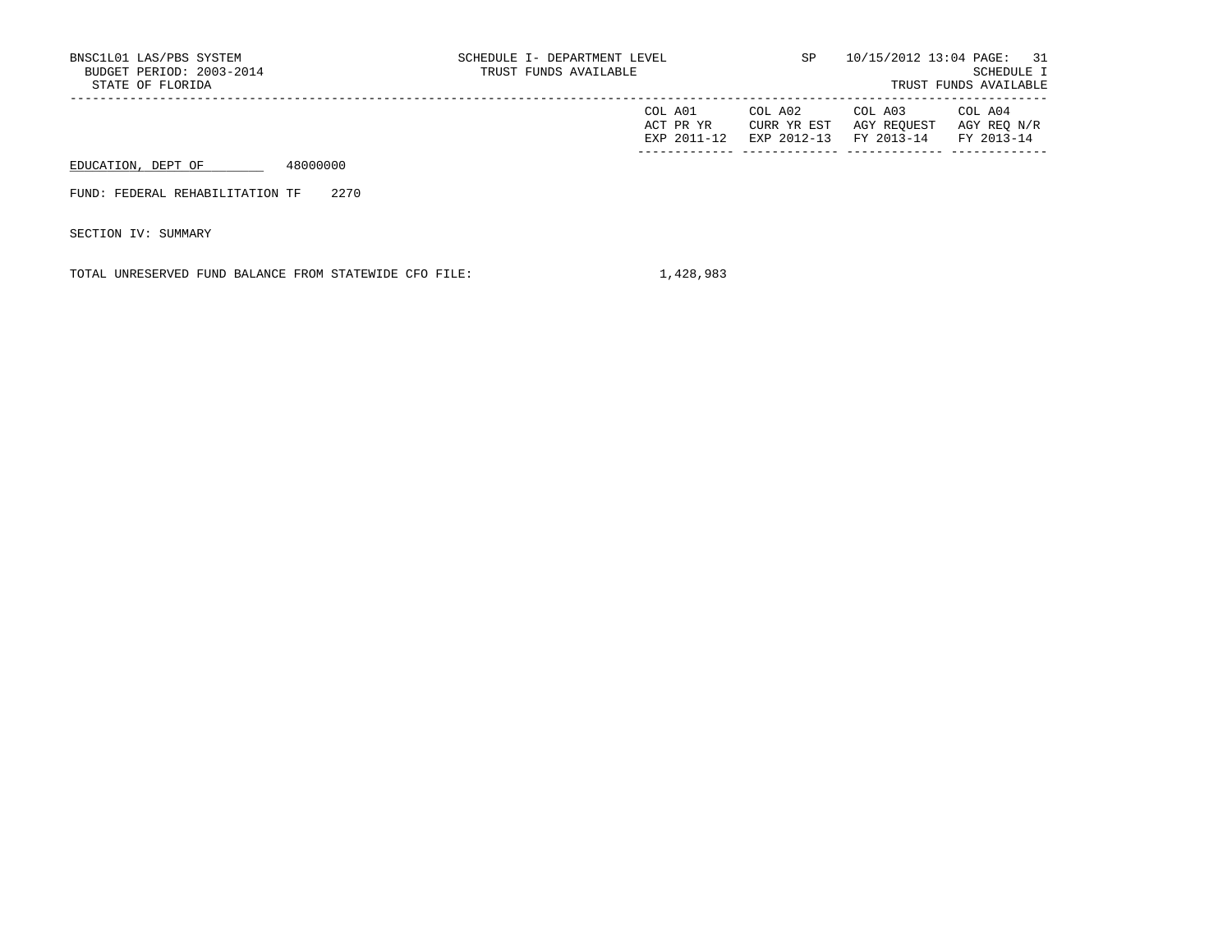| BNSC1L01 LAS/PBS SYSTEM<br>BUDGET PERIOD: 2003-2014<br>STATE OF FLORIDA | SCHEDULE I- DEPARTMENT LEVEL<br>TRUST FUNDS AVAILABLE | SP                                    |                                      | 10/15/2012 13:04 PAGE: 31<br>SCHEDULE I<br>TRUST FUNDS AVAILABLE |
|-------------------------------------------------------------------------|-------------------------------------------------------|---------------------------------------|--------------------------------------|------------------------------------------------------------------|
|                                                                         | COL A01<br>ACT PR YR<br>EXP 2011-12                   | COL A02<br>CURR YR EST<br>EXP 2012-13 | COL A03<br>AGY REOUEST<br>FY 2013-14 | COL A04<br>AGY REO N/R<br>FY 2013-14                             |
| 48000000<br>EDUCATION, DEPT OF                                          |                                                       |                                       |                                      |                                                                  |
| 2270<br>FUND: FEDERAL REHABILITATION TF                                 |                                                       |                                       |                                      |                                                                  |
| SECTION IV: SUMMARY                                                     |                                                       |                                       |                                      |                                                                  |

TOTAL UNRESERVED FUND BALANCE FROM STATEWIDE CFO FILE:  $1,428,983$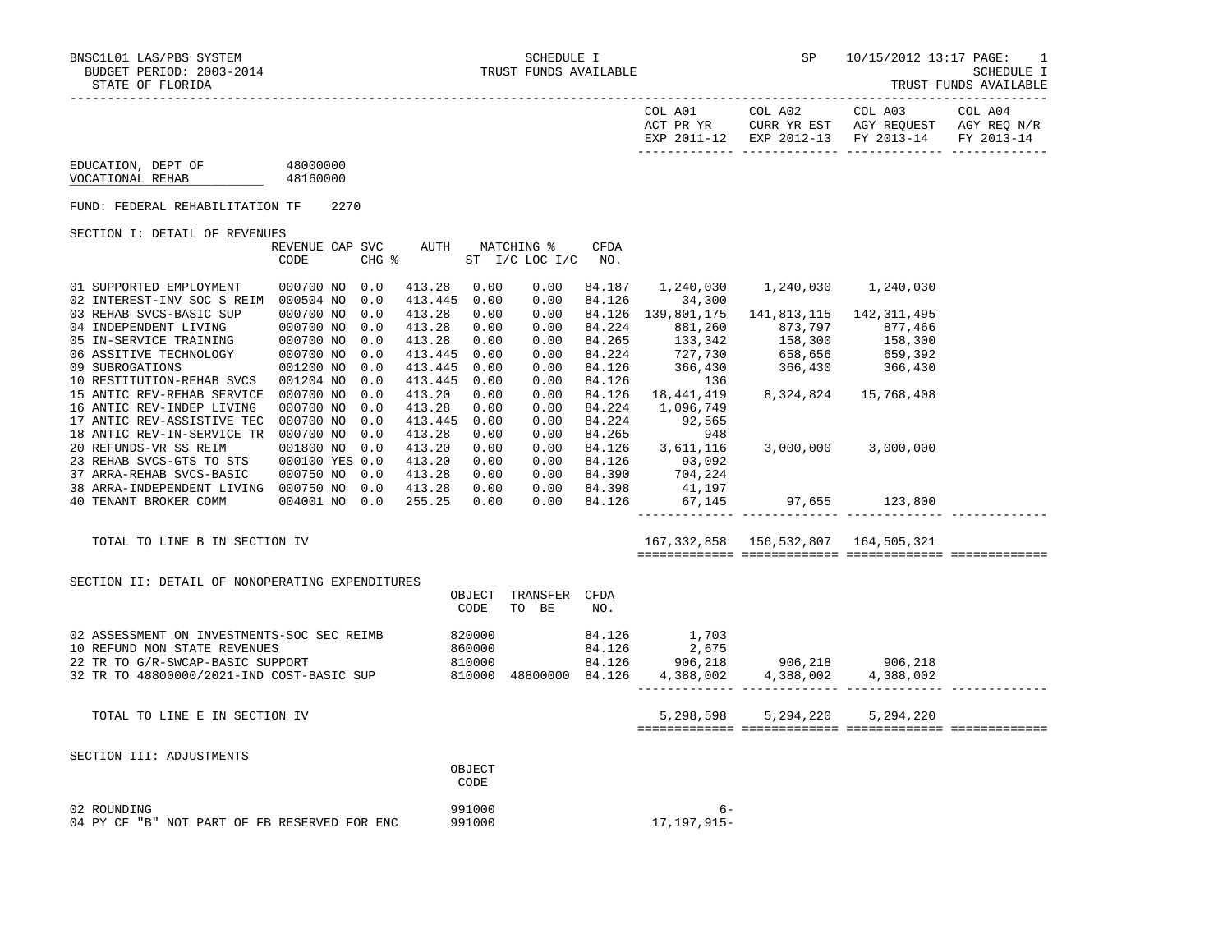| COL A01<br>ACT PR YR | COL A02<br>CURR YR EST            | COL A03<br>AGY REOUEST | COL A04<br>AGY REO N/R |
|----------------------|-----------------------------------|------------------------|------------------------|
| EXP 2011-12          | EXP 2012-13 FY 2013-14 FY 2013-14 |                        |                        |

| EDUCATION, DEPT OF | 48000000 |
|--------------------|----------|
| VOCATIONAL REHAB   | 48160000 |

FUND: FEDERAL REHABILITATION TF 2270

SECTION I: DETAIL OF REVENUES

|                         |                            | REVENUE CAP SVC |       | AUTH    |      | MATCHING %     | CFDA   |             |             |               |
|-------------------------|----------------------------|-----------------|-------|---------|------|----------------|--------|-------------|-------------|---------------|
|                         |                            | CODE            | CHG % |         |      | ST I/C LOC I/C | NO.    |             |             |               |
|                         |                            |                 |       |         |      |                |        |             |             |               |
| 01 SUPPORTED EMPLOYMENT |                            | 000700 NO       | 0.0   | 413.28  | 0.00 | 0.00           | 84.187 | 1,240,030   | 1,240,030   | 1,240,030     |
|                         | 02 INTEREST-INV SOC S REIM | 000504 NO       | 0.0   | 413.445 | 0.00 | 0.00           | 84.126 | 34,300      |             |               |
| 03 REHAB SVCS-BASIC SUP |                            | 000700 NO       | 0.0   | 413.28  | 0.00 | 0.00           | 84.126 | 139,801,175 | 141,813,115 | 142, 311, 495 |
| 04 INDEPENDENT LIVING   |                            | 000700 NO       | 0.0   | 413.28  | 0.00 | 0.00           | 84.224 | 881,260     | 873,797     | 877,466       |
| 05 IN-SERVICE TRAINING  |                            | 000700 NO       | 0.0   | 413.28  | 0.00 | 0.00           | 84.265 | 133,342     | 158,300     | 158,300       |
| 06 ASSITIVE TECHNOLOGY  |                            | 000700 NO       | 0.0   | 413.445 | 0.00 | 0.00           | 84.224 | 727,730     | 658,656     | 659,392       |
| 09 SUBROGATIONS         |                            | 001200 NO       | 0.0   | 413.445 | 0.00 | 0.00           | 84.126 | 366,430     | 366,430     | 366,430       |
|                         | 10 RESTITUTION-REHAB SVCS  | 001204 NO       | 0.0   | 413.445 | 0.00 | 0.00           | 84.126 | 136         |             |               |
|                         | 15 ANTIC REV-REHAB SERVICE | 000700 NO       | 0.0   | 413.20  | 0.00 | 0.00           | 84.126 | 18,441,419  | 8,324,824   | 15,768,408    |
|                         | 16 ANTIC REV-INDEP LIVING  | 000700 NO       | 0.0   | 413.28  | 0.00 | 0.00           | 84.224 | 1,096,749   |             |               |
|                         | 17 ANTIC REV-ASSISTIVE TEC | 000700 NO       | 0.0   | 413.445 | 0.00 | 0.00           | 84.224 | 92,565      |             |               |
|                         | 18 ANTIC REV-IN-SERVICE TR | 000700 NO       | 0.0   | 413.28  | 0.00 | 0.00           | 84.265 | 948         |             |               |
| 20 REFUNDS-VR SS REIM   |                            | 001800 NO       | 0.0   | 413.20  | 0.00 | 0.00           | 84.126 | 3,611,116   | 3,000,000   | 3,000,000     |
|                         | 23 REHAB SVCS-GTS TO STS   | 000100 YES 0.0  |       | 413.20  | 0.00 | 0.00           | 84.126 | 93,092      |             |               |
|                         | 37 ARRA-REHAB SVCS-BASIC   | 000750 NO       | 0.0   | 413.28  | 0.00 | 0.00           | 84.390 | 704,224     |             |               |
|                         | 38 ARRA-INDEPENDENT LIVING | 000750 NO       | 0.0   | 413.28  | 0.00 | 0.00           | 84.398 | 41,197      |             |               |
| 40 TENANT BROKER COMM   |                            | 004001 NO       | 0.0   | 255.25  | 0.00 | 0.00           | 84.126 | 67,145      | 97,655      | 123,800       |

TOTAL TO LINE B IN SECTION IV 167,332,858 156,532,807 164,505,321

| SECTION II: DETAIL OF NONOPERATING EXPENDITURES |
|-------------------------------------------------|
|-------------------------------------------------|

|                                                                                                                                                             | OBJECT<br>CODE                       | TRANSFER<br>BE<br>TO | <b>CFDA</b><br>NO.                   |                                        |                      |                      |  |
|-------------------------------------------------------------------------------------------------------------------------------------------------------------|--------------------------------------|----------------------|--------------------------------------|----------------------------------------|----------------------|----------------------|--|
| 02 ASSESSMENT ON INVESTMENTS-SOC SEC REIMB<br>10 REFUND NON STATE REVENUES<br>22 TR TO G/R-SWCAP-BASIC SUPPORT<br>32 TR TO 48800000/2021-IND COST-BASIC SUP | 820000<br>860000<br>810000<br>810000 | 48800000             | 84.126<br>84.126<br>84.126<br>84.126 | 1,703<br>2,675<br>906,218<br>4,388,002 | 906,218<br>4,388,002 | 906,218<br>4,388,002 |  |
| TOTAL TO LINE E IN SECTION IV                                                                                                                               |                                      |                      |                                      | 5,298,598                              | 5,294,220            | 5,294,220            |  |
| SECTION III: ADJUSTMENTS                                                                                                                                    | OBJECT                               |                      |                                      |                                        |                      |                      |  |
| 02 ROUNDING<br>04 PY CF "B" NOT PART OF FB RESERVED FOR ENC                                                                                                 | CODE<br>991000<br>991000             |                      |                                      | $6-$<br>17, 197, 915-                  |                      |                      |  |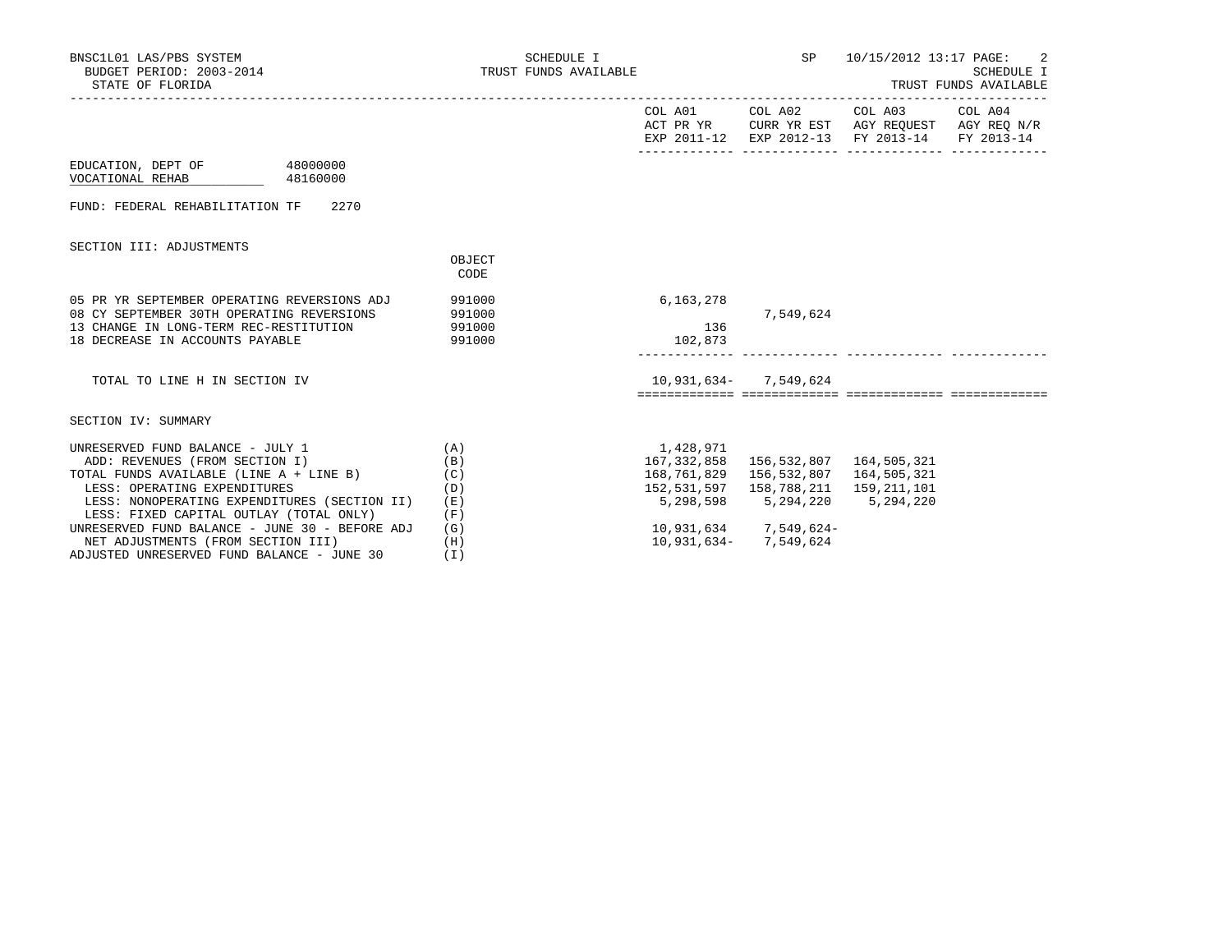| BNSC1L01 LAS/PBS SYSTEM<br>BUDGET PERIOD: 2003-2014<br>STATE OF FLORIDA                                                                                                                                                                                                                                                                                                        | SCHEDULE I<br>TRUST FUNDS AVAILABLE                         |                                                                                                 | SP                                                                               | 10/15/2012 13:17 PAGE:                                                                                                            | -2<br>SCHEDULE I<br>TRUST FUNDS AVAILABLE |
|--------------------------------------------------------------------------------------------------------------------------------------------------------------------------------------------------------------------------------------------------------------------------------------------------------------------------------------------------------------------------------|-------------------------------------------------------------|-------------------------------------------------------------------------------------------------|----------------------------------------------------------------------------------|-----------------------------------------------------------------------------------------------------------------------------------|-------------------------------------------|
|                                                                                                                                                                                                                                                                                                                                                                                |                                                             |                                                                                                 |                                                                                  | COL A01 COL A02 COL A03 COL A04<br>ACT PR YR CURR YR EST AGY REQUEST AGY REQ N/R<br>EXP 2011-12 EXP 2012-13 FY 2013-14 FY 2013-14 |                                           |
| EDUCATION, DEPT OF 48000000<br>VOCATIONAL REHAB<br>48160000                                                                                                                                                                                                                                                                                                                    |                                                             |                                                                                                 |                                                                                  |                                                                                                                                   |                                           |
| FUND: FEDERAL REHABILITATION TF 2270                                                                                                                                                                                                                                                                                                                                           |                                                             |                                                                                                 |                                                                                  |                                                                                                                                   |                                           |
| SECTION III: ADJUSTMENTS                                                                                                                                                                                                                                                                                                                                                       | OBJECT<br>CODE                                              |                                                                                                 |                                                                                  |                                                                                                                                   |                                           |
| 05 PR YR SEPTEMBER OPERATING REVERSIONS ADJ<br>08 CY SEPTEMBER 30TH OPERATING REVERSIONS<br>13 CHANGE IN LONG-TERM REC-RESTITUTION<br>18 DECREASE IN ACCOUNTS PAYABLE                                                                                                                                                                                                          | 991000<br>991000<br>991000<br>991000                        | 6,163,278<br>136<br>102,873                                                                     | 7,549,624                                                                        |                                                                                                                                   |                                           |
| TOTAL TO LINE H IN SECTION IV                                                                                                                                                                                                                                                                                                                                                  |                                                             |                                                                                                 | 10,931,634 - 7,549,624                                                           |                                                                                                                                   |                                           |
| SECTION IV: SUMMARY                                                                                                                                                                                                                                                                                                                                                            |                                                             |                                                                                                 |                                                                                  |                                                                                                                                   |                                           |
| UNRESERVED FUND BALANCE - JULY 1<br>ADD: REVENUES (FROM SECTION I)<br>TOTAL FUNDS AVAILABLE (LINE A + LINE B)<br>LESS: OPERATING EXPENDITURES<br>LESS: NONOPERATING EXPENDITURES (SECTION II)<br>LESS: FIXED CAPITAL OUTLAY (TOTAL ONLY)<br>UNRESERVED FUND BALANCE - JUNE 30 - BEFORE ADJ<br>NET ADJUSTMENTS (FROM SECTION III)<br>ADJUSTED UNRESERVED FUND BALANCE - JUNE 30 | (A)<br>(B)<br>(C)<br>(D)<br>(E)<br>(F)<br>(G)<br>(H)<br>(I) | 1,428,971<br>167,332,858  156,532,807  164,505,321<br>168,761,829    156,532,807    164,505,321 | 5,298,598 5,294,220 5,294,220<br>10,931,634 7,549,624-<br>10,931,634 - 7,549,624 |                                                                                                                                   |                                           |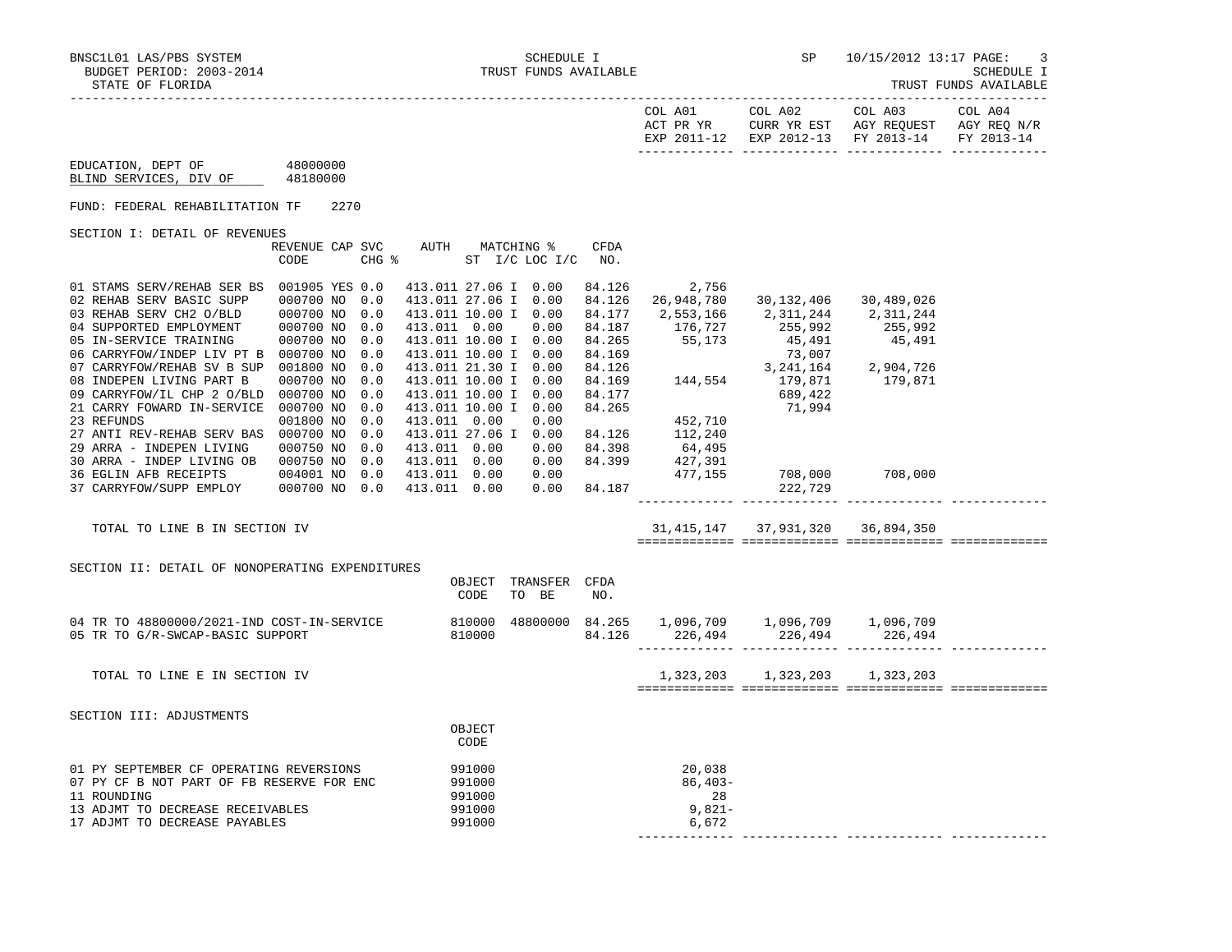BNSC1L01 LAS/PBS SYSTEM SCHEDULE I SCHEDULE I SCHEDULE I SP 10/15/2012 13:17 PAGE: 3<br>BUDGET PERIOD: 2003-2014 SCHEDULE I TRUST FUNDS AVAILABLE BUDGET PERIOD: 2003-2014 TRUST FUNDS AVAILABLE SCHEDULE I

TRUST FUNDS AVAILABLE

| COL A01<br>ACT PR YR | COL A02<br>CURR YR EST | COL A03<br>AGY REOUEST | COL A04<br>AGY REO N/R |
|----------------------|------------------------|------------------------|------------------------|
| EXP 2011-12          | EXP 2012-13 FY 2013-14 |                        | FY 2013-14             |

 EDUCATION, DEPT OF 48000000 BLIND SERVICES, DIV OF 48180000

FUND: FEDERAL REHABILITATION TF 2270

SECTION I: DETAIL OF REVENUES

| OBCIION I: DEIAIU OF KEVENOEO |                |       |                 |      |                 |             |            |            |            |  |
|-------------------------------|----------------|-------|-----------------|------|-----------------|-------------|------------|------------|------------|--|
|                               | REVENUE CAP    | SVC   | AUTH            |      | MATCHING %      | <b>CFDA</b> |            |            |            |  |
|                               | CODE           | CHG % |                 | ST   | $I/C$ LOC $I/C$ | NO.         |            |            |            |  |
|                               |                |       |                 |      |                 |             |            |            |            |  |
| 01 STAMS SERV/REHAB SER BS    | 001905 YES 0.0 |       | 413.011 27.06 I |      | 0.00            | 84.126      | 2,756      |            |            |  |
| 02 REHAB SERV BASIC SUPP      | 000700 NO      | 0.0   | 413.011 27.06 I |      | 0.00            | 84.126      | 26,948,780 | 30,132,406 | 30,489,026 |  |
| 03 REHAB SERV CH2 O/BLD       | 000700 NO      | 0.0   | 413.011 10.00 I |      | 0.00            | 84.177      | 2,553,166  | 2,311,244  | 2,311,244  |  |
| 04 SUPPORTED EMPLOYMENT       | 000700 NO      | 0.0   | 413.011         | 0.00 | 0.00            | 84.187      | 176,727    | 255,992    | 255,992    |  |
| 05 IN-SERVICE TRAINING        | 000700 NO      | 0.0   | 413.011 10.00 I |      | 0.00            | 84.265      | 55,173     | 45,491     | 45,491     |  |
| 06 CARRYFOW/INDEP LIV PT B    | 000700 NO      | 0.0   | 413.011 10.00 I |      | 0.00            | 84.169      |            | 73,007     |            |  |
| 07 CARRYFOW/REHAB SV B SUP    | 001800 NO      | 0.0   | 413.011 21.30 I |      | 0.00            | 84.126      |            | 3,241,164  | 2,904,726  |  |
| 08 INDEPEN LIVING PART B      | 000700 NO      | 0.0   | 413.011 10.00 I |      | 0.00            | 84.169      | 144,554    | 179,871    | 179,871    |  |
| 09 CARRYFOW/IL CHP 2 O/BLD    | 000700 NO      | 0.0   | 413.011 10.00 I |      | 0.00            | 84.177      |            | 689,422    |            |  |
| 21 CARRY FOWARD IN-SERVICE    | 000700 NO      | 0.0   | 413.011 10.00 I |      | 0.00            | 84.265      |            | 71,994     |            |  |
| 23 REFUNDS                    | 001800 NO      | 0.0   | 413.011         | 0.00 | 0.00            |             | 452,710    |            |            |  |
| 27 ANTI REV-REHAB SERV BAS    | 000700 NO      | 0.0   | 413.011 27.06 I |      | 0.00            | 84.126      | 112,240    |            |            |  |
| 29 ARRA - INDEPEN LIVING      | 000750 NO      | 0.0   | 413.011         | 0.00 | 0.00            | 84.398      | 64,495     |            |            |  |
| 30 ARRA - INDEP LIVING OB     | 000750 NO      | 0.0   | 413.011         | 0.00 | 0.00            | 84.399      | 427,391    |            |            |  |
| 36 EGLIN AFB RECEIPTS         | 004001 NO      | 0.0   | 413.011         | 0.00 | 0.00            |             | 477,155    | 708,000    | 708,000    |  |
| 37 CARRYFOW/SUPP EMPLOY       | 000700 NO      | 0.0   | 413.011         | 0.00 | 0.00            | 84.187      |            | 222,729    |            |  |
|                               |                |       |                 |      |                 |             |            |            |            |  |

SECTION II: DETAIL OF NONOPERATING EXPENDITURES

TOTAL TO LINE B IN SECTION IV 31,415,147 37,931,320 36,894,350

|                                                                                                                                                                          | OBJECT<br>CODE                                 | TRANSFER<br>TO<br>BE | CFDA<br>NO.      |                                                |                                          |           |  |
|--------------------------------------------------------------------------------------------------------------------------------------------------------------------------|------------------------------------------------|----------------------|------------------|------------------------------------------------|------------------------------------------|-----------|--|
| 04 TR TO 48800000/2021-IND COST-IN-SERVICE<br>05 TR TO G/R-SWCAP-BASIC SUPPORT                                                                                           | 810000<br>810000                               | 48800000             | 84.265<br>84.126 | 226,494                                        | 1,096,709 1,096,709 1,096,709<br>226,494 | 226,494   |  |
| TOTAL TO LINE E IN SECTION IV                                                                                                                                            |                                                |                      |                  |                                                | 1, 323, 203 1, 323, 203                  | 1,323,203 |  |
| SECTION III: ADJUSTMENTS                                                                                                                                                 | OBJECT<br>CODE                                 |                      |                  |                                                |                                          |           |  |
| 01 PY SEPTEMBER CF OPERATING REVERSIONS<br>07 PY CF B NOT PART OF FB RESERVE FOR ENC<br>11 ROUNDING<br>13 ADJMT TO DECREASE RECEIVABLES<br>17 ADJMT TO DECREASE PAYABLES | 991000<br>991000<br>991000<br>991000<br>991000 |                      |                  | 20,038<br>$86,403-$<br>28<br>$9,821-$<br>6,672 |                                          |           |  |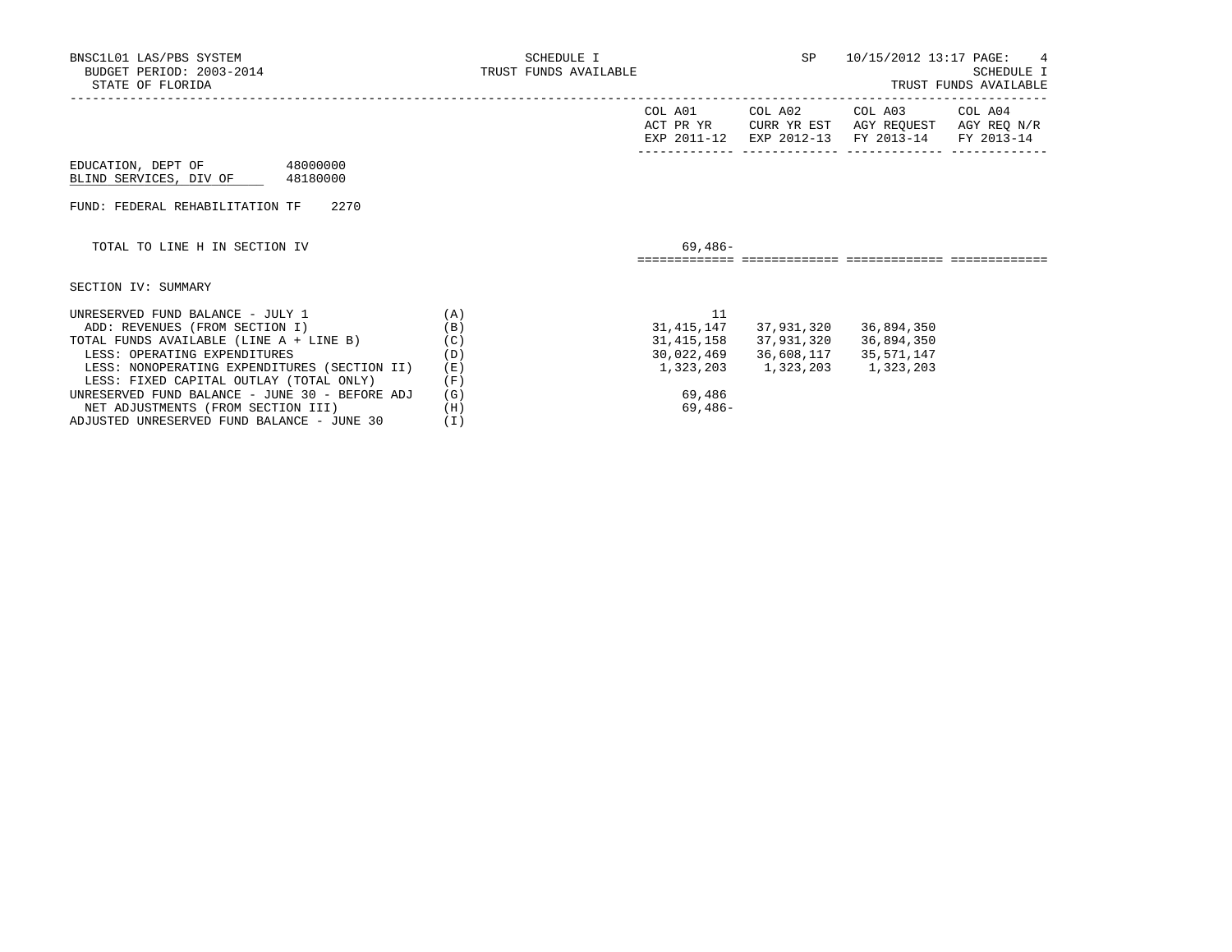| BNSC1L01 LAS/PBS SYSTEM<br>BUDGET PERIOD: 2003-2014<br>STATE OF FLORIDA | SCHEDULE I<br>TRUST FUNDS AVAILABLE |                                     | SP                     |                                                  | 10/15/2012 13:17 PAGE: 4<br><b>SCHEDULE I</b><br>TRUST FUNDS AVAILABLE |
|-------------------------------------------------------------------------|-------------------------------------|-------------------------------------|------------------------|--------------------------------------------------|------------------------------------------------------------------------|
|                                                                         |                                     | COL A01<br>ACT PR YR<br>EXP 2011-12 | COL A02<br>EXP 2012-13 | COL A03<br>CURR YR EST AGY REOUEST<br>FY 2013-14 | COL A04<br>AGY REO N/R<br>FY 2013-14                                   |
| EDUCATION, DEPT OF 48000000<br>BLIND SERVICES, DIV OF<br>48180000       |                                     |                                     |                        |                                                  |                                                                        |
| 2270<br>FUND: FEDERAL REHABILITATION TF                                 |                                     |                                     |                        |                                                  |                                                                        |
| TOTAL TO LINE H IN SECTION IV                                           |                                     | $69.486-$                           |                        |                                                  |                                                                        |
| SECTION IV: SUMMARY                                                     |                                     |                                     |                        |                                                  |                                                                        |
| UNRESERVED FUND BALANCE - JULY 1                                        | (A)                                 | 11                                  |                        |                                                  |                                                                        |
| ADD: REVENUES (FROM SECTION I)                                          | (B)                                 | 31,415,147                          | 37,931,320             | 36,894,350                                       |                                                                        |
| TOTAL FUNDS AVAILABLE (LINE A + LINE B)                                 | (C)                                 | 31,415,158                          | 37,931,320             | 36,894,350                                       |                                                                        |
| LESS: OPERATING EXPENDITURES                                            | (D)                                 | 30,022,469                          | 36,608,117             | 35,571,147                                       |                                                                        |
| LESS: NONOPERATING EXPENDITURES (SECTION II)                            | (E)                                 | 1,323,203                           | 1,323,203              | 1,323,203                                        |                                                                        |
| LESS: FIXED CAPITAL OUTLAY (TOTAL ONLY)                                 | (F)                                 |                                     |                        |                                                  |                                                                        |
| UNRESERVED FUND BALANCE - JUNE 30 - BEFORE ADJ                          | (G)                                 | 69,486                              |                        |                                                  |                                                                        |
| NET ADJUSTMENTS (FROM SECTION III)                                      | (H)                                 | 69,486-                             |                        |                                                  |                                                                        |

ADJUSTED UNRESERVED FUND BALANCE - JUNE 30 (I)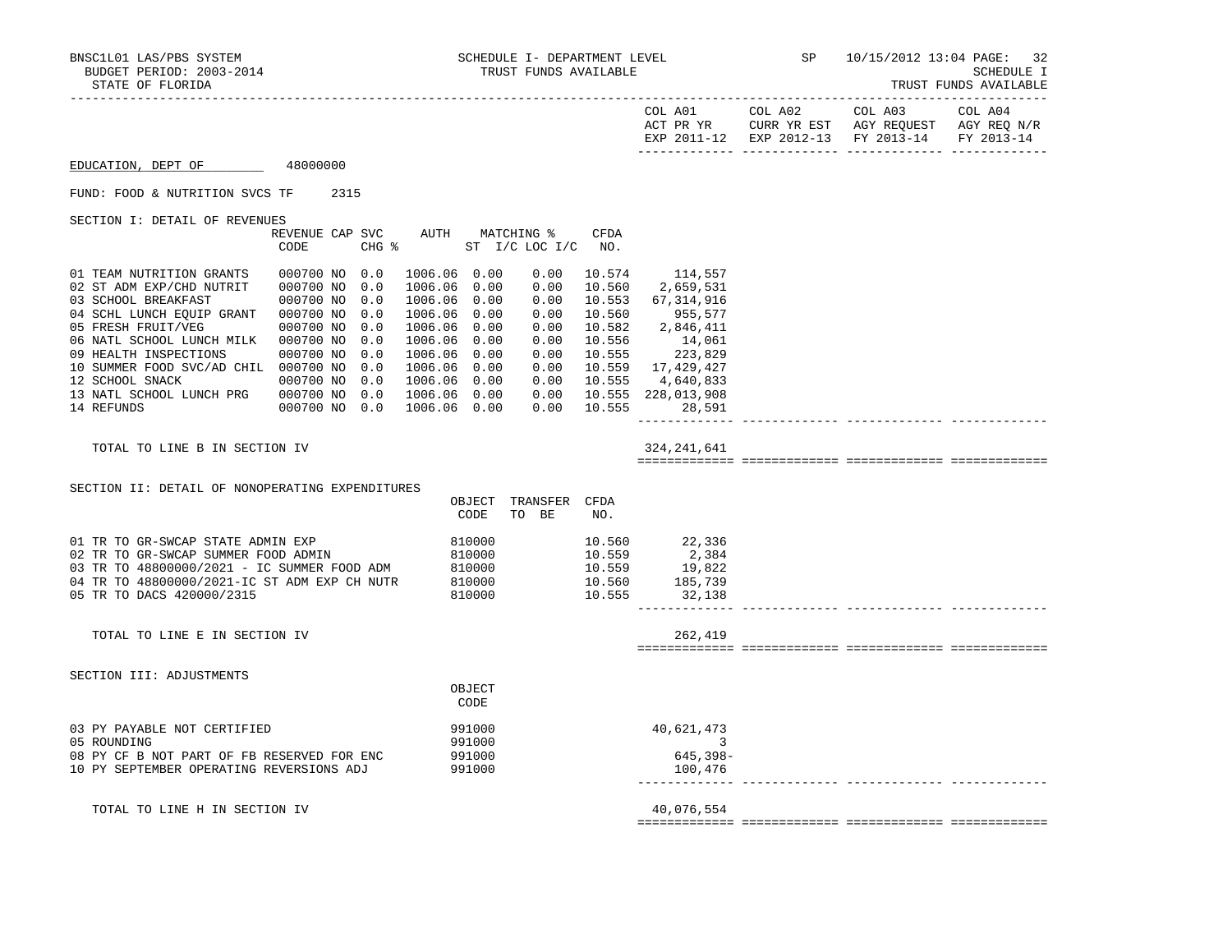| STATE OF FLORIDA                                                       |                                     |                   |                               |                      |                      |                            |                                    |                        |                                                              | TRUST FUNDS AVAILABLE                |
|------------------------------------------------------------------------|-------------------------------------|-------------------|-------------------------------|----------------------|----------------------|----------------------------|------------------------------------|------------------------|--------------------------------------------------------------|--------------------------------------|
|                                                                        |                                     |                   |                               |                      |                      |                            | COL A01<br>ACT PR YR               | COL A02<br>CURR YR EST | COL A03<br>AGY REQUEST<br>EXP 2011-12 EXP 2012-13 FY 2013-14 | COL A04<br>AGY REQ N/R<br>FY 2013-14 |
| EDUCATION, DEPT OF                                                     | 48000000                            |                   |                               |                      |                      |                            |                                    |                        |                                                              |                                      |
| FUND: FOOD & NUTRITION SVCS TF                                         | 2315                                |                   |                               |                      |                      |                            |                                    |                        |                                                              |                                      |
| SECTION I: DETAIL OF REVENUES                                          | REVENUE CAP SVC<br>CODE             | CHG %             | AUTH                          | MATCHING %           | ST I/C LOC I/C       | CFDA<br>NO.                |                                    |                        |                                                              |                                      |
| 01 TEAM NUTRITION GRANTS<br>02 ST ADM EXP/CHD NUTRIT                   | 000700 NO 0.0<br>000700 NO          | 0.0               | 1006.06<br>1006.06            | 0.00<br>0.00         | 0.00<br>0.00         | 10.574<br>10.560           | 114,557<br>2,659,531               |                        |                                                              |                                      |
| 03 SCHOOL BREAKFAST<br>04 SCHL LUNCH EQUIP GRANT<br>05 FRESH FRUIT/VEG | 000700 NO<br>000700 NO<br>000700 NO | 0.0<br>0.0<br>0.0 | 1006.06<br>1006.06<br>1006.06 | 0.00<br>0.00<br>0.00 | 0.00<br>0.00<br>0.00 | 10.553<br>10.560<br>10.582 | 67,314,916<br>955,577<br>2,846,411 |                        |                                                              |                                      |
| 06 NATL SCHOOL LUNCH MILK<br>09 HEALTH INSPECTIONS                     | 000700 NO<br>000700 NO              | 0.0<br>0.0        | 1006.06<br>1006.06            | 0.00<br>0.00         | 0.00<br>0.00         | 10.556<br>10.555           | 14,061<br>223,829                  |                        |                                                              |                                      |
| 10 SUMMER FOOD SVC/AD CHIL<br>12 SCHOOL SNACK                          | 000700 NO<br>000700 NO              | 0.0<br>0.0        | 1006.06<br>1006.06            | 0.00<br>0.00         | 0.00<br>0.00         | 10.559<br>10.555           | 17,429,427<br>4,640,833            |                        |                                                              |                                      |
| 13 NATL SCHOOL LUNCH PRG<br>14 REFUNDS                                 | 000700 NO<br>000700 NO 0.0          | 0.0               | 1006.06<br>1006.06            | 0.00<br>0.00         | 0.00<br>0.00         | 10.555<br>10.555           | 228,013,908<br>28,591              |                        |                                                              |                                      |

TOTAL TO LINE B IN SECTION IV 324, 241, 641

============= ============= ============= =============

------------- ------------- ------------- -------------

 SECTION II: DETAIL OF NONOPERATING EXPENDITURES OBJECT TRANSFER CFDA CODE TO BE NO. 01 TR TO GR-SWCAP STATE ADMIN EXP 810000 10.560 22,336 02 TR TO GR-SWCAP SUMMER FOOD ADMIN 810000 10.559 2,384<br>03 TR TO 48800000/2021 - IC SUMMER FOOD ADM 810000 10.559 19,822 03 TR TO 48800000/2021 - IC SUMMER FOOD ADM 810000 10.559 19,822<br>
04 TR TO 48800000/2021-IC ST ADM EXP CH NUTR 810000 10.560 185,739 04 TR TO 48800000/2021-IC ST ADM EXP CH NUTR 810000 10.560 185,739<br>05 TR TO DACS 420000/2315 810000 810000 10.555 32,138 05 TR TO DACS 420000/2315 810000 ------------- ------------- ------------- -------------

TOTAL TO LINE E IN SECTION IV 262,419

SECTION III: ADJUSTMENTS

**OBJECT CODE** 

| 03 PY PAYABLE NOT CERTIFIED                | 991000 | 40,621,473 |
|--------------------------------------------|--------|------------|
| 05 ROUNDING                                | 991000 |            |
| 08 PY CF B NOT PART OF FB RESERVED FOR ENC | 991000 | 645,398-   |
| 10 PY SEPTEMBER OPERATING REVERSIONS ADJ   | 991000 | 100,476    |

TOTAL TO LINE H IN SECTION IV 40,076,554

============= ============= ============= =============

============= ============= ============= =============

------------- ------------- ------------- -------------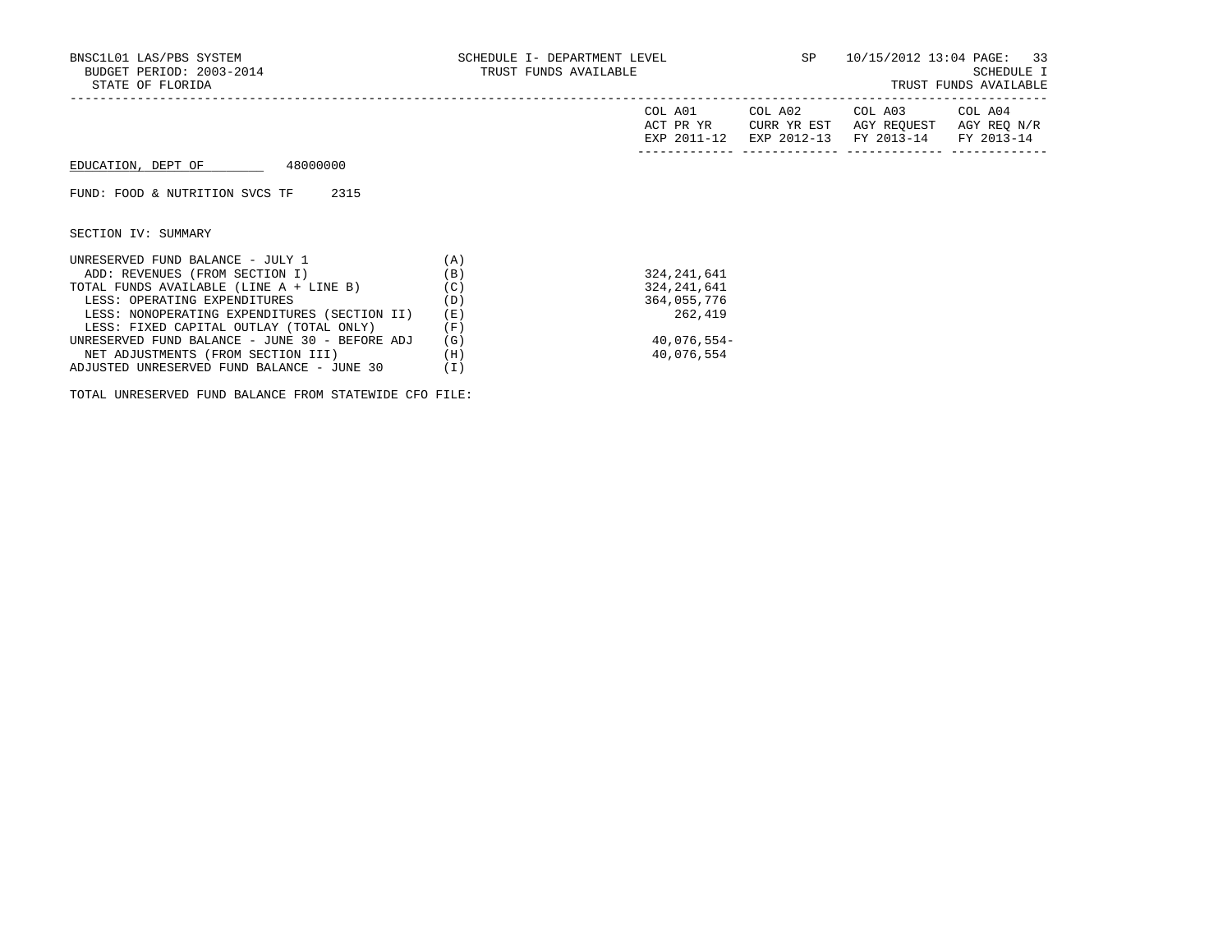|                                                |     | COL A01<br>ACT PR YR<br>EXP 2011-12 | COL A02<br>CURR YR EST<br>EXP 2012-13 | COL A03<br>AGY REOUEST<br>FY 2013-14 | COL A04<br>AGY REQ N/R<br>FY 2013-14 |
|------------------------------------------------|-----|-------------------------------------|---------------------------------------|--------------------------------------|--------------------------------------|
| 48000000<br>EDUCATION, DEPT OF                 |     |                                     |                                       |                                      |                                      |
| 2315<br>FUND: FOOD & NUTRITION SVCS TF         |     |                                     |                                       |                                      |                                      |
| SECTION IV: SUMMARY                            |     |                                     |                                       |                                      |                                      |
| UNRESERVED FUND BALANCE - JULY 1               | (A) |                                     |                                       |                                      |                                      |
| ADD: REVENUES (FROM SECTION I)                 | (B) | 324, 241, 641                       |                                       |                                      |                                      |
| TOTAL FUNDS AVAILABLE (LINE A + LINE B)        | (C) | 324, 241, 641                       |                                       |                                      |                                      |
| LESS: OPERATING EXPENDITURES                   | (D) | 364,055,776                         |                                       |                                      |                                      |
| LESS: NONOPERATING EXPENDITURES (SECTION II)   | (E) | 262,419                             |                                       |                                      |                                      |
| LESS: FIXED CAPITAL OUTLAY (TOTAL ONLY)        | (F) |                                     |                                       |                                      |                                      |
| UNRESERVED FUND BALANCE - JUNE 30 - BEFORE ADJ | (G) | 40,076,554-                         |                                       |                                      |                                      |
| NET ADJUSTMENTS (FROM SECTION III)             | (H) | 40,076,554                          |                                       |                                      |                                      |

 ADJUSTED UNRESERVED FUND BALANCE - JUNE 30 (I) TOTAL UNRESERVED FUND BALANCE FROM STATEWIDE CFO FILE: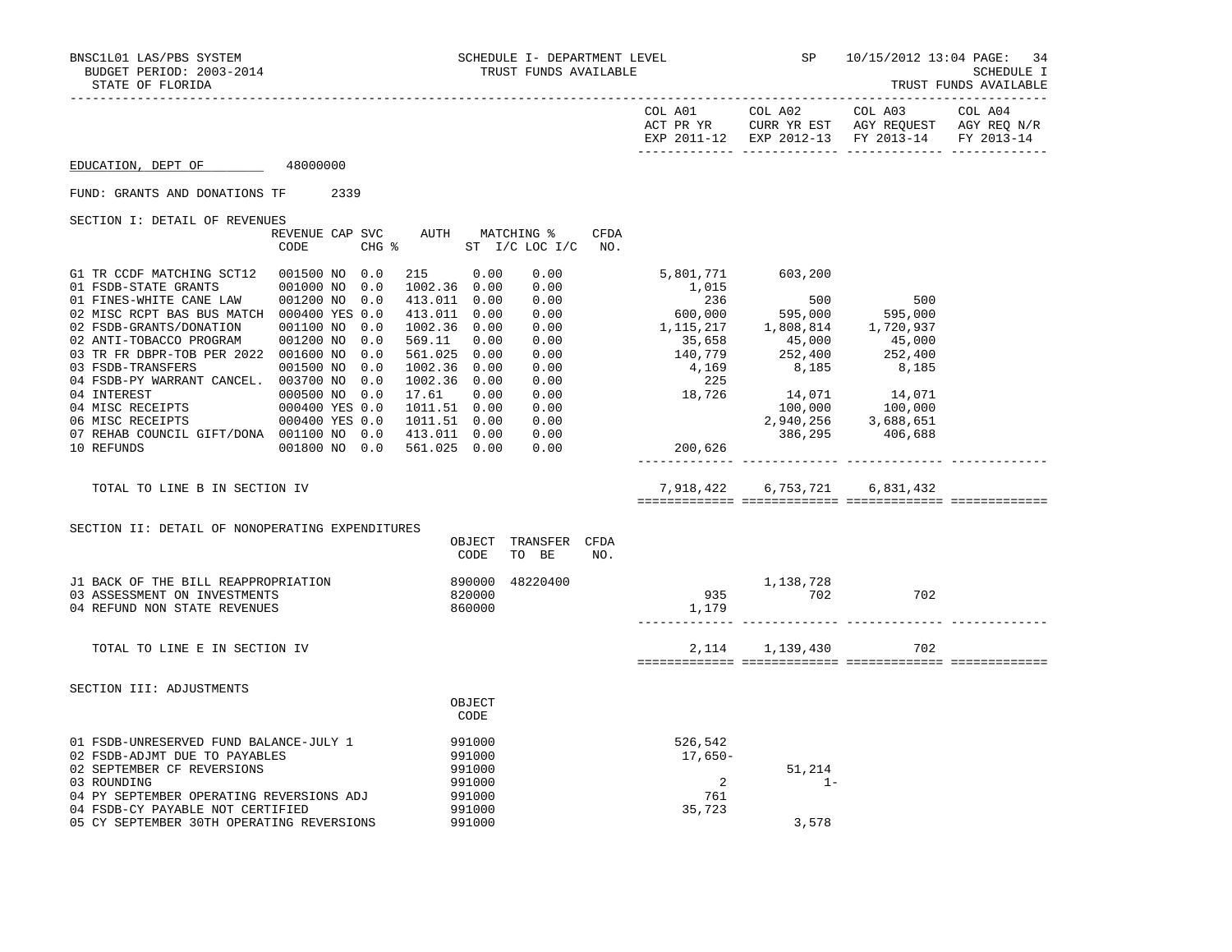| STATE OF FLORIDA                                             |                                   |                                      |                               |             |             |                               |                                                                                                | TRUST FUNDS AVAILABLE |
|--------------------------------------------------------------|-----------------------------------|--------------------------------------|-------------------------------|-------------|-------------|-------------------------------|------------------------------------------------------------------------------------------------|-----------------------|
|                                                              |                                   |                                      |                               |             | COL A01     | COL A02                       | COL A03<br>ACT PR YR CURR YR EST AGY REQUEST AGY REQ N/R<br>EXP 2011-12 EXP 2012-13 FY 2013-14 | COL A04<br>FY 2013-14 |
| EDUCATION, DEPT OF 48000000                                  |                                   |                                      |                               |             |             |                               |                                                                                                |                       |
| FUND: GRANTS AND DONATIONS TF                                | 2339                              |                                      |                               |             |             |                               |                                                                                                |                       |
| SECTION I: DETAIL OF REVENUES                                |                                   |                                      |                               |             |             |                               |                                                                                                |                       |
|                                                              | REVENUE CAP SVC AUTH<br>CODE      | CHG $\frac{1}{2}$ ST I/C LOC I/C NO. | MATCHING %                    | <b>CFDA</b> |             |                               |                                                                                                |                       |
| G1 TR CCDF MATCHING SCT12<br>01 FSDB-STATE GRANTS            | 001500 NO 0.0<br>001000 NO<br>0.0 | 215 0.00<br>1002.36 0.00             | 0.00<br>0.00                  |             | 1,015       | 5,801,771 603,200             |                                                                                                |                       |
| 01 FINES-WHITE CANE LAW                                      | 001200 NO<br>0.0                  | 413.011 0.00                         | 0.00                          |             | 236         | 500                           | 500                                                                                            |                       |
| 02 MISC RCPT BAS BUS MATCH 000400 YES 0.0                    |                                   | 413.011 0.00                         | 0.00                          |             | 600,000     | 595,000                       | 595,000                                                                                        |                       |
| 02 FSDB-GRANTS/DONATION                                      | 001100 NO<br>0.0                  | 1002.36 0.00                         | 0.00                          |             | 1, 115, 217 | 1,808,814                     | 1,720,937                                                                                      |                       |
| 02 ANTI-TOBACCO PROGRAM                                      | 001200 NO<br>0.0                  | 569.11<br>0.00                       | 0.00                          |             | 35,658      | 45,000                        | 45,000                                                                                         |                       |
| 03 TR FR DBPR-TOB PER 2022 001600 NO                         | 0.0                               | 561.025 0.00                         | 0.00                          |             | 140,779     | 252,400                       | 252,400                                                                                        |                       |
| 03 FSDB-TRANSFERS                                            | 001500 NO<br>0.0                  | 1002.36 0.00                         | 0.00                          |             | 4,169       | 8,185                         | 8,185                                                                                          |                       |
| 04 FSDB-PY WARRANT CANCEL. 003700 NO                         | 0.0                               | 1002.36 0.00                         | 0.00                          |             | 225         |                               |                                                                                                |                       |
| 04 INTEREST                                                  | 000500 NO 0.0                     | 17.61<br>0.00                        | 0.00                          |             | 18,726      | 14,071                        | 14,071                                                                                         |                       |
| 04 MISC RECEIPTS<br>06 MISC RECEIPTS                         | 000400 YES 0.0                    | 1011.51 0.00                         | 0.00                          |             |             |                               | $100,000$ $100,000$<br>2,940,256 3,688,651                                                     |                       |
| 06 MISC RECEIPTS<br>07 REHAB COUNCIL GIFT/DONA 001100 NO 0.0 | 000400 YES 0.0                    | 1011.51 0.00<br>413.011 0.00         | 0.00<br>0.00                  |             |             | 386,295                       | 406,688                                                                                        |                       |
| 10 REFUNDS                                                   | 001800 NO 0.0                     | 561.025 0.00                         | 0.00                          |             | 200,626     |                               |                                                                                                |                       |
| TOTAL TO LINE B IN SECTION IV                                |                                   |                                      |                               |             |             | 7,918,422 6,753,721 6,831,432 |                                                                                                |                       |
| SECTION II: DETAIL OF NONOPERATING EXPENDITURES              |                                   |                                      |                               |             |             |                               |                                                                                                |                       |
|                                                              |                                   | <b>CODE</b>                          | OBJECT TRANSFER CFDA<br>TO BE | NO.         |             |                               |                                                                                                |                       |
| J1 BACK OF THE BILL REAPPROPRIATION                          |                                   |                                      | 890000 48220400               |             |             | 1,138,728                     |                                                                                                |                       |
| 03 ASSESSMENT ON INVESTMENTS                                 |                                   | 820000                               |                               |             | 935         | 702                           | 702                                                                                            |                       |
| 04 REFUND NON STATE REVENUES                                 |                                   | 860000                               |                               |             | 1,179       |                               |                                                                                                |                       |
| TOTAL TO LINE E IN SECTION IV                                |                                   |                                      |                               |             |             | 2, 114 1, 139, 430            | 702                                                                                            |                       |
|                                                              |                                   |                                      |                               |             |             |                               |                                                                                                |                       |
| SECTION III: ADJUSTMENTS                                     |                                   |                                      |                               |             |             |                               |                                                                                                |                       |
|                                                              |                                   | OBJECT<br>CODE                       |                               |             |             |                               |                                                                                                |                       |
| 01 FSDB-UNRESERVED FUND BALANCE-JULY 1                       |                                   | 991000                               |                               |             | 526,542     |                               |                                                                                                |                       |
| 02 FSDB-ADJMT DUE TO PAYABLES                                |                                   | 991000                               |                               |             | 17,650-     |                               |                                                                                                |                       |
| 02 SEPTEMBER CF REVERSIONS                                   |                                   | 991000                               |                               |             |             | 51,214                        |                                                                                                |                       |

- 03 ROUNDING 991000 2 1-
- 04 PY SEPTEMBER OPERATING REVERSIONS ADJ 991000 761 04 FSDB-CY PAYABLE NOT CERTIFIED 991000<br>05 CY SEPTEMBER 30TH OPERATING REVERSIONS 991000
- 05 CY SEPTEMBER 30TH OPERATING REVERSIONS 991000 91000 3,578
	-
	-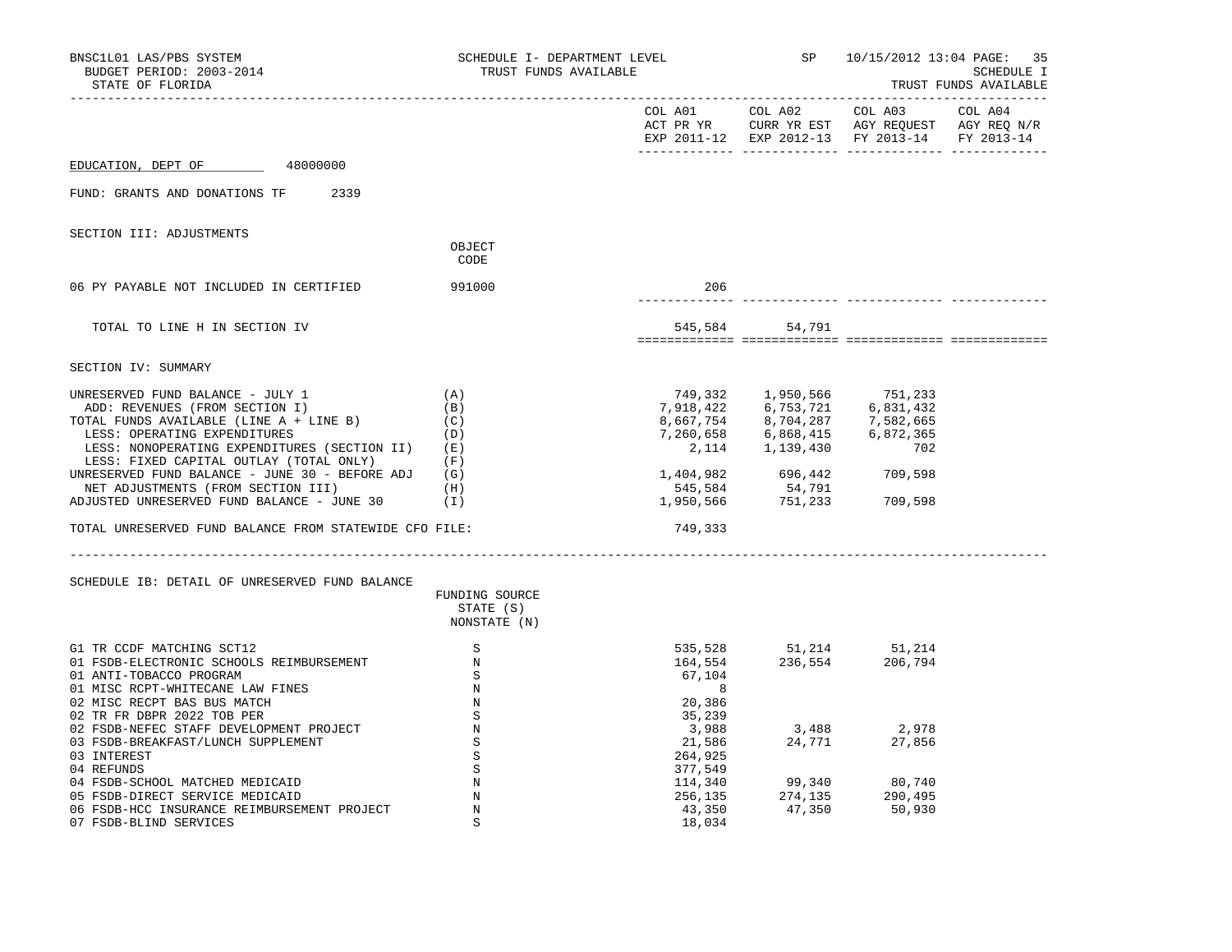| BNSC1L01 LAS/PBS SYSTEM<br>BUDGET PERIOD: 2003-2014<br>STATE OF FLORIDA                                                                                                                                                                                                                                                                                                                                                                            | SCHEDULE I- DEPARTMENT LEVEL<br>TRUST FUNDS AVAILABLE |                                                  |                                                                                                                                                                                                                                            | SP 10/15/2012 13:04 PAGE: 35<br>SCHEDULE I<br>TRUST FUNDS AVAILABLE                                                                                                                                          |         |
|----------------------------------------------------------------------------------------------------------------------------------------------------------------------------------------------------------------------------------------------------------------------------------------------------------------------------------------------------------------------------------------------------------------------------------------------------|-------------------------------------------------------|--------------------------------------------------|--------------------------------------------------------------------------------------------------------------------------------------------------------------------------------------------------------------------------------------------|--------------------------------------------------------------------------------------------------------------------------------------------------------------------------------------------------------------|---------|
|                                                                                                                                                                                                                                                                                                                                                                                                                                                    |                                                       |                                                  | COL A01 COL A02                                                                                                                                                                                                                            | COL A03<br>ACT PR YR CURR YR EST AGY REQUEST AGY REQ N/R<br>EXP 2011-12 EXP 2012-13 FY 2013-14 FY 2013-14                                                                                                    | COL A04 |
| EDUCATION, DEPT OF<br>48000000                                                                                                                                                                                                                                                                                                                                                                                                                     |                                                       |                                                  |                                                                                                                                                                                                                                            |                                                                                                                                                                                                              |         |
| FUND: GRANTS AND DONATIONS TF<br>2339                                                                                                                                                                                                                                                                                                                                                                                                              |                                                       |                                                  |                                                                                                                                                                                                                                            |                                                                                                                                                                                                              |         |
| SECTION III: ADJUSTMENTS                                                                                                                                                                                                                                                                                                                                                                                                                           | OBJECT<br>CODE                                        |                                                  |                                                                                                                                                                                                                                            |                                                                                                                                                                                                              |         |
| 06 PY PAYABLE NOT INCLUDED IN CERTIFIED                                                                                                                                                                                                                                                                                                                                                                                                            | 991000                                                | 206                                              |                                                                                                                                                                                                                                            |                                                                                                                                                                                                              |         |
| TOTAL TO LINE H IN SECTION IV                                                                                                                                                                                                                                                                                                                                                                                                                      |                                                       |                                                  | 545,584 54,791                                                                                                                                                                                                                             |                                                                                                                                                                                                              |         |
| SECTION IV: SUMMARY                                                                                                                                                                                                                                                                                                                                                                                                                                |                                                       |                                                  |                                                                                                                                                                                                                                            |                                                                                                                                                                                                              |         |
| UNRESERVED FUND BALANCE - JULY 1<br>ADD: REVENUES (FROM SECTION I)<br>TOTAL FUNDS AVAILABLE (LINE A + LINE B)<br>LESS: OPERATING EXPENDITURES<br>LESS: NONOPERATING EXPENDITURES (SECTION II) (E)<br>LESS: FIXED CAPITAL OUTLAY (TOTAL ONLY)<br>UNRESERVED FUND BALANCE - JUNE 30 - BEFORE ADJ $(G)$<br>NET ADJUSTMENTS (FROM SECTION III)<br>ADJUSTED UNRESERVED FUND BALANCE - JUNE 30<br>TOTAL UNRESERVED FUND BALANCE FROM STATEWIDE CFO FILE: | (A)<br>(B)<br>(C)<br>(D)<br>(F)<br>(H)<br>(I)         | 749,333                                          | $\begin{array}{cccc} 749\,,332 & \quad & 1\,,950\,,566 & \quad & 751\,,233 \\ 7\,,918\,,422 & \quad & 6\,,753\,,721 & \quad & 6\,,831\,,432 \end{array}$<br>8,667,754 8,704,287 7,582,665<br>7,260,658 6,868,415<br>2, 114 1, 139, 430 702 | 6,872,365<br>$\begin{array}{cccc} 1,404,982 & \phantom{00} & 696,442 & \phantom{00} & 709,598 \\ 545,584 & \phantom{00} & 54,791 \\ 1,950,566 & \phantom{00} & 751,233 & \phantom{00} & 709,598 \end{array}$ |         |
| SCHEDULE IB: DETAIL OF UNRESERVED FUND BALANCE                                                                                                                                                                                                                                                                                                                                                                                                     | FUNDING SOURCE<br>STATE (S)<br>NONSTATE (N)           |                                                  |                                                                                                                                                                                                                                            |                                                                                                                                                                                                              |         |
| G1 TR CCDF MATCHING SCT12<br>01 FSDB-ELECTRONIC SCHOOLS REIMBURSEMENT<br>01 ANTI-TOBACCO PROGRAM<br>01 MISC RCPT-WHITECANE LAW FINES<br>02 MISC RECPT BAS BUS MATCH<br>02 TR FR DBPR 2022 TOB PER                                                                                                                                                                                                                                                  | S<br>N<br>S<br>$_{\rm N}$<br>N<br>S                   | 164,554<br>67,104<br>8<br>20,386<br>35,239       | $535,528 \qquad \qquad 51,214 \qquad \qquad 51,214$<br>$164,554 \qquad \qquad 236,554 \qquad \qquad 206,794$                                                                                                                               |                                                                                                                                                                                                              |         |
| 02 FSDB-NEFEC STAFF DEVELOPMENT PROJECT<br>03 FSDB-BREAKFAST/LUNCH SUPPLEMENT<br>03 INTEREST<br>04 REFUNDS<br>04 FSDB-SCHOOL MATCHED MEDICAID                                                                                                                                                                                                                                                                                                      | $\mathbb N$<br>S<br>S<br>S<br>N                       | 3,988<br>21,586<br>264,925<br>377,549<br>114,340 |                                                                                                                                                                                                                                            | 3,488 2,978<br>24,771 27,856                                                                                                                                                                                 |         |
| 05 FSDB-DIRECT SERVICE MEDICAID<br>06 FSDB-HCC INSURANCE REIMBURSEMENT PROJECT<br>07 FSDB-BLIND SERVICES                                                                                                                                                                                                                                                                                                                                           | $\mathbb N$<br>N<br>S                                 | 256,135<br>43,350<br>18,034                      | 47,350                                                                                                                                                                                                                                     | 99, 340 80, 740<br>274, 135 290, 495<br>50,930                                                                                                                                                               |         |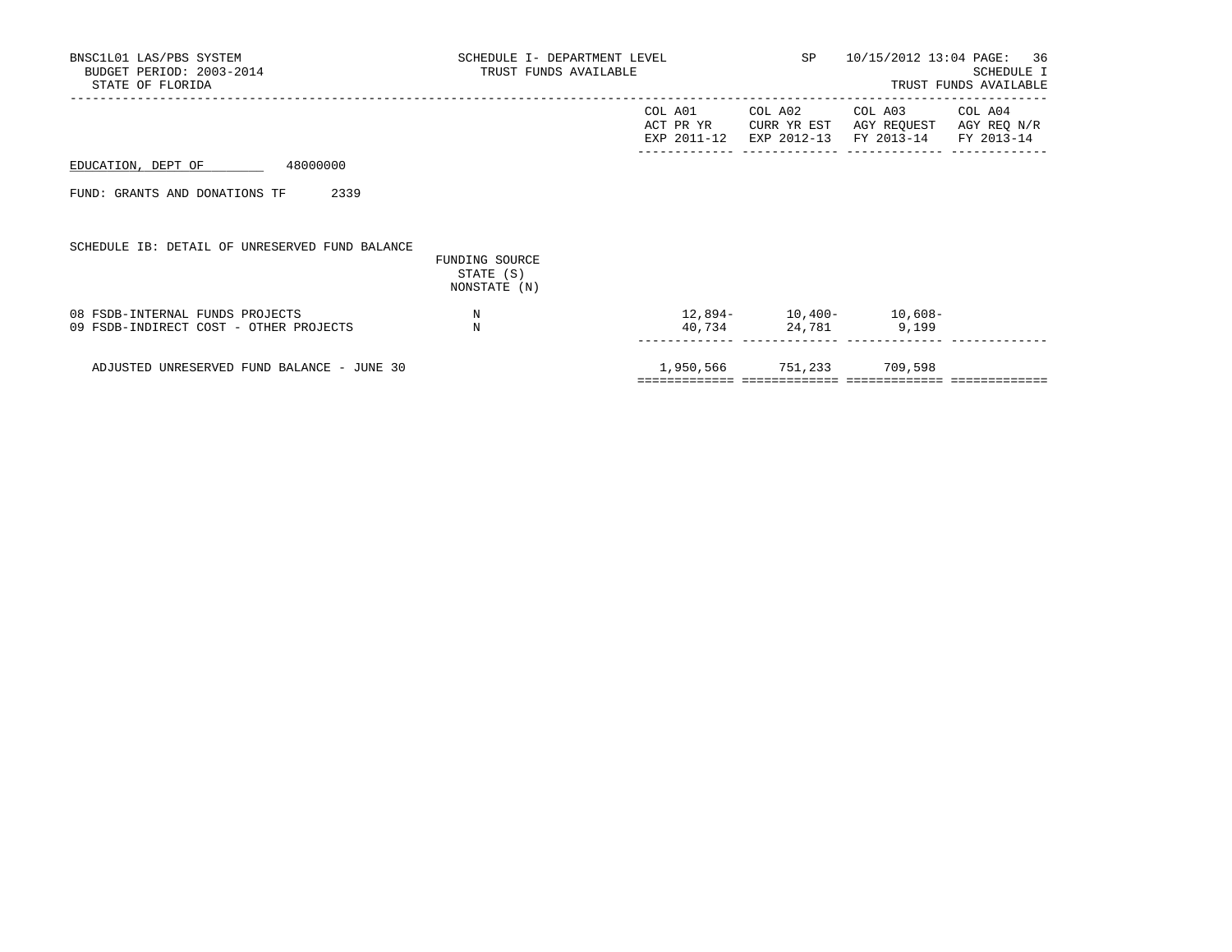| BNSC1L01 LAS/PBS SYSTEM<br>BUDGET PERIOD: 2003-2014<br>STATE OF FLORIDA   | SCHEDULE I- DEPARTMENT LEVEL<br>TRUST FUNDS AVAILABLE<br>______________________________________ |                                     |                                       | SP 10/15/2012 13:04 PAGE: 36                             | SCHEDULE I<br>TRUST FUNDS AVAILABLE |
|---------------------------------------------------------------------------|-------------------------------------------------------------------------------------------------|-------------------------------------|---------------------------------------|----------------------------------------------------------|-------------------------------------|
|                                                                           |                                                                                                 | COL A01<br>ACT PR YR<br>EXP 2011-12 | COL A02<br>CURR YR EST<br>EXP 2012-13 | COL A03 COL A04<br>AGY REQUEST AGY REQ N/R<br>FY 2013-14 | FY 2013-14                          |
| EDUCATION, DEPT OF<br>48000000                                            |                                                                                                 |                                     |                                       |                                                          |                                     |
| 2339<br>FUND: GRANTS AND DONATIONS TF                                     |                                                                                                 |                                     |                                       |                                                          |                                     |
| SCHEDULE IB: DETAIL OF UNRESERVED FUND BALANCE                            | FUNDING SOURCE<br>STATE (S)<br>NONSTATE (N)                                                     |                                     |                                       |                                                          |                                     |
| 08 FSDB-INTERNAL FUNDS PROJECTS<br>09 FSDB-INDIRECT COST - OTHER PROJECTS | N<br>N                                                                                          |                                     | 40,734 24,781 9,199                   | $12,894-10,400-10,608-$                                  |                                     |
| ADJUSTED UNRESERVED FUND BALANCE - JUNE 30                                |                                                                                                 |                                     | 1,950,566 751,233 709,598             |                                                          |                                     |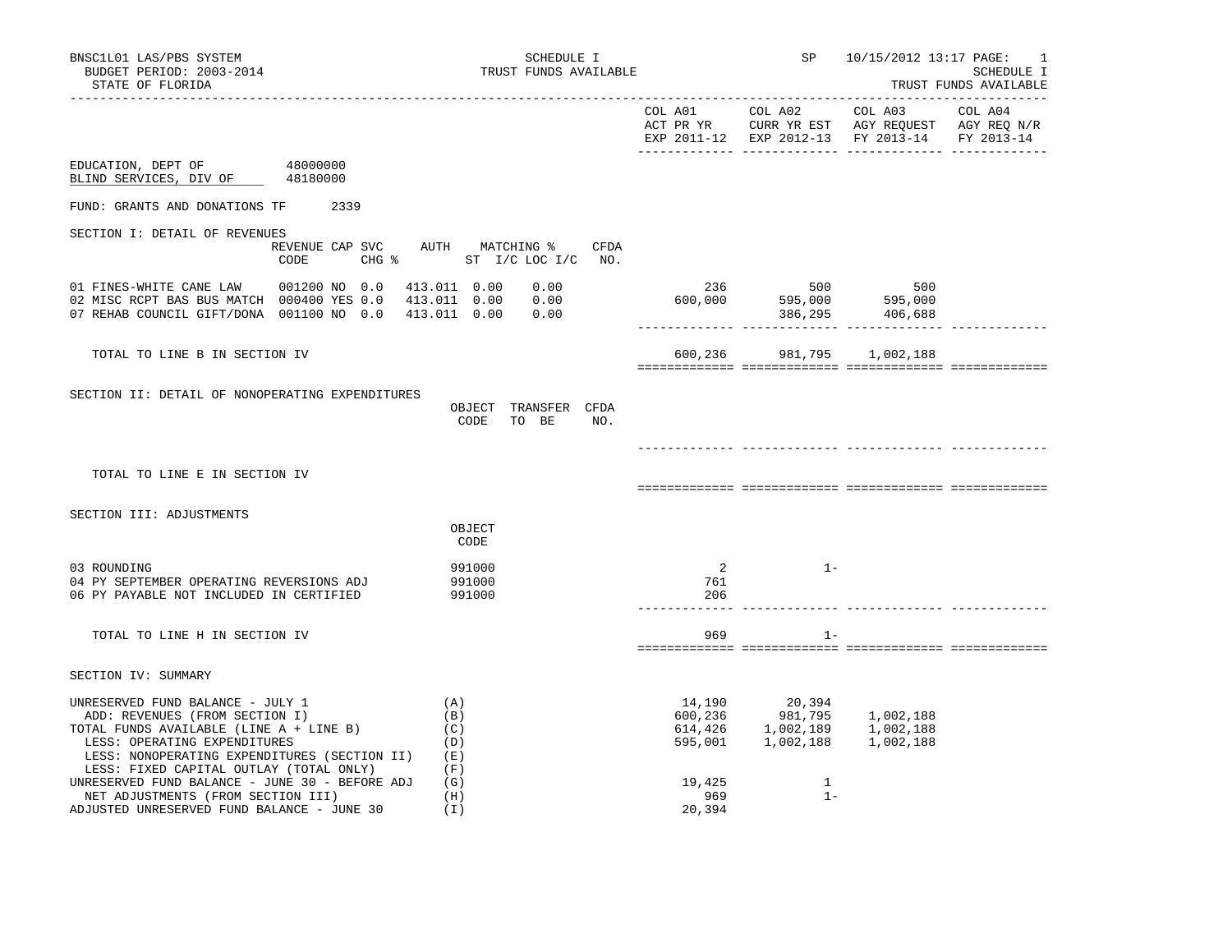| BNSC1L01 LAS/PBS SYSTEM<br>BUDGET PERIOD: 2003-2014<br>STATE OF FLORIDA                                                                                                                                                                  |                      | SCHEDULE I<br>TRUST FUNDS AVAILABLE                              |                                         | SP<br>------------------------------                                 | 10/15/2012 13:17 PAGE:                                                                                    | Ι.<br>SCHEDULE I<br>TRUST FUNDS AVAILABLE<br>_______________________ |
|------------------------------------------------------------------------------------------------------------------------------------------------------------------------------------------------------------------------------------------|----------------------|------------------------------------------------------------------|-----------------------------------------|----------------------------------------------------------------------|-----------------------------------------------------------------------------------------------------------|----------------------------------------------------------------------|
|                                                                                                                                                                                                                                          |                      |                                                                  | COL A01                                 | COL A02                                                              | COL A03<br>ACT PR YR CURR YR EST AGY REQUEST AGY REQ N/R<br>EXP 2011-12 EXP 2012-13 FY 2013-14 FY 2013-14 | COL A04                                                              |
| EDUCATION, DEPT OF<br>BLIND SERVICES, DIV OF                                                                                                                                                                                             | 48000000<br>48180000 |                                                                  |                                         |                                                                      |                                                                                                           |                                                                      |
| FUND: GRANTS AND DONATIONS TF 2339                                                                                                                                                                                                       |                      |                                                                  |                                         |                                                                      |                                                                                                           |                                                                      |
| SECTION I: DETAIL OF REVENUES                                                                                                                                                                                                            | CODE                 | REVENUE CAP SVC AUTH MATCHING % CFDA<br>CHG % ST I/C LOC I/C NO. |                                         |                                                                      |                                                                                                           |                                                                      |
| 01 FINES-WHITE CANE LAW 001200 NO 0.0<br>02 MISC RCPT BAS BUS MATCH 000400 YES 0.0<br>07 REHAB COUNCIL GIFT/DONA 001100 NO 0.0 413.011 0.00                                                                                              |                      | 0.00<br>413.011 0.00<br>0.00<br>413.011 0.00<br>0.00             | 236<br>600,000                          | 500<br>595,000               595,000<br>386,295              406,688 | 500                                                                                                       |                                                                      |
| TOTAL TO LINE B IN SECTION IV                                                                                                                                                                                                            |                      |                                                                  | 600,236                                 |                                                                      | 981,795 1,002,188                                                                                         |                                                                      |
| SECTION II: DETAIL OF NONOPERATING EXPENDITURES                                                                                                                                                                                          |                      | OBJECT TRANSFER CFDA<br>CODE TO BE<br>NO.                        |                                         |                                                                      |                                                                                                           |                                                                      |
| TOTAL TO LINE E IN SECTION IV                                                                                                                                                                                                            |                      |                                                                  |                                         |                                                                      |                                                                                                           |                                                                      |
| SECTION III: ADJUSTMENTS                                                                                                                                                                                                                 |                      | OBJECT<br>CODE                                                   |                                         |                                                                      |                                                                                                           |                                                                      |
| 03 ROUNDING<br>04 PY SEPTEMBER OPERATING REVERSIONS ADJ<br>06 PY PAYABLE NOT INCLUDED IN CERTIFIED                                                                                                                                       |                      | 991000<br>991000<br>991000                                       | $\overline{\phantom{a}}$<br>761<br>206  | $1 -$                                                                |                                                                                                           |                                                                      |
| TOTAL TO LINE H IN SECTION IV                                                                                                                                                                                                            |                      |                                                                  | 969                                     | $1 -$                                                                |                                                                                                           |                                                                      |
| SECTION IV: SUMMARY                                                                                                                                                                                                                      |                      |                                                                  |                                         |                                                                      |                                                                                                           |                                                                      |
| UNRESERVED FUND BALANCE - JULY 1<br>ADD: REVENUES (FROM SECTION I)<br>TOTAL FUNDS AVAILABLE (LINE A + LINE B)<br>LESS: OPERATING EXPENDITURES<br>LESS: NONOPERATING EXPENDITURES (SECTION II)<br>LESS: FIXED CAPITAL OUTLAY (TOTAL ONLY) |                      | (A)<br>(B)<br>(C)<br>(D)<br>(E)<br>(F)                           | 14,190<br>600,236<br>614,426<br>595,001 | 20,394<br>981,795<br>1,002,189<br>1,002,188                          | 1,002,188<br>1,002,188<br>1,002,188                                                                       |                                                                      |
| UNRESERVED FUND BALANCE - JUNE 30 - BEFORE ADJ<br>NET ADJUSTMENTS (FROM SECTION III)<br>ADJUSTED UNRESERVED FUND BALANCE - JUNE 30                                                                                                       |                      | (G)<br>(H)<br>(I)                                                | 19,425<br>969<br>20,394                 | 1<br>$1 -$                                                           |                                                                                                           |                                                                      |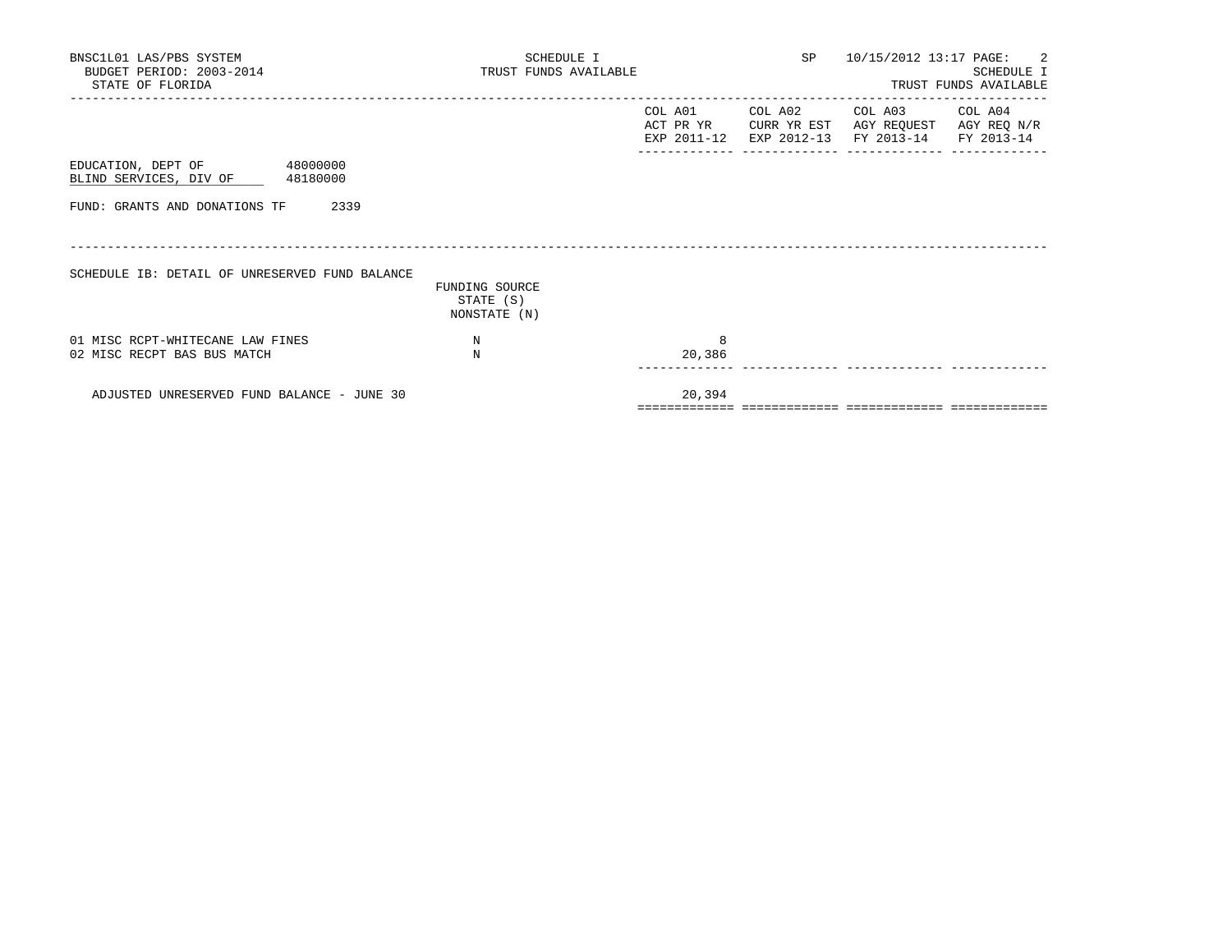| BNSC1L01 LAS/PBS SYSTEM<br>BUDGET PERIOD: 2003-2014<br>STATE OF FLORIDA | SCHEDULE I<br>TRUST FUNDS AVAILABLE         |             |                                     | SP 10/15/2012 13:17 PAGE: 2<br>SCHEDULE I<br>TRUST FUNDS AVAILABLE                                                        |  |  |
|-------------------------------------------------------------------------|---------------------------------------------|-------------|-------------------------------------|---------------------------------------------------------------------------------------------------------------------------|--|--|
|                                                                         |                                             | COL A01     | ___________________________________ | COL A02 COL A03 COL A04<br>ACT PR YR CURR YR EST AGY REQUEST AGY REQ N/R<br>EXP 2011-12 EXP 2012-13 FY 2013-14 FY 2013-14 |  |  |
| EDUCATION, DEPT OF 48000000<br>BLIND SERVICES, DIV OF 48180000          |                                             |             |                                     |                                                                                                                           |  |  |
| 2339<br>FUND: GRANTS AND DONATIONS TF                                   |                                             |             |                                     |                                                                                                                           |  |  |
| SCHEDULE IB: DETAIL OF UNRESERVED FUND BALANCE                          |                                             |             |                                     |                                                                                                                           |  |  |
|                                                                         | FUNDING SOURCE<br>STATE (S)<br>NONSTATE (N) |             |                                     |                                                                                                                           |  |  |
| 01 MISC RCPT-WHITECANE LAW FINES<br>02 MISC RECPT BAS BUS MATCH         | N<br>N                                      | 8<br>20,386 |                                     |                                                                                                                           |  |  |
| ADJUSTED UNRESERVED FUND BALANCE - JUNE 30                              |                                             | 20,394      |                                     |                                                                                                                           |  |  |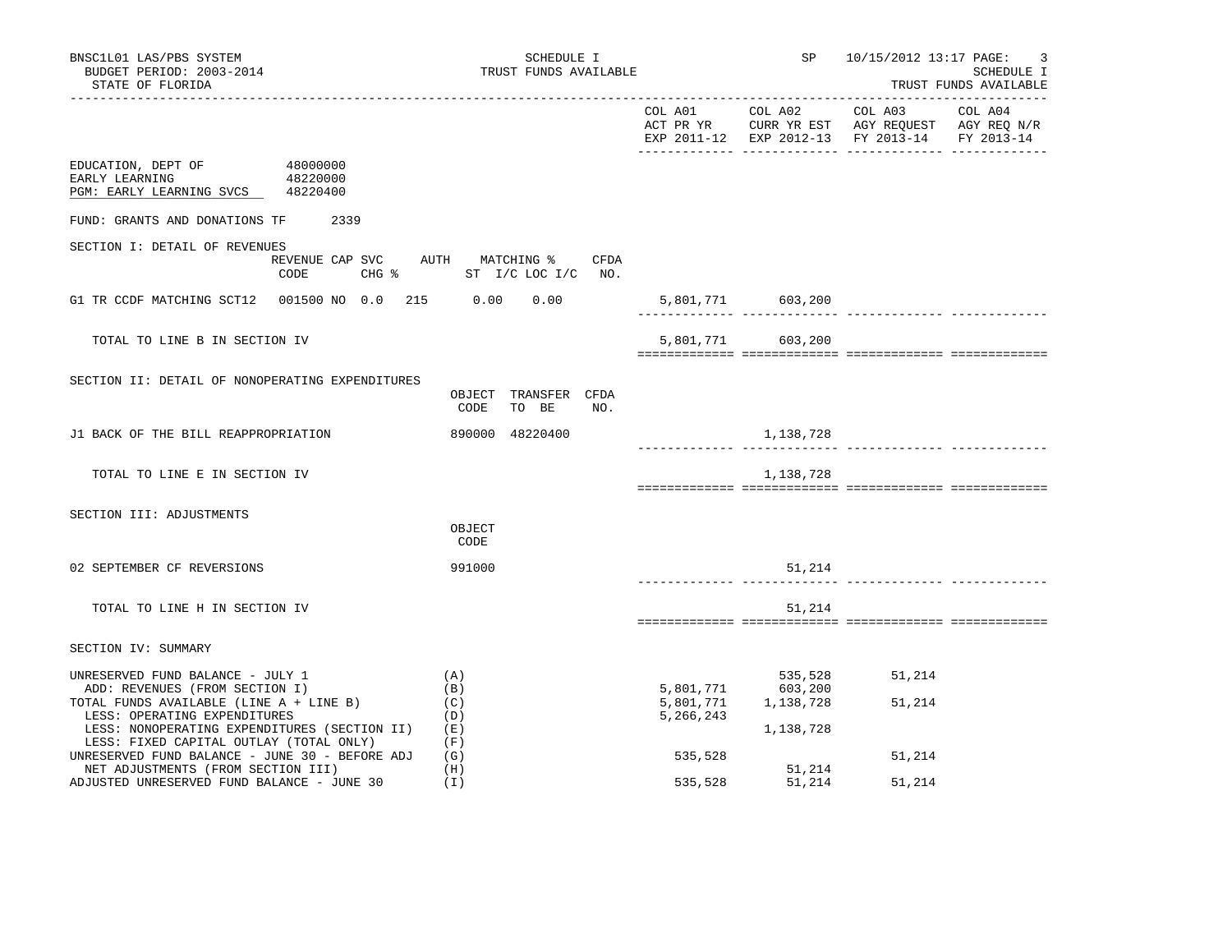|                                                                                                                                    |                                                                            |                        |                                 | COL A01 COL A02 COL A03<br>ACT PR YR CURR YR EST AGY REQUEST AGY REQ N/R<br>EXP 2011-12 EXP 2012-13 FY 2013-14 FY 2013-14 | COL A04 |
|------------------------------------------------------------------------------------------------------------------------------------|----------------------------------------------------------------------------|------------------------|---------------------------------|---------------------------------------------------------------------------------------------------------------------------|---------|
| EDUCATION, DEPT OF 48000000<br>48220000<br>EARLY LEARNING<br>PGM: EARLY LEARNING SVCS 48220400                                     |                                                                            |                        |                                 |                                                                                                                           |         |
| FUND: GRANTS AND DONATIONS TF<br>2339                                                                                              |                                                                            |                        |                                 |                                                                                                                           |         |
| SECTION I: DETAIL OF REVENUES<br>CODE                                                                                              | REVENUE CAP SVC AUTH MATCHING % CFDA<br>CHG $\text{\$}$ ST I/C LOC I/C NO. |                        |                                 |                                                                                                                           |         |
| G1 TR CCDF MATCHING SCT12 001500 NO 0.0 215 0.00 0.00                                                                              |                                                                            |                        | 5,801,771 603,200               |                                                                                                                           |         |
| TOTAL TO LINE B IN SECTION IV                                                                                                      |                                                                            |                        | 5,801,771 603,200               |                                                                                                                           |         |
| SECTION II: DETAIL OF NONOPERATING EXPENDITURES                                                                                    | OBJECT TRANSFER CFDA<br>CODE<br>TO BE<br>NO.                               |                        |                                 |                                                                                                                           |         |
| J1 BACK OF THE BILL REAPPROPRIATION                                                                                                | 890000 48220400                                                            |                        | 1,138,728                       |                                                                                                                           |         |
| TOTAL TO LINE E IN SECTION IV                                                                                                      |                                                                            |                        | 1,138,728                       |                                                                                                                           |         |
| SECTION III: ADJUSTMENTS                                                                                                           | OBJECT<br>CODE                                                             |                        |                                 |                                                                                                                           |         |
| 02 SEPTEMBER CF REVERSIONS                                                                                                         | 991000                                                                     |                        | 51,214                          |                                                                                                                           |         |
| TOTAL TO LINE H IN SECTION IV                                                                                                      |                                                                            |                        | 51,214                          |                                                                                                                           |         |
| SECTION IV: SUMMARY                                                                                                                |                                                                            |                        |                                 |                                                                                                                           |         |
| UNRESERVED FUND BALANCE - JULY 1<br>ADD: REVENUES (FROM SECTION I)<br>TOTAL FUNDS AVAILABLE (LINE A + LINE B)                      | (A)<br>(B)<br>(C)                                                          | 5,801,771<br>5,801,771 | 535,528<br>603,200<br>1,138,728 | 51,214<br>51,214                                                                                                          |         |
| LESS: OPERATING EXPENDITURES<br>LESS: NONOPERATING EXPENDITURES (SECTION II) (E)<br>LESS: FIXED CAPITAL OUTLAY (TOTAL ONLY)        | (D)<br>(F)                                                                 | 5,266,243              | 1,138,728                       |                                                                                                                           |         |
| UNRESERVED FUND BALANCE - JUNE 30 - BEFORE ADJ<br>NET ADJUSTMENTS (FROM SECTION III)<br>ADJUSTED UNRESERVED FUND BALANCE - JUNE 30 | (G)<br>(H)<br>(I)                                                          | 535,528<br>535,528     | 51,214<br>51,214                | 51,214<br>51,214                                                                                                          |         |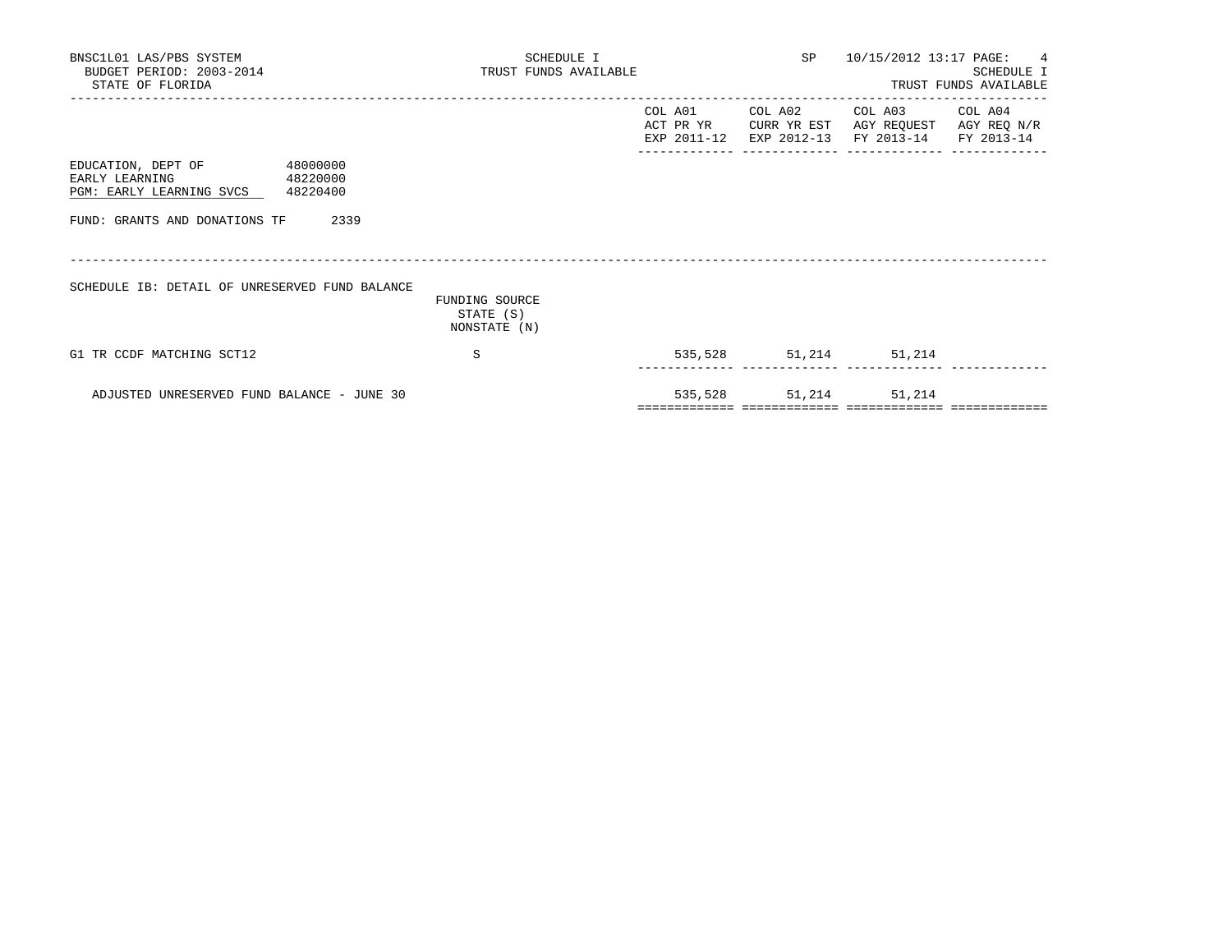| BNSC1L01 LAS/PBS SYSTEM<br>BUDGET PERIOD: 2003-2014<br>STATE OF FLORIDA                                                                 | SCHEDULE I<br>TRUST FUNDS AVAILABLE         |                       | SP 10/15/2012 13:17 PAGE: 4                                                                                                       | SCHEDULE I<br>TRUST FUNDS AVAILABLE |
|-----------------------------------------------------------------------------------------------------------------------------------------|---------------------------------------------|-----------------------|-----------------------------------------------------------------------------------------------------------------------------------|-------------------------------------|
|                                                                                                                                         |                                             |                       | COL A01 COL A02 COL A03 COL A04<br>ACT PR YR CURR YR EST AGY REQUEST AGY REQ N/R<br>EXP 2011-12 EXP 2012-13 FY 2013-14 FY 2013-14 |                                     |
| EDUCATION, DEPT OF<br>48000000<br>EARLY LEARNING<br>48220000<br>PGM: EARLY LEARNING SVCS 48220400<br>FUND: GRANTS AND DONATIONS TF 2339 |                                             |                       |                                                                                                                                   |                                     |
| SCHEDULE IB: DETAIL OF UNRESERVED FUND BALANCE                                                                                          | FUNDING SOURCE<br>STATE (S)<br>NONSTATE (N) |                       |                                                                                                                                   |                                     |
| G1 TR CCDF MATCHING SCT12                                                                                                               | S                                           | 535,528 51,214 51,214 |                                                                                                                                   |                                     |
| ADJUSTED UNRESERVED FUND BALANCE - JUNE 30                                                                                              |                                             | 535,528 51,214 51,214 |                                                                                                                                   |                                     |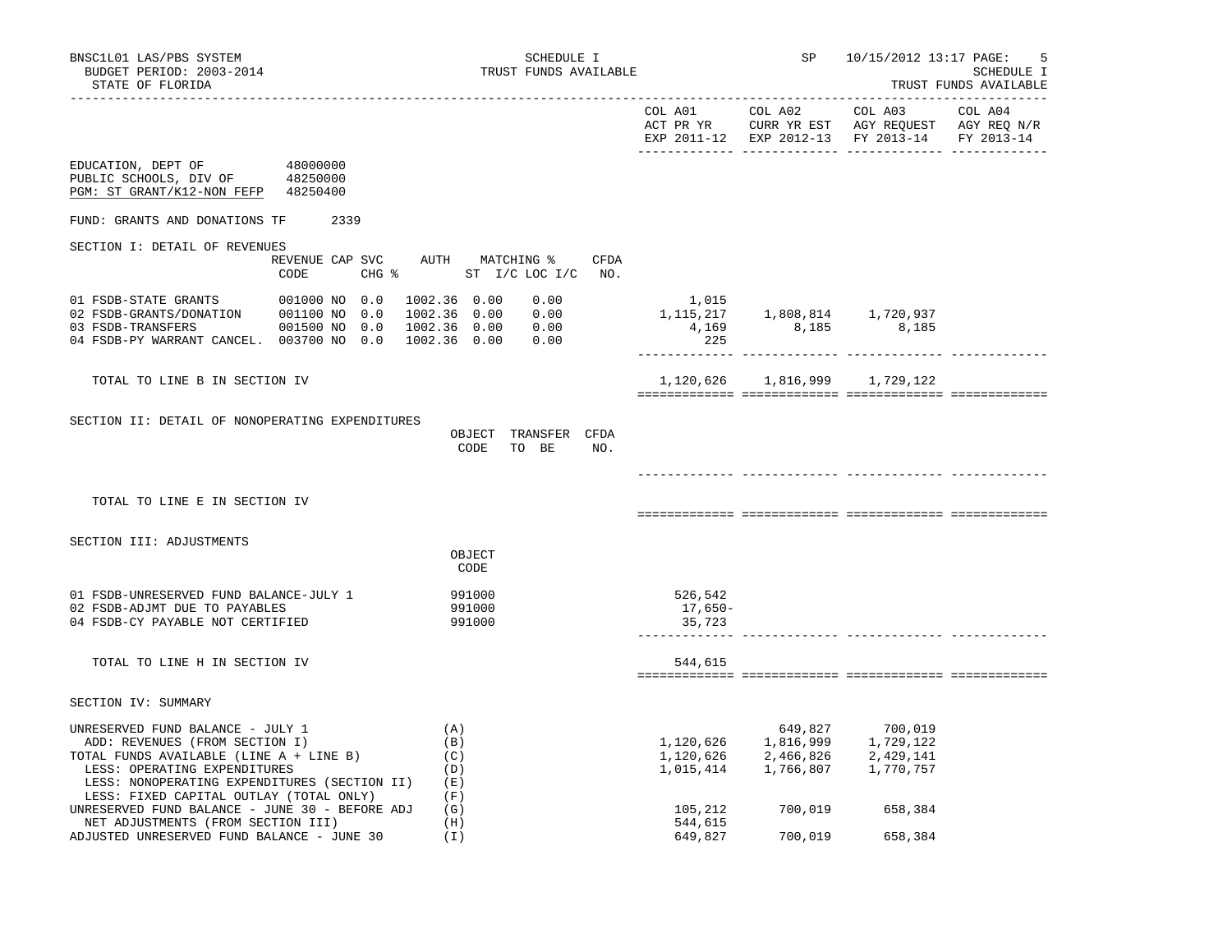|                                                                                                                                                                                                                                          |                                                                                           |                               | EXP 2011-12 EXP 2012-13 FY 2013-14                                                                                                                                                        |         | FY 2013-14 |
|------------------------------------------------------------------------------------------------------------------------------------------------------------------------------------------------------------------------------------------|-------------------------------------------------------------------------------------------|-------------------------------|-------------------------------------------------------------------------------------------------------------------------------------------------------------------------------------------|---------|------------|
| EDUCATION, DEPT OF<br>48000000<br>PUBLIC SCHOOLS, DIV OF 48250000<br>PGM: ST GRANT/K12-NON FEFP 48250400                                                                                                                                 |                                                                                           |                               |                                                                                                                                                                                           |         |            |
| FUND: GRANTS AND DONATIONS TF 2339                                                                                                                                                                                                       |                                                                                           |                               |                                                                                                                                                                                           |         |            |
| SECTION I: DETAIL OF REVENUES                                                                                                                                                                                                            |                                                                                           |                               |                                                                                                                                                                                           |         |            |
| CODE                                                                                                                                                                                                                                     | REVENUE CAP SVC AUTH MATCHING % CFDA<br>CHG % ST I/C LOC I/C NO.                          |                               |                                                                                                                                                                                           |         |            |
| 01 FSDB-STATE GRANTS 001000 NO 0.0<br>02 FSDB-GRANTS/DONATION 001100 NO 0.0<br>001500 NO 0.0<br>03 FSDB-TRANSFERS<br>04 FSDB-PY WARRANT CANCEL. 003700 NO 0.0                                                                            | 1002.36 0.00<br>0.00<br>1002.36  0.00  0.00<br>1002.36  0.00  0.00<br>1002.36  0.00  0.00 | 1,015<br>225                  | $1,115,217$ $1,808,814$ $1,720,937$<br>$4,169$ $8,185$ $8,185$                                                                                                                            |         |            |
| TOTAL TO LINE B IN SECTION IV                                                                                                                                                                                                            |                                                                                           |                               | 1,120,626 1,816,999 1,729,122                                                                                                                                                             |         |            |
| SECTION II: DETAIL OF NONOPERATING EXPENDITURES                                                                                                                                                                                          | OBJECT TRANSFER CFDA<br>CODE<br>TO BE<br>NO.                                              |                               |                                                                                                                                                                                           |         |            |
| TOTAL TO LINE E IN SECTION IV                                                                                                                                                                                                            |                                                                                           |                               |                                                                                                                                                                                           |         |            |
| SECTION III: ADJUSTMENTS                                                                                                                                                                                                                 |                                                                                           |                               |                                                                                                                                                                                           |         |            |
|                                                                                                                                                                                                                                          | OBJECT<br>CODE                                                                            |                               |                                                                                                                                                                                           |         |            |
| 01 FSDB-UNRESERVED FUND BALANCE-JULY 1<br>02 FSDB-ADJMT DUE TO PAYABLES<br>04 FSDB-CY PAYABLE NOT CERTIFIED                                                                                                                              | 991000<br>991000<br>991000                                                                | 526,542<br>17,650-<br>35,723  |                                                                                                                                                                                           |         |            |
| TOTAL TO LINE H IN SECTION IV                                                                                                                                                                                                            |                                                                                           | 544,615                       |                                                                                                                                                                                           |         |            |
| SECTION IV: SUMMARY                                                                                                                                                                                                                      |                                                                                           |                               |                                                                                                                                                                                           |         |            |
| UNRESERVED FUND BALANCE - JULY 1<br>ADD: REVENUES (FROM SECTION I)<br>TOTAL FUNDS AVAILABLE (LINE A + LINE B)<br>LESS: OPERATING EXPENDITURES<br>LESS: NONOPERATING EXPENDITURES (SECTION II)<br>LESS: FIXED CAPITAL OUTLAY (TOTAL ONLY) | (A)<br>(B)<br>(C)<br>(D)<br>(E)<br>(F)                                                    |                               | $\begin{array}{lllllll} & & & 649,827 & & 700,019 \\ 1,120,626 & & 1,816,999 & & 1,729,122 \\ 1,120,626 & & 2,466,826 & & 2,429,141 \\ 1,015,414 & & 1,766,807 & & 1,770,757 \end{array}$ |         |            |
| UNRESERVED FUND BALANCE - JUNE 30 - BEFORE ADJ<br>NET ADJUSTMENTS (FROM SECTION III)<br>ADJUSTED UNRESERVED FUND BALANCE - JUNE 30                                                                                                       | (G)<br>(H)<br>(I)                                                                         | 105,212<br>544,615<br>649,827 | 700,019 658,384<br>700,019                                                                                                                                                                | 658,384 |            |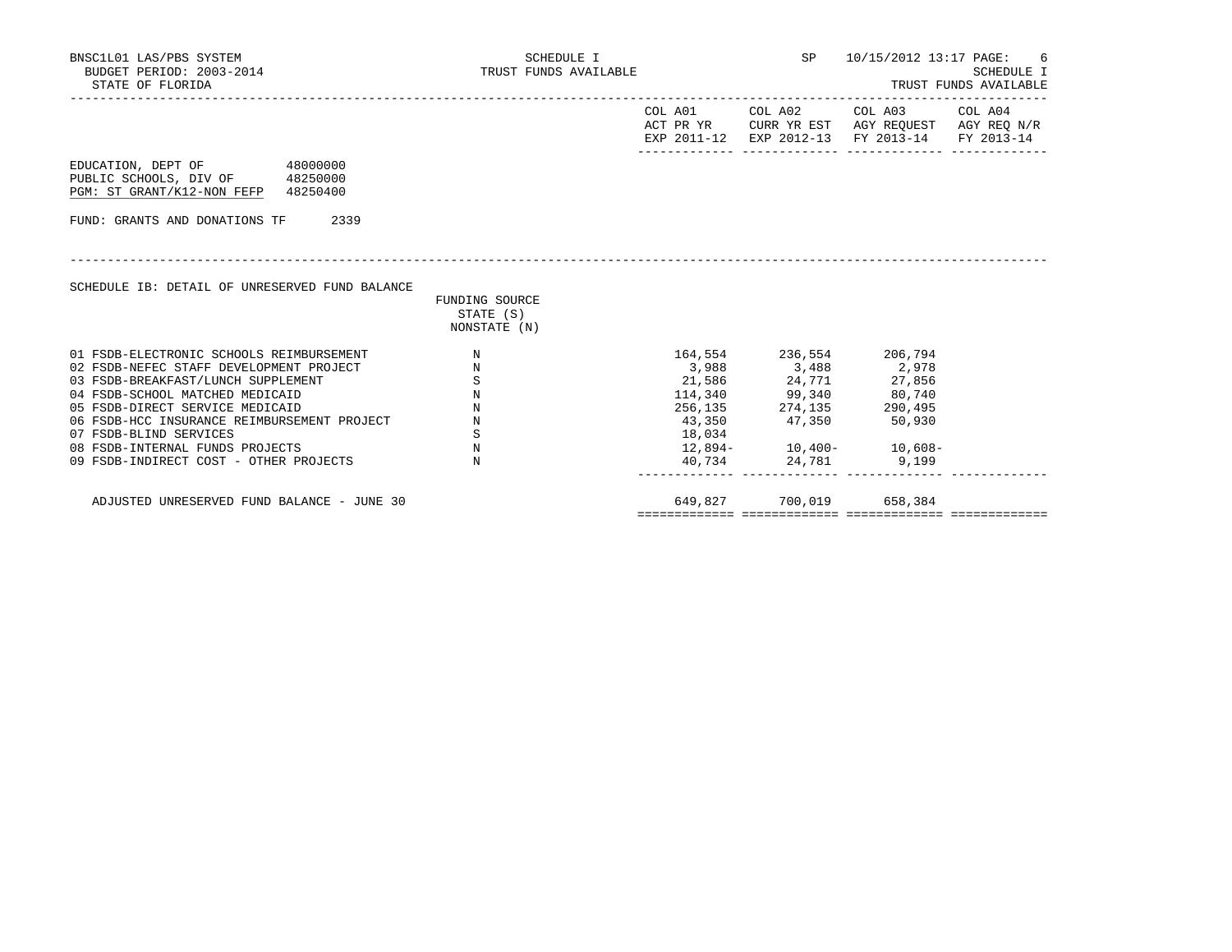| BNSC1L01 LAS/PBS SYSTEM<br>BUDGET PERIOD: 2003-2014<br>STATE OF FLORIDA                               |                                             | SCHEDULE I<br>TRUST FUNDS AVAILABLE | SP                                                                                                        | 10/15/2012 13:17 PAGE: 6 | SCHEDULE I<br>TRUST FUNDS AVAILABLE |
|-------------------------------------------------------------------------------------------------------|---------------------------------------------|-------------------------------------|-----------------------------------------------------------------------------------------------------------|--------------------------|-------------------------------------|
|                                                                                                       |                                             | COL A01                             | COL A02<br>ACT PR YR CURR YR EST AGY REQUEST AGY REQ N/R<br>EXP 2011-12 EXP 2012-13 FY 2013-14 FY 2013-14 | COL A03 COL A04          |                                     |
| EDUCATION, DEPT OF 48000000<br>PUBLIC SCHOOLS, DIV OF 48250000<br>PGM: ST GRANT/K12-NON FEFP 48250400 |                                             |                                     |                                                                                                           |                          |                                     |
| FUND: GRANTS AND DONATIONS TF                                                                         | 2339                                        |                                     |                                                                                                           |                          |                                     |
| SCHEDULE IB: DETAIL OF UNRESERVED FUND BALANCE                                                        | FUNDING SOURCE<br>STATE (S)<br>NONSTATE (N) |                                     |                                                                                                           |                          |                                     |
| 01 FSDB-ELECTRONIC SCHOOLS REIMBURSEMENT                                                              | $\mathbb N$                                 |                                     | 164,554 236,554 206,794                                                                                   |                          |                                     |
| 02 FSDB-NEFEC STAFF DEVELOPMENT PROJECT                                                               | $\mathbb N$                                 |                                     | 3,988 3,488 2,978                                                                                         |                          |                                     |
| 03 FSDB-BREAKFAST/LUNCH SUPPLEMENT                                                                    | $\, \mathbb{S} \,$                          |                                     | 21,586 24,771 27,856                                                                                      |                          |                                     |
| 04 FSDB-SCHOOL MATCHED MEDICAID                                                                       | $\mathbf N$                                 |                                     | 114,340 99,340 80,740                                                                                     |                          |                                     |
| 05 FSDB-DIRECT SERVICE MEDICAID                                                                       | $_{\rm N}$                                  |                                     | 256, 135 274, 135                                                                                         | 290,495                  |                                     |
| 06 FSDB-HCC INSURANCE REIMBURSEMENT PROJECT                                                           | N                                           |                                     | 43,350 47,350 50,930                                                                                      |                          |                                     |
| 07 FSDB-BLIND SERVICES                                                                                | S                                           | 18,034                              |                                                                                                           |                          |                                     |
| 08 FSDB-INTERNAL FUNDS PROJECTS                                                                       | $\,$ N                                      |                                     | $12,894-10,400-10,608-$                                                                                   |                          |                                     |
| 09 FSDB-INDIRECT COST - OTHER PROJECTS                                                                | $_{\rm N}$                                  |                                     | 40,734 24,781 9,199                                                                                       |                          |                                     |
| ADJUSTED UNRESERVED FUND BALANCE - JUNE 30                                                            |                                             | 649,827                             | 700,019                                                                                                   | 658,384                  |                                     |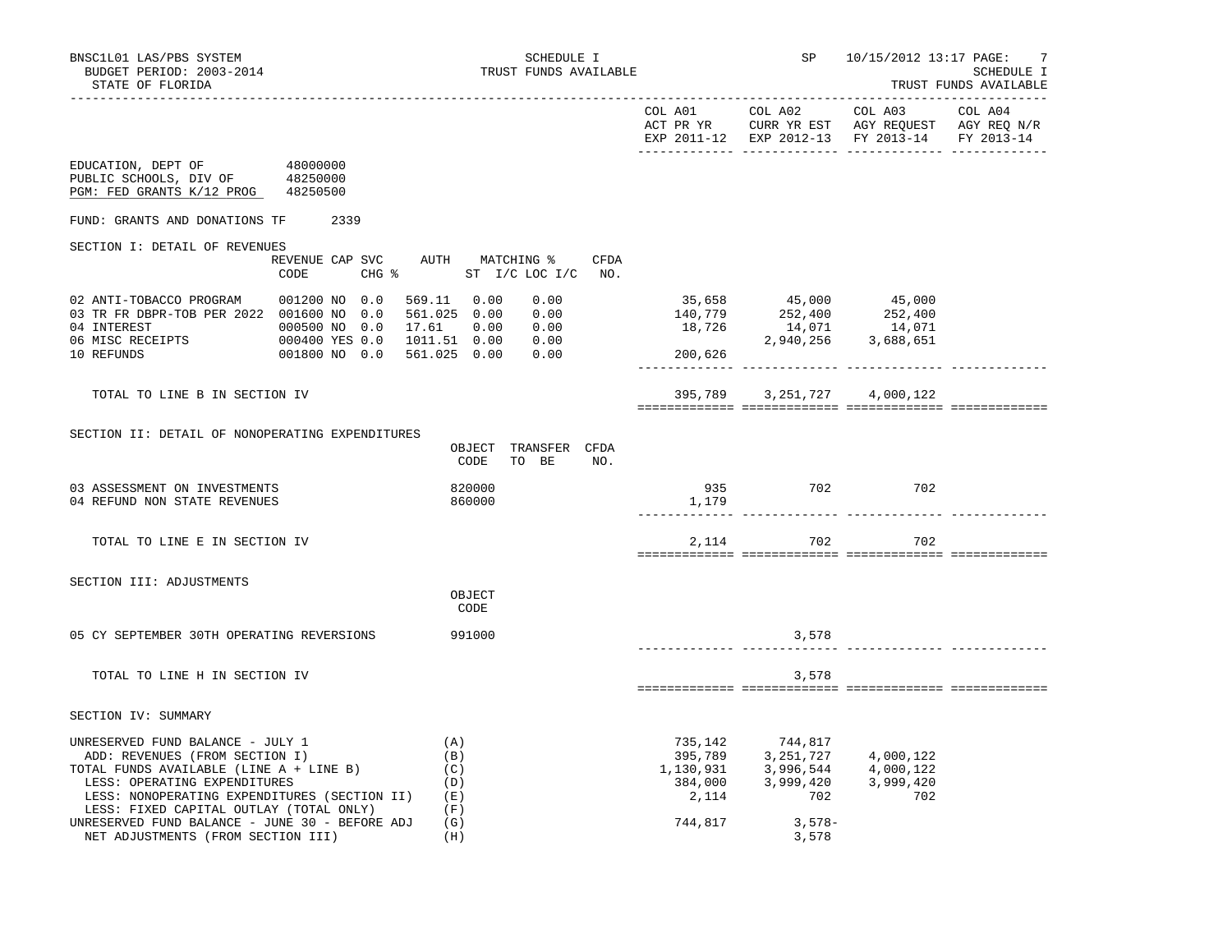TRUST FUNDS AVAILABLE

|                                                                                                                                                                                                                                                                                                       |                                                                                                                                                                                                                                                                                                   |                                                                                                                                                                                                | EXP 2011-12 EXP 2012-13 FY 2013-14 FY 2013-14 |     |  |
|-------------------------------------------------------------------------------------------------------------------------------------------------------------------------------------------------------------------------------------------------------------------------------------------------------|---------------------------------------------------------------------------------------------------------------------------------------------------------------------------------------------------------------------------------------------------------------------------------------------------|------------------------------------------------------------------------------------------------------------------------------------------------------------------------------------------------|-----------------------------------------------|-----|--|
| EDUCATION, DEPT OF<br>48000000<br>PUBLIC SCHOOLS, DIV OF 48250000<br>PGM: FED GRANTS K/12 PROG 48250500                                                                                                                                                                                               |                                                                                                                                                                                                                                                                                                   |                                                                                                                                                                                                |                                               |     |  |
| FUND: GRANTS AND DONATIONS TF 2339                                                                                                                                                                                                                                                                    |                                                                                                                                                                                                                                                                                                   |                                                                                                                                                                                                |                                               |     |  |
| SECTION I: DETAIL OF REVENUES<br>REVENUE CAP SVC AUTH MATCHING %                                                                                                                                                                                                                                      | CFDA<br>CODE CHG % ST I/C LOC I/C NO.                                                                                                                                                                                                                                                             |                                                                                                                                                                                                |                                               |     |  |
| 02 ANTI-TOBACCO PROGRAM 001200 NO 0.0<br>03 TR FR DBPR-TOB PER 2022 001600 NO 0.0                                                                                                                                                                                                                     | $\begin{array}{cccc} 0.00 & & & & 35,658 & & 45,000 & & 45,000 \\ 0.00 & & & & 140,779 & & 252,400 & & 252,400 \\ 0.00 & & & & 18,726 & & 14,071 & & 14,071 \\ 0.00 & & & & & 2,940,256 & & 3,688,651 \\ 0.00 & & & & & 200,626 & & & \end{array}$<br>569.11 0.00<br>561.025 0.00<br>1011.51 0.00 |                                                                                                                                                                                                |                                               |     |  |
| TOTAL TO LINE B IN SECTION IV                                                                                                                                                                                                                                                                         |                                                                                                                                                                                                                                                                                                   |                                                                                                                                                                                                | 395,789 3,251,727 4,000,122                   |     |  |
| SECTION II: DETAIL OF NONOPERATING EXPENDITURES                                                                                                                                                                                                                                                       | OBJECT TRANSFER CFDA<br>CODE<br>TO BE<br>NO.                                                                                                                                                                                                                                                      |                                                                                                                                                                                                |                                               |     |  |
| 03 ASSESSMENT ON INVESTMENTS<br>04 REFUND NON STATE REVENUES                                                                                                                                                                                                                                          | 820000<br>860000                                                                                                                                                                                                                                                                                  |                                                                                                                                                                                                | $935$ 702<br>1,179                            | 702 |  |
| TOTAL TO LINE E IN SECTION IV                                                                                                                                                                                                                                                                         |                                                                                                                                                                                                                                                                                                   |                                                                                                                                                                                                | 2, 114 702 702                                |     |  |
| SECTION III: ADJUSTMENTS                                                                                                                                                                                                                                                                              | OBJECT<br>CODE                                                                                                                                                                                                                                                                                    |                                                                                                                                                                                                |                                               |     |  |
| 05 CY SEPTEMBER 30TH OPERATING REVERSIONS                                                                                                                                                                                                                                                             | 991000                                                                                                                                                                                                                                                                                            |                                                                                                                                                                                                | 3,578                                         |     |  |
| TOTAL TO LINE H IN SECTION IV                                                                                                                                                                                                                                                                         |                                                                                                                                                                                                                                                                                                   |                                                                                                                                                                                                | 3,578                                         |     |  |
| SECTION IV: SUMMARY                                                                                                                                                                                                                                                                                   |                                                                                                                                                                                                                                                                                                   |                                                                                                                                                                                                |                                               |     |  |
| UNRESERVED FUND BALANCE - JULY 1<br>ADD: REVENUES (FROM SECTION I)<br>(C)<br>TOTAL FUNDS AVAILABLE (LINE A + LINE B)<br>LESS: OPERATING EXPENDITURES<br>LESS: NONOPERATING EXPENDITURES (SECTION II) (E)<br>LESS: FIXED CAPITAL OUTLAY (TOTAL ONLY)<br>UNRESERVED FUND BALANCE - JUNE 30 - BEFORE ADJ | (A)<br>(B)<br>(D)<br>(F)<br>(G)                                                                                                                                                                                                                                                                   | $\begin{array}{cccc} 735,142 & 744,817 \\ 395,789 & 3,251,727 & 4,000,122 \\ 1,130,931 & 3,996,544 & 4,000,122 \\ 384,000 & 3,999,420 & 3,999,420 \\ 2,114 & 702 & 702 \end{array}$<br>744,817 | $3,578-$                                      |     |  |
| NET ADJUSTMENTS (FROM SECTION III)                                                                                                                                                                                                                                                                    | (H)                                                                                                                                                                                                                                                                                               |                                                                                                                                                                                                | 3,578                                         |     |  |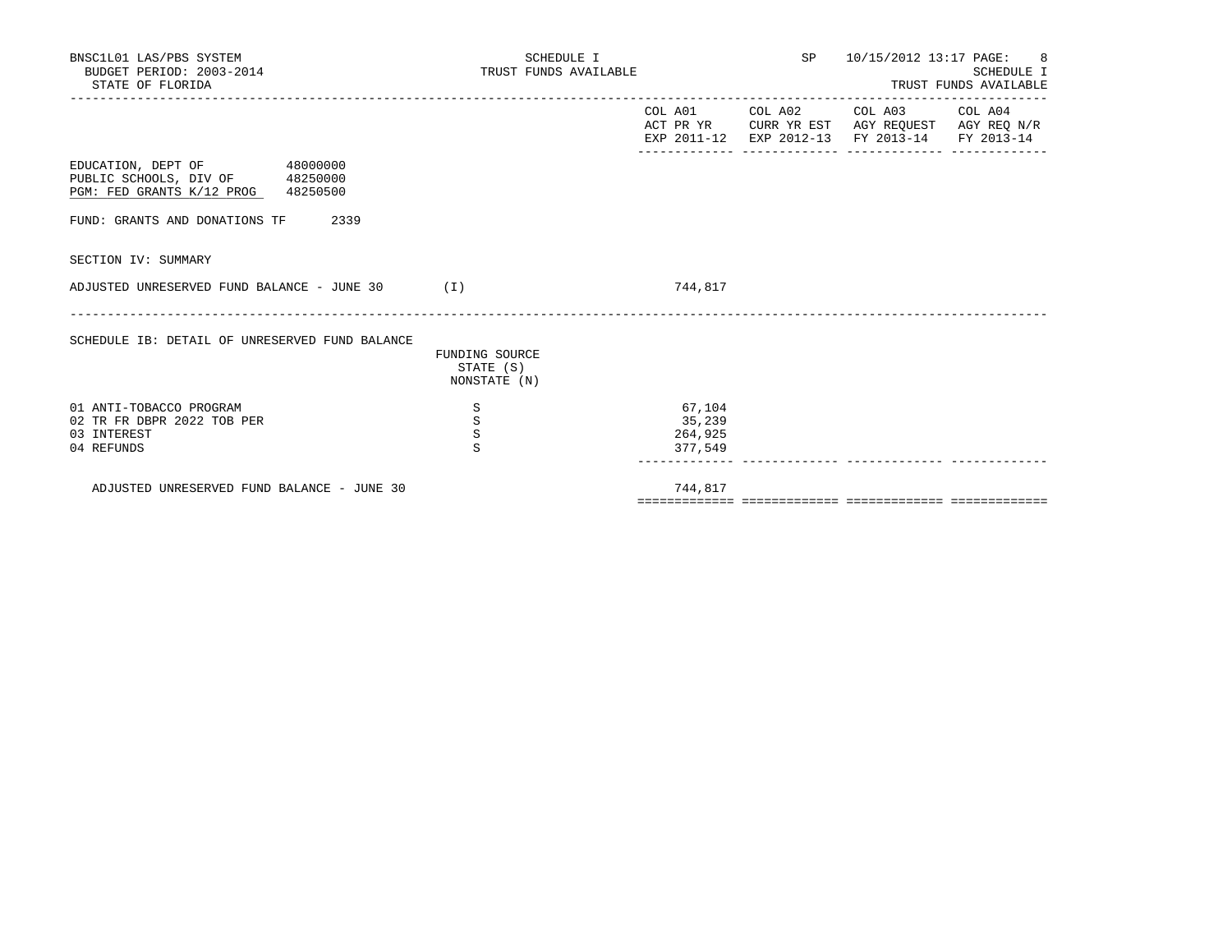| BNSC1L01 LAS/PBS SYSTEM<br>BUDGET PERIOD: 2003-2014<br>STATE OF FLORIDA                              |                                             | SCHEDULE I<br>TRUST FUNDS AVAILABLE |                                        | SP <sub>2</sub>                | 10/15/2012 13:17 PAGE: 8                                                       | SCHEDULE I<br>TRUST FUNDS AVAILABLE |
|------------------------------------------------------------------------------------------------------|---------------------------------------------|-------------------------------------|----------------------------------------|--------------------------------|--------------------------------------------------------------------------------|-------------------------------------|
|                                                                                                      |                                             |                                     | EXP 2011-12                            | COL A01 COL A02<br>EXP 2012-13 | COL A03 COL A04<br>ACT PR YR CURR YR EST AGY REQUEST AGY REQ N/R<br>FY 2013-14 | FY 2013-14                          |
| EDUCATION, DEPT OF 48000000<br>PUBLIC SCHOOLS, DIV OF 48250000<br>PGM: FED GRANTS K/12 PROG 48250500 |                                             |                                     |                                        |                                |                                                                                |                                     |
| FUND: GRANTS AND DONATIONS TF<br>2339                                                                |                                             |                                     |                                        |                                |                                                                                |                                     |
| SECTION IV: SUMMARY                                                                                  |                                             |                                     |                                        |                                |                                                                                |                                     |
| ADJUSTED UNRESERVED FUND BALANCE - JUNE 30 $(1)$                                                     |                                             |                                     | 744,817                                |                                |                                                                                |                                     |
| SCHEDULE IB: DETAIL OF UNRESERVED FUND BALANCE                                                       | FUNDING SOURCE<br>STATE (S)<br>NONSTATE (N) |                                     |                                        |                                |                                                                                |                                     |
| 01 ANTI-TOBACCO PROGRAM<br>02 TR FR DBPR 2022 TOB PER<br>03 INTEREST<br>04 REFUNDS                   | S<br>S<br>$\rm S$<br>S                      |                                     | 67,104<br>35,239<br>264,925<br>377,549 |                                |                                                                                |                                     |
| ADJUSTED UNRESERVED FUND BALANCE - JUNE 30                                                           |                                             |                                     | 744,817                                |                                |                                                                                |                                     |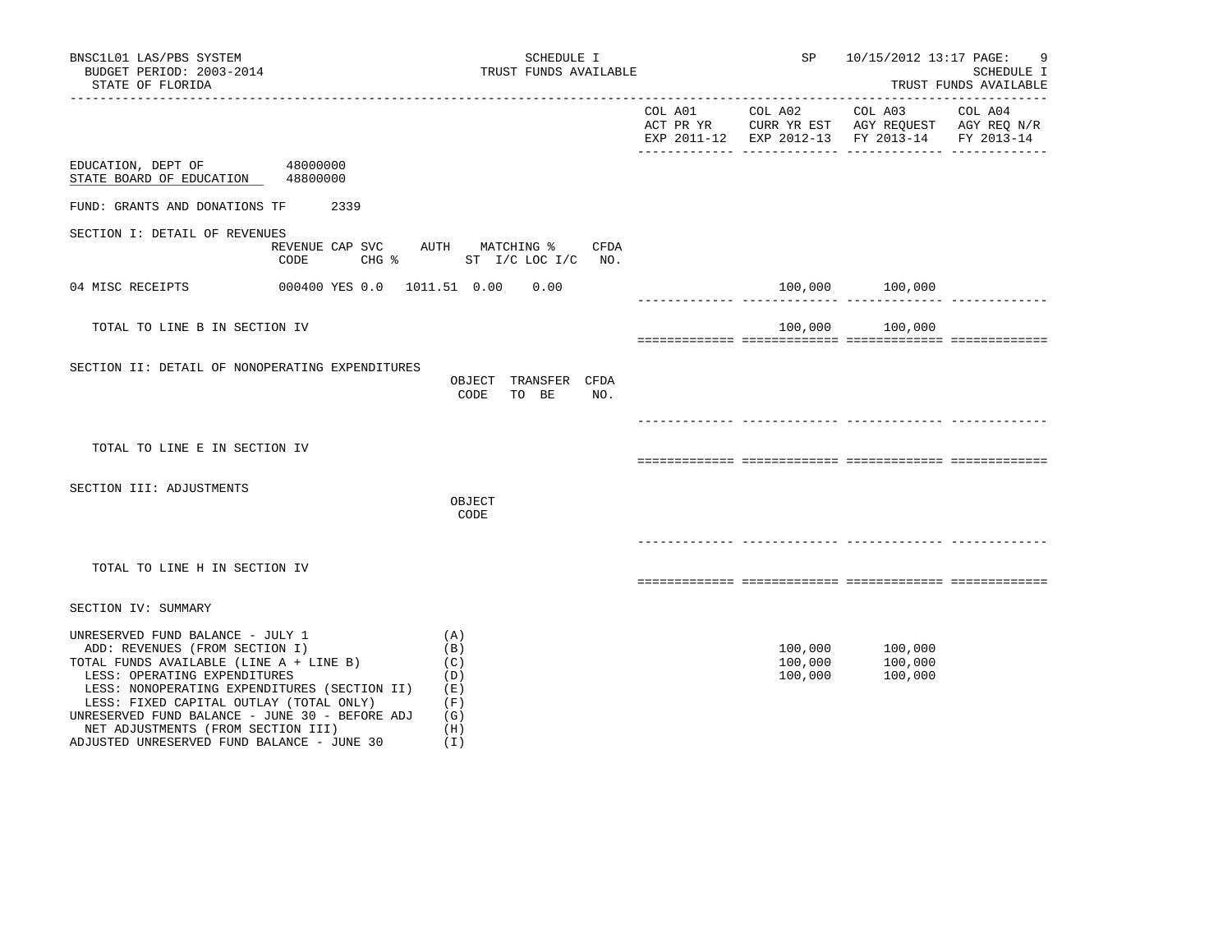| BNSC1L01 LAS/PBS SYSTEM<br>BUDGET PERIOD: 2003-2014<br>STATE OF FLORIDA                                                                                                                                                                                                                                                                                                        | SCHEDULE I<br>TRUST FUNDS AVAILABLE                         | SP                            | 10/15/2012 13:17 PAGE:                                                                                                    | 9<br>SCHEDULE I<br>TRUST FUNDS AVAILABLE |
|--------------------------------------------------------------------------------------------------------------------------------------------------------------------------------------------------------------------------------------------------------------------------------------------------------------------------------------------------------------------------------|-------------------------------------------------------------|-------------------------------|---------------------------------------------------------------------------------------------------------------------------|------------------------------------------|
|                                                                                                                                                                                                                                                                                                                                                                                |                                                             |                               | COL A01 COL A02 COL A03<br>ACT PR YR CURR YR EST AGY REQUEST AGY REQ N/R<br>EXP 2011-12 EXP 2012-13 FY 2013-14 FY 2013-14 | COL A04                                  |
| 48000000<br>EDUCATION, DEPT OF<br>STATE BOARD OF EDUCATION<br>48800000                                                                                                                                                                                                                                                                                                         |                                                             |                               |                                                                                                                           |                                          |
| 2339<br>FUND: GRANTS AND DONATIONS TF                                                                                                                                                                                                                                                                                                                                          |                                                             |                               |                                                                                                                           |                                          |
| SECTION I: DETAIL OF REVENUES<br>REVENUE CAP SVC<br>CODE                                                                                                                                                                                                                                                                                                                       | AUTH MATCHING %<br>CFDA<br>CHG %<br>ST I/C LOC I/C NO.      |                               |                                                                                                                           |                                          |
| 04 MISC RECEIPTS                                                                                                                                                                                                                                                                                                                                                               | 0.00                                                        |                               | 100,000 100,000                                                                                                           |                                          |
| TOTAL TO LINE B IN SECTION IV                                                                                                                                                                                                                                                                                                                                                  |                                                             | 100,000                       | 100,000                                                                                                                   |                                          |
| SECTION II: DETAIL OF NONOPERATING EXPENDITURES                                                                                                                                                                                                                                                                                                                                | OBJECT TRANSFER CFDA<br>CODE<br>TO BE<br>NO.                |                               |                                                                                                                           |                                          |
| TOTAL TO LINE E IN SECTION IV                                                                                                                                                                                                                                                                                                                                                  |                                                             |                               |                                                                                                                           |                                          |
|                                                                                                                                                                                                                                                                                                                                                                                |                                                             |                               |                                                                                                                           |                                          |
| SECTION III: ADJUSTMENTS                                                                                                                                                                                                                                                                                                                                                       | OBJECT<br>CODE                                              |                               |                                                                                                                           |                                          |
|                                                                                                                                                                                                                                                                                                                                                                                |                                                             |                               |                                                                                                                           |                                          |
| TOTAL TO LINE H IN SECTION IV                                                                                                                                                                                                                                                                                                                                                  |                                                             |                               |                                                                                                                           |                                          |
| SECTION IV: SUMMARY                                                                                                                                                                                                                                                                                                                                                            |                                                             |                               |                                                                                                                           |                                          |
| UNRESERVED FUND BALANCE - JULY 1<br>ADD: REVENUES (FROM SECTION I)<br>TOTAL FUNDS AVAILABLE (LINE A + LINE B)<br>LESS: OPERATING EXPENDITURES<br>LESS: NONOPERATING EXPENDITURES (SECTION II)<br>LESS: FIXED CAPITAL OUTLAY (TOTAL ONLY)<br>UNRESERVED FUND BALANCE - JUNE 30 - BEFORE ADJ<br>NET ADJUSTMENTS (FROM SECTION III)<br>ADJUSTED UNRESERVED FUND BALANCE - JUNE 30 | (A)<br>(B)<br>(C)<br>(D)<br>(E)<br>(F)<br>(G)<br>(H)<br>(I) | 100,000<br>100,000<br>100,000 | 100,000<br>100,000<br>100,000                                                                                             |                                          |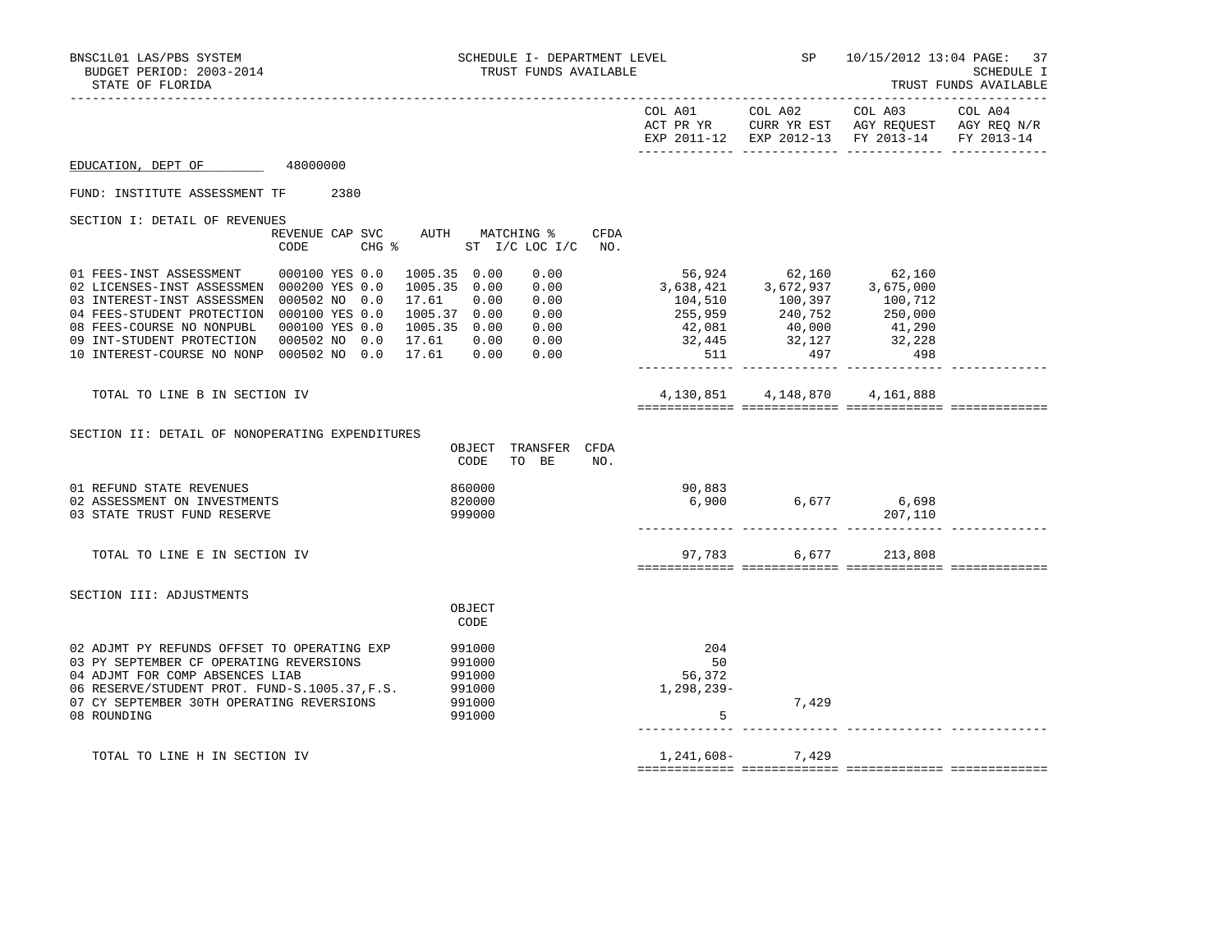| BNSC1L01 LAS/PBS SYSTEM<br>BUDGET PERIOD: 2003-2014<br>STATE OF FLORIDA                                                                                                                                                                                     |                                                                                                                   | SCHEDULE I- DEPARTMENT LEVEL<br>TRUST FUNDS AVAILABLE                                                        |                                          |                      | SP 10/15/2012 13:04 PAGE: 37                                                                                                                                                                                                                          | <b>SCHEDULE I</b><br>TRUST FUNDS AVAILABLE<br>______________________ |
|-------------------------------------------------------------------------------------------------------------------------------------------------------------------------------------------------------------------------------------------------------------|-------------------------------------------------------------------------------------------------------------------|--------------------------------------------------------------------------------------------------------------|------------------------------------------|----------------------|-------------------------------------------------------------------------------------------------------------------------------------------------------------------------------------------------------------------------------------------------------|----------------------------------------------------------------------|
|                                                                                                                                                                                                                                                             |                                                                                                                   |                                                                                                              |                                          | COL A01 COL A02      | COL A03 COL A04<br>ACT PR YR CURR YR EST AGY REQUEST AGY REQ N/R<br>EXP 2011-12 EXP 2012-13 FY 2013-14 FY 2013-14                                                                                                                                     |                                                                      |
| EDUCATION, DEPT OF                                                                                                                                                                                                                                          | 48000000                                                                                                          |                                                                                                              |                                          |                      |                                                                                                                                                                                                                                                       |                                                                      |
| FUND: INSTITUTE ASSESSMENT TF                                                                                                                                                                                                                               | 2380                                                                                                              |                                                                                                              |                                          |                      |                                                                                                                                                                                                                                                       |                                                                      |
| SECTION I: DETAIL OF REVENUES                                                                                                                                                                                                                               | REVENUE CAP SVC<br>CODE<br>$CHG$ $\frac{1}{6}$                                                                    | AUTH MATCHING %<br>CFDA<br>ST I/C LOC I/C NO.                                                                |                                          |                      |                                                                                                                                                                                                                                                       |                                                                      |
| 01 FEES-INST ASSESSMENT<br>02 LICENSES-INST ASSESSMEN 000200 YES 0.0<br>03 INTEREST-INST ASSESSMEN<br>04 FEES-STUDENT PROTECTION 000100 YES 0.0<br>08 FEES-COURSE NO NONPUBL<br>09 INT-STUDENT PROTECTION<br>10 INTEREST-COURSE NO NONP 000502 NO 0.0 17.61 | 000100 YES 0.0<br>1005.35 0.00<br>000502 NO 0.0<br>17.61<br>1005.37 0.00<br>000100 YES 0.0<br>000502 NO 0.0 17.61 | 1005.35 0.00<br>0.00<br>0.00<br>0.00<br>0.00<br>0.00<br>1005.35 0.00<br>0.00<br>0.00<br>0.00<br>0.00<br>0.00 | 511<br>______________ __________________ | 497                  | $\begin{array}{cccc} 56,924 & 62,160 & 62,160 \\ 3,638,421 & 3,672,937 & 3,675,000 \\ 104,510 & 100,397 & 100,712 \\ 255,959 & 240,752 & 250,000 \\ 42,081 & 40,000 & 41,290 \\ 32,445 & 32,127 & 32,228 \\ 511 & 497 & 32,228 \\ \end{array}$<br>498 |                                                                      |
| TOTAL TO LINE B IN SECTION IV                                                                                                                                                                                                                               |                                                                                                                   |                                                                                                              | 4,130,851                                | 4,148,870            | 4,161,888                                                                                                                                                                                                                                             |                                                                      |
| SECTION II: DETAIL OF NONOPERATING EXPENDITURES                                                                                                                                                                                                             |                                                                                                                   | OBJECT TRANSFER CFDA<br>CODE<br>TO BE<br>NO.                                                                 |                                          |                      |                                                                                                                                                                                                                                                       |                                                                      |
| 01 REFUND STATE REVENUES<br>02 ASSESSMENT ON INVESTMENTS<br>03 STATE TRUST FUND RESERVE                                                                                                                                                                     |                                                                                                                   | 860000<br>820000<br>999000                                                                                   | 90,883<br>6,900                          | 6,677 6,698          | 207,110                                                                                                                                                                                                                                               |                                                                      |
| TOTAL TO LINE E IN SECTION IV                                                                                                                                                                                                                               |                                                                                                                   |                                                                                                              |                                          | 97.783 6.677 213.808 |                                                                                                                                                                                                                                                       |                                                                      |
| SECTION III: ADJUSTMENTS                                                                                                                                                                                                                                    |                                                                                                                   | OBJECT<br>CODE                                                                                               |                                          |                      |                                                                                                                                                                                                                                                       |                                                                      |
| 02 ADJMT PY REFUNDS OFFSET TO OPERATING EXP<br>03 PY SEPTEMBER CF OPERATING REVERSIONS<br>04 ADJMT FOR COMP ABSENCES LIAB<br>06 RESERVE/STUDENT PROT. FUND-S.1005.37, F.S. 991000<br>291000<br>08 ROUNDING                                                  | SIONS                                                                                                             | 991000<br>991000<br>991000                                                                                   | 204<br>50<br>56,372<br>1,298,239-<br>5   | 7,429                |                                                                                                                                                                                                                                                       |                                                                      |
| TOTAL TO LINE H IN SECTION IV                                                                                                                                                                                                                               |                                                                                                                   |                                                                                                              |                                          | 1, 241, 608 - 7, 429 |                                                                                                                                                                                                                                                       |                                                                      |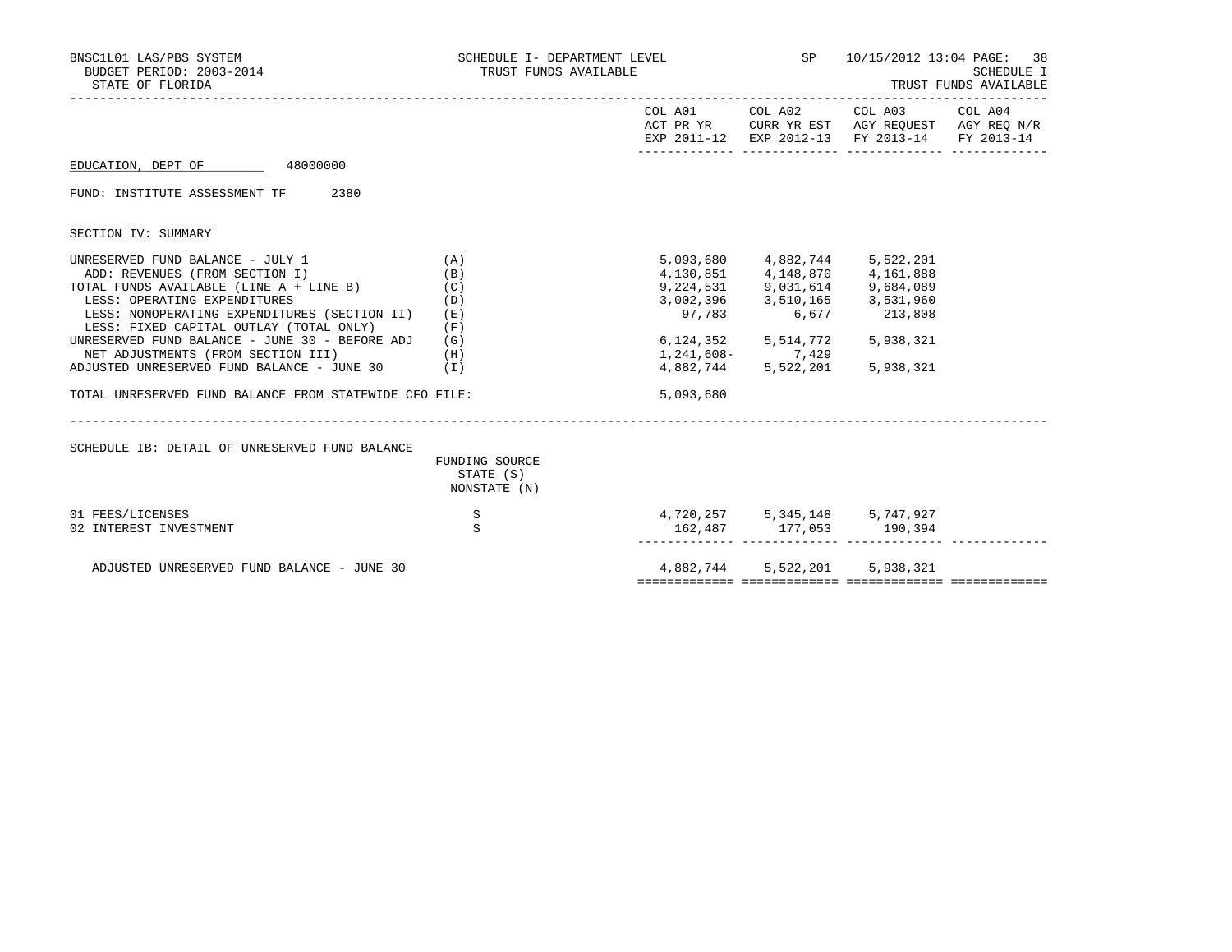| BNSC1L01 LAS/PBS SYSTEM<br>BUDGET PERIOD: 2003-2014<br>STATE OF FLORIDA                 | SCHEDULE I- DEPARTMENT LEVEL<br>TRUST FUNDS AVAILABLE |                               | <b>SP</b> SP SP SP            | 10/15/2012 13:04 PAGE: 38                                                                                                         | SCHEDULE I<br>TRUST FUNDS AVAILABLE |
|-----------------------------------------------------------------------------------------|-------------------------------------------------------|-------------------------------|-------------------------------|-----------------------------------------------------------------------------------------------------------------------------------|-------------------------------------|
|                                                                                         |                                                       |                               |                               | COL A01 COL A02 COL A03 COL A04<br>ACT PR YR CURR YR EST AGY REQUEST AGY REQ N/R<br>EXP 2011-12 EXP 2012-13 FY 2013-14 FY 2013-14 |                                     |
| EDUCATION, DEPT OF 48000000                                                             |                                                       |                               |                               |                                                                                                                                   |                                     |
| FUND: INSTITUTE ASSESSMENT TF<br>2380                                                   |                                                       |                               |                               |                                                                                                                                   |                                     |
| SECTION IV: SUMMARY                                                                     |                                                       |                               |                               |                                                                                                                                   |                                     |
| UNRESERVED FUND BALANCE - JULY 1                                                        | (A)                                                   |                               | 5,093,680 4,882,744           | 5,522,201                                                                                                                         |                                     |
| ADD: REVENUES (FROM SECTION I)                                                          | (B)                                                   |                               | 4,130,851 4,148,870           | 4,161,888                                                                                                                         |                                     |
| TOTAL FUNDS AVAILABLE (LINE A + LINE B)                                                 | (C)                                                   |                               | 9,224,531 9,031,614           | 9,684,089                                                                                                                         |                                     |
| LESS: OPERATING EXPENDITURES                                                            | (D)                                                   |                               | 3,002,396 3,510,165 3,531,960 |                                                                                                                                   |                                     |
| LESS: NONOPERATING EXPENDITURES (SECTION II)<br>LESS: FIXED CAPITAL OUTLAY (TOTAL ONLY) | (E)<br>(F)                                            | 97,783                        | 6,677                         | 213,808                                                                                                                           |                                     |
| UNRESERVED FUND BALANCE - JUNE 30 - BEFORE ADJ                                          | (G)                                                   | 6,124,352                     | 5,514,772                     | 5,938,321                                                                                                                         |                                     |
| NET ADJUSTMENTS (FROM SECTION III)                                                      | (H)                                                   |                               | 1,241,608- 7,429              |                                                                                                                                   |                                     |
| ADJUSTED UNRESERVED FUND BALANCE - JUNE 30                                              | ( I )                                                 | 4,882,744                     | 5,522,201                     | 5,938,321                                                                                                                         |                                     |
| TOTAL UNRESERVED FUND BALANCE FROM STATEWIDE CFO FILE:                                  |                                                       | 5,093,680                     |                               |                                                                                                                                   |                                     |
| SCHEDULE IB: DETAIL OF UNRESERVED FUND BALANCE                                          | ________________________<br>FUNDING SOURCE            |                               |                               |                                                                                                                                   |                                     |
|                                                                                         | STATE (S)                                             |                               |                               |                                                                                                                                   |                                     |
|                                                                                         | NONSTATE (N)                                          |                               |                               |                                                                                                                                   |                                     |
| 01 FEES/LICENSES                                                                        | S                                                     | 4,720,257 5,345,148 5,747,927 |                               |                                                                                                                                   |                                     |
| 02 INTEREST INVESTMENT                                                                  | S                                                     |                               | 162,487 177,053 190,394       |                                                                                                                                   |                                     |
|                                                                                         |                                                       |                               |                               |                                                                                                                                   |                                     |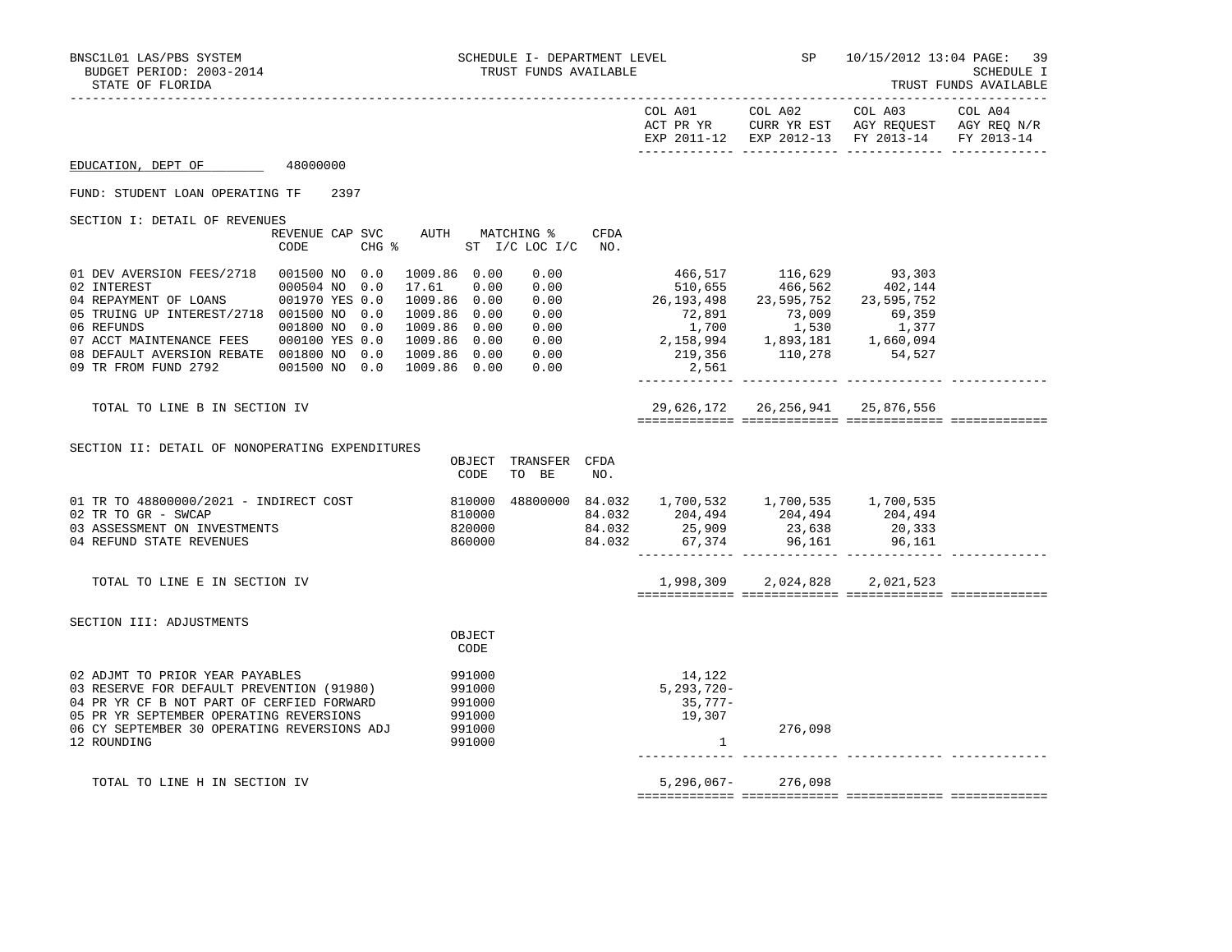|                                                                                                                                                                                                                                                                                        |                                                            |                                                                                                                               |                                      |             |                                                                                                                                                                                                                                                                    | COL A01 COL A02                                              | COL A03<br>ACT PR YR CURR YR EST AGY REQUEST AGY REQ N/R<br>EXP 2011-12 EXP 2012-13 FY 2013-14 | COL A04<br>FY 2013-14 |
|----------------------------------------------------------------------------------------------------------------------------------------------------------------------------------------------------------------------------------------------------------------------------------------|------------------------------------------------------------|-------------------------------------------------------------------------------------------------------------------------------|--------------------------------------|-------------|--------------------------------------------------------------------------------------------------------------------------------------------------------------------------------------------------------------------------------------------------------------------|--------------------------------------------------------------|------------------------------------------------------------------------------------------------|-----------------------|
| EDUCATION, DEPT OF                                                                                                                                                                                                                                                                     | 48000000                                                   |                                                                                                                               |                                      |             |                                                                                                                                                                                                                                                                    |                                                              |                                                                                                |                       |
| FUND: STUDENT LOAN OPERATING TF                                                                                                                                                                                                                                                        | 2397                                                       |                                                                                                                               |                                      |             |                                                                                                                                                                                                                                                                    |                                                              |                                                                                                |                       |
| SECTION I: DETAIL OF REVENUES                                                                                                                                                                                                                                                          | REVENUE CAP SVC AUTH MATCHING %<br>$CHG$ $\approx$<br>CODE |                                                                                                                               | ST I/C LOC I/C                       | CFDA<br>NO. |                                                                                                                                                                                                                                                                    |                                                              |                                                                                                |                       |
| 01 DEV AVERSION FEES/2718  001500 NO 0.0<br>02 INTEREST<br>04 REPAYMENT OF LOANS 001970 YES 0.0<br>05 TRUING UP INTEREST/2718 001500 NO 0.0<br>06 REFUNDS<br>07 ACCT MAINTENANCE FEES 000100 YES 0.0<br>08 DEFAULT AVERSION REBATE 001800 NO 0.0<br>09 TR FROM FUND 2792 001500 NO 0.0 | 000504 NO 0.0<br>001800 NO 0.0                             | 1009.86 0.00<br>17.61<br>0.00<br>1009.86 0.00<br>1009.86 0.00<br>1009.86 0.00<br>1009.86 0.00<br>1009.86 0.00<br>1009.86 0.00 | 0.00<br>0.00<br>0.00<br>0.00<br>0.00 |             | 26, 193, 498 23, 595, 752 23, 595, 752<br>$\begin{array}{ccccccccc} 0.00 & & & & & & & 72,891 & & & & 73,009 & & & 69,359 \\ 0.00 & & & & & & 1,700 & & & 1,530 & & 1,377 \\ 0.00 & & & & & 2,158,994 & & 1,893,181 & & 1,660,094 \end{array}$<br>219,356<br>2,561 | 466,517 116,629 93,303<br>510,655 466,562 402,144<br>110,278 | 54,527                                                                                         |                       |
| TOTAL TO LINE B IN SECTION IV                                                                                                                                                                                                                                                          |                                                            |                                                                                                                               |                                      |             |                                                                                                                                                                                                                                                                    | 29,626,172 26,256,941 25,876,556                             |                                                                                                |                       |
| SECTION II: DETAIL OF NONOPERATING EXPENDITURES                                                                                                                                                                                                                                        |                                                            | OBJECT<br>CODE                                                                                                                | TRANSFER CFDA<br>TO BE               | NO.         |                                                                                                                                                                                                                                                                    |                                                              |                                                                                                |                       |
| 01 TR TO 48800000/2021 - INDIRECT COST<br>02 TR TO GR - SWCAP<br>03 ASSESSMENT ON INVESTMENTS<br>04 REFUND STATE REVENUES                                                                                                                                                              |                                                            | 810000<br>810000<br>820000<br>860000                                                                                          |                                      | 84.032      | 48800000 84.032 1,700,532 1,700,535 1,700,535<br>84.032 204,494 204,494 204,494<br>84.032 25,909 23,638 20,333                                                                                                                                                     | 67,374 96,161                                                | 96,161                                                                                         |                       |
| TOTAL TO LINE E IN SECTION IV                                                                                                                                                                                                                                                          |                                                            |                                                                                                                               |                                      |             |                                                                                                                                                                                                                                                                    | 1,998,309 2,024,828                                          | 2,021,523                                                                                      |                       |
| SECTION III: ADJUSTMENTS                                                                                                                                                                                                                                                               |                                                            | OBJECT<br>CODE                                                                                                                |                                      |             |                                                                                                                                                                                                                                                                    |                                                              |                                                                                                |                       |
| 02 ADJMT TO PRIOR YEAR PAYABLES<br>03 RESERVE FOR DEFAULT PREVENTION (91980)<br>04 PR YR CF B NOT PART OF CERFIED FORWARD<br>05 PR YR SEPTEMBER OPERATING REVERSIONS<br>06 CY SEPTEMBER 30 OPERATING REVERSIONS ADJ<br>12 ROUNDING                                                     |                                                            | 991000<br>991000<br>991000<br>991000<br>991000<br>991000                                                                      |                                      |             | 14,122<br>$5,293,720-$<br>35,777-<br>19,307<br>$\mathbf{1}$                                                                                                                                                                                                        | 276,098                                                      |                                                                                                |                       |
| TOTAL TO LINE H IN SECTION IV                                                                                                                                                                                                                                                          |                                                            |                                                                                                                               |                                      |             |                                                                                                                                                                                                                                                                    | $5,296,067 - 276,098$                                        |                                                                                                |                       |

============= ============= ============= =============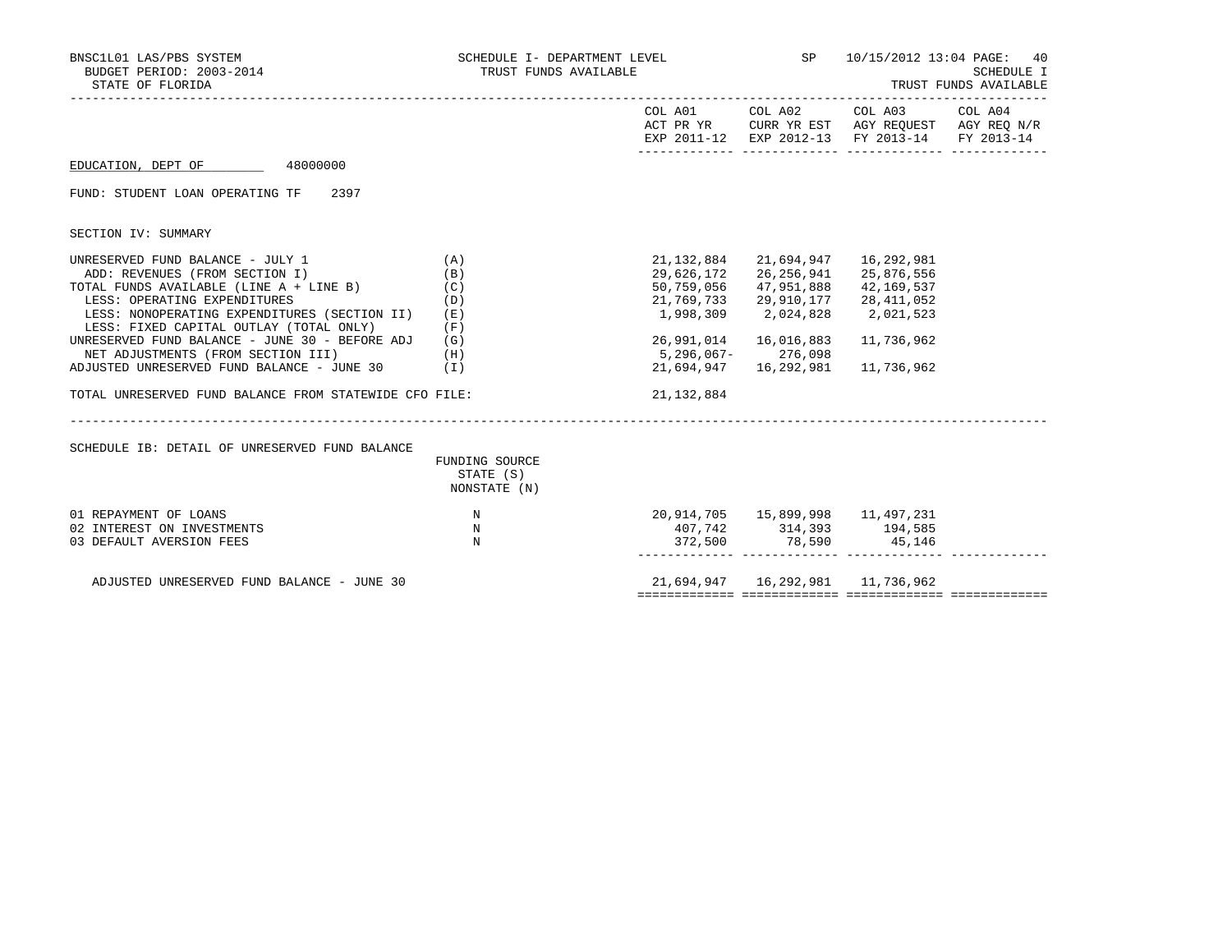| BNSC1L01 LAS/PBS SYSTEM<br>BUDGET PERIOD: 2003-2014<br>STATE OF FLORIDA | SCHEDULE I- DEPARTMENT LEVEL<br>TRUST FUNDS AVAILABLE |                   |                                      | SP 10/15/2012 13:04 PAGE: 40<br>SCHEDULE I<br>TRUST FUNDS AVAILABLE                                                               |  |  |
|-------------------------------------------------------------------------|-------------------------------------------------------|-------------------|--------------------------------------|-----------------------------------------------------------------------------------------------------------------------------------|--|--|
|                                                                         |                                                       |                   |                                      | COL A01 COL A02 COL A03 COL A04<br>ACT PR YR CURR YR EST AGY REQUEST AGY REQ N/R<br>EXP 2011-12 EXP 2012-13 FY 2013-14 FY 2013-14 |  |  |
| EDUCATION, DEPT OF 48000000                                             |                                                       |                   |                                      |                                                                                                                                   |  |  |
| FUND: STUDENT LOAN OPERATING TF<br>2397                                 |                                                       |                   |                                      |                                                                                                                                   |  |  |
| SECTION IV: SUMMARY                                                     |                                                       |                   |                                      |                                                                                                                                   |  |  |
| UNRESERVED FUND BALANCE - JULY 1                                        | (A)                                                   | 21,132,884        |                                      |                                                                                                                                   |  |  |
| ADD: REVENUES (FROM SECTION I)                                          | (B)                                                   | 29,626,172        |                                      | 26,256,941 25,876,556                                                                                                             |  |  |
| TOTAL FUNDS AVAILABLE (LINE A + LINE B) (C)                             |                                                       | 50,759,056        |                                      | 47,951,888 42,169,537                                                                                                             |  |  |
| LESS: OPERATING EXPENDITURES                                            | (D)                                                   | 21,769,733        |                                      | 29,910,177 28,411,052                                                                                                             |  |  |
| LESS: NONOPERATING EXPENDITURES (SECTION II)                            | (E)                                                   |                   | 1,998,309 2,024,828                  | 2,021,523                                                                                                                         |  |  |
| LESS: FIXED CAPITAL OUTLAY (TOTAL ONLY)                                 | (F)                                                   |                   |                                      |                                                                                                                                   |  |  |
| UNRESERVED FUND BALANCE - JUNE 30 - BEFORE ADJ                          | (G)                                                   |                   | 26,991,014 16,016,883                | 11,736,962                                                                                                                        |  |  |
| NET ADJUSTMENTS (FROM SECTION III)                                      | (H)                                                   | 5,296,067-276,098 |                                      |                                                                                                                                   |  |  |
| ADJUSTED UNRESERVED FUND BALANCE - JUNE 30                              | (I)                                                   | 21,694,947        | 16,292,981                           | 11,736,962                                                                                                                        |  |  |
| TOTAL UNRESERVED FUND BALANCE FROM STATEWIDE CFO FILE:                  |                                                       | 21, 132, 884      |                                      |                                                                                                                                   |  |  |
|                                                                         |                                                       |                   |                                      |                                                                                                                                   |  |  |
| SCHEDULE IB: DETAIL OF UNRESERVED FUND BALANCE                          |                                                       |                   |                                      |                                                                                                                                   |  |  |
|                                                                         | FUNDING SOURCE<br>STATE (S)                           |                   |                                      |                                                                                                                                   |  |  |
|                                                                         | NONSTATE (N)                                          |                   |                                      |                                                                                                                                   |  |  |
|                                                                         |                                                       |                   |                                      |                                                                                                                                   |  |  |
| 01 REPAYMENT OF LOANS                                                   | N                                                     |                   | 20,914,705 15,899,998 11,497,231     |                                                                                                                                   |  |  |
| 02 INTEREST ON INVESTMENTS                                              | N                                                     |                   | 407,742 314,393 194,585              |                                                                                                                                   |  |  |
| 03 DEFAULT AVERSION FEES                                                | N                                                     |                   |                                      |                                                                                                                                   |  |  |
|                                                                         |                                                       |                   |                                      |                                                                                                                                   |  |  |
|                                                                         |                                                       |                   |                                      |                                                                                                                                   |  |  |
| ADJUSTED UNRESERVED FUND BALANCE - JUNE 30                              |                                                       |                   | 21,694,947   16,292,981   11,736,962 |                                                                                                                                   |  |  |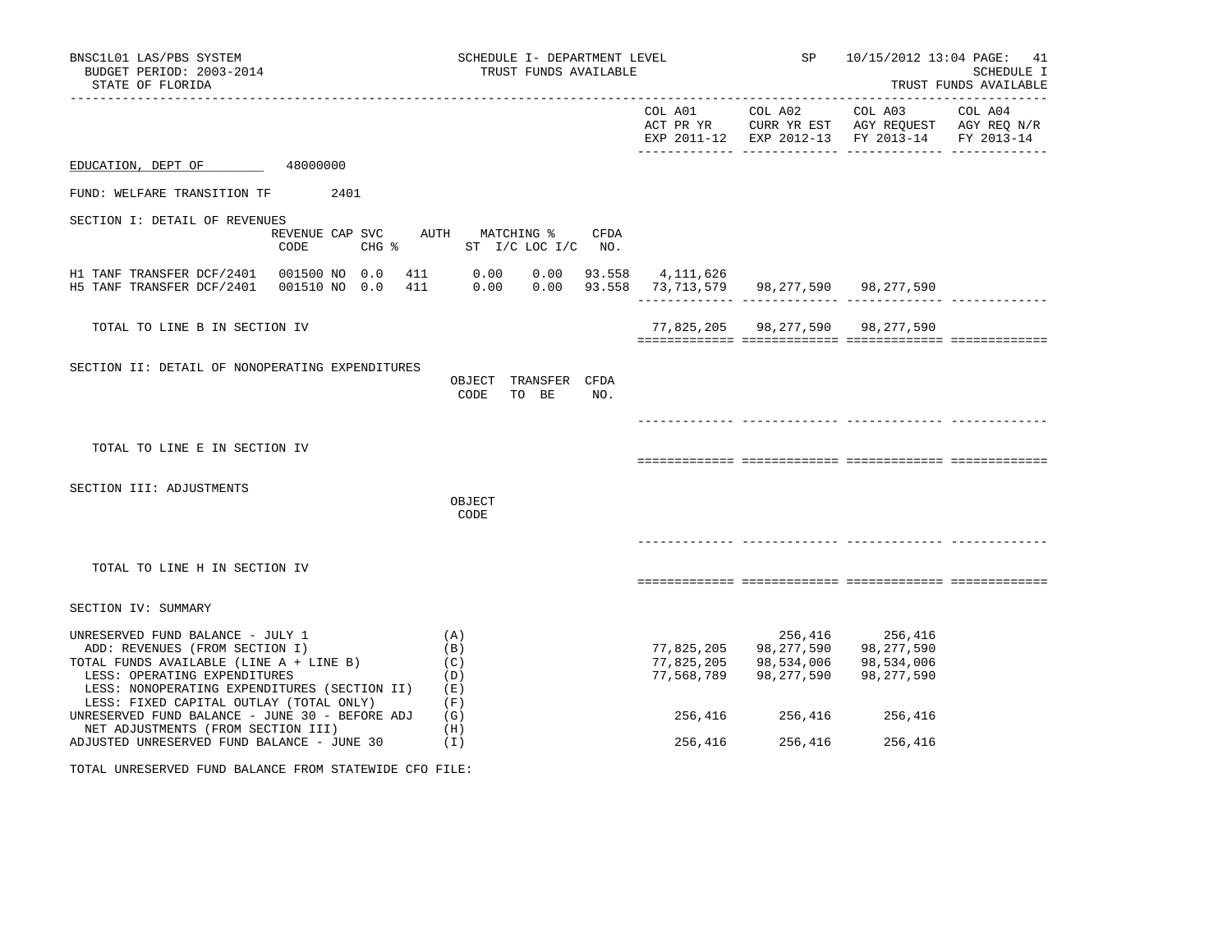| BNSC1L01 LAS/PBS SYSTEM<br>BUDGET PERIOD: 2003-2014<br>STATE OF FLORIDA                                                                                                                                                                  |                                         | SCHEDULE I- DEPARTMENT LEVEL<br>TRUST FUNDS AVAILABLE |                                                             |                                        | SP 10/15/2012 13:04 PAGE:                                                                      | 41<br>SCHEDULE I<br>TRUST FUNDS AVAILABLE |
|------------------------------------------------------------------------------------------------------------------------------------------------------------------------------------------------------------------------------------------|-----------------------------------------|-------------------------------------------------------|-------------------------------------------------------------|----------------------------------------|------------------------------------------------------------------------------------------------|-------------------------------------------|
|                                                                                                                                                                                                                                          |                                         |                                                       |                                                             | COL A01 COL A02                        | COL A03<br>ACT PR YR CURR YR EST AGY REQUEST AGY REQ N/R<br>EXP 2011-12 EXP 2012-13 FY 2013-14 | COL A04<br>FY 2013-14                     |
| EDUCATION, DEPT OF                                                                                                                                                                                                                       | 48000000                                |                                                       |                                                             |                                        |                                                                                                |                                           |
| FUND: WELFARE TRANSITION TF 2401                                                                                                                                                                                                         |                                         |                                                       |                                                             |                                        |                                                                                                |                                           |
| SECTION I: DETAIL OF REVENUES                                                                                                                                                                                                            | REVENUE CAP SVC AUTH MATCHING %<br>CODE | CFDA<br>CHG % ST I/C LOC I/C NO.                      |                                                             |                                        |                                                                                                |                                           |
| H1 TANF TRANSFER DCF/2401  001500 NO 0.0<br>H5 TANF TRANSFER DCF/2401  001510 NO 0.0                                                                                                                                                     | 411                                     | 411 0.00<br>0.00<br>0.00<br>0.00                      | 93.558 4,111,626<br>93.558 73,713,579 98,277,590 98,277,590 |                                        |                                                                                                |                                           |
| TOTAL TO LINE B IN SECTION IV                                                                                                                                                                                                            |                                         |                                                       |                                                             | 77,825,205 98,277,590 98,277,590       |                                                                                                |                                           |
| SECTION II: DETAIL OF NONOPERATING EXPENDITURES                                                                                                                                                                                          |                                         | OBJECT TRANSFER CFDA<br>TO BE<br>CODE<br>NO.          |                                                             |                                        |                                                                                                |                                           |
| TOTAL TO LINE E IN SECTION IV                                                                                                                                                                                                            |                                         |                                                       |                                                             |                                        |                                                                                                |                                           |
| SECTION III: ADJUSTMENTS                                                                                                                                                                                                                 |                                         | OBJECT<br>CODE                                        |                                                             |                                        |                                                                                                |                                           |
| TOTAL TO LINE H IN SECTION IV                                                                                                                                                                                                            |                                         |                                                       |                                                             |                                        |                                                                                                |                                           |
| SECTION IV: SUMMARY                                                                                                                                                                                                                      |                                         |                                                       |                                                             |                                        |                                                                                                |                                           |
| UNRESERVED FUND BALANCE - JULY 1<br>ADD: REVENUES (FROM SECTION I)<br>TOTAL FUNDS AVAILABLE (LINE A + LINE B)<br>LESS: OPERATING EXPENDITURES<br>LESS: NONOPERATING EXPENDITURES (SECTION II)<br>LESS: FIXED CAPITAL OUTLAY (TOTAL ONLY) |                                         | (A)<br>(B)<br>(C)<br>(D)<br>(E)<br>(F)                | 77,825,205<br>77,825,205<br>77,568,789                      | 98,277,590<br>98,534,006<br>98,277,590 | 256,416 256,416<br>98, 277, 590<br>98,534,006<br>98,277,590                                    |                                           |
| UNRESERVED FUND BALANCE - JUNE 30 - BEFORE ADJ<br>NET ADJUSTMENTS (FROM SECTION III)                                                                                                                                                     |                                         | (G)<br>(H)                                            | 256,416                                                     | 256,416                                | 256,416                                                                                        |                                           |
| ADJUSTED UNRESERVED FUND BALANCE - JUNE 30                                                                                                                                                                                               |                                         | (I)                                                   | 256,416                                                     | 256,416                                | 256,416                                                                                        |                                           |

TOTAL UNRESERVED FUND BALANCE FROM STATEWIDE CFO FILE: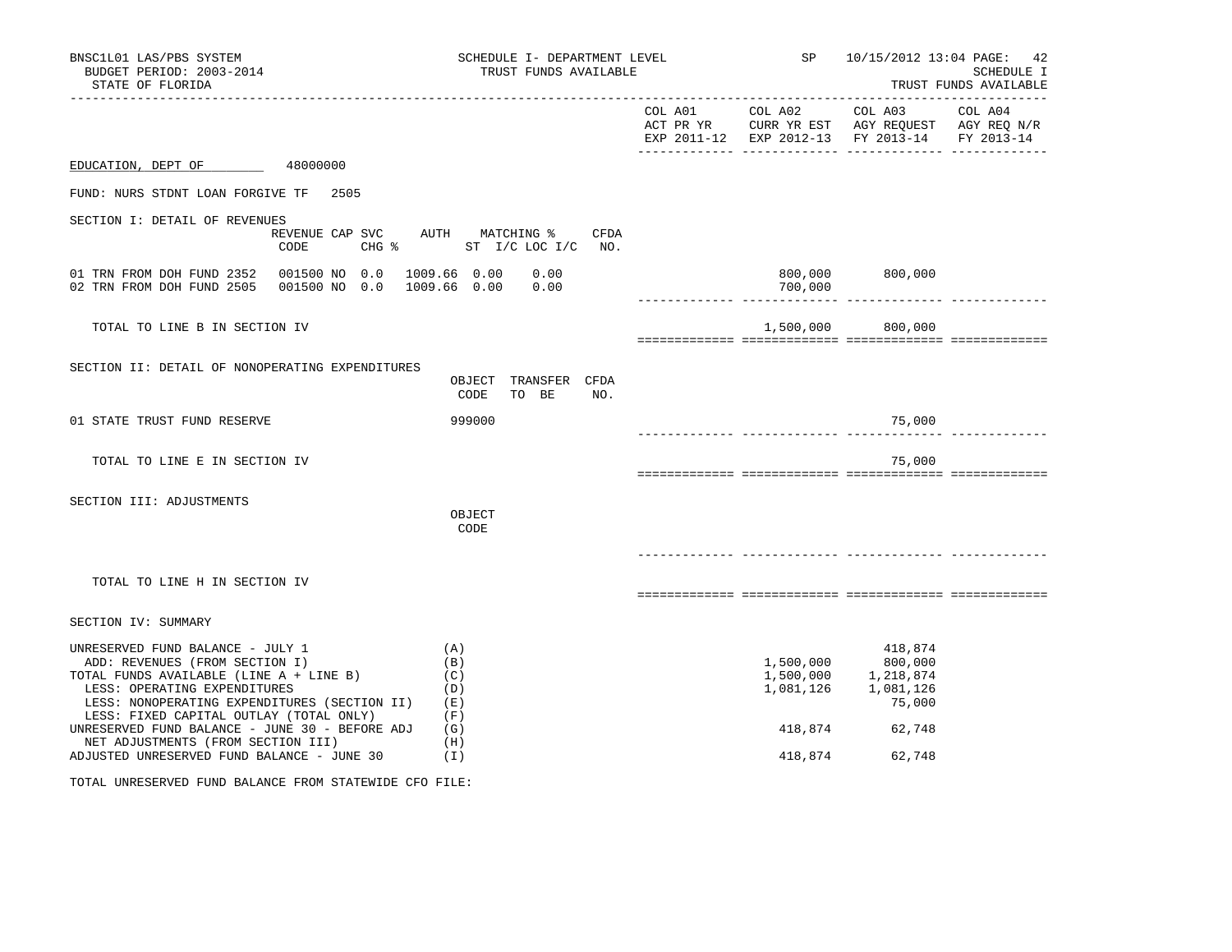| BNSC1L01 LAS/PBS SYSTEM<br>BUDGET PERIOD: 2003-2014<br>STATE OF FLORIDA<br>-------------------                                                                                                                                                                                                                                                                                 |                                              |                                                             | SCHEDULE I- DEPARTMENT LEVEL<br>TRUST FUNDS AVAILABLE | SP                                                                                                                | 10/15/2012 13:04 PAGE: 42                                                                                                                                | SCHEDULE I<br>TRUST FUNDS AVAILABLE |
|--------------------------------------------------------------------------------------------------------------------------------------------------------------------------------------------------------------------------------------------------------------------------------------------------------------------------------------------------------------------------------|----------------------------------------------|-------------------------------------------------------------|-------------------------------------------------------|-------------------------------------------------------------------------------------------------------------------|----------------------------------------------------------------------------------------------------------------------------------------------------------|-------------------------------------|
|                                                                                                                                                                                                                                                                                                                                                                                |                                              |                                                             |                                                       | COL A01 COL A02<br>ACT PR YR CURR YR EST AGY REQUEST AGY REQ N/R<br>EXP 2011-12 EXP 2012-13 FY 2013-14 FY 2013-14 | COL A03                                                                                                                                                  | COL A04                             |
| EDUCATION, DEPT OF                                                                                                                                                                                                                                                                                                                                                             | 48000000                                     |                                                             |                                                       |                                                                                                                   |                                                                                                                                                          |                                     |
| FUND: NURS STDNT LOAN FORGIVE TF 2505                                                                                                                                                                                                                                                                                                                                          |                                              |                                                             |                                                       |                                                                                                                   |                                                                                                                                                          |                                     |
| SECTION I: DETAIL OF REVENUES                                                                                                                                                                                                                                                                                                                                                  | REVENUE CAP SVC AUTH MATCHING % CFDA<br>CODE |                                                             | CHG $\frac{1}{2}$ ST I/C LOC I/C NO.                  |                                                                                                                   |                                                                                                                                                          |                                     |
| 01 TRN FROM DOH FUND 2352  001500 NO  0.0  1009.66  0.00<br>02 TRN FROM DOH FUND 2505 001500 NO 0.0                                                                                                                                                                                                                                                                            |                                              | 1009.66 0.00                                                | 0.00<br>0.00                                          | 700,000                                                                                                           | 800,000 800,000                                                                                                                                          |                                     |
| TOTAL TO LINE B IN SECTION IV                                                                                                                                                                                                                                                                                                                                                  |                                              |                                                             |                                                       |                                                                                                                   | 1,500,000 800,000                                                                                                                                        |                                     |
| SECTION II: DETAIL OF NONOPERATING EXPENDITURES                                                                                                                                                                                                                                                                                                                                |                                              | CODE                                                        | OBJECT TRANSFER CFDA<br>TO BE<br>NO.                  |                                                                                                                   |                                                                                                                                                          |                                     |
| 01 STATE TRUST FUND RESERVE                                                                                                                                                                                                                                                                                                                                                    |                                              | 999000                                                      |                                                       |                                                                                                                   | 75,000                                                                                                                                                   |                                     |
| TOTAL TO LINE E IN SECTION IV                                                                                                                                                                                                                                                                                                                                                  |                                              |                                                             |                                                       |                                                                                                                   | 75,000                                                                                                                                                   |                                     |
| SECTION III: ADJUSTMENTS                                                                                                                                                                                                                                                                                                                                                       |                                              | OBJECT<br>CODE                                              |                                                       |                                                                                                                   |                                                                                                                                                          |                                     |
| TOTAL TO LINE H IN SECTION IV                                                                                                                                                                                                                                                                                                                                                  |                                              |                                                             |                                                       |                                                                                                                   |                                                                                                                                                          |                                     |
| SECTION IV: SUMMARY                                                                                                                                                                                                                                                                                                                                                            |                                              |                                                             |                                                       |                                                                                                                   |                                                                                                                                                          |                                     |
| UNRESERVED FUND BALANCE - JULY 1<br>ADD: REVENUES (FROM SECTION I)<br>TOTAL FUNDS AVAILABLE (LINE A + LINE B)<br>LESS: OPERATING EXPENDITURES<br>LESS: NONOPERATING EXPENDITURES (SECTION II)<br>LESS: FIXED CAPITAL OUTLAY (TOTAL ONLY)<br>UNRESERVED FUND BALANCE - JUNE 30 - BEFORE ADJ<br>NET ADJUSTMENTS (FROM SECTION III)<br>ADJUSTED UNRESERVED FUND BALANCE - JUNE 30 |                                              | (A)<br>(B)<br>(C)<br>(D)<br>(E)<br>(F)<br>(G)<br>(H)<br>(I) |                                                       | 418,874                                                                                                           | 418,874<br>$\begin{array}{llll} 1,500,000 & 800,000 \\ 1,500,000 & 1,218,874 \\ 1,081,126 & 1,081,126 \end{array}$<br>75,000<br>418,874 62,748<br>62,748 |                                     |

TOTAL UNRESERVED FUND BALANCE FROM STATEWIDE CFO FILE: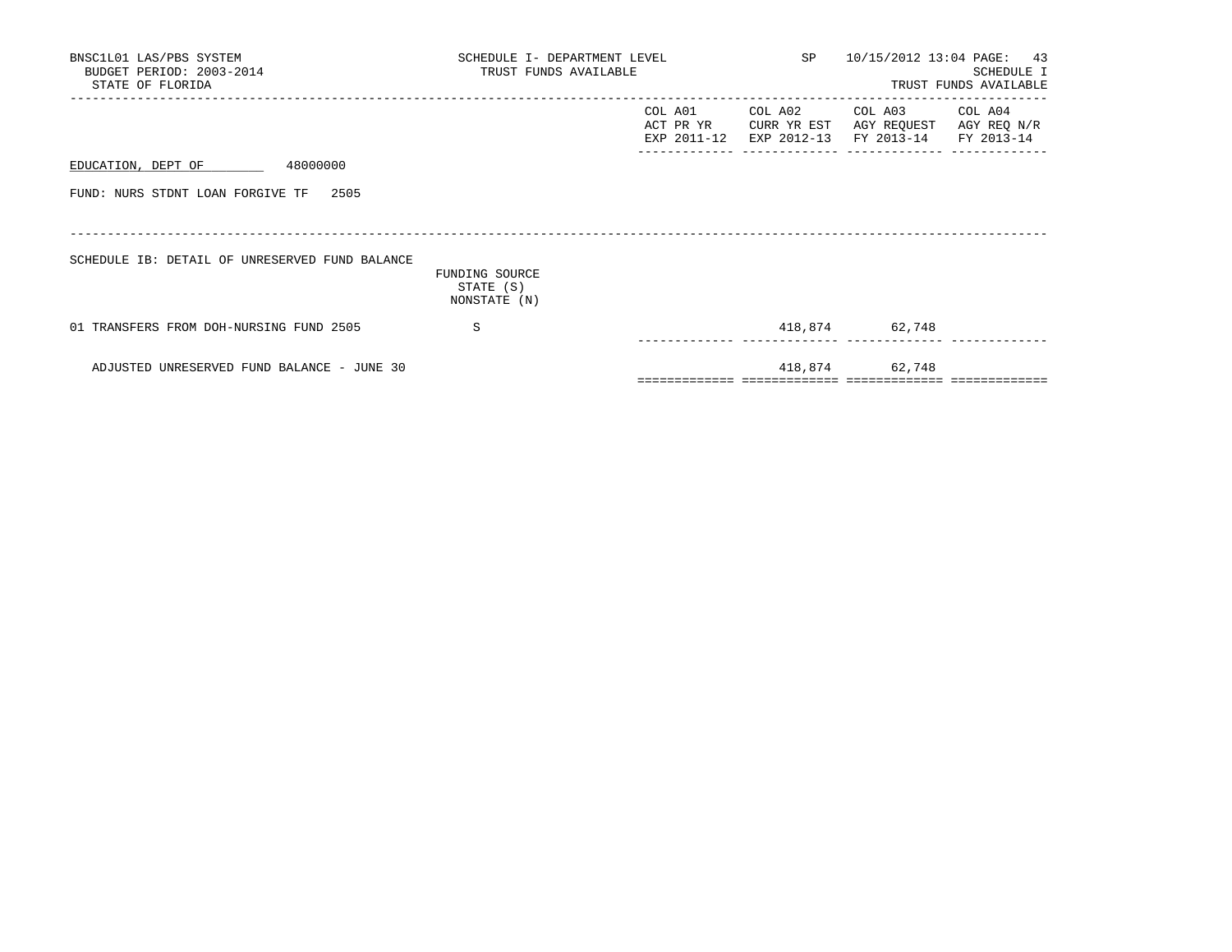| BNSC1L01 LAS/PBS SYSTEM<br>BUDGET PERIOD: 2003-2014<br>STATE OF FLORIDA | SCHEDULE I- DEPARTMENT LEVEL<br>TRUST FUNDS AVAILABLE |                                     |                        | SP 10/15/2012 13:04 PAGE: 43                                        | SCHEDULE I<br>TRUST FUNDS AVAILABLE |
|-------------------------------------------------------------------------|-------------------------------------------------------|-------------------------------------|------------------------|---------------------------------------------------------------------|-------------------------------------|
|                                                                         |                                                       | COL A01<br>ACT PR YR<br>EXP 2011-12 | COL A02<br>CURR YR EST | COL A03 COL A04<br>AGY REQUEST<br>EXP 2012-13 FY 2013-14 FY 2013-14 | AGY REQ N/R                         |
| 48000000<br>EDUCATION, DEPT OF                                          |                                                       |                                     |                        |                                                                     |                                     |
| FUND: NURS STDNT LOAN FORGIVE TF<br>2505                                |                                                       |                                     |                        |                                                                     |                                     |
| SCHEDULE IB: DETAIL OF UNRESERVED FUND BALANCE                          | FUNDING SOURCE<br>STATE (S)<br>NONSTATE (N)           |                                     |                        |                                                                     |                                     |
| 01 TRANSFERS FROM DOH-NURSING FUND 2505                                 | S                                                     |                                     |                        | 418,874 62,748                                                      |                                     |
| ADJUSTED UNRESERVED FUND BALANCE - JUNE 30                              |                                                       |                                     |                        | 418,874 62,748                                                      |                                     |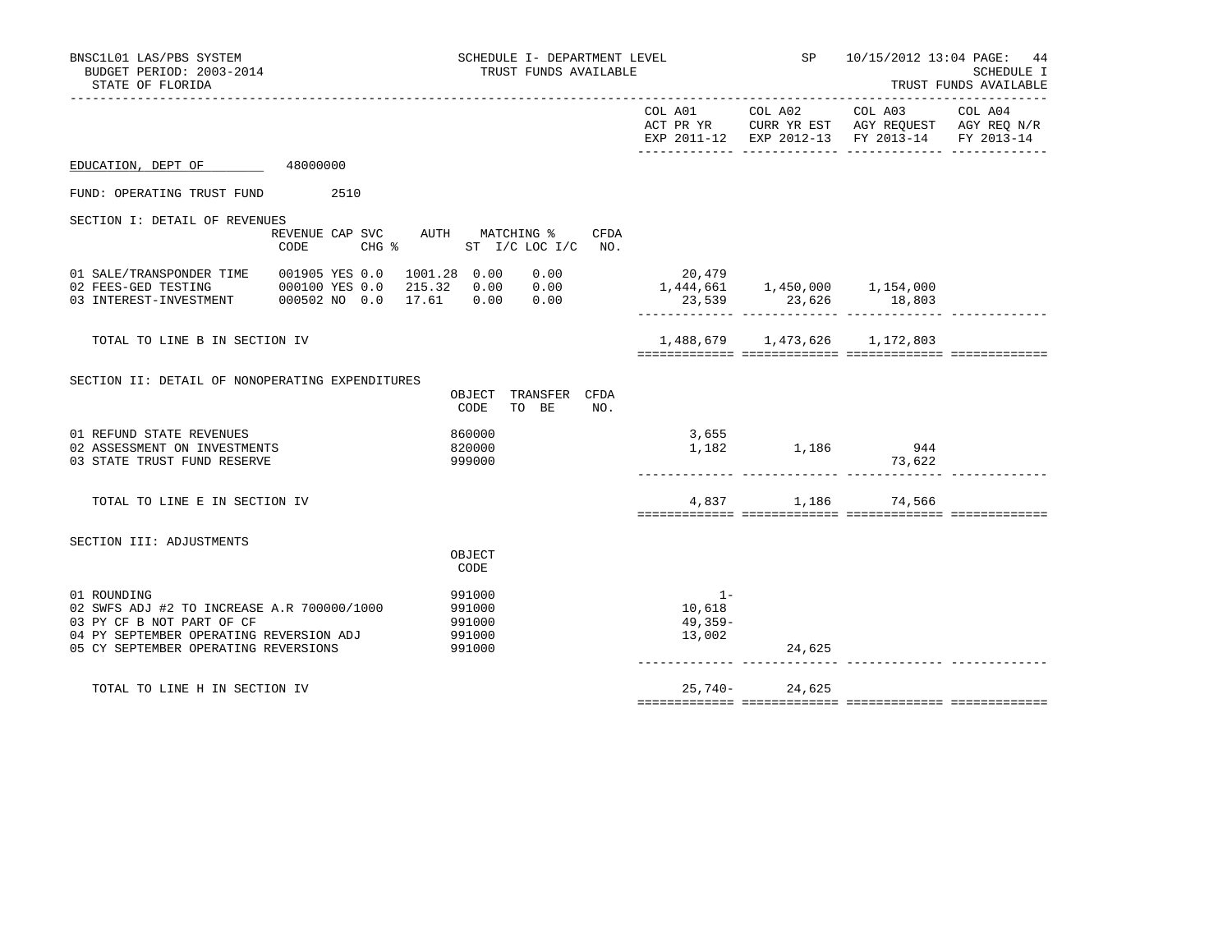| BNSC1L01 LAS/PBS SYSTEM<br>BUDGET PERIOD: 2003-2014<br>STATE OF FLORIDA                                                                                                   |                                                                 | <b>SP</b> SP<br>SCHEDULE I- DEPARTMENT LEVEL<br>TRUST FUNDS AVAILABLE |                               |                                                                                                                                   | 10/15/2012 13:04 PAGE: 44<br><b>SCHEDULE I</b><br>TRUST FUNDS AVAILABLE<br>------------------------- |  |  |
|---------------------------------------------------------------------------------------------------------------------------------------------------------------------------|-----------------------------------------------------------------|-----------------------------------------------------------------------|-------------------------------|-----------------------------------------------------------------------------------------------------------------------------------|------------------------------------------------------------------------------------------------------|--|--|
|                                                                                                                                                                           |                                                                 |                                                                       |                               | COL A01 COL A02 COL A03 COL A04<br>ACT PR YR CURR YR EST AGY REQUEST AGY REQ N/R<br>EXP 2011-12 EXP 2012-13 FY 2013-14 FY 2013-14 |                                                                                                      |  |  |
| EDUCATION, DEPT OF 48000000                                                                                                                                               |                                                                 |                                                                       |                               |                                                                                                                                   |                                                                                                      |  |  |
| FUND: OPERATING TRUST FUND<br>2510                                                                                                                                        |                                                                 |                                                                       |                               |                                                                                                                                   |                                                                                                      |  |  |
| SECTION I: DETAIL OF REVENUES                                                                                                                                             |                                                                 |                                                                       |                               |                                                                                                                                   |                                                                                                      |  |  |
| REVENUE CAP SVC AUTH MATCHING %<br>CODE<br>$CHG$ $\approx$                                                                                                                | CFDA<br>ST I/C LOC I/C NO.                                      |                                                                       |                               |                                                                                                                                   |                                                                                                      |  |  |
| 01 SALE/TRANSPONDER TIME<br>001905 YES 0.0<br>02 FEES-GED TESTING<br>000100 YES 0.0<br>03 INTEREST-INVESTMENT 000502 NO 0.0                                               | 1001.28  0.00  0.00<br>215.32  0.00  0.00<br>17.61 0.00<br>0.00 | 20,479<br>1,444,661  1,450,000  1,154,000                             |                               | $23,539$ $23,626$ $18,803$                                                                                                        |                                                                                                      |  |  |
| TOTAL TO LINE B IN SECTION IV                                                                                                                                             |                                                                 |                                                                       | 1,488,679 1,473,626 1,172,803 |                                                                                                                                   |                                                                                                      |  |  |
| SECTION II: DETAIL OF NONOPERATING EXPENDITURES                                                                                                                           | TRANSFER CFDA<br>OBJECT<br>CODE<br>TO BE<br>NO.                 |                                                                       |                               |                                                                                                                                   |                                                                                                      |  |  |
| 01 REFUND STATE REVENUES<br>02 ASSESSMENT ON INVESTMENTS<br>03 STATE TRUST FUND RESERVE                                                                                   | 860000<br>820000<br>999000                                      | 3,655<br>1,182                                                        | 1,186 944                     | 73,622                                                                                                                            |                                                                                                      |  |  |
| TOTAL TO LINE E IN SECTION IV                                                                                                                                             |                                                                 |                                                                       | 4,837 1,186 74,566            |                                                                                                                                   |                                                                                                      |  |  |
| SECTION III: ADJUSTMENTS                                                                                                                                                  | OBJECT<br>CODE                                                  |                                                                       |                               |                                                                                                                                   |                                                                                                      |  |  |
| 01 ROUNDING<br>02 SWFS ADJ #2 TO INCREASE A.R 700000/1000<br>03 PY CF B NOT PART OF CF<br>04 PY SEPTEMBER OPERATING REVERSION ADJ<br>05 CY SEPTEMBER OPERATING REVERSIONS | 991000<br>991000<br>991000<br>991000<br>991000                  | $1 -$<br>10,618<br>49,359-<br>13,002                                  | 24,625                        |                                                                                                                                   |                                                                                                      |  |  |
|                                                                                                                                                                           |                                                                 |                                                                       |                               |                                                                                                                                   |                                                                                                      |  |  |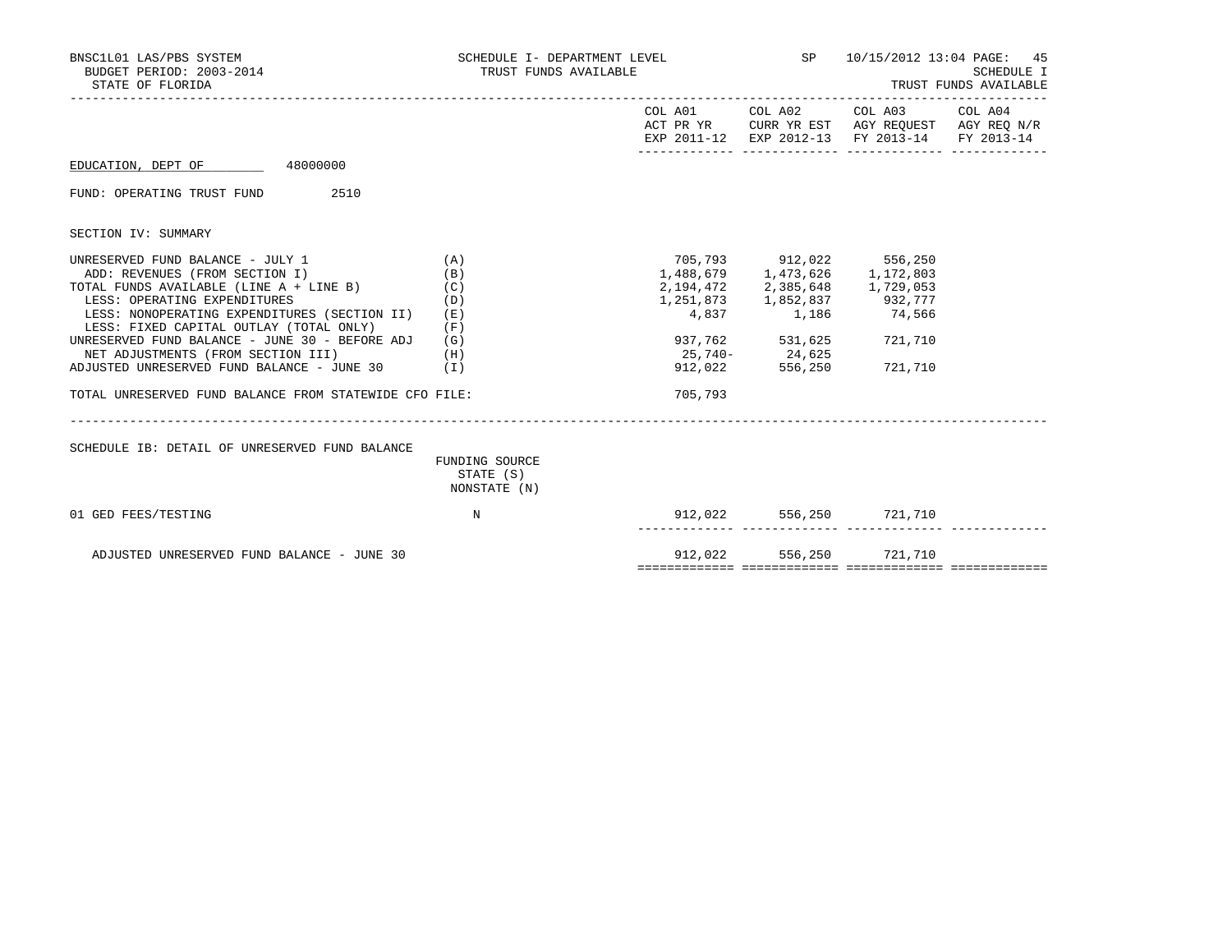| BNSC1L01 LAS/PBS SYSTEM<br>BUDGET PERIOD: 2003-2014<br>STATE OF FLORIDA                                                                           | SCHEDULE I- DEPARTMENT LEVEL<br>TRUST FUNDS AVAILABLE |         | <b>SP</b>                                                                                                                      | 10/15/2012 13:04 PAGE: 45<br>SCHEDULE I<br>TRUST FUNDS AVAILABLE                                                  |  |  |
|---------------------------------------------------------------------------------------------------------------------------------------------------|-------------------------------------------------------|---------|--------------------------------------------------------------------------------------------------------------------------------|-------------------------------------------------------------------------------------------------------------------|--|--|
|                                                                                                                                                   |                                                       |         | COL A01 COL A02                                                                                                                | COL A03 COL A04<br>ACT PR YR CURR YR EST AGY REQUEST AGY REQ N/R<br>EXP 2011-12 EXP 2012-13 FY 2013-14 FY 2013-14 |  |  |
| EDUCATION, DEPT OF 48000000                                                                                                                       |                                                       |         |                                                                                                                                |                                                                                                                   |  |  |
| FUND: OPERATING TRUST FUND 2510                                                                                                                   |                                                       |         |                                                                                                                                |                                                                                                                   |  |  |
| SECTION IV: SUMMARY                                                                                                                               |                                                       |         |                                                                                                                                |                                                                                                                   |  |  |
| UNRESERVED FUND BALANCE - JULY 1<br>ADD: REVENUES (FROM SECTION I)<br>TOTAL FUNDS AVAILABLE (LINE A + LINE B) (C)<br>LESS: OPERATING EXPENDITURES | (A)<br>(B)<br>(D)                                     |         | 705,793 912,022 556,250<br>1,488,679 1,473,626 1,172,803<br>2, 194, 472 2, 385, 648 1, 729, 053<br>1,251,873 1,852,837 932,777 |                                                                                                                   |  |  |
| LESS: NONOPERATING EXPENDITURES (SECTION II)<br>LESS: FIXED CAPITAL OUTLAY (TOTAL ONLY)<br>UNRESERVED FUND BALANCE - JUNE 30 - BEFORE ADJ         | (E)<br>(F)<br>(G)                                     |         | 4,837 1,186 74,566<br>937,762 531,625                                                                                          | 721,710                                                                                                           |  |  |
| NET ADJUSTMENTS (FROM SECTION III)<br>ADJUSTED UNRESERVED FUND BALANCE - JUNE 30                                                                  | (H)<br>(I)                                            | 912,022 | 25,740-24,625<br>556,250                                                                                                       | 721,710                                                                                                           |  |  |
| TOTAL UNRESERVED FUND BALANCE FROM STATEWIDE CFO FILE:                                                                                            |                                                       | 705,793 |                                                                                                                                |                                                                                                                   |  |  |
| SCHEDULE IB: DETAIL OF UNRESERVED FUND BALANCE                                                                                                    | FUNDING SOURCE<br>STATE (S)<br>NONSTATE (N)           |         |                                                                                                                                |                                                                                                                   |  |  |
| 01 GED FEES/TESTING                                                                                                                               | N                                                     |         |                                                                                                                                | 912,022 556,250 721,710                                                                                           |  |  |
| ADJUSTED UNRESERVED FUND BALANCE - JUNE 30                                                                                                        |                                                       | 912,022 | 556,250                                                                                                                        | 721,710                                                                                                           |  |  |

============= ============= ============= =============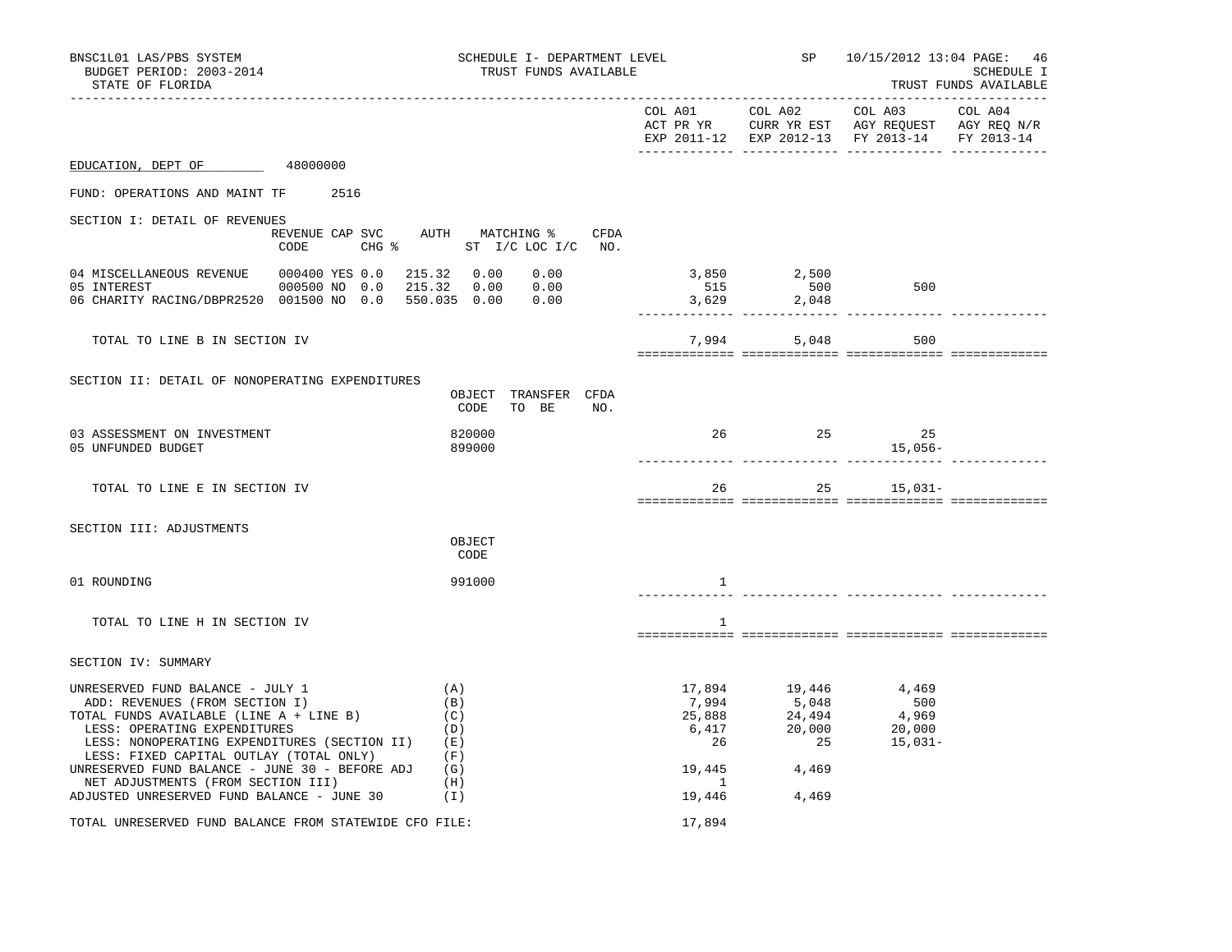| BNSC1L01 LAS/PBS SYSTEM<br>SCHEDULE I- DEPARTMENT LEVEL<br>BUDGET PERIOD: 2003-2014<br>TRUST FUNDS AVAILABLE<br>STATE OF FLORIDA                                                                                                                                                                                                                                               |                                                                              |                                                                   |                                                             | SP 10/15/2012 13:04 PAGE:                                                                                 | 46<br>SCHEDULE I<br>TRUST FUNDS AVAILABLE |
|--------------------------------------------------------------------------------------------------------------------------------------------------------------------------------------------------------------------------------------------------------------------------------------------------------------------------------------------------------------------------------|------------------------------------------------------------------------------|-------------------------------------------------------------------|-------------------------------------------------------------|-----------------------------------------------------------------------------------------------------------|-------------------------------------------|
|                                                                                                                                                                                                                                                                                                                                                                                |                                                                              | COL A01                                                           | COL A02                                                     | COL A03<br>ACT PR YR CURR YR EST AGY REQUEST AGY REQ N/R<br>EXP 2011-12 EXP 2012-13 FY 2013-14 FY 2013-14 | COL A04                                   |
| EDUCATION, DEPT OF 48000000                                                                                                                                                                                                                                                                                                                                                    |                                                                              |                                                                   |                                                             |                                                                                                           |                                           |
| FUND: OPERATIONS AND MAINT TF<br>2516                                                                                                                                                                                                                                                                                                                                          |                                                                              |                                                                   |                                                             |                                                                                                           |                                           |
| SECTION I: DETAIL OF REVENUES<br>CODE                                                                                                                                                                                                                                                                                                                                          | REVENUE CAP SVC AUTH MATCHING %<br>CFDA<br>CHG $\text{S}$ ST I/C LOC I/C NO. |                                                                   |                                                             |                                                                                                           |                                           |
| 04 MISCELLANEOUS REVENUE<br>000400 YES 0.0<br>05 INTEREST<br>000500 NO 0.0<br>06 CHARITY RACING/DBPR2520 001500 NO 0.0                                                                                                                                                                                                                                                         | 215.32 0.00<br>0.00<br>215.32 0.00<br>0.00<br>550.035 0.00<br>0.00           | 515<br>3,629                                                      | 3,850 2,500<br>500<br>2,048                                 | 500                                                                                                       |                                           |
| TOTAL TO LINE B IN SECTION IV                                                                                                                                                                                                                                                                                                                                                  |                                                                              |                                                                   | 7,994                                                       | 5,048<br>500                                                                                              |                                           |
| SECTION II: DETAIL OF NONOPERATING EXPENDITURES                                                                                                                                                                                                                                                                                                                                | OBJECT TRANSFER CFDA<br>CODE<br>TO BE<br>NO.                                 |                                                                   |                                                             |                                                                                                           |                                           |
| 03 ASSESSMENT ON INVESTMENT<br>05 UNFUNDED BUDGET                                                                                                                                                                                                                                                                                                                              | 820000<br>899000                                                             | 26                                                                | 25                                                          | 25<br>15,056-                                                                                             |                                           |
| TOTAL TO LINE E IN SECTION IV                                                                                                                                                                                                                                                                                                                                                  |                                                                              | 26                                                                |                                                             | 25 15,031-                                                                                                |                                           |
| SECTION III: ADJUSTMENTS                                                                                                                                                                                                                                                                                                                                                       | OBJECT<br>CODE                                                               |                                                                   |                                                             |                                                                                                           |                                           |
| 01 ROUNDING                                                                                                                                                                                                                                                                                                                                                                    | 991000                                                                       | <sup>1</sup>                                                      |                                                             |                                                                                                           |                                           |
| TOTAL TO LINE H IN SECTION IV                                                                                                                                                                                                                                                                                                                                                  |                                                                              | <sup>1</sup>                                                      |                                                             |                                                                                                           |                                           |
| SECTION IV: SUMMARY                                                                                                                                                                                                                                                                                                                                                            |                                                                              |                                                                   |                                                             |                                                                                                           |                                           |
| UNRESERVED FUND BALANCE - JULY 1<br>ADD: REVENUES (FROM SECTION I)<br>TOTAL FUNDS AVAILABLE (LINE A + LINE B)<br>LESS: OPERATING EXPENDITURES<br>LESS: NONOPERATING EXPENDITURES (SECTION II)<br>LESS: FIXED CAPITAL OUTLAY (TOTAL ONLY)<br>UNRESERVED FUND BALANCE - JUNE 30 - BEFORE ADJ<br>NET ADJUSTMENTS (FROM SECTION III)<br>ADJUSTED UNRESERVED FUND BALANCE - JUNE 30 | (A)<br>(B)<br>(C)<br>(D)<br>(E)<br>(F)<br>(G)<br>(H)<br>(1)                  | 17,894<br>7,994<br>25,888<br>6,417<br>26<br>19,445<br>1<br>19,446 | 19,446<br>5,048<br>24,494<br>20,000<br>25<br>4,469<br>4,469 | 4,469<br>500<br>4,969<br>20,000<br>15,031–                                                                |                                           |
| TOTAL UNRESERVED FUND BALANCE FROM STATEWIDE CFO FILE:                                                                                                                                                                                                                                                                                                                         |                                                                              | 17,894                                                            |                                                             |                                                                                                           |                                           |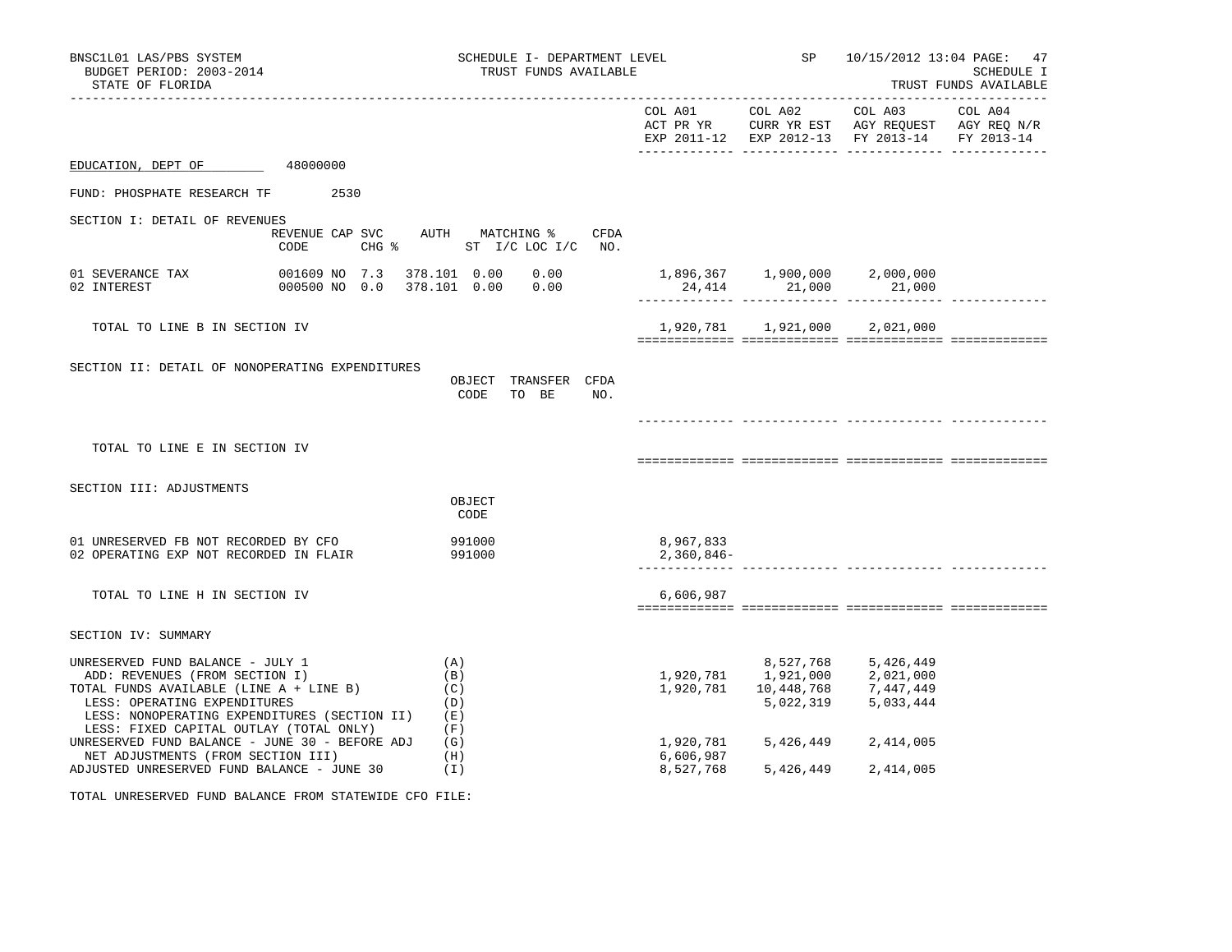| BNSC1L01 LAS/PBS SYSTEM<br>BUDGET PERIOD: 2003-2014<br>STATE OF FLORIDA                                                                                                                                                                                                                                                              |                                                                       |                                 | SCHEDULE I- DEPARTMENT LEVEL<br>TRUST FUNDS AVAILABLE |                                                                                        |                                                      | SP 10/15/2012 13:04 PAGE: 47                                                                                      | SCHEDULE I<br>TRUST FUNDS AVAILABLE |
|--------------------------------------------------------------------------------------------------------------------------------------------------------------------------------------------------------------------------------------------------------------------------------------------------------------------------------------|-----------------------------------------------------------------------|---------------------------------|-------------------------------------------------------|----------------------------------------------------------------------------------------|------------------------------------------------------|-------------------------------------------------------------------------------------------------------------------|-------------------------------------|
|                                                                                                                                                                                                                                                                                                                                      |                                                                       |                                 |                                                       |                                                                                        | COL A01 COL A02                                      | COL A03 COL A04<br>ACT PR YR CURR YR EST AGY REQUEST AGY REQ N/R<br>EXP 2011-12 EXP 2012-13 FY 2013-14 FY 2013-14 |                                     |
| EDUCATION, DEPT OF                                                                                                                                                                                                                                                                                                                   | 48000000                                                              |                                 |                                                       |                                                                                        |                                                      |                                                                                                                   |                                     |
| FUND: PHOSPHATE RESEARCH TF 2530                                                                                                                                                                                                                                                                                                     |                                                                       |                                 |                                                       |                                                                                        |                                                      |                                                                                                                   |                                     |
| SECTION I: DETAIL OF REVENUES                                                                                                                                                                                                                                                                                                        | REVENUE CAP SVC AUTH MATCHING % CFDA<br>CODE CHG % ST I/C LOC I/C NO. |                                 |                                                       |                                                                                        |                                                      |                                                                                                                   |                                     |
| 01 SEVERANCE TAX<br>02 INTEREST                                                                                                                                                                                                                                                                                                      | 001609 NO 7.3 378.101 0.00 0.00<br>000500 NO 0.0                      |                                 |                                                       | $1,896,367$ $1,900,000$ $2,000,000$                                                    | 24,414 21,000 21,000<br>---------- -------------- -- |                                                                                                                   |                                     |
| TOTAL TO LINE B IN SECTION IV                                                                                                                                                                                                                                                                                                        |                                                                       |                                 |                                                       |                                                                                        | 1,920,781 1,921,000 2,021,000                        |                                                                                                                   |                                     |
| SECTION II: DETAIL OF NONOPERATING EXPENDITURES                                                                                                                                                                                                                                                                                      |                                                                       | OBJECT TRANSFER CFDA<br>CODE    | TO BE<br>NO.                                          |                                                                                        |                                                      |                                                                                                                   |                                     |
| TOTAL TO LINE E IN SECTION IV                                                                                                                                                                                                                                                                                                        |                                                                       |                                 |                                                       |                                                                                        |                                                      |                                                                                                                   |                                     |
| SECTION III: ADJUSTMENTS                                                                                                                                                                                                                                                                                                             |                                                                       | OBJECT<br>CODE                  |                                                       |                                                                                        |                                                      |                                                                                                                   |                                     |
| 01 UNRESERVED FB NOT RECORDED BY CFO<br>02 OPERATING EXP NOT RECORDED IN FLAIR                                                                                                                                                                                                                                                       | 991000                                                                | 991000                          |                                                       | 8,967,833<br>$2,360,846-$                                                              |                                                      | _ _____________ ___________________                                                                               |                                     |
| TOTAL TO LINE H IN SECTION IV                                                                                                                                                                                                                                                                                                        |                                                                       |                                 |                                                       | 6,606,987                                                                              |                                                      |                                                                                                                   |                                     |
| SECTION IV: SUMMARY                                                                                                                                                                                                                                                                                                                  |                                                                       |                                 |                                                       |                                                                                        |                                                      |                                                                                                                   |                                     |
| UNRESERVED FUND BALANCE - JULY 1<br>ADD: REVENUES (FROM SECTION I)<br>TOTAL FUNDS AVAILABLE (LINE A + LINE B)<br>LESS: OPERATING EXPENDITURES<br>LESS: OPERATING EXPENDITURES<br>LESS: NONOPERATING EXPENDITURES (SECTION II) (E)<br>LESS: FIXED CAPITAL OUTLAY (TOTAL ONLY)<br>UNRESERVED FUND BALANCE - JUNE 30 - BEFORE ADJ $(G)$ |                                                                       | (A)<br>(B)<br>(C)<br>(D)<br>(F) |                                                       | 8,527,768 5,426,449<br>1,920,781 1,921,000 2,021,000<br>1,920,781 10,448,768 7,447,449 |                                                      | 5,022,319 5,033,444                                                                                               |                                     |
| NET ADJUSTMENTS (FROM SECTION III)<br>ADJUSTED UNRESERVED FUND BALANCE - JUNE 30                                                                                                                                                                                                                                                     |                                                                       | (H)<br>(I)                      |                                                       | 6,606,987<br>8,527,768                                                                 | 1,920,781 5,426,449 2,414,005<br>5,426,449 2,414,005 |                                                                                                                   |                                     |

TOTAL UNRESERVED FUND BALANCE FROM STATEWIDE CFO FILE: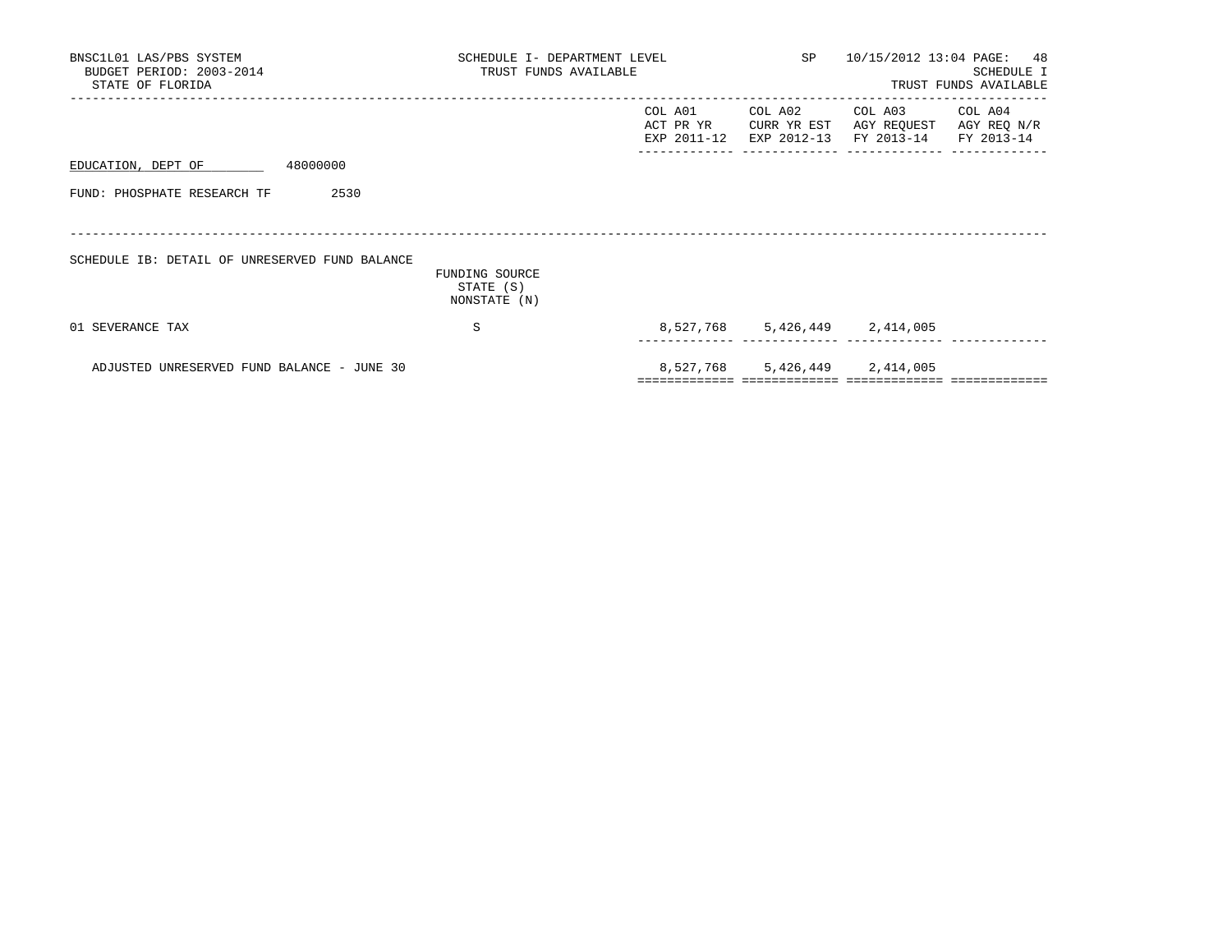| BNSC1L01 LAS/PBS SYSTEM<br>BUDGET PERIOD: 2003-2014<br>STATE OF FLORIDA | SCHEDULE I- DEPARTMENT LEVEL<br>TRUST FUNDS AVAILABLE |                                     |                                       | SP 10/15/2012 13:04 PAGE: 48         | SCHEDULE I<br>TRUST FUNDS AVAILABLE  |
|-------------------------------------------------------------------------|-------------------------------------------------------|-------------------------------------|---------------------------------------|--------------------------------------|--------------------------------------|
|                                                                         |                                                       | COL A01<br>ACT PR YR<br>EXP 2011-12 | COL A02<br>CURR YR EST<br>EXP 2012-13 | COL A03<br>AGY REQUEST<br>FY 2013-14 | COL A04<br>AGY REQ N/R<br>FY 2013-14 |
| 48000000<br>EDUCATION, DEPT OF                                          |                                                       |                                     |                                       |                                      |                                      |
| 2530<br>FUND: PHOSPHATE RESEARCH TF                                     |                                                       |                                     |                                       |                                      |                                      |
| SCHEDULE IB: DETAIL OF UNRESERVED FUND BALANCE                          | FUNDING SOURCE<br>STATE (S)<br>NONSTATE (N)           |                                     |                                       |                                      |                                      |
| 01 SEVERANCE TAX                                                        | S                                                     |                                     |                                       | 8,527,768 5,426,449 2,414,005        |                                      |
| ADJUSTED UNRESERVED FUND BALANCE - JUNE 30                              |                                                       | =================================   |                                       | 8,527,768 5,426,449 2,414,005        |                                      |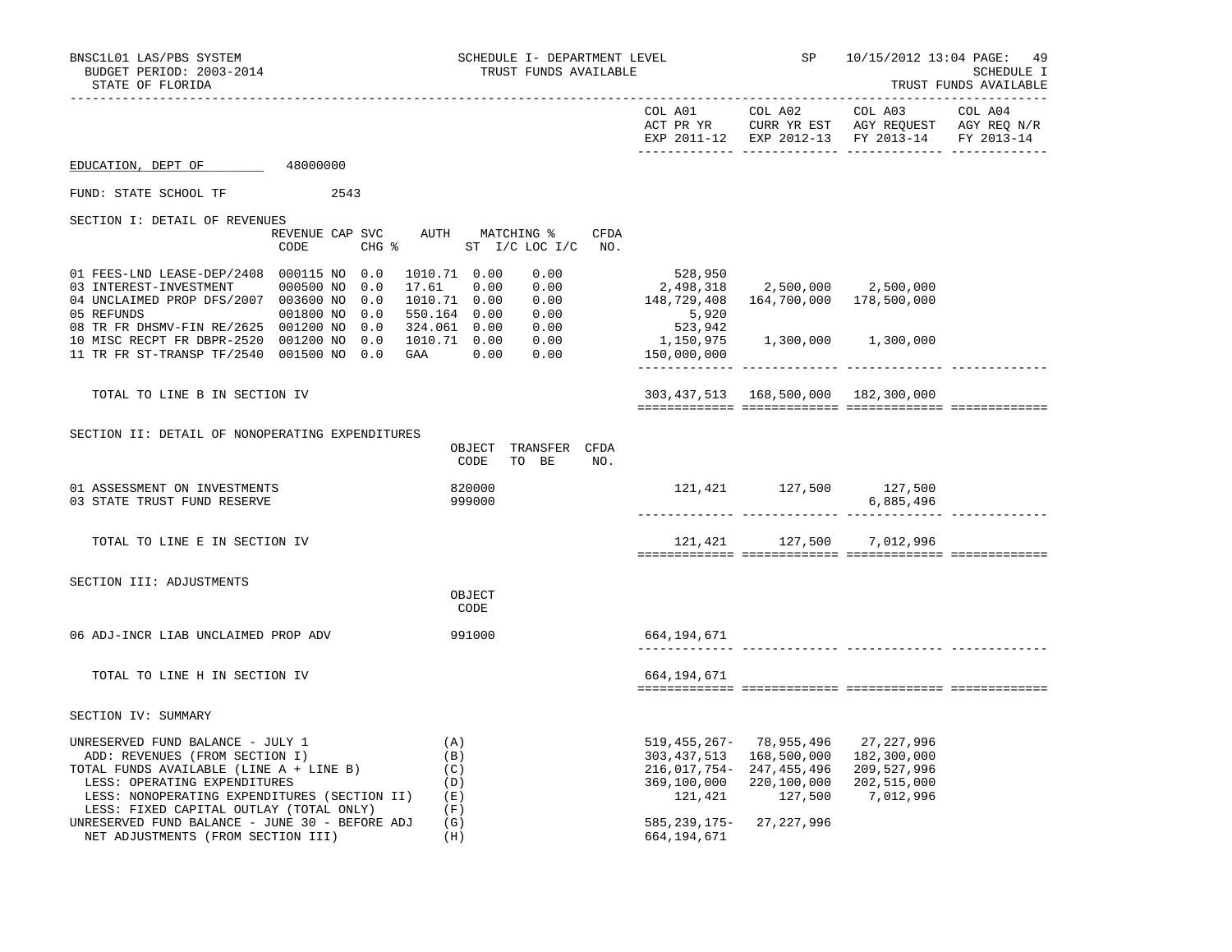| BNSC1L01 LAS/PBS SYSTEM<br>BUDGET PERIOD: 2003-2014<br>STATE OF FLORIDA                                                                                                                                                                                                                                                          | SCHEDULE I- DEPARTMENT LEVEL<br>TRUST FUNDS AVAILABLE                                  |                                                                       | SP                                                                                                               | 10/15/2012 13:04 PAGE: 49                                                 | SCHEDULE I<br>TRUST FUNDS AVAILABLE |
|----------------------------------------------------------------------------------------------------------------------------------------------------------------------------------------------------------------------------------------------------------------------------------------------------------------------------------|----------------------------------------------------------------------------------------|-----------------------------------------------------------------------|------------------------------------------------------------------------------------------------------------------|---------------------------------------------------------------------------|-------------------------------------|
|                                                                                                                                                                                                                                                                                                                                  |                                                                                        |                                                                       | ______________________________                                                                                   | ________________________<br>EXP 2011-12 EXP 2012-13 FY 2013-14 FY 2013-14 |                                     |
| EDUCATION, DEPT OF<br>48000000                                                                                                                                                                                                                                                                                                   |                                                                                        |                                                                       |                                                                                                                  |                                                                           |                                     |
| FUND: STATE SCHOOL TF<br>2543                                                                                                                                                                                                                                                                                                    |                                                                                        |                                                                       |                                                                                                                  |                                                                           |                                     |
| SECTION I: DETAIL OF REVENUES<br>REVENUE CAP SVC<br>CODE                                                                                                                                                                                                                                                                         | AUTH MATCHING %<br><b>CFDA</b><br>CHG % ST I/C LOC I/C NO.                             |                                                                       |                                                                                                                  |                                                                           |                                     |
| 01 FEES-LND LEASE-DEP/2408 000115 NO 0.0<br>03 INTEREST-INVESTMENT<br>000500 NO<br>0.0<br>04 UNCLAIMED PROP DFS/2007 003600 NO 0.0<br>001800 NO 0.0<br>05 REFUNDS                                                                                                                                                                | 1010.71 0.00<br>0.00<br>0.00<br>17.61 0.00<br>1010.71  0.00  0.00<br>550.164 0.00 0.00 | 528,950<br>2,498,318<br>148,729,408<br>5,920                          | 2,500,000 2,500,000<br>164,700,000 178,500,000                                                                   |                                                                           |                                     |
| 08 TR FR DHSMV-FIN RE/2625 001200 NO 0.0<br>10 MISC RECPT FR DBPR-2520 001200 NO 0.0<br>11 TR FR ST-TRANSP TF/2540 001500 NO 0.0                                                                                                                                                                                                 | 324.061  0.00  0.00<br>1010.71  0.00  0.00<br>GAA 0.00<br>0.00                         | 523,942<br>1,150,975<br>150,000,000                                   |                                                                                                                  | 1,300,000 1,300,000                                                       |                                     |
| TOTAL TO LINE B IN SECTION IV                                                                                                                                                                                                                                                                                                    |                                                                                        |                                                                       | 303,437,513 168,500,000 182,300,000                                                                              |                                                                           |                                     |
| SECTION II: DETAIL OF NONOPERATING EXPENDITURES                                                                                                                                                                                                                                                                                  | OBJECT TRANSFER CFDA<br>TO BE<br>CODE<br>NO.                                           |                                                                       |                                                                                                                  |                                                                           |                                     |
| 01 ASSESSMENT ON INVESTMENTS<br>03 STATE TRUST FUND RESERVE                                                                                                                                                                                                                                                                      | 820000<br>999000                                                                       |                                                                       | 121,421 127,500 127,500                                                                                          | 6,885,496                                                                 |                                     |
| TOTAL TO LINE E IN SECTION IV                                                                                                                                                                                                                                                                                                    |                                                                                        |                                                                       | 121,421 127,500 7,012,996                                                                                        |                                                                           |                                     |
| SECTION III: ADJUSTMENTS                                                                                                                                                                                                                                                                                                         | OBJECT<br>CODE                                                                         |                                                                       |                                                                                                                  |                                                                           |                                     |
| 06 ADJ-INCR LIAB UNCLAIMED PROP ADV                                                                                                                                                                                                                                                                                              | 991000                                                                                 | 664,194,671                                                           |                                                                                                                  |                                                                           |                                     |
| TOTAL TO LINE H IN SECTION IV                                                                                                                                                                                                                                                                                                    |                                                                                        | 664,194,671                                                           |                                                                                                                  |                                                                           |                                     |
| SECTION IV: SUMMARY                                                                                                                                                                                                                                                                                                              |                                                                                        |                                                                       |                                                                                                                  |                                                                           |                                     |
| UNRESERVED FUND BALANCE - JULY 1<br>ADD: REVENUES (FROM SECTION I)<br>TOTAL FUNDS AVAILABLE (LINE A + LINE B)<br>LESS: OPERATING EXPENDITURES<br>LESS: NONOPERATING EXPENDITURES (SECTION II)<br>LESS: FIXED CAPITAL OUTLAY (TOTAL ONLY)<br>UNRESERVED FUND BALANCE - JUNE 30 - BEFORE ADJ<br>NET ADJUSTMENTS (FROM SECTION III) | (A)<br>(B)<br>(C)<br>(D)<br>(E)<br>(F)<br>(G)<br>(H)                                   | 369,100,000<br>121,421<br>585, 239, 175 - 27, 227, 996<br>664,194,671 | 519, 455, 267 - 78, 955, 496<br>303, 437, 513 168, 500, 000<br>216,017,754-247,455,496<br>220,100,000<br>127,500 | 27,227,996<br>182,300,000<br>209,527,996<br>202,515,000<br>7,012,996      |                                     |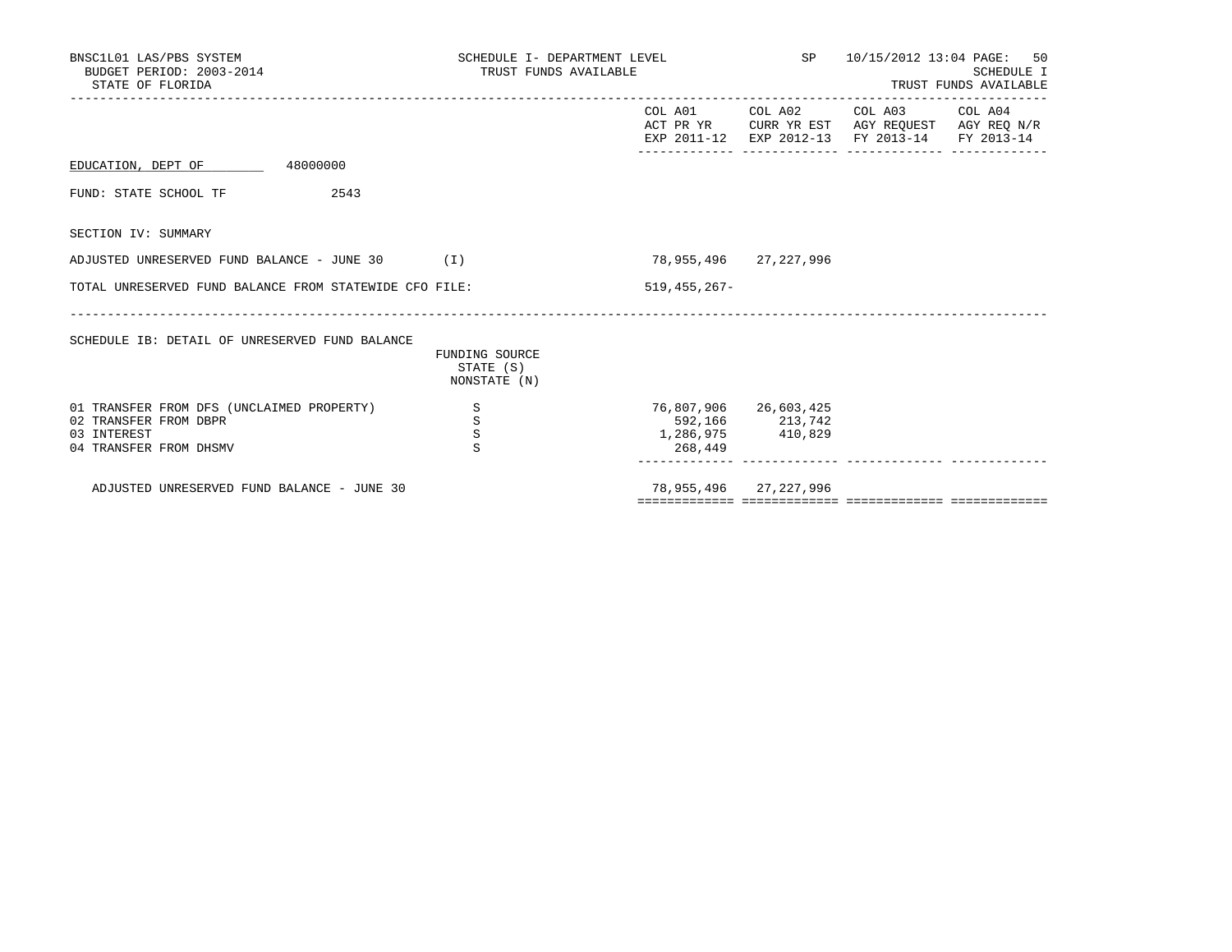| BNSC1L01 LAS/PBS SYSTEM<br>BUDGET PERIOD: 2003-2014<br>STATE OF FLORIDA                                     | SCHEDULE I- DEPARTMENT LEVEL<br>TRUST FUNDS AVAILABLE |                              | SP                                         | 10/15/2012 13:04 PAGE: 50                                                                                         | SCHEDULE I<br>TRUST FUNDS AVAILABLE |
|-------------------------------------------------------------------------------------------------------------|-------------------------------------------------------|------------------------------|--------------------------------------------|-------------------------------------------------------------------------------------------------------------------|-------------------------------------|
|                                                                                                             |                                                       |                              | COL A01 COL A02                            | COL A03 COL A04<br>ACT PR YR CURR YR EST AGY REOUEST AGY REO N/R<br>EXP 2011-12 EXP 2012-13 FY 2013-14 FY 2013-14 |                                     |
| EDUCATION, DEPT OF 48000000                                                                                 |                                                       |                              |                                            |                                                                                                                   |                                     |
| 2543<br>FUND: STATE SCHOOL TF                                                                               |                                                       |                              |                                            |                                                                                                                   |                                     |
| SECTION IV: SUMMARY                                                                                         |                                                       |                              |                                            |                                                                                                                   |                                     |
| ADJUSTED UNRESERVED FUND BALANCE - JUNE $30$ (I)                                                            |                                                       | 78,955,496 27,227,996        |                                            |                                                                                                                   |                                     |
| TOTAL UNRESERVED FUND BALANCE FROM STATEWIDE CFO FILE:                                                      |                                                       | $519, 455, 267 -$            |                                            |                                                                                                                   |                                     |
| SCHEDULE IB: DETAIL OF UNRESERVED FUND BALANCE                                                              | FUNDING SOURCE<br>STATE (S)<br>NONSTATE (N)           |                              |                                            |                                                                                                                   |                                     |
| 01 TRANSFER FROM DFS (UNCLAIMED PROPERTY)<br>02 TRANSFER FROM DBPR<br>03 INTEREST<br>04 TRANSFER FROM DHSMV | S<br>S<br>S<br>S                                      | 1,286,975 410,829<br>268,449 | 76,807,906 26,603,425<br>592, 166 213, 742 |                                                                                                                   |                                     |
| ADJUSTED UNRESERVED FUND BALANCE - JUNE 30                                                                  |                                                       |                              | 78,955,496 27,227,996                      |                                                                                                                   |                                     |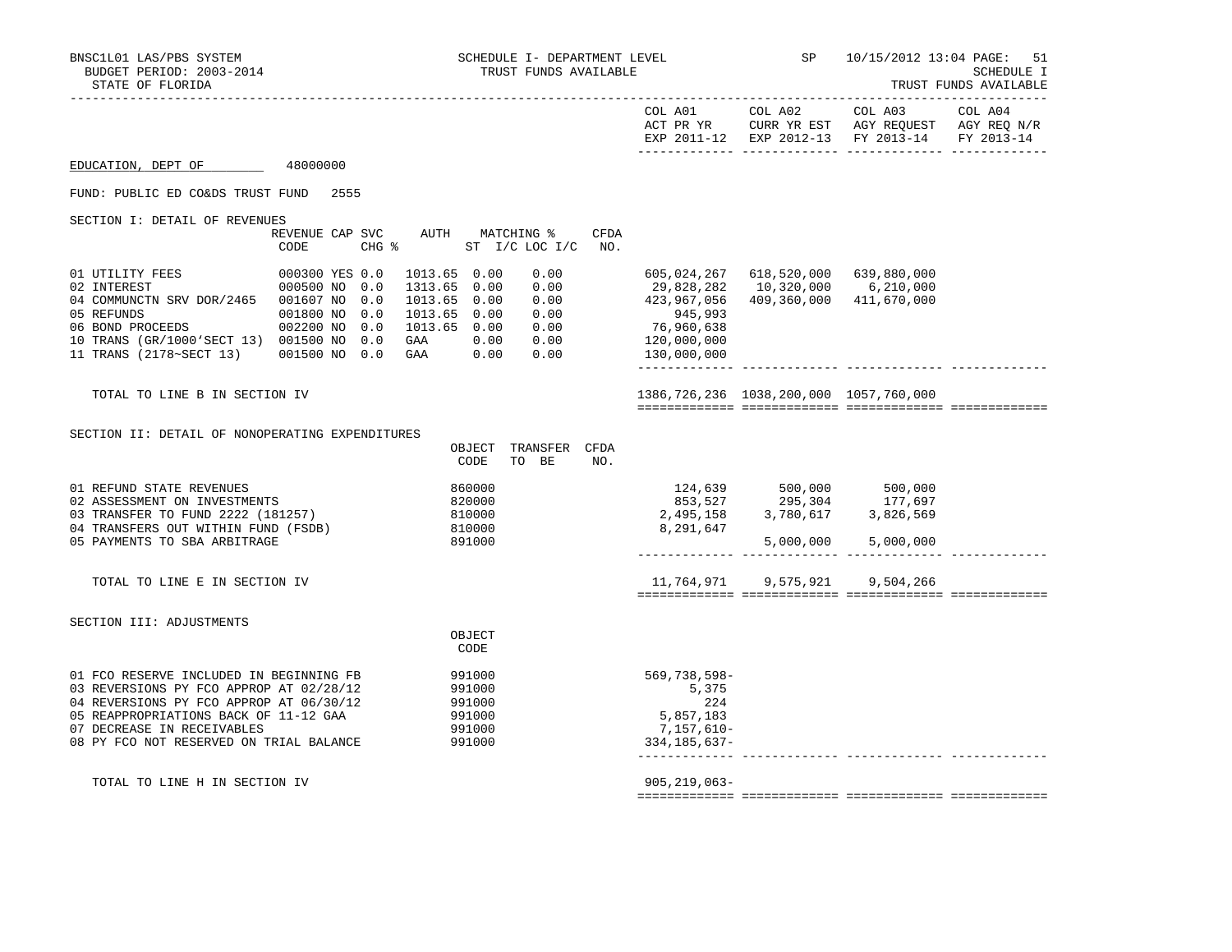|                                                                                                                                                                                                                                                 |                                                                                   |                                                                                                                                                                 |             |                                                                                                 |                                                                                                  | EXP 2011-12 EXP 2012-13 FY 2013-14                             | FY 2013-14 |
|-------------------------------------------------------------------------------------------------------------------------------------------------------------------------------------------------------------------------------------------------|-----------------------------------------------------------------------------------|-----------------------------------------------------------------------------------------------------------------------------------------------------------------|-------------|-------------------------------------------------------------------------------------------------|--------------------------------------------------------------------------------------------------|----------------------------------------------------------------|------------|
| EDUCATION, DEPT OF                                                                                                                                                                                                                              | 48000000                                                                          |                                                                                                                                                                 |             |                                                                                                 |                                                                                                  |                                                                |            |
| FUND: PUBLIC ED CO&DS TRUST FUND 2555                                                                                                                                                                                                           |                                                                                   |                                                                                                                                                                 |             |                                                                                                 |                                                                                                  |                                                                |            |
| SECTION I: DETAIL OF REVENUES                                                                                                                                                                                                                   | REVENUE CAP SVC<br>CODE<br>$CHG$ $\frac{1}{6}$                                    | AUTH MATCHING %<br>ST I/C LOC I/C                                                                                                                               | CFDA<br>NO. |                                                                                                 |                                                                                                  |                                                                |            |
| 01 UTILITY FEES<br>02 INTEREST<br>04 COMMUNCTN SRV DOR/2465 001607 NO<br>05 REFUNDS<br>06 BOND PROCEEDS<br>10 TRANS (GR/1000'SECT 13) 001500 NO 0.0<br>11 TRANS (2178~SECT 13) 001500 NO 0.0                                                    | 000300 YES 0.0<br>000500 NO<br>0.0<br>0.0<br>001800 NO<br>0.0<br>002200 NO<br>0.0 | 1013.65 0.00<br>0.00<br>1313.65 0.00<br>0.00<br>1013.65 0.00<br>0.00<br>1013.65 0.00<br>0.00<br>1013.65 0.00<br>0.00<br>0.00 0.00<br>GAA<br>GAA<br>0.00<br>0.00 |             | 605,024,267<br>29,828,282<br>423,967,056<br>945,993<br>76,960,638<br>120,000,000<br>130,000,000 | 618,520,000                                                                                      | 639,880,000<br>10,320,000 6,210,000<br>409,360,000 411,670,000 |            |
| TOTAL TO LINE B IN SECTION IV                                                                                                                                                                                                                   |                                                                                   |                                                                                                                                                                 |             |                                                                                                 | 1386, 726, 236 1038, 200, 000 1057, 760, 000                                                     |                                                                |            |
| SECTION II: DETAIL OF NONOPERATING EXPENDITURES                                                                                                                                                                                                 |                                                                                   | OBJECT<br>TRANSFER CFDA<br>TO BE<br>CODE                                                                                                                        | NO.         |                                                                                                 |                                                                                                  |                                                                |            |
| 01 REFUND STATE REVENUES<br>02 ASSESSMENT ON INVESTMENTS<br>03 TRANSFER TO FUND 2222 (181257)<br>04 TRANSFERS OUT WITHIN FUND (FSDB)<br>05 PAYMENTS TO SBA ARBITRAGE                                                                            |                                                                                   | 860000<br>820000<br>810000<br>810000<br>891000                                                                                                                  |             | 8,291,647                                                                                       | 124,639 500,000 500,000<br>853,527 295,304 177,697<br>2,495,158 3,780,617 3,826,569<br>5,000,000 | 5,000,000                                                      |            |
| TOTAL TO LINE E IN SECTION IV                                                                                                                                                                                                                   |                                                                                   |                                                                                                                                                                 |             |                                                                                                 | 11,764,971 9,575,921                                                                             | 9,504,266                                                      |            |
| SECTION III: ADJUSTMENTS                                                                                                                                                                                                                        |                                                                                   | OBJECT<br>CODE                                                                                                                                                  |             |                                                                                                 |                                                                                                  |                                                                |            |
| 01 FCO RESERVE INCLUDED IN BEGINNING FB<br>03 REVERSIONS PY FCO APPROP AT 02/28/12<br>04 REVERSIONS PY FCO APPROP AT 06/30/12<br>05 REAPPROPRIATIONS BACK OF 11-12 GAA<br>07 DECREASE IN RECEIVABLES<br>08 PY FCO NOT RESERVED ON TRIAL BALANCE |                                                                                   | 991000<br>991000<br>991000<br>991000<br>991000<br>991000                                                                                                        |             | $569,738,598-$<br>5,375<br>224<br>5,857,183<br>7,157,610-<br>334,185,637-                       | ______________________________                                                                   |                                                                |            |
| TOTAL TO LINE H IN SECTION IV                                                                                                                                                                                                                   |                                                                                   |                                                                                                                                                                 |             | $905, 219, 063 -$                                                                               |                                                                                                  |                                                                |            |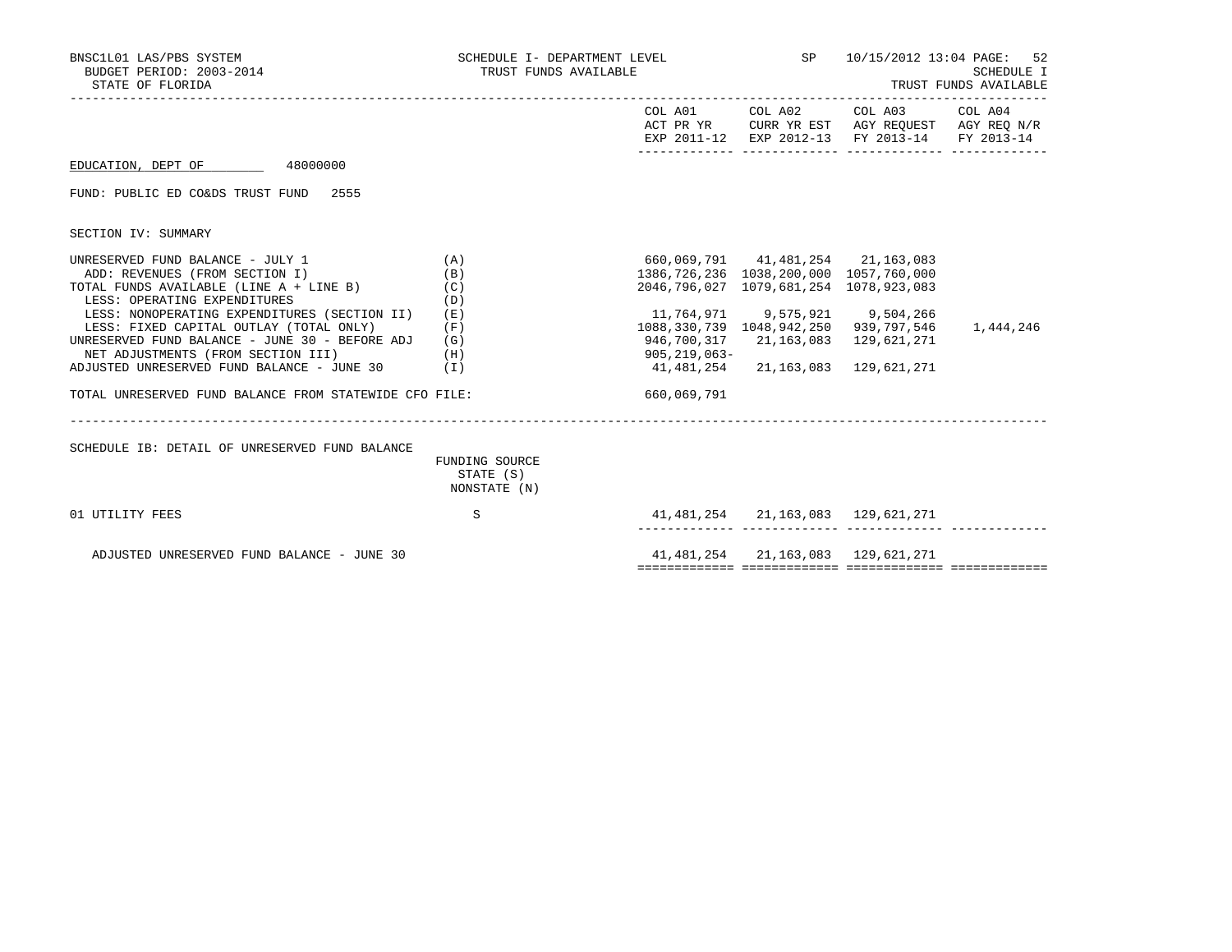| BNSC1L01 LAS/PBS SYSTEM<br>BUDGET PERIOD: 2003-2014<br>STATE OF FLORIDA          | SCHEDULE I- DEPARTMENT LEVEL<br>TRUST FUNDS AVAILABLE |                                | SP and the set of the set of the set of the set of the set of the set of the set of the set of the set of the s | 10/15/2012 13:04 PAGE: 52                                                                                         | <b>SCHEDULE I</b><br>TRUST FUNDS AVAILABLE |
|----------------------------------------------------------------------------------|-------------------------------------------------------|--------------------------------|-----------------------------------------------------------------------------------------------------------------|-------------------------------------------------------------------------------------------------------------------|--------------------------------------------|
|                                                                                  |                                                       |                                | COL A01 COL A02                                                                                                 | COL A03 COL A04<br>ACT PR YR CURR YR EST AGY REQUEST AGY REQ N/R<br>EXP 2011-12 EXP 2012-13 FY 2013-14 FY 2013-14 |                                            |
| 48000000<br>EDUCATION, DEPT OF                                                   |                                                       |                                |                                                                                                                 |                                                                                                                   |                                            |
| FUND: PUBLIC ED CO&DS TRUST FUND 2555                                            |                                                       |                                |                                                                                                                 |                                                                                                                   |                                            |
| SECTION IV: SUMMARY                                                              |                                                       |                                |                                                                                                                 |                                                                                                                   |                                            |
| UNRESERVED FUND BALANCE - JULY 1                                                 | (A)                                                   |                                | 660,069,791 41,481,254 21,163,083                                                                               |                                                                                                                   |                                            |
| ADD: REVENUES (FROM SECTION I)                                                   | (B)                                                   |                                | 1386,726,236 1038,200,000 1057,760,000                                                                          |                                                                                                                   |                                            |
| TOTAL FUNDS AVAILABLE (LINE A + LINE B)                                          | (C)                                                   |                                | 2046,796,027 1079,681,254 1078,923,083                                                                          |                                                                                                                   |                                            |
| LESS: OPERATING EXPENDITURES                                                     | (D)                                                   |                                |                                                                                                                 |                                                                                                                   |                                            |
| LESS: NONOPERATING EXPENDITURES (SECTION II)                                     | (E)                                                   | 11,764,971 9,575,921 9,504,266 |                                                                                                                 |                                                                                                                   |                                            |
| LESS: FIXED CAPITAL OUTLAY (TOTAL ONLY)                                          | (F)                                                   |                                | 1088, 330, 739 1048, 942, 250 939, 797, 546                                                                     |                                                                                                                   | 1,444,246                                  |
| UNRESERVED FUND BALANCE - JUNE 30 - BEFORE ADJ                                   | (G)                                                   | 946,700,317                    |                                                                                                                 | 21, 163, 083 129, 621, 271                                                                                        |                                            |
| NET ADJUSTMENTS (FROM SECTION III)<br>ADJUSTED UNRESERVED FUND BALANCE - JUNE 30 | (H)<br>(I)                                            | 905,219,063-<br>41,481,254     |                                                                                                                 | 21, 163, 083 129, 621, 271                                                                                        |                                            |
|                                                                                  |                                                       |                                |                                                                                                                 |                                                                                                                   |                                            |
| TOTAL UNRESERVED FUND BALANCE FROM STATEWIDE CFO FILE:                           |                                                       | 660,069,791                    |                                                                                                                 |                                                                                                                   |                                            |
| SCHEDULE IB: DETAIL OF UNRESERVED FUND BALANCE                                   |                                                       |                                |                                                                                                                 |                                                                                                                   |                                            |
|                                                                                  | FUNDING SOURCE<br>STATE (S)<br>NONSTATE (N)           |                                |                                                                                                                 |                                                                                                                   |                                            |
| 01 UTILITY FEES                                                                  | S                                                     |                                | 41,481,254 21,163,083 129,621,271                                                                               |                                                                                                                   |                                            |
| ADJUSTED UNRESERVED FUND BALANCE - JUNE 30                                       |                                                       |                                | 41, 481, 254 21, 163, 083 129, 621, 271                                                                         |                                                                                                                   |                                            |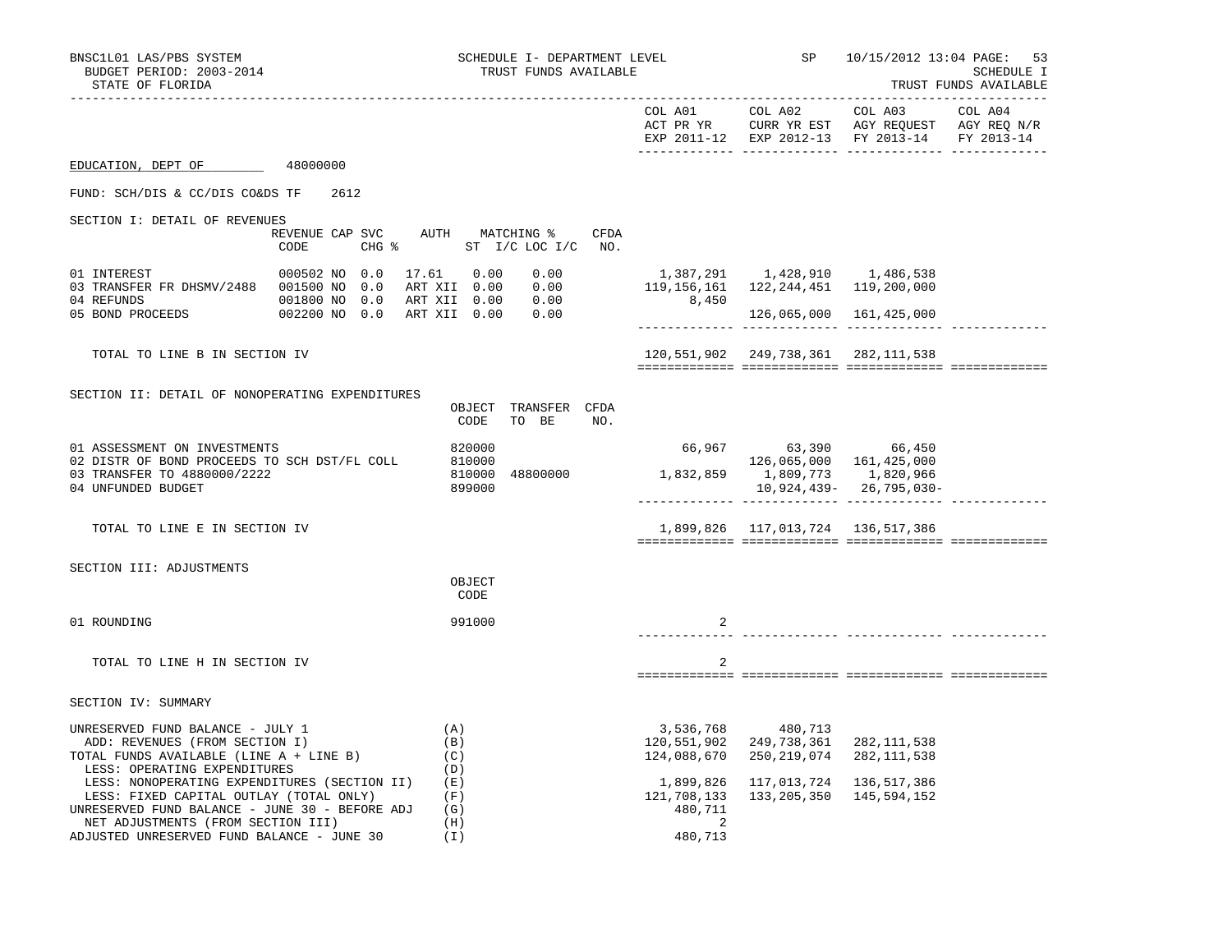| BNSC1L01 LAS/PBS SYSTEM<br>BUDGET PERIOD: 2003-2014<br>STATE OF FLORIDA                                                                                                                                                       | SCHEDULE I- DEPARTMENT LEVEL<br>TRUST FUNDS AVAILABLE |                                                      |                                                  | 10/15/2012 13:04 PAGE:<br>53<br>SCHEDULE I<br>TRUST FUNDS AVAILABLE  |  |
|-------------------------------------------------------------------------------------------------------------------------------------------------------------------------------------------------------------------------------|-------------------------------------------------------|------------------------------------------------------|--------------------------------------------------|----------------------------------------------------------------------|--|
|                                                                                                                                                                                                                               |                                                       |                                                      |                                                  | -------------------<br>EXP 2011-12 EXP 2012-13 FY 2013-14 FY 2013-14 |  |
| EDUCATION, DEPT OF<br>48000000                                                                                                                                                                                                |                                                       |                                                      |                                                  |                                                                      |  |
| FUND: SCH/DIS & CC/DIS CO&DS TF<br>2612                                                                                                                                                                                       |                                                       |                                                      |                                                  |                                                                      |  |
| SECTION I: DETAIL OF REVENUES                                                                                                                                                                                                 |                                                       |                                                      |                                                  |                                                                      |  |
| REVENUE CAP SVC AUTH MATCHING %<br>CODE                                                                                                                                                                                       | CFDA<br>CHG % ST I/C LOC I/C NO.                      |                                                      |                                                  |                                                                      |  |
| 000502 NO 0.0<br>01 INTEREST                                                                                                                                                                                                  | 17.61  0.00<br>0.00                                   | 119,156,161  122,244,451  119,200,000                | 1,387,291   1,428,910   1,486,538                |                                                                      |  |
| 0.00 0.00 1 ART XII 0.00 0.00 14 ABFUNDS<br>001800 NO 0.00 ART XII 0.00 0.00<br>05 BOND PROCEEDS 002200 NO 0.00 ART XII 0.00 0.00                                                                                             |                                                       | 8,450                                                |                                                  | 126,065,000 161,425,000                                              |  |
| TOTAL TO LINE B IN SECTION IV                                                                                                                                                                                                 |                                                       |                                                      | 120, 551, 902 249, 738, 361 282, 111, 538        |                                                                      |  |
|                                                                                                                                                                                                                               |                                                       |                                                      |                                                  |                                                                      |  |
| SECTION II: DETAIL OF NONOPERATING EXPENDITURES                                                                                                                                                                               | OBJECT TRANSFER CFDA<br>TO BE NO.<br>CODE             |                                                      |                                                  |                                                                      |  |
| 01 ASSESSMENT ON INVESTMENTS<br>02 DISTR OF BOND PROCEEDS TO SCH DST/FL COLL<br>03 TRANSFER TO 4880000/2222                                                                                                                   | 820000<br>810000<br>48800000<br>810000                |                                                      | 66,967 63,390 66,450<br>126,065,000  161,425,000 |                                                                      |  |
| 04 UNFUNDED BUDGET                                                                                                                                                                                                            | 899000                                                |                                                      |                                                  | 10,924,439-26,795,030-                                               |  |
| TOTAL TO LINE E IN SECTION IV                                                                                                                                                                                                 |                                                       |                                                      | 1,899,826 117,013,724 136,517,386                |                                                                      |  |
| SECTION III: ADJUSTMENTS                                                                                                                                                                                                      |                                                       |                                                      |                                                  |                                                                      |  |
|                                                                                                                                                                                                                               | OBJECT<br>CODE                                        |                                                      |                                                  |                                                                      |  |
| 01 ROUNDING                                                                                                                                                                                                                   | 991000                                                |                                                      |                                                  |                                                                      |  |
| TOTAL TO LINE H IN SECTION IV                                                                                                                                                                                                 |                                                       | 2                                                    |                                                  |                                                                      |  |
| SECTION IV: SUMMARY                                                                                                                                                                                                           |                                                       |                                                      |                                                  |                                                                      |  |
| UNRESERVED FUND BALANCE - JULY 1<br>ADD: REVENUES (FROM SECTION I)<br>TOTAL FUNDS AVAILABLE (LINE A + LINE B)<br>LESS: OPERATING EXPENDITURES                                                                                 | (A)<br>(B)<br>(C)<br>(D)                              | 120,551,902<br>124,088,670                           | 3,536,768 480,713<br>249,738,361<br>250,219,074  | 282, 111, 538<br>282, 111, 538                                       |  |
| LESS: NONOPERATING EXPENDITURES (SECTION II)<br>LESS: FIXED CAPITAL OUTLAY (TOTAL ONLY)<br>UNRESERVED FUND BALANCE - JUNE 30 - BEFORE ADJ<br>NET ADJUSTMENTS (FROM SECTION III)<br>ADJUSTED UNRESERVED FUND BALANCE - JUNE 30 | (E)<br>(F)<br>(G)<br>(H)<br>(I)                       | 1,899,826<br>121,708,133<br>480,711<br>-2<br>480,713 |                                                  | 117,013,724 136,517,386<br>133, 205, 350 145, 594, 152               |  |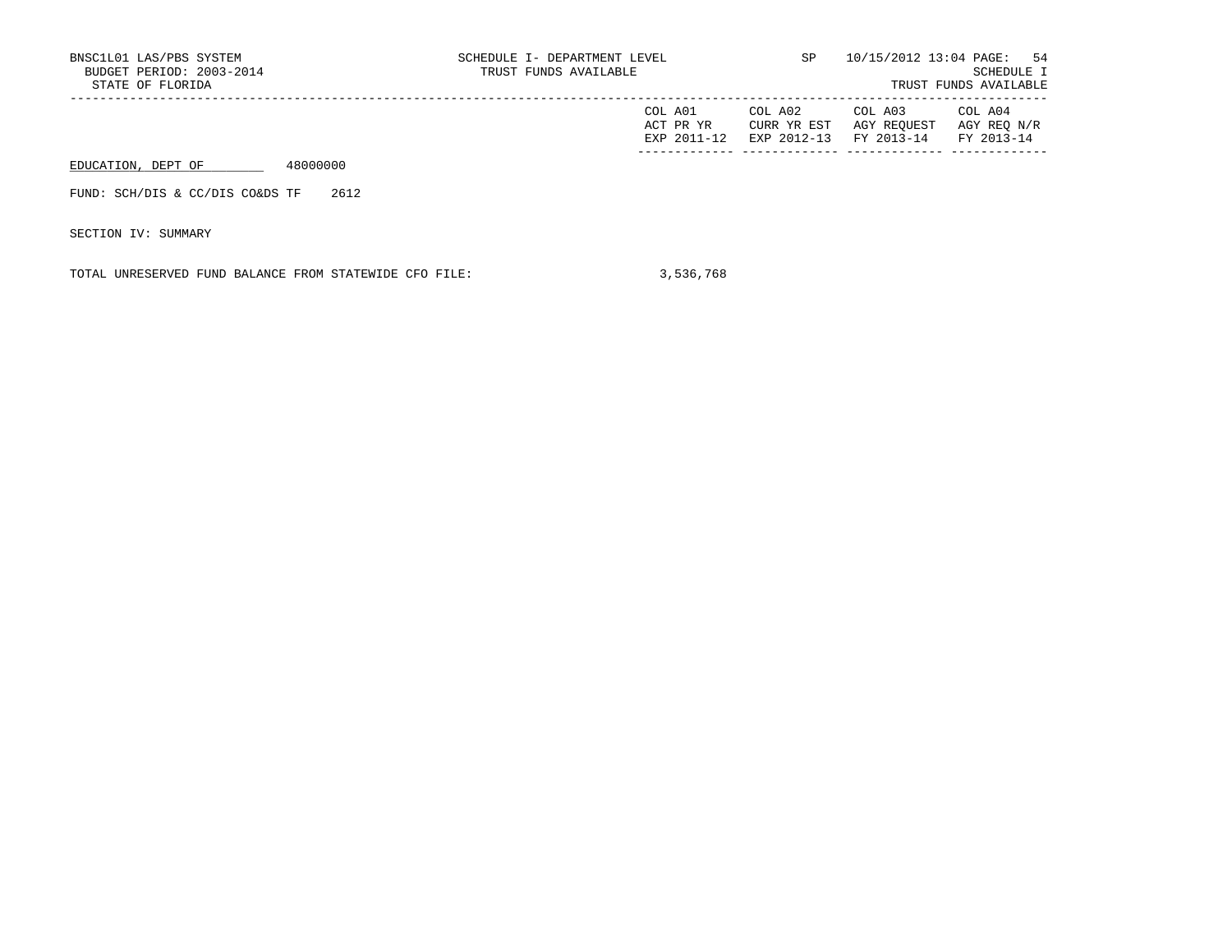| BNSC1L01 LAS/PBS SYSTEM<br>BUDGET PERIOD: 2003-2014<br>STATE OF FLORIDA |          | SCHEDULE I- DEPARTMENT LEVEL<br>TRUST FUNDS AVAILABLE |                                     | SP.                                   |                                      | 10/15/2012 13:04 PAGE: 54<br>SCHEDULE I<br>TRUST FUNDS AVAILABLE |
|-------------------------------------------------------------------------|----------|-------------------------------------------------------|-------------------------------------|---------------------------------------|--------------------------------------|------------------------------------------------------------------|
|                                                                         |          |                                                       | COL A01<br>ACT PR YR<br>EXP 2011-12 | COL A02<br>CURR YR EST<br>EXP 2012-13 | COL A03<br>AGY REOUEST<br>FY 2013-14 | COL A04<br>AGY REO N/R<br>FY 2013-14                             |
| EDUCATION, DEPT OF                                                      | 48000000 |                                                       |                                     |                                       |                                      |                                                                  |
| FUND: SCH/DIS & CC/DIS CO&DS TF                                         | 2612     |                                                       |                                     |                                       |                                      |                                                                  |

SECTION IV: SUMMARY

TOTAL UNRESERVED FUND BALANCE FROM STATEWIDE CFO FILE: 3,536,768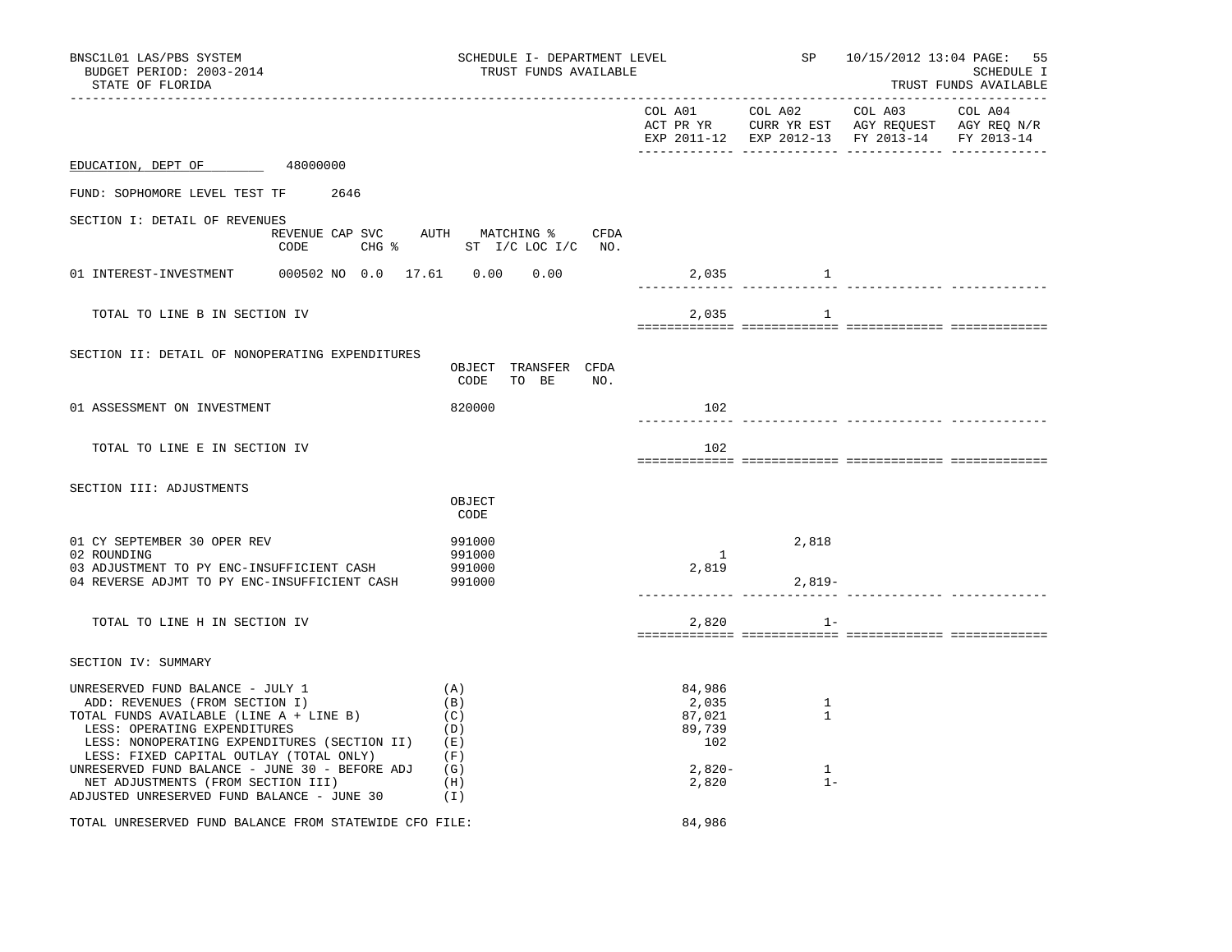| BNSC1L01 LAS/PBS SYSTEM<br>BUDGET PERIOD: 2003-2014<br>STATE OF FLORIDA                                                                                                                                                                  | SCHEDULE I- DEPARTMENT LEVEL<br>TRUST FUNDS AVAILABLE |                                            |                        | SP 10/15/2012 13:04 PAGE: 55                                                                              | SCHEDULE I<br>TRUST FUNDS AVAILABLE |
|------------------------------------------------------------------------------------------------------------------------------------------------------------------------------------------------------------------------------------------|-------------------------------------------------------|--------------------------------------------|------------------------|-----------------------------------------------------------------------------------------------------------|-------------------------------------|
|                                                                                                                                                                                                                                          |                                                       | COL A01                                    | COL A02                | COL A03<br>ACT PR YR CURR YR EST AGY REQUEST AGY REQ N/R<br>EXP 2011-12 EXP 2012-13 FY 2013-14 FY 2013-14 | COL A04                             |
| 48000000<br>EDUCATION, DEPT OF                                                                                                                                                                                                           |                                                       |                                            |                        |                                                                                                           |                                     |
| FUND: SOPHOMORE LEVEL TEST TF<br>2646                                                                                                                                                                                                    |                                                       |                                            |                        |                                                                                                           |                                     |
| SECTION I: DETAIL OF REVENUES<br>REVENUE CAP SVC<br>CODE                                                                                                                                                                                 | AUTH MATCHING %<br>CFDA<br>CHG % ST I/C LOC I/C NO.   |                                            |                        |                                                                                                           |                                     |
| 000502 NO 0.0 17.61 0.00<br>01 INTEREST-INVESTMENT                                                                                                                                                                                       | 0.00                                                  | 2,035                                      | $\sim$ $\sim$ $\sim$ 1 |                                                                                                           |                                     |
| TOTAL TO LINE B IN SECTION IV                                                                                                                                                                                                            |                                                       | 2,035                                      | 1                      |                                                                                                           |                                     |
| SECTION II: DETAIL OF NONOPERATING EXPENDITURES                                                                                                                                                                                          | OBJECT TRANSFER CFDA<br>CODE TO BE<br>NO.             |                                            |                        |                                                                                                           |                                     |
| 01 ASSESSMENT ON INVESTMENT                                                                                                                                                                                                              | 820000                                                | 102                                        |                        |                                                                                                           |                                     |
| TOTAL TO LINE E IN SECTION IV                                                                                                                                                                                                            |                                                       | 102                                        |                        |                                                                                                           |                                     |
| SECTION III: ADJUSTMENTS                                                                                                                                                                                                                 | OBJECT<br>CODE                                        |                                            |                        |                                                                                                           |                                     |
| 01 CY SEPTEMBER 30 OPER REV<br>02 ROUNDING<br>03 ADJUSTMENT TO PY ENC-INSUFFICIENT CASH                                                                                                                                                  | 991000<br>991000<br>991000                            | $\mathbf{1}$<br>2,819                      | 2,818                  |                                                                                                           |                                     |
| 04 REVERSE ADJMT TO PY ENC-INSUFFICIENT CASH                                                                                                                                                                                             | 991000                                                |                                            | $2,819-$               |                                                                                                           | _____________ _____________         |
| TOTAL TO LINE H IN SECTION IV                                                                                                                                                                                                            |                                                       | 2,820                                      | $1 -$                  |                                                                                                           |                                     |
| SECTION IV: SUMMARY                                                                                                                                                                                                                      |                                                       |                                            |                        |                                                                                                           |                                     |
| UNRESERVED FUND BALANCE - JULY 1<br>ADD: REVENUES (FROM SECTION I)<br>TOTAL FUNDS AVAILABLE (LINE A + LINE B)<br>LESS: OPERATING EXPENDITURES<br>LESS: NONOPERATING EXPENDITURES (SECTION II)<br>LESS: FIXED CAPITAL OUTLAY (TOTAL ONLY) | (A)<br>(B)<br>(C)<br>(D)<br>(E)<br>(F)                | 84,986<br>2,035<br>87,021<br>89,739<br>102 | 1<br>$\mathbf{1}$      |                                                                                                           |                                     |
| UNRESERVED FUND BALANCE - JUNE 30 - BEFORE ADJ<br>NET ADJUSTMENTS (FROM SECTION III)<br>ADJUSTED UNRESERVED FUND BALANCE - JUNE 30                                                                                                       | (G)<br>(H)<br>(I)                                     | $2,820-$<br>2,820                          | $\mathbf{1}$<br>$1 -$  |                                                                                                           |                                     |
| TOTAL UNRESERVED FUND BALANCE FROM STATEWIDE CFO FILE:                                                                                                                                                                                   |                                                       | 84,986                                     |                        |                                                                                                           |                                     |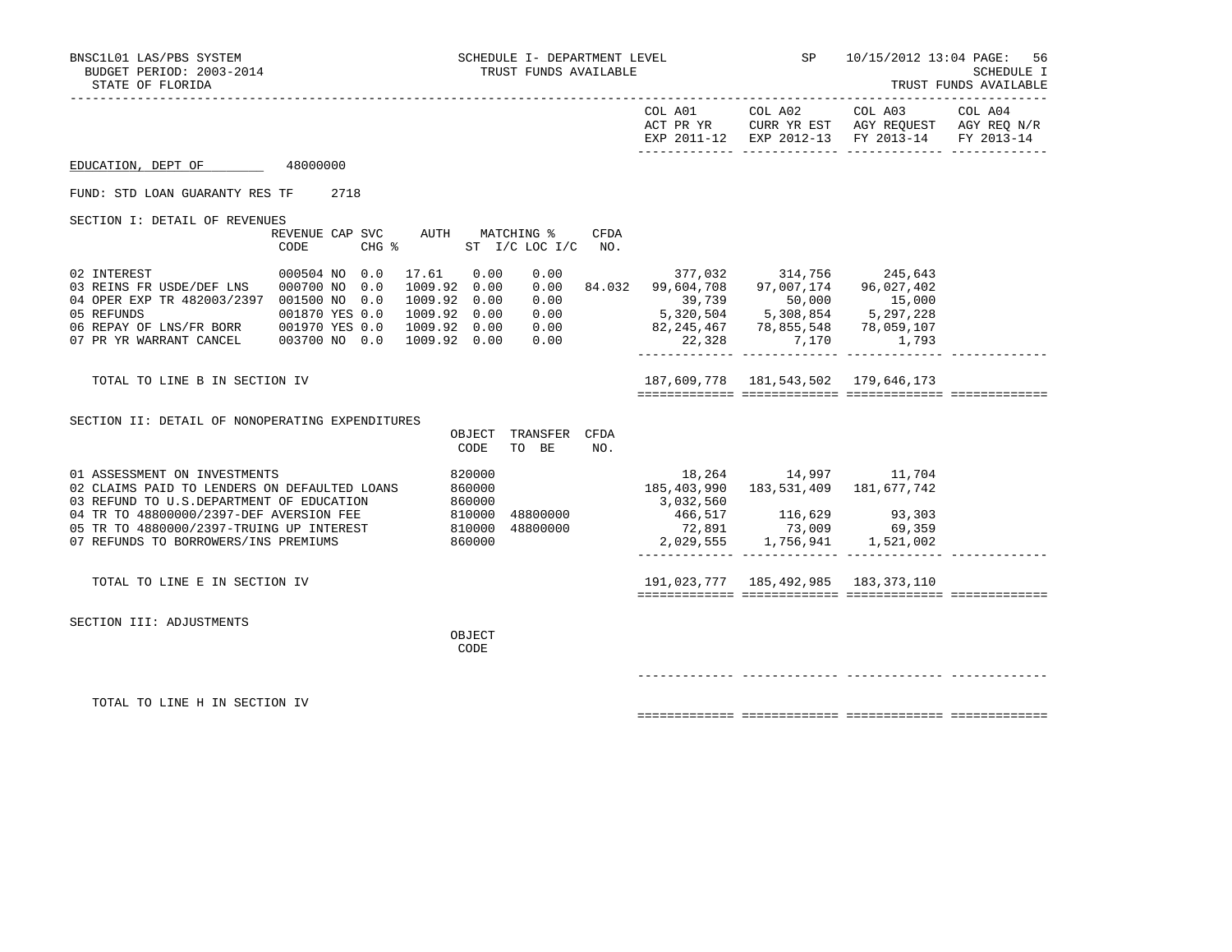|                                                                                                              |                                 |                                     |                        |      |                                                        | COL A01 COL A02                                                                                         | COL A03                                                                                        | COL A04 |
|--------------------------------------------------------------------------------------------------------------|---------------------------------|-------------------------------------|------------------------|------|--------------------------------------------------------|---------------------------------------------------------------------------------------------------------|------------------------------------------------------------------------------------------------|---------|
|                                                                                                              |                                 |                                     |                        |      |                                                        |                                                                                                         | ACT PR YR CURR YR EST AGY REQUEST AGY REQ N/R<br>EXP 2011-12 EXP 2012-13 FY 2013-14 FY 2013-14 |         |
| EDUCATION, DEPT OF 48000000                                                                                  |                                 |                                     |                        |      |                                                        |                                                                                                         |                                                                                                |         |
| FUND: STD LOAN GUARANTY RES TF                                                                               | 2718                            |                                     |                        |      |                                                        |                                                                                                         |                                                                                                |         |
| SECTION I: DETAIL OF REVENUES                                                                                | REVENUE CAP SVC AUTH MATCHING % |                                     |                        | CFDA |                                                        |                                                                                                         |                                                                                                |         |
|                                                                                                              | $CHG$ $\approx$<br>CODE         |                                     | ST I/C LOC I/C         | NO.  |                                                        |                                                                                                         |                                                                                                |         |
| 02 INTEREST                                                                                                  | 000504 NO 0.0                   | 17.61<br>0.00                       | 0.00                   |      |                                                        | 377,032 314,756 245,643                                                                                 |                                                                                                |         |
| 03 REINS FR USDE/DEF LNS 000700 NO<br>04 OPER EXP TR 482003/2397 001500 NO 0.0                               | 0.0                             | 1009.92 0.00<br>1009.92 0.00        | 0.00                   |      | $0.00$ 84.032 99,604,708 97,007,174 96,027,402         |                                                                                                         |                                                                                                |         |
| 05 REFUNDS                                                                                                   | 001870 YES 0.0                  | 1009.92 0.00                        | 0.00                   |      | 39,739 50,000 15,000<br>5,320,504 5,308,854 5,297,228  |                                                                                                         |                                                                                                |         |
| 05 REFUNDS 001870 YES 0.0<br>06 REPAY OF LNS/FR BORR 001970 YES 0.0<br>07 PR YR WARRANT CANCEL 003700 NO 0.0 |                                 | 1009.92  0.00  0.00<br>1009.92 0.00 | 0.00                   |      | 82,245,467 78,855,548 78,059,107<br>22,328 7,170 1,793 |                                                                                                         |                                                                                                |         |
|                                                                                                              |                                 |                                     |                        |      |                                                        |                                                                                                         |                                                                                                |         |
| TOTAL TO LINE B IN SECTION IV                                                                                |                                 |                                     |                        |      |                                                        | 187,609,778   181,543,502   179,646,173                                                                 |                                                                                                |         |
|                                                                                                              |                                 |                                     |                        |      |                                                        |                                                                                                         |                                                                                                |         |
| SECTION II: DETAIL OF NONOPERATING EXPENDITURES                                                              |                                 |                                     |                        |      |                                                        |                                                                                                         |                                                                                                |         |
|                                                                                                              |                                 | OBJECT<br>CODE                      | TRANSFER CFDA<br>TO BE | NO.  |                                                        |                                                                                                         |                                                                                                |         |
| 01 ASSESSMENT ON INVESTMENTS                                                                                 |                                 | 820000                              |                        |      |                                                        | 18,264 14,997 11,704                                                                                    |                                                                                                |         |
| 02 CLAIMS PAID TO LENDERS ON DEFAULTED LOANS                                                                 |                                 | 860000                              |                        |      | 185, 403, 990 183, 531, 409 181, 677, 742<br>3,032,560 |                                                                                                         |                                                                                                |         |
|                                                                                                              |                                 |                                     | 48800000               |      |                                                        | 466,517 116,629 93,303                                                                                  |                                                                                                |         |
|                                                                                                              |                                 |                                     | 48800000               |      |                                                        | $\begin{array}{cccc} 72,891 & & 73,009 & & 69,359 \\ 2,029,555 & & 1,756,941 & & 1,521,002 \end{array}$ |                                                                                                |         |
|                                                                                                              |                                 |                                     |                        |      |                                                        |                                                                                                         |                                                                                                |         |
| TOTAL TO LINE E IN SECTION IV                                                                                |                                 |                                     |                        |      |                                                        | 191,023,777   185,492,985   183,373,110                                                                 |                                                                                                |         |
|                                                                                                              |                                 |                                     |                        |      |                                                        |                                                                                                         |                                                                                                |         |
| SECTION III: ADJUSTMENTS                                                                                     |                                 | OBJECT                              |                        |      |                                                        |                                                                                                         |                                                                                                |         |
|                                                                                                              |                                 | CODE                                |                        |      |                                                        |                                                                                                         |                                                                                                |         |
|                                                                                                              |                                 |                                     |                        |      |                                                        |                                                                                                         |                                                                                                |         |
|                                                                                                              |                                 |                                     |                        |      |                                                        |                                                                                                         |                                                                                                |         |
| TOTAL TO LINE H IN SECTION IV                                                                                |                                 |                                     |                        |      |                                                        |                                                                                                         |                                                                                                |         |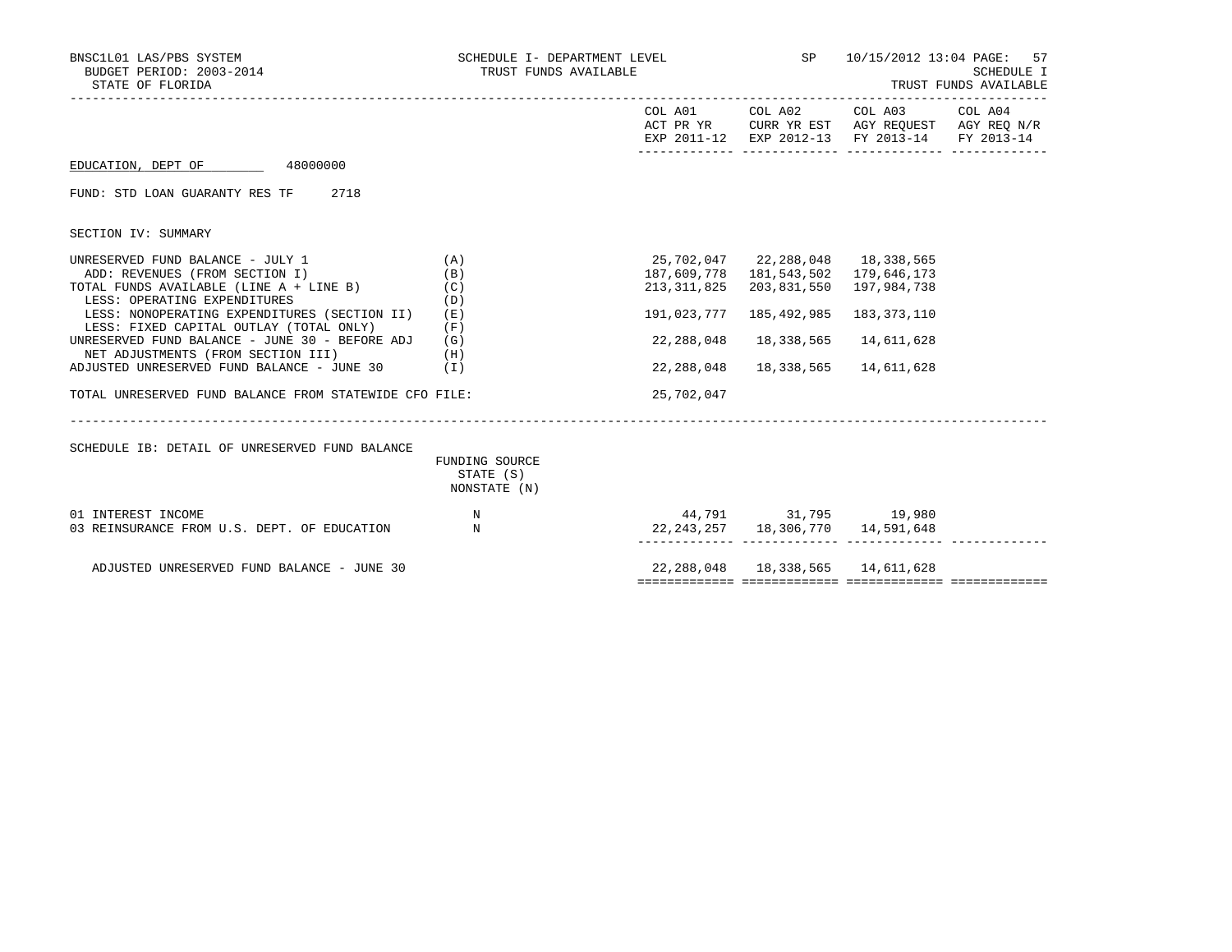| BNSC1L01 LAS/PBS SYSTEM<br>BUDGET PERIOD: 2003-2014<br>STATE OF FLORIDA              | TRUST FUNDS AVAILABLE     | SCHEDULE I- DEPARTMENT LEVEL THE SP    |                                          | 10/15/2012 13:04 PAGE:                                                                                            | 57<br>SCHEDULE I<br>TRUST FUNDS AVAILABLE |
|--------------------------------------------------------------------------------------|---------------------------|----------------------------------------|------------------------------------------|-------------------------------------------------------------------------------------------------------------------|-------------------------------------------|
|                                                                                      |                           |                                        | COL A01 COL A02                          | COL A03 COL A04<br>ACT PR YR CURR YR EST AGY REQUEST AGY REQ N/R<br>EXP 2011-12 EXP 2012-13 FY 2013-14 FY 2013-14 |                                           |
| EDUCATION, DEPT OF 48000000                                                          |                           |                                        |                                          |                                                                                                                   |                                           |
| FUND: STD LOAN GUARANTY RES TF 2718                                                  |                           |                                        |                                          |                                                                                                                   |                                           |
| SECTION IV: SUMMARY                                                                  |                           |                                        |                                          |                                                                                                                   |                                           |
| UNRESERVED FUND BALANCE - JULY 1                                                     | (A)                       |                                        | 25,702,047 22,288,048 18,338,565         |                                                                                                                   |                                           |
| ADD: REVENUES (FROM SECTION I)                                                       | (B)                       |                                        | 187,609,778  181,543,502  179,646,173    |                                                                                                                   |                                           |
| TOTAL FUNDS AVAILABLE (LINE A + LINE B)<br>LESS: OPERATING EXPENDITURES              | (C)<br>(D)                | 213,311,825                            | 203,831,550                              | 197,984,738                                                                                                       |                                           |
| LESS: NONOPERATING EXPENDITURES (SECTION II)                                         | (E)                       | 191,023,777                            | 185,492,985                              | 183, 373, 110                                                                                                     |                                           |
| LESS: FIXED CAPITAL OUTLAY (TOTAL ONLY)                                              | (F)                       |                                        |                                          |                                                                                                                   |                                           |
| UNRESERVED FUND BALANCE - JUNE 30 - BEFORE ADJ<br>NET ADJUSTMENTS (FROM SECTION III) | (G)<br>(H)                | 22,288,048                             | 18,338,565                               | 14,611,628                                                                                                        |                                           |
| ADJUSTED UNRESERVED FUND BALANCE - JUNE 30                                           | ( I )                     | 22,288,048                             | 18,338,565                               | 14,611,628                                                                                                        |                                           |
| TOTAL UNRESERVED FUND BALANCE FROM STATEWIDE CFO FILE:                               |                           | 25,702,047                             |                                          |                                                                                                                   |                                           |
| SCHEDULE IB: DETAIL OF UNRESERVED FUND BALANCE                                       | FUNDING SOURCE            |                                        |                                          |                                                                                                                   |                                           |
|                                                                                      | STATE (S)<br>NONSTATE (N) |                                        |                                          |                                                                                                                   |                                           |
| 01 INTEREST INCOME                                                                   | N                         | 44,791 31,795 19,980                   |                                          |                                                                                                                   |                                           |
| 03 REINSURANCE FROM U.S. DEPT. OF EDUCATION                                          | $\mathbb N$               | 22, 243, 257 18, 306, 770 14, 591, 648 |                                          |                                                                                                                   |                                           |
|                                                                                      |                           |                                        | 22, 288, 048  18, 338, 565  14, 611, 628 |                                                                                                                   |                                           |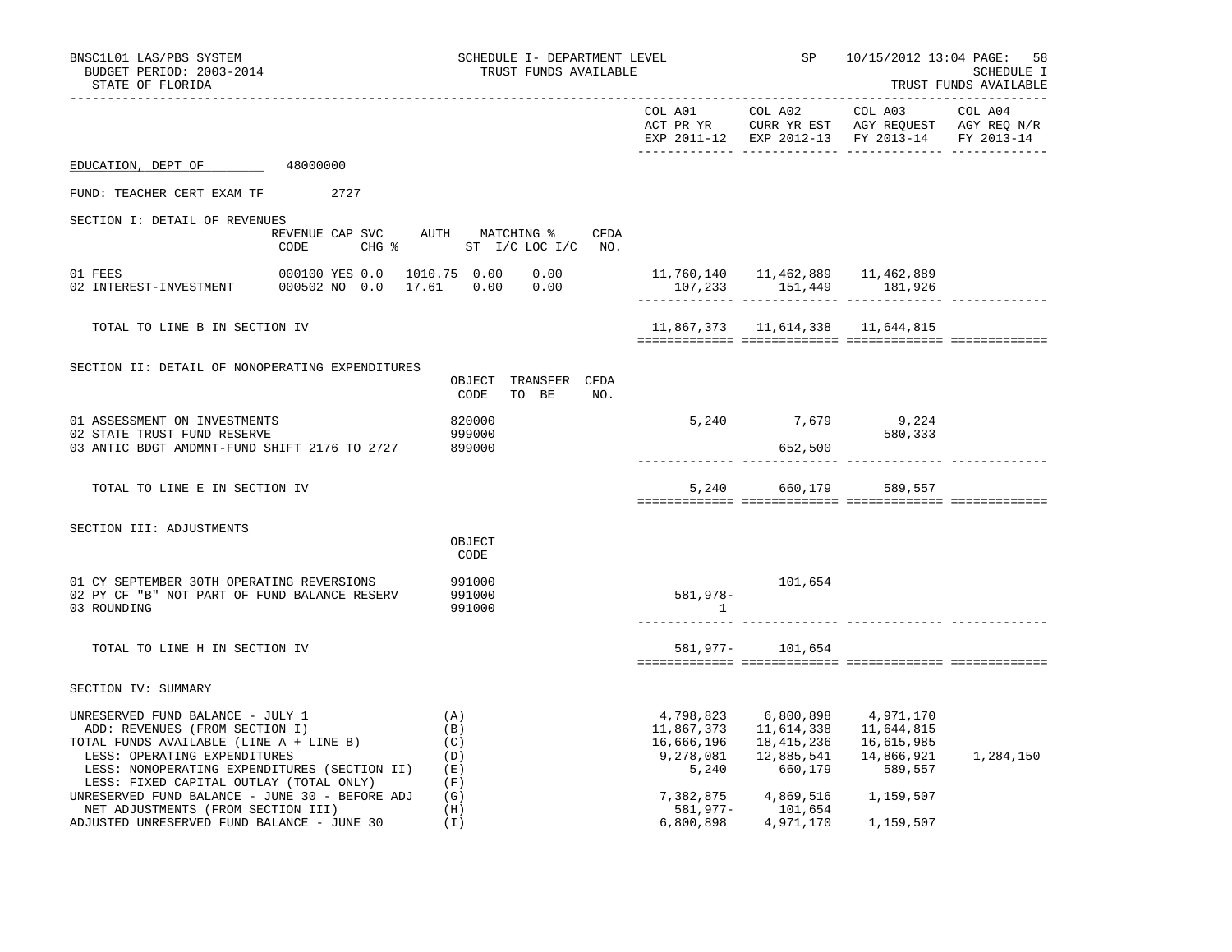| BNSC1L01 LAS/PBS SYSTEM<br>BUDGET PERIOD: 2003-2014<br>STATE OF FLORIDA                                                                                                                       |                                                                  |                                 | SCHEDULE I- DEPARTMENT LEVEL<br>TRUST FUNDS AVAILABLE |                         |                                                                                    | SP 10/15/2012 13:04 PAGE: 58                                                                                                           | SCHEDULE I<br>TRUST FUNDS AVAILABLE |
|-----------------------------------------------------------------------------------------------------------------------------------------------------------------------------------------------|------------------------------------------------------------------|---------------------------------|-------------------------------------------------------|-------------------------|------------------------------------------------------------------------------------|----------------------------------------------------------------------------------------------------------------------------------------|-------------------------------------|
|                                                                                                                                                                                               |                                                                  |                                 |                                                       |                         | COL A01 COL A02                                                                    | COL A03 COL A04<br>ACT PR YR $\,$ CURR YR EST $\,$ AGY REQUEST $\,$ AGY REQ $\rm N/R$<br>EXP 2011-12 EXP 2012-13 FY 2013-14 FY 2013-14 |                                     |
| EDUCATION, DEPT OF 48000000                                                                                                                                                                   |                                                                  |                                 |                                                       |                         |                                                                                    |                                                                                                                                        |                                     |
| FUND: TEACHER CERT EXAM TF 2727                                                                                                                                                               |                                                                  |                                 |                                                       |                         |                                                                                    |                                                                                                                                        |                                     |
| SECTION I: DETAIL OF REVENUES<br>CODE                                                                                                                                                         | REVENUE CAP SVC AUTH MATCHING % CFDA<br>CHG % ST I/C LOC I/C NO. |                                 |                                                       |                         |                                                                                    |                                                                                                                                        |                                     |
|                                                                                                                                                                                               |                                                                  |                                 |                                                       | 107,233 151,449 181,926 |                                                                                    |                                                                                                                                        |                                     |
| TOTAL TO LINE B IN SECTION IV                                                                                                                                                                 |                                                                  |                                 |                                                       |                         |                                                                                    | 11,867,373   11,614,338   11,644,815                                                                                                   |                                     |
| SECTION II: DETAIL OF NONOPERATING EXPENDITURES                                                                                                                                               |                                                                  | CODE                            | OBJECT TRANSFER CFDA<br>TO BE NO.                     |                         |                                                                                    |                                                                                                                                        |                                     |
| 01 ASSESSMENT ON INVESTMENTS<br>02 STATE TRUST FUND RESERVE<br>03 ANTIC BDGT AMDMNT-FUND SHIFT 2176 TO 2727 899000                                                                            |                                                                  | 820000<br>999000                |                                                       |                         | 5, 240 7, 679 9, 224<br>652,500                                                    | 580,333                                                                                                                                |                                     |
| TOTAL TO LINE E IN SECTION IV                                                                                                                                                                 |                                                                  |                                 |                                                       |                         |                                                                                    | 5,240 660,179 589,557                                                                                                                  |                                     |
| SECTION III: ADJUSTMENTS                                                                                                                                                                      |                                                                  | OBJECT<br>CODE                  |                                                       |                         |                                                                                    |                                                                                                                                        |                                     |
| 01 CY SEPTEMBER 30TH OPERATING REVERSIONS<br>02 PY CF "B" NOT PART OF FUND BALANCE RESERV<br>03 ROUNDING                                                                                      |                                                                  | 991000<br>991000<br>991000      |                                                       | 581,978-<br>$\sim$ 1    | 101,654                                                                            |                                                                                                                                        |                                     |
| TOTAL TO LINE H IN SECTION IV                                                                                                                                                                 |                                                                  |                                 |                                                       |                         | 581,977- 101,654                                                                   |                                                                                                                                        |                                     |
| SECTION IV: SUMMARY                                                                                                                                                                           |                                                                  |                                 |                                                       |                         |                                                                                    |                                                                                                                                        |                                     |
| UNRESERVED FUND BALANCE - JULY 1<br>ADD: REVENUES (FROM SECTION I)<br>TOTAL FUNDS AVAILABLE (LINE A + LINE B)<br>LESS: OPERATING EXPENDITURES<br>LESS: NONOPERATING EXPENDITURES (SECTION II) |                                                                  | (A)<br>(B)<br>(C)<br>(D)<br>(E) |                                                       | 16,666,196<br>5,240     | 4,798,823 6,800,898 4,971,170<br>11,867,373    11,614,338<br>18,415,236<br>660,179 | 11,644,815<br>16,615,985<br>14,866,921<br>589,557                                                                                      | 1,284,150                           |
| LESS: FIXED CAPITAL OUTLAY (TOTAL ONLY)<br>UNRESERVED FUND BALANCE - JUNE 30 - BEFORE ADJ $(G)$<br>NET ADJUSTMENTS (FROM SECTION III)<br>ADJUSTED UNRESERVED FUND BALANCE - JUNE 30           |                                                                  | (F)<br>(H)<br>(I)               |                                                       | 7,382,875<br>581,977-   | 4,869,516<br>101,654<br>6,800,898 4,971,170                                        | 1,159,507<br>1,159,507                                                                                                                 |                                     |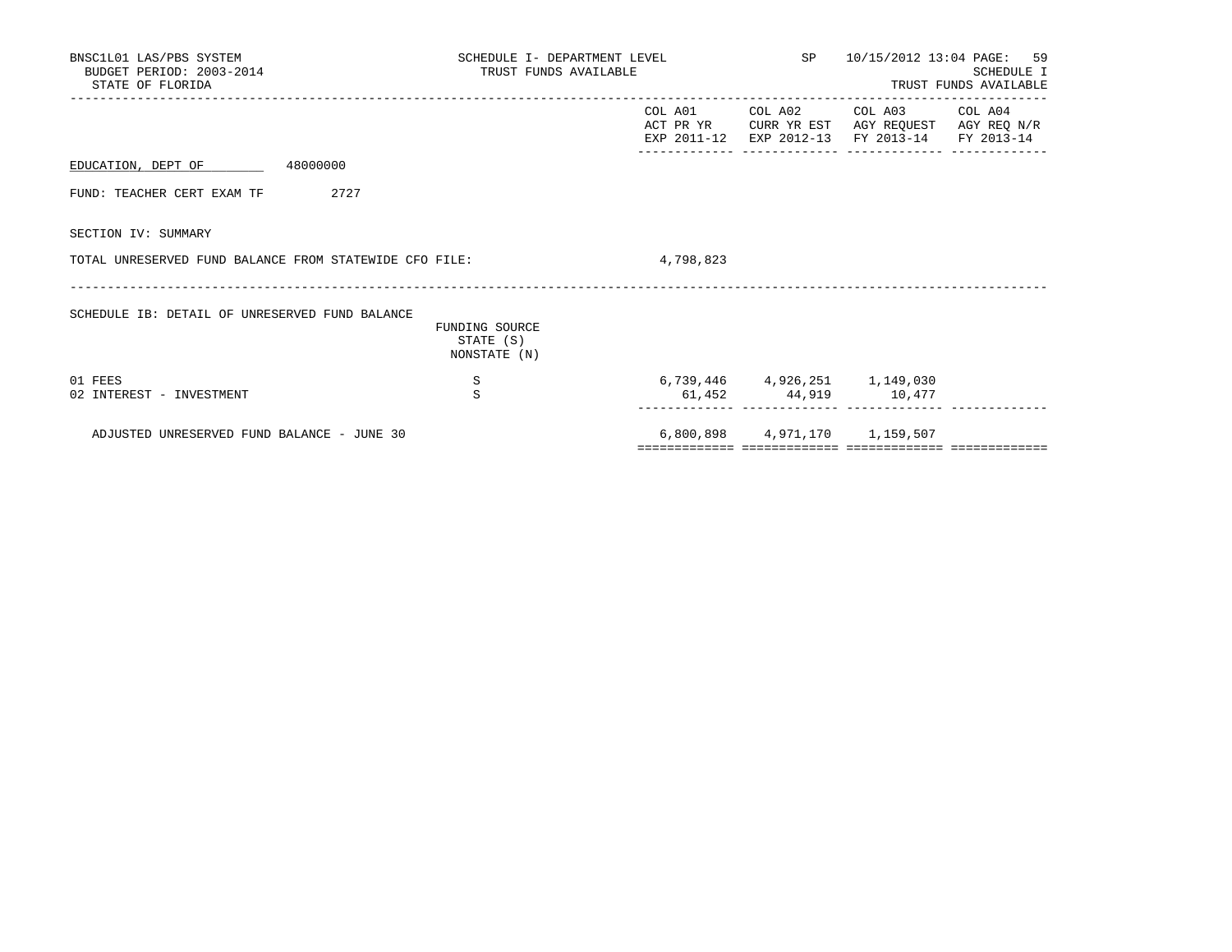| BNSC1L01 LAS/PBS SYSTEM<br>BUDGET PERIOD: 2003-2014<br>STATE OF FLORIDA | SCHEDULE I- DEPARTMENT LEVEL<br>TRUST FUNDS AVAILABLE |           | SP 10/15/2012 13:04 PAGE: 59<br>SCHEDULE I<br>TRUST FUNDS AVAILABLE                                                               |  |  |
|-------------------------------------------------------------------------|-------------------------------------------------------|-----------|-----------------------------------------------------------------------------------------------------------------------------------|--|--|
|                                                                         |                                                       |           | COL A01 COL A02 COL A03 COL A04<br>ACT PR YR CURR YR EST AGY REQUEST AGY REQ N/R<br>EXP 2011-12 EXP 2012-13 FY 2013-14 FY 2013-14 |  |  |
| EDUCATION, DEPT OF 48000000                                             |                                                       |           |                                                                                                                                   |  |  |
| 2727<br>FUND: TEACHER CERT EXAM TF                                      |                                                       |           |                                                                                                                                   |  |  |
| SECTION IV: SUMMARY                                                     |                                                       |           |                                                                                                                                   |  |  |
| TOTAL UNRESERVED FUND BALANCE FROM STATEWIDE CFO FILE:                  |                                                       | 4,798,823 |                                                                                                                                   |  |  |
| SCHEDULE IB: DETAIL OF UNRESERVED FUND BALANCE                          | FUNDING SOURCE<br>STATE (S)<br>NONSTATE (N)           |           |                                                                                                                                   |  |  |
| 01 FEES<br>02 INTEREST - INVESTMENT                                     | S<br>S                                                |           | 6,739,446 4,926,251 1,149,030<br>61,452 44,919 10,477                                                                             |  |  |
| ADJUSTED UNRESERVED FUND BALANCE - JUNE 30                              |                                                       |           | 6,800,898 4,971,170 1,159,507                                                                                                     |  |  |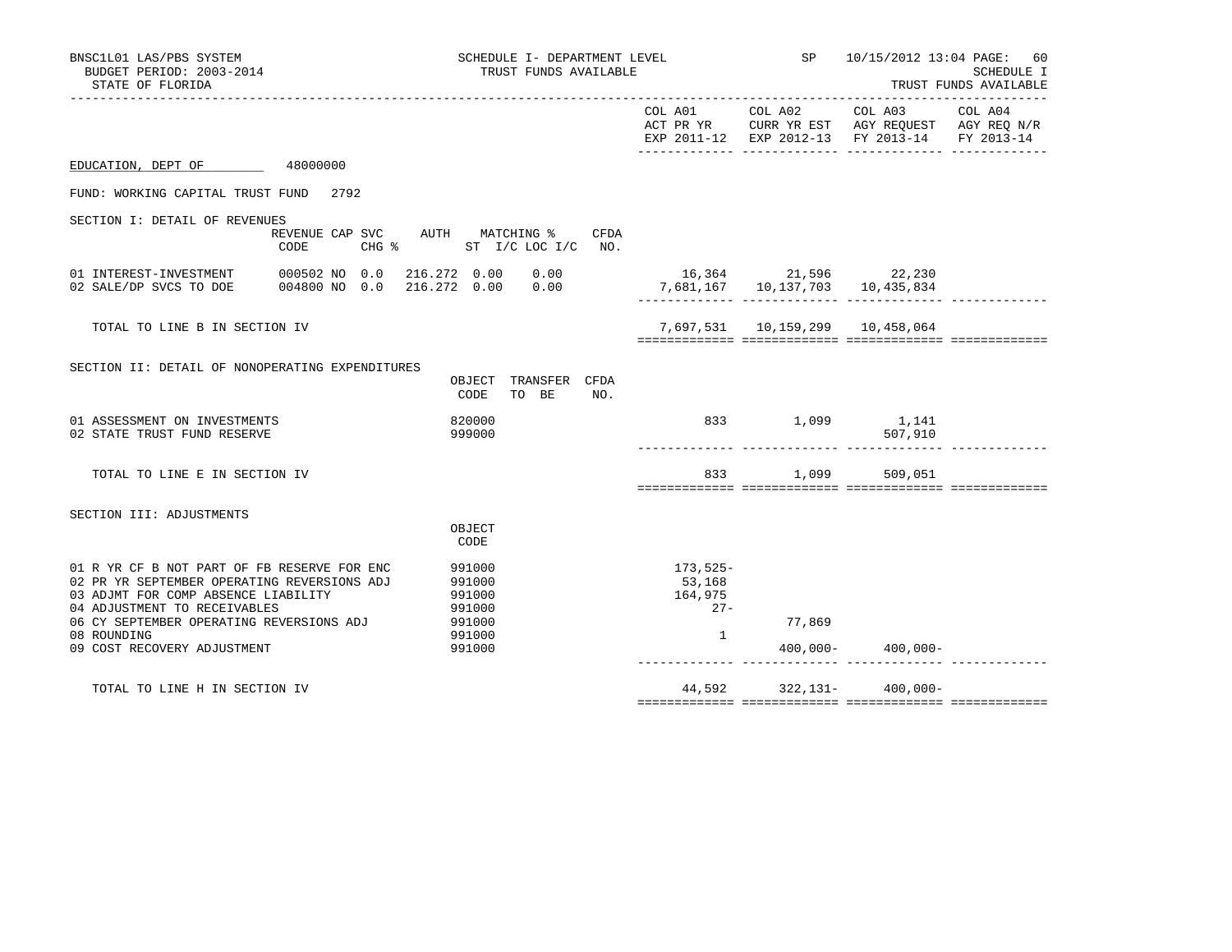| COL A01 COL A02                                         |        |                 | SP 10/15/2012 13:04 PAGE: 60<br>SCHEDULE I<br>TRUST FUNDS AVAILABLE                                                                                                                                                                                                                       |  |
|---------------------------------------------------------|--------|-----------------|-------------------------------------------------------------------------------------------------------------------------------------------------------------------------------------------------------------------------------------------------------------------------------------------|--|
|                                                         |        | COL A03 COL A04 |                                                                                                                                                                                                                                                                                           |  |
|                                                         |        |                 |                                                                                                                                                                                                                                                                                           |  |
|                                                         |        |                 |                                                                                                                                                                                                                                                                                           |  |
|                                                         |        |                 |                                                                                                                                                                                                                                                                                           |  |
|                                                         |        |                 |                                                                                                                                                                                                                                                                                           |  |
|                                                         |        |                 |                                                                                                                                                                                                                                                                                           |  |
|                                                         |        |                 |                                                                                                                                                                                                                                                                                           |  |
|                                                         |        | 507,910         |                                                                                                                                                                                                                                                                                           |  |
|                                                         |        |                 |                                                                                                                                                                                                                                                                                           |  |
|                                                         |        |                 |                                                                                                                                                                                                                                                                                           |  |
| 173,525-<br>53,168<br>164,975<br>$27 -$<br>$\mathbf{1}$ | 77,869 |                 |                                                                                                                                                                                                                                                                                           |  |
|                                                         |        |                 |                                                                                                                                                                                                                                                                                           |  |
| CHG % ST I/C LOC I/C NO.                                | CFDA   |                 | ACT PR YR CURR YR EST AGY REQUEST AGY REQ N/R<br>EXP 2011-12 EXP 2012-13 FY 2013-14 FY 2013-14<br>16,364 21,596 22,230<br>7,681,167 10,137,703 10,435,834<br>7,697,531 10,159,299 10,458,064<br>833 1,099 1,141<br>833 1,099 509,051<br>$400,000 - 400,000 -$<br>44,592 322,131- 400,000- |  |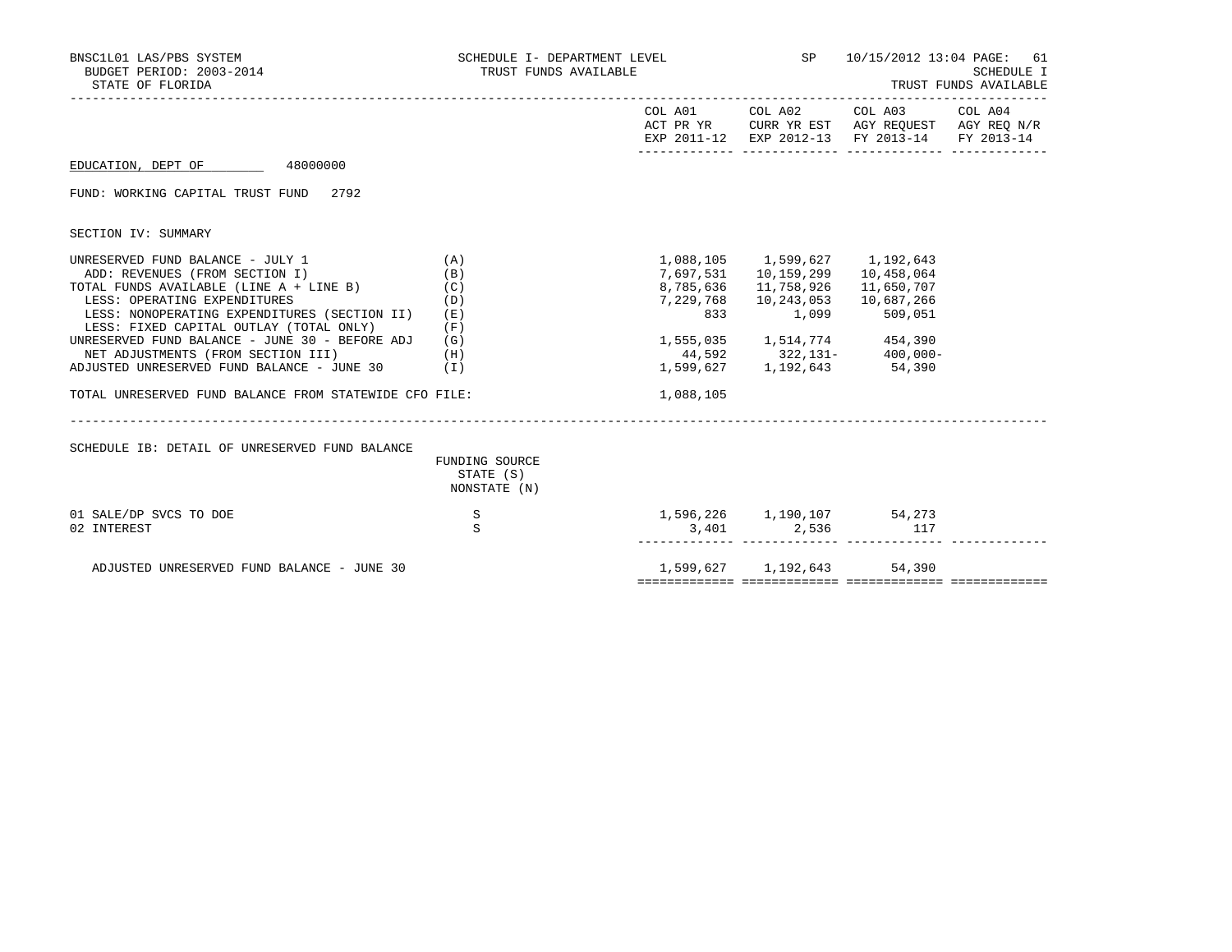| BNSC1L01 LAS/PBS SYSTEM<br>BUDGET PERIOD: 2003-2014<br>STATE OF FLORIDA                                                                                                                                                                                                                                                                                                                                                                      | SCHEDULE I- DEPARTMENT LEVEL<br>TRUST FUNDS AVAILABLE |                               |                                                                                                                                                                                               | SP 10/15/2012 13:04 PAGE: 61<br>SCHEDULE I<br>TRUST FUNDS AVAILABLE                                                               |  |  |
|----------------------------------------------------------------------------------------------------------------------------------------------------------------------------------------------------------------------------------------------------------------------------------------------------------------------------------------------------------------------------------------------------------------------------------------------|-------------------------------------------------------|-------------------------------|-----------------------------------------------------------------------------------------------------------------------------------------------------------------------------------------------|-----------------------------------------------------------------------------------------------------------------------------------|--|--|
|                                                                                                                                                                                                                                                                                                                                                                                                                                              |                                                       |                               |                                                                                                                                                                                               | COL A01 COL A02 COL A03 COL A04<br>ACT PR YR CURR YR EST AGY REQUEST AGY REQ N/R<br>EXP 2011-12 EXP 2012-13 FY 2013-14 FY 2013-14 |  |  |
| EDUCATION, DEPT OF 48000000                                                                                                                                                                                                                                                                                                                                                                                                                  |                                                       |                               |                                                                                                                                                                                               |                                                                                                                                   |  |  |
| FUND: WORKING CAPITAL TRUST FUND 2792                                                                                                                                                                                                                                                                                                                                                                                                        |                                                       |                               |                                                                                                                                                                                               |                                                                                                                                   |  |  |
| SECTION IV: SUMMARY                                                                                                                                                                                                                                                                                                                                                                                                                          |                                                       |                               |                                                                                                                                                                                               |                                                                                                                                   |  |  |
| UNRESERVED FUND BALANCE - JULY 1<br>ADD: REVENUES (FROM SECTION I)<br>TOTAL FUNDS AVAILABLE (LINE A + LINE B)<br>LESS: OPERATING EXPENDITURES<br>LESS: NONOPERATING EXPENDITURES (SECTION II)<br>LESS: FIXED CAPITAL OUTLAY (TOTAL ONLY)<br>UNRESERVED FUND BALANCE - JUNE 30 - BEFORE ADJ<br>NET ADJUSTMENTS (FROM SECTION III)<br>ADJUSTED UNRESERVED FUND BALANCE - JUNE 30 (I)<br>TOTAL UNRESERVED FUND BALANCE FROM STATEWIDE CFO FILE: | (A)<br>(B)<br>(C)<br>(D)<br>(E)<br>(F)<br>(G)<br>(H)  | 7,229,768<br>833<br>1,088,105 | 1,088,105 1,599,627 1,192,643<br>7,697,531 10,159,299<br>8,785,636 11,758,926<br>10,243,053<br>1,099<br>1,555,035 1,514,774 454,390<br>44,592 322,131- 400,000-<br>1,599,627 1,192,643 54,390 | 10,458,064<br>11,650,707<br>10,687,266<br>509,051                                                                                 |  |  |
| SCHEDULE IB: DETAIL OF UNRESERVED FUND BALANCE                                                                                                                                                                                                                                                                                                                                                                                               | FUNDING SOURCE<br>STATE (S)<br>NONSTATE (N)           |                               |                                                                                                                                                                                               |                                                                                                                                   |  |  |
| 01 SALE/DP SVCS TO DOE<br>02 INTEREST                                                                                                                                                                                                                                                                                                                                                                                                        | S<br>$\rm S$                                          |                               | $1,596,226$ $1,190,107$ $54,273$<br>3,401 2,536                                                                                                                                               | 117                                                                                                                               |  |  |
| ADJUSTED UNRESERVED FUND BALANCE - JUNE 30                                                                                                                                                                                                                                                                                                                                                                                                   |                                                       |                               | 1,599,627 1,192,643 54,390                                                                                                                                                                    |                                                                                                                                   |  |  |